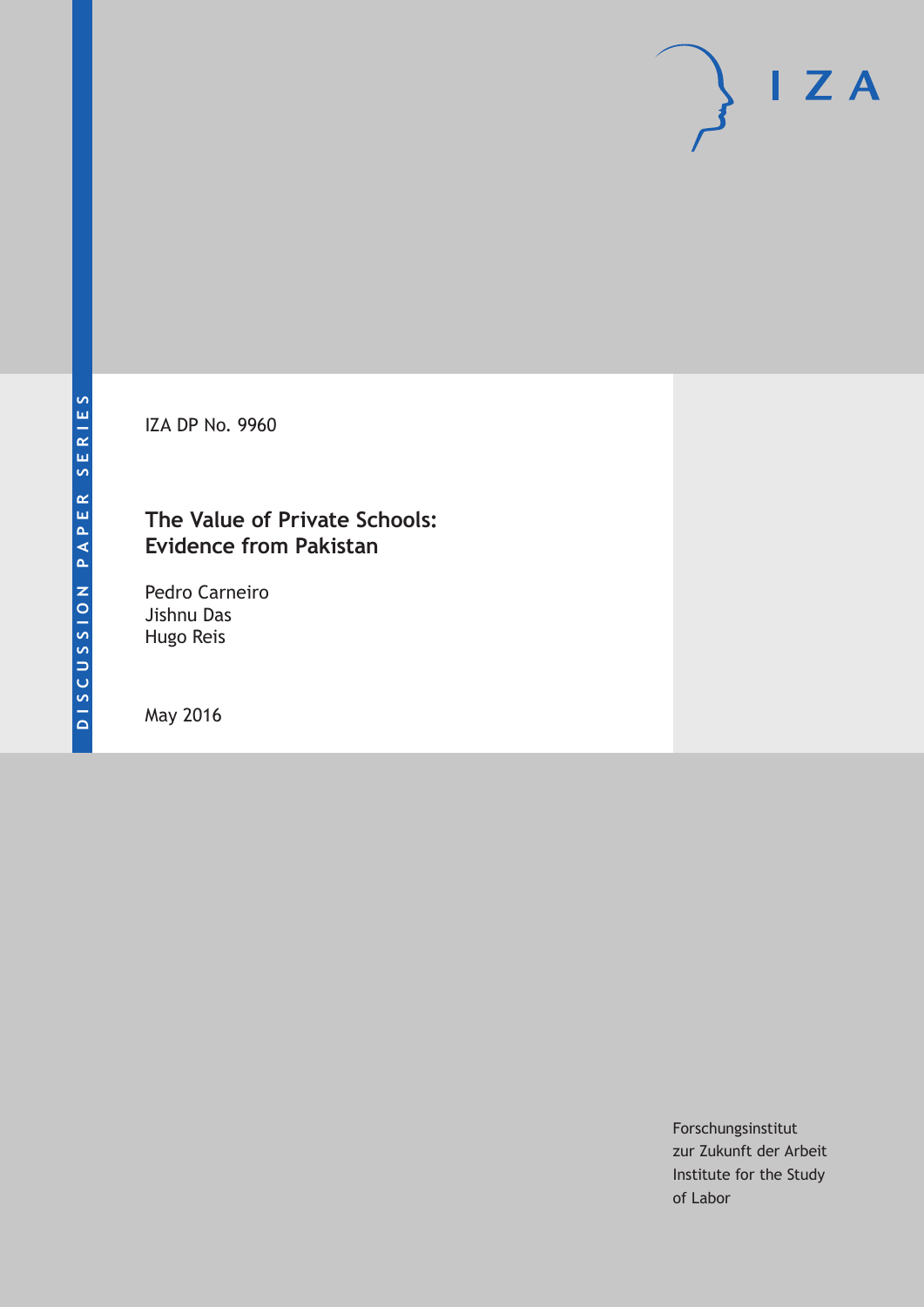IZA DP No. 9960

## **The Value of Private Schools: Evidence from Pakistan**

Pedro Carneiro Jishnu Das Hugo Reis

May 2016

Forschungsinstitut zur Zukunft der Arbeit Institute for the Study of Labor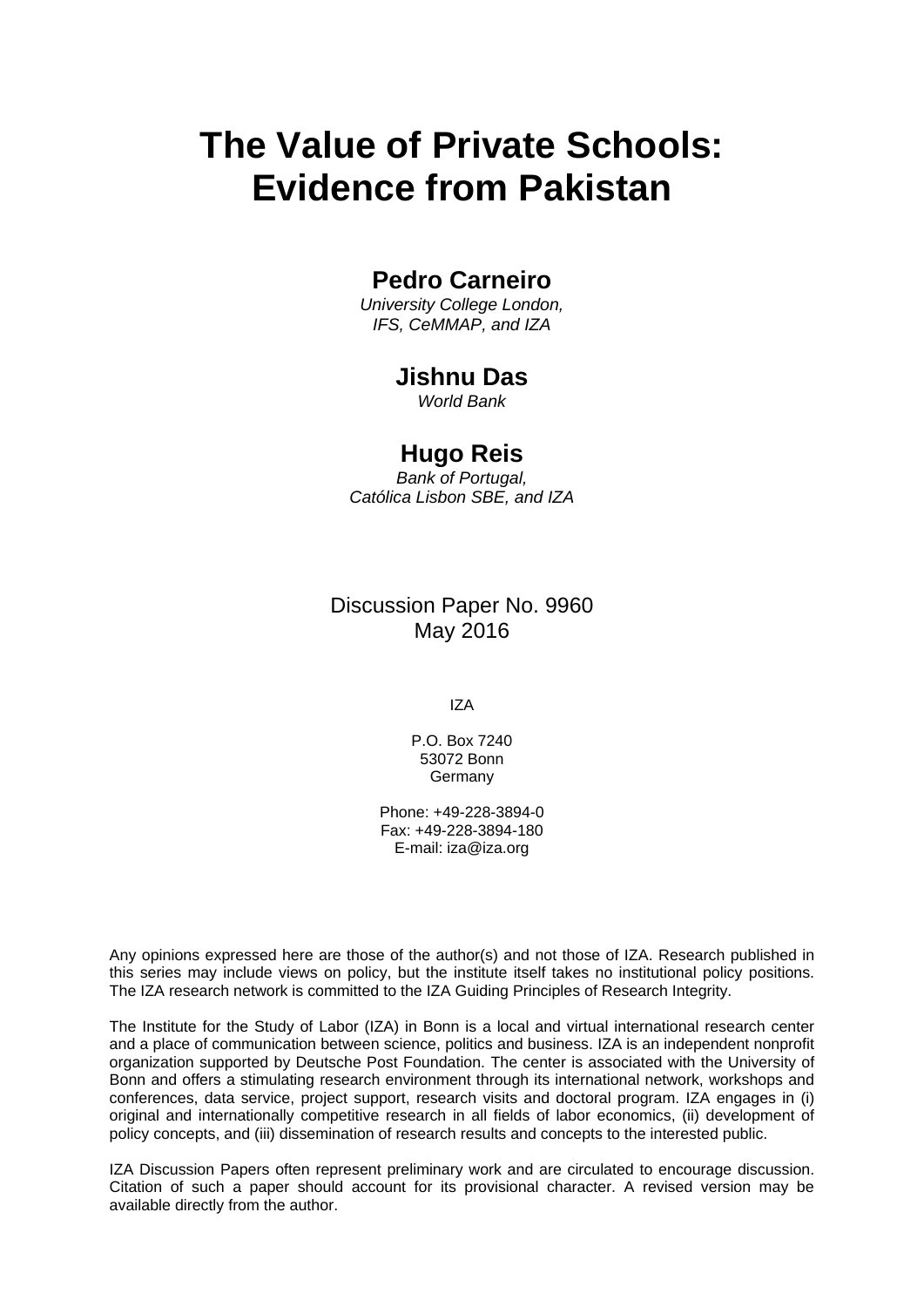# **The Value of Private Schools: Evidence from Pakistan**

## **Pedro Carneiro**

*University College London, IFS, CeMMAP, and IZA* 

## **Jishnu Das**

*World Bank* 

## **Hugo Reis**

*Bank of Portugal, Católica Lisbon SBE, and IZA*

Discussion Paper No. 9960 May 2016

IZA

P.O. Box 7240 53072 Bonn Germany

Phone: +49-228-3894-0 Fax: +49-228-3894-180 E-mail: iza@iza.org

Any opinions expressed here are those of the author(s) and not those of IZA. Research published in this series may include views on policy, but the institute itself takes no institutional policy positions. The IZA research network is committed to the IZA Guiding Principles of Research Integrity.

The Institute for the Study of Labor (IZA) in Bonn is a local and virtual international research center and a place of communication between science, politics and business. IZA is an independent nonprofit organization supported by Deutsche Post Foundation. The center is associated with the University of Bonn and offers a stimulating research environment through its international network, workshops and conferences, data service, project support, research visits and doctoral program. IZA engages in (i) original and internationally competitive research in all fields of labor economics, (ii) development of policy concepts, and (iii) dissemination of research results and concepts to the interested public.

IZA Discussion Papers often represent preliminary work and are circulated to encourage discussion. Citation of such a paper should account for its provisional character. A revised version may be available directly from the author.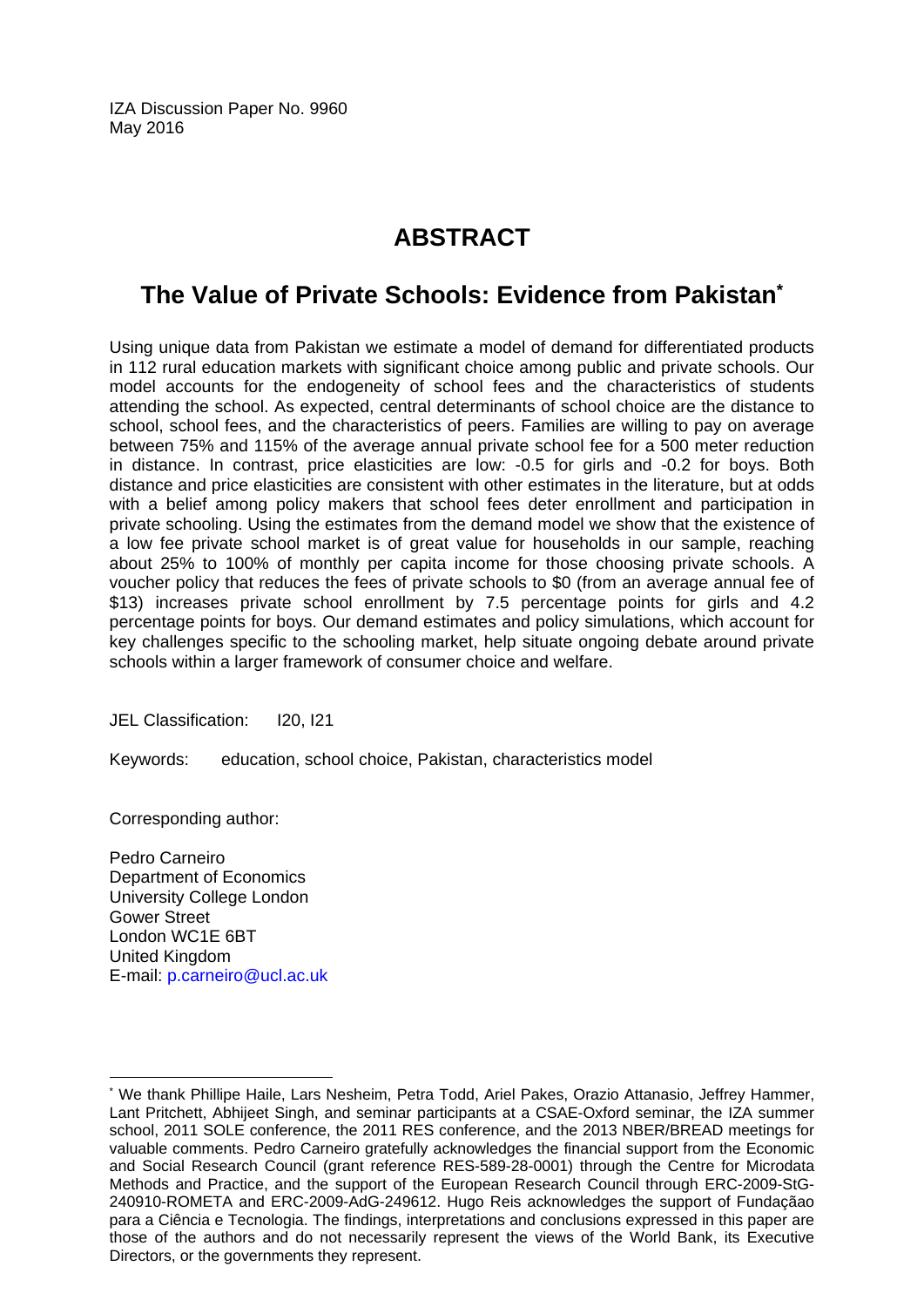IZA Discussion Paper No. 9960 May 2016

## **ABSTRACT**

## **The Value of Private Schools: Evidence from Pakistan\***

Using unique data from Pakistan we estimate a model of demand for differentiated products in 112 rural education markets with significant choice among public and private schools. Our model accounts for the endogeneity of school fees and the characteristics of students attending the school. As expected, central determinants of school choice are the distance to school, school fees, and the characteristics of peers. Families are willing to pay on average between 75% and 115% of the average annual private school fee for a 500 meter reduction in distance. In contrast, price elasticities are low: -0.5 for girls and -0.2 for boys. Both distance and price elasticities are consistent with other estimates in the literature, but at odds with a belief among policy makers that school fees deter enrollment and participation in private schooling. Using the estimates from the demand model we show that the existence of a low fee private school market is of great value for households in our sample, reaching about 25% to 100% of monthly per capita income for those choosing private schools. A voucher policy that reduces the fees of private schools to \$0 (from an average annual fee of \$13) increases private school enrollment by 7.5 percentage points for girls and 4.2 percentage points for boys. Our demand estimates and policy simulations, which account for key challenges specific to the schooling market, help situate ongoing debate around private schools within a larger framework of consumer choice and welfare.

JEL Classification: I20, I21

Keywords: education, school choice, Pakistan, characteristics model

Corresponding author:

 $\overline{a}$ 

Pedro Carneiro Department of Economics University College London Gower Street London WC1E 6BT United Kingdom E-mail: p.carneiro@ucl.ac.uk

<sup>\*</sup> We thank Phillipe Haile, Lars Nesheim, Petra Todd, Ariel Pakes, Orazio Attanasio, Jeffrey Hammer, Lant Pritchett, Abhijeet Singh, and seminar participants at a CSAE-Oxford seminar, the IZA summer school, 2011 SOLE conference, the 2011 RES conference, and the 2013 NBER/BREAD meetings for valuable comments. Pedro Carneiro gratefully acknowledges the financial support from the Economic and Social Research Council (grant reference RES-589-28-0001) through the Centre for Microdata Methods and Practice, and the support of the European Research Council through ERC-2009-StG-240910-ROMETA and ERC-2009-AdG-249612. Hugo Reis acknowledges the support of Fundaçãao para a Ciência e Tecnologia. The findings, interpretations and conclusions expressed in this paper are those of the authors and do not necessarily represent the views of the World Bank, its Executive Directors, or the governments they represent.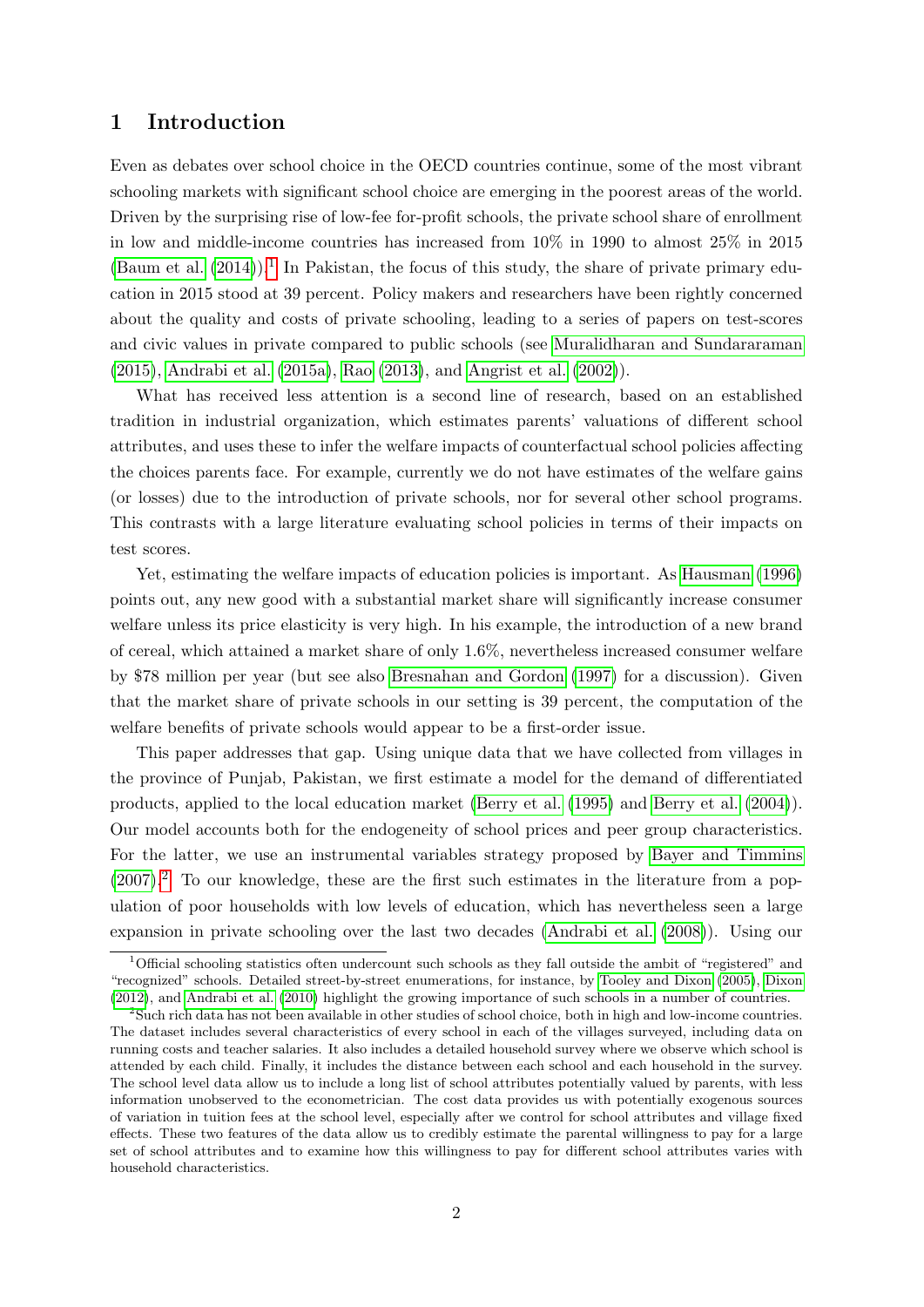### 1 Introduction

Even as debates over school choice in the OECD countries continue, some of the most vibrant schooling markets with significant school choice are emerging in the poorest areas of the world. Driven by the surprising rise of low-fee for-profit schools, the private school share of enrollment in low and middle-income countries has increased from 10% in 1990 to almost 25% in 2015  $(Ba$ um et al.  $(2014)$ .<sup>[1](#page-3-0)</sup> In Pakistan, the focus of this study, the share of private primary education in 2015 stood at 39 percent. Policy makers and researchers have been rightly concerned about the quality and costs of private schooling, leading to a series of papers on test-scores and civic values in private compared to public schools (see [Muralidharan and Sundararaman](#page-46-0) [\(2015\)](#page-46-0), [Andrabi et al.](#page-44-1) [\(2015a\)](#page-44-1), [Rao](#page-46-1) [\(2013\)](#page-46-1), and [Angrist et al.](#page-44-2) [\(2002\)](#page-44-2)).

What has received less attention is a second line of research, based on an established tradition in industrial organization, which estimates parents' valuations of different school attributes, and uses these to infer the welfare impacts of counterfactual school policies affecting the choices parents face. For example, currently we do not have estimates of the welfare gains (or losses) due to the introduction of private schools, nor for several other school programs. This contrasts with a large literature evaluating school policies in terms of their impacts on test scores.

Yet, estimating the welfare impacts of education policies is important. As [Hausman](#page-45-0) [\(1996\)](#page-45-0) points out, any new good with a substantial market share will significantly increase consumer welfare unless its price elasticity is very high. In his example, the introduction of a new brand of cereal, which attained a market share of only 1.6%, nevertheless increased consumer welfare by \$78 million per year (but see also [Bresnahan and Gordon](#page-45-1) [\(1997\)](#page-45-1) for a discussion). Given that the market share of private schools in our setting is 39 percent, the computation of the welfare benefits of private schools would appear to be a first-order issue.

This paper addresses that gap. Using unique data that we have collected from villages in the province of Punjab, Pakistan, we first estimate a model for the demand of differentiated products, applied to the local education market [\(Berry et al.](#page-44-3) [\(1995\)](#page-44-3) and [Berry et al.](#page-45-2) [\(2004\)](#page-45-2)). Our model accounts both for the endogeneity of school prices and peer group characteristics. For the latter, we use an instrumental variables strategy proposed by [Bayer and Timmins](#page-44-4)  $(2007).<sup>2</sup>$  $(2007).<sup>2</sup>$  $(2007).<sup>2</sup>$  $(2007).<sup>2</sup>$  To our knowledge, these are the first such estimates in the literature from a population of poor households with low levels of education, which has nevertheless seen a large expansion in private schooling over the last two decades [\(Andrabi et al.](#page-44-5) [\(2008\)](#page-44-5)). Using our

<span id="page-3-0"></span><sup>&</sup>lt;sup>1</sup>Official schooling statistics often undercount such schools as they fall outside the ambit of "registered" and "recognized" schools. Detailed street-by-street enumerations, for instance, by [Tooley and Dixon](#page-46-2) [\(2005\)](#page-46-2), [Dixon](#page-45-3) [\(2012\)](#page-45-3), and [Andrabi et al.](#page-44-6) [\(2010\)](#page-44-6) highlight the growing importance of such schools in a number of countries.

<span id="page-3-1"></span><sup>2</sup>Such rich data has not been available in other studies of school choice, both in high and low-income countries. The dataset includes several characteristics of every school in each of the villages surveyed, including data on running costs and teacher salaries. It also includes a detailed household survey where we observe which school is attended by each child. Finally, it includes the distance between each school and each household in the survey. The school level data allow us to include a long list of school attributes potentially valued by parents, with less information unobserved to the econometrician. The cost data provides us with potentially exogenous sources of variation in tuition fees at the school level, especially after we control for school attributes and village fixed effects. These two features of the data allow us to credibly estimate the parental willingness to pay for a large set of school attributes and to examine how this willingness to pay for different school attributes varies with household characteristics.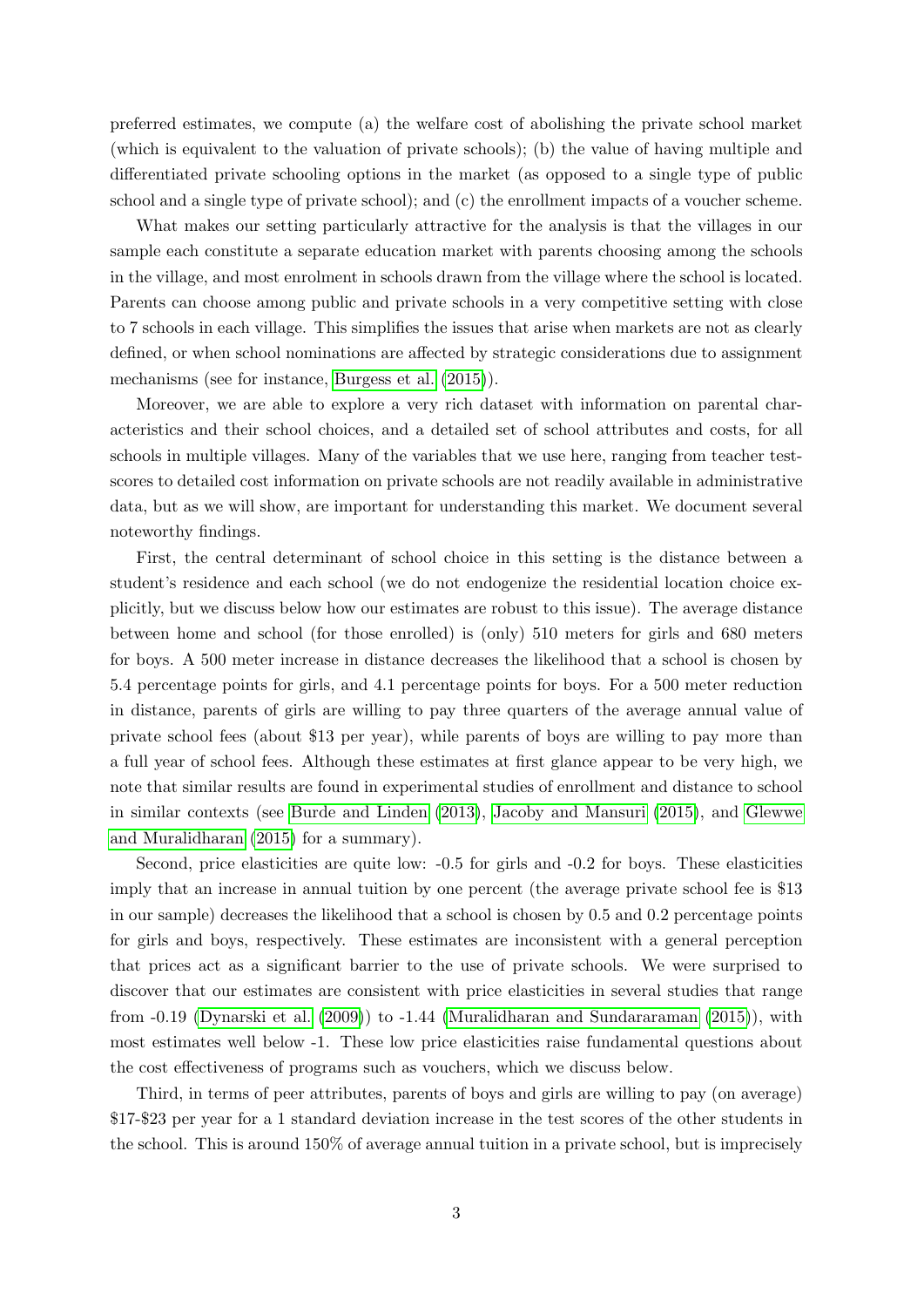preferred estimates, we compute (a) the welfare cost of abolishing the private school market (which is equivalent to the valuation of private schools); (b) the value of having multiple and differentiated private schooling options in the market (as opposed to a single type of public school and a single type of private school); and (c) the enrollment impacts of a voucher scheme.

What makes our setting particularly attractive for the analysis is that the villages in our sample each constitute a separate education market with parents choosing among the schools in the village, and most enrolment in schools drawn from the village where the school is located. Parents can choose among public and private schools in a very competitive setting with close to 7 schools in each village. This simplifies the issues that arise when markets are not as clearly defined, or when school nominations are affected by strategic considerations due to assignment mechanisms (see for instance, [Burgess et al.](#page-45-4) [\(2015\)](#page-45-4)).

Moreover, we are able to explore a very rich dataset with information on parental characteristics and their school choices, and a detailed set of school attributes and costs, for all schools in multiple villages. Many of the variables that we use here, ranging from teacher testscores to detailed cost information on private schools are not readily available in administrative data, but as we will show, are important for understanding this market. We document several noteworthy findings.

First, the central determinant of school choice in this setting is the distance between a student's residence and each school (we do not endogenize the residential location choice explicitly, but we discuss below how our estimates are robust to this issue). The average distance between home and school (for those enrolled) is (only) 510 meters for girls and 680 meters for boys. A 500 meter increase in distance decreases the likelihood that a school is chosen by 5.4 percentage points for girls, and 4.1 percentage points for boys. For a 500 meter reduction in distance, parents of girls are willing to pay three quarters of the average annual value of private school fees (about \$13 per year), while parents of boys are willing to pay more than a full year of school fees. Although these estimates at first glance appear to be very high, we note that similar results are found in experimental studies of enrollment and distance to school in similar contexts (see [Burde and Linden](#page-45-5) [\(2013\)](#page-45-5), [Jacoby and Mansuri](#page-46-3) [\(2015\)](#page-46-3), and [Glewwe](#page-45-6) [and Muralidharan](#page-45-6) [\(2015\)](#page-45-6) for a summary).

Second, price elasticities are quite low: -0.5 for girls and -0.2 for boys. These elasticities imply that an increase in annual tuition by one percent (the average private school fee is \$13 in our sample) decreases the likelihood that a school is chosen by 0.5 and 0.2 percentage points for girls and boys, respectively. These estimates are inconsistent with a general perception that prices act as a significant barrier to the use of private schools. We were surprised to discover that our estimates are consistent with price elasticities in several studies that range from -0.19 [\(Dynarski et al.](#page-45-7) [\(2009\)](#page-45-7)) to -1.44 [\(Muralidharan and Sundararaman](#page-46-0) [\(2015\)](#page-46-0)), with most estimates well below -1. These low price elasticities raise fundamental questions about the cost effectiveness of programs such as vouchers, which we discuss below.

Third, in terms of peer attributes, parents of boys and girls are willing to pay (on average) \$17-\$23 per year for a 1 standard deviation increase in the test scores of the other students in the school. This is around 150% of average annual tuition in a private school, but is imprecisely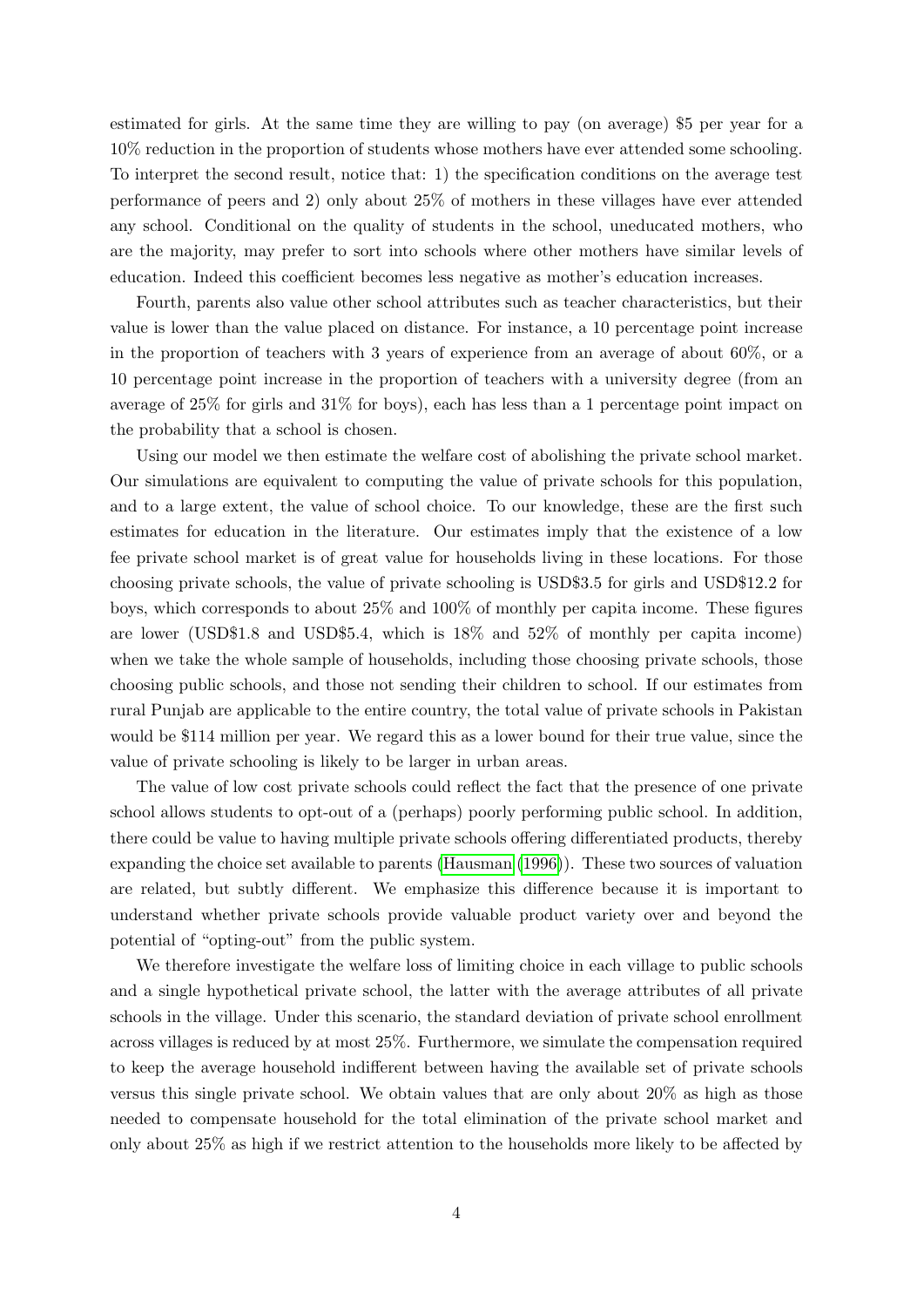estimated for girls. At the same time they are willing to pay (on average) \$5 per year for a 10% reduction in the proportion of students whose mothers have ever attended some schooling. To interpret the second result, notice that: 1) the specification conditions on the average test performance of peers and 2) only about 25% of mothers in these villages have ever attended any school. Conditional on the quality of students in the school, uneducated mothers, who are the majority, may prefer to sort into schools where other mothers have similar levels of education. Indeed this coefficient becomes less negative as mother's education increases.

Fourth, parents also value other school attributes such as teacher characteristics, but their value is lower than the value placed on distance. For instance, a 10 percentage point increase in the proportion of teachers with 3 years of experience from an average of about 60%, or a 10 percentage point increase in the proportion of teachers with a university degree (from an average of 25% for girls and 31% for boys), each has less than a 1 percentage point impact on the probability that a school is chosen.

Using our model we then estimate the welfare cost of abolishing the private school market. Our simulations are equivalent to computing the value of private schools for this population, and to a large extent, the value of school choice. To our knowledge, these are the first such estimates for education in the literature. Our estimates imply that the existence of a low fee private school market is of great value for households living in these locations. For those choosing private schools, the value of private schooling is USD\$3.5 for girls and USD\$12.2 for boys, which corresponds to about 25% and 100% of monthly per capita income. These figures are lower (USD\$1.8 and USD\$5.4, which is 18% and 52% of monthly per capita income) when we take the whole sample of households, including those choosing private schools, those choosing public schools, and those not sending their children to school. If our estimates from rural Punjab are applicable to the entire country, the total value of private schools in Pakistan would be \$114 million per year. We regard this as a lower bound for their true value, since the value of private schooling is likely to be larger in urban areas.

The value of low cost private schools could reflect the fact that the presence of one private school allows students to opt-out of a (perhaps) poorly performing public school. In addition, there could be value to having multiple private schools offering differentiated products, thereby expanding the choice set available to parents [\(Hausman](#page-45-0) [\(1996\)](#page-45-0)). These two sources of valuation are related, but subtly different. We emphasize this difference because it is important to understand whether private schools provide valuable product variety over and beyond the potential of "opting-out" from the public system.

We therefore investigate the welfare loss of limiting choice in each village to public schools and a single hypothetical private school, the latter with the average attributes of all private schools in the village. Under this scenario, the standard deviation of private school enrollment across villages is reduced by at most 25%. Furthermore, we simulate the compensation required to keep the average household indifferent between having the available set of private schools versus this single private school. We obtain values that are only about 20% as high as those needed to compensate household for the total elimination of the private school market and only about 25% as high if we restrict attention to the households more likely to be affected by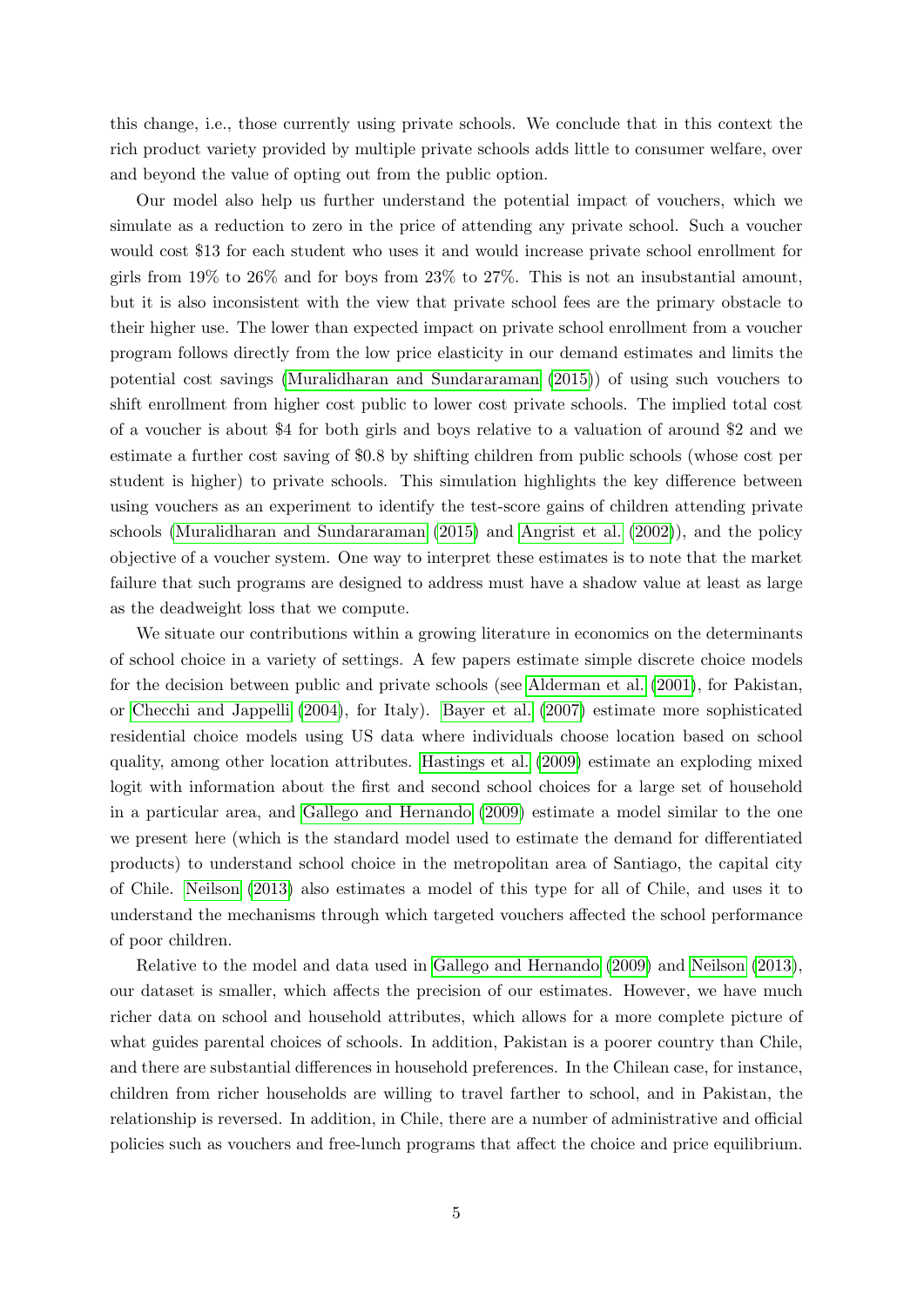this change, i.e., those currently using private schools. We conclude that in this context the rich product variety provided by multiple private schools adds little to consumer welfare, over and beyond the value of opting out from the public option.

Our model also help us further understand the potential impact of vouchers, which we simulate as a reduction to zero in the price of attending any private school. Such a voucher would cost \$13 for each student who uses it and would increase private school enrollment for girls from  $19\%$  to  $26\%$  and for boys from  $23\%$  to  $27\%$ . This is not an insubstantial amount. but it is also inconsistent with the view that private school fees are the primary obstacle to their higher use. The lower than expected impact on private school enrollment from a voucher program follows directly from the low price elasticity in our demand estimates and limits the potential cost savings [\(Muralidharan and Sundararaman](#page-46-0) [\(2015\)](#page-46-0)) of using such vouchers to shift enrollment from higher cost public to lower cost private schools. The implied total cost of a voucher is about \$4 for both girls and boys relative to a valuation of around \$2 and we estimate a further cost saving of \$0.8 by shifting children from public schools (whose cost per student is higher) to private schools. This simulation highlights the key difference between using vouchers as an experiment to identify the test-score gains of children attending private schools [\(Muralidharan and Sundararaman](#page-46-0) [\(2015\)](#page-46-0) and [Angrist et al.](#page-44-2) [\(2002\)](#page-44-2)), and the policy objective of a voucher system. One way to interpret these estimates is to note that the market failure that such programs are designed to address must have a shadow value at least as large as the deadweight loss that we compute.

We situate our contributions within a growing literature in economics on the determinants of school choice in a variety of settings. A few papers estimate simple discrete choice models for the decision between public and private schools (see [Alderman et al.](#page-44-7) [\(2001\)](#page-44-7), for Pakistan, or [Checchi and Jappelli](#page-45-8) [\(2004\)](#page-45-8), for Italy). [Bayer et al.](#page-44-8) [\(2007\)](#page-44-8) estimate more sophisticated residential choice models using US data where individuals choose location based on school quality, among other location attributes. [Hastings et al.](#page-45-9) [\(2009\)](#page-45-9) estimate an exploding mixed logit with information about the first and second school choices for a large set of household in a particular area, and [Gallego and Hernando](#page-45-10) [\(2009\)](#page-45-10) estimate a model similar to the one we present here (which is the standard model used to estimate the demand for differentiated products) to understand school choice in the metropolitan area of Santiago, the capital city of Chile. [Neilson](#page-46-4) [\(2013\)](#page-46-4) also estimates a model of this type for all of Chile, and uses it to understand the mechanisms through which targeted vouchers affected the school performance of poor children.

Relative to the model and data used in [Gallego and Hernando](#page-45-10) [\(2009\)](#page-45-10) and [Neilson](#page-46-4) [\(2013\)](#page-46-4), our dataset is smaller, which affects the precision of our estimates. However, we have much richer data on school and household attributes, which allows for a more complete picture of what guides parental choices of schools. In addition, Pakistan is a poorer country than Chile, and there are substantial differences in household preferences. In the Chilean case, for instance, children from richer households are willing to travel farther to school, and in Pakistan, the relationship is reversed. In addition, in Chile, there are a number of administrative and official policies such as vouchers and free-lunch programs that affect the choice and price equilibrium.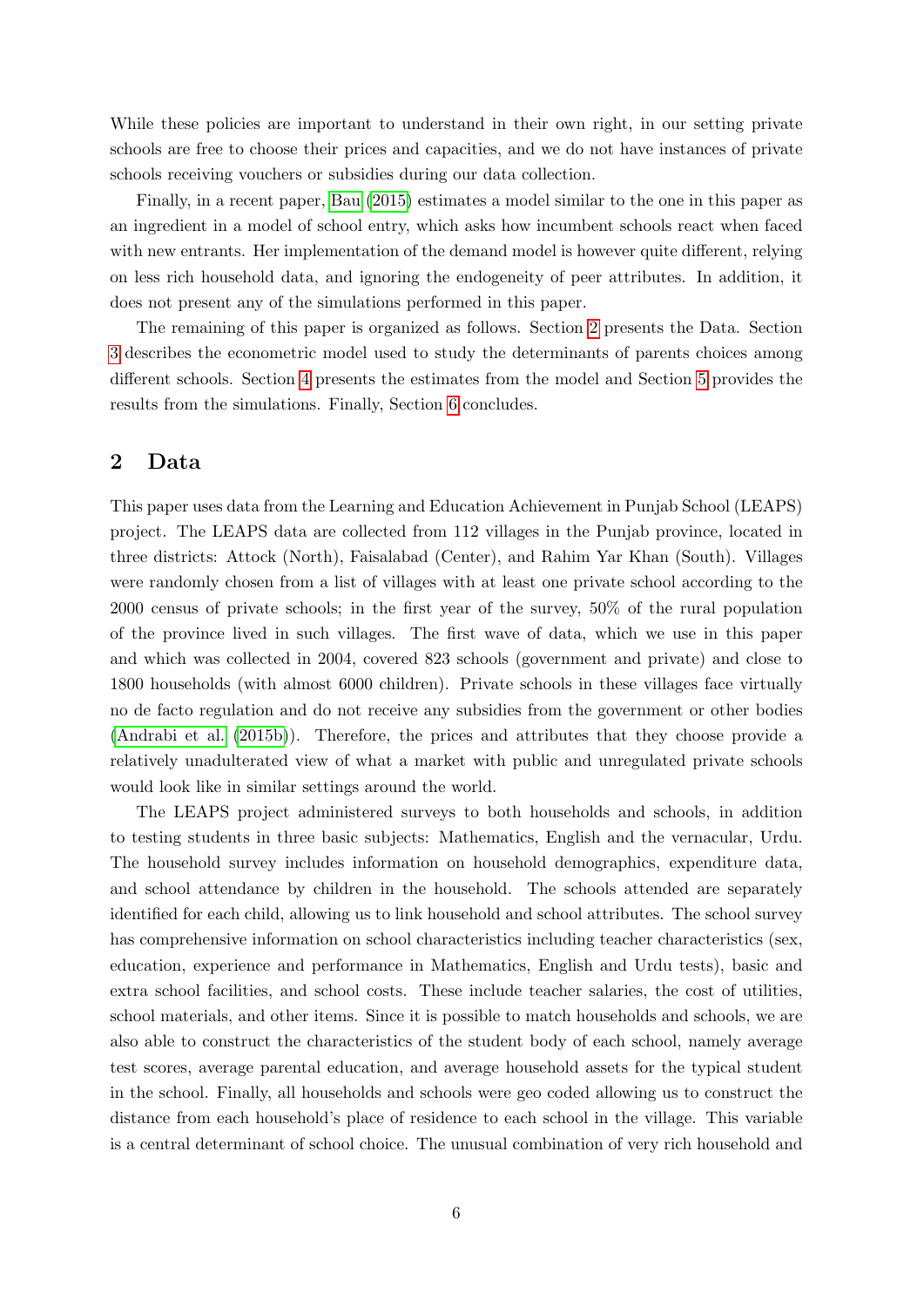While these policies are important to understand in their own right, in our setting private schools are free to choose their prices and capacities, and we do not have instances of private schools receiving vouchers or subsidies during our data collection.

Finally, in a recent paper, [Bau](#page-44-9) [\(2015\)](#page-44-9) estimates a model similar to the one in this paper as an ingredient in a model of school entry, which asks how incumbent schools react when faced with new entrants. Her implementation of the demand model is however quite different, relying on less rich household data, and ignoring the endogeneity of peer attributes. In addition, it does not present any of the simulations performed in this paper.

The remaining of this paper is organized as follows. Section [2](#page-7-0) presents the Data. Section [3](#page-14-0) describes the econometric model used to study the determinants of parents choices among different schools. Section [4](#page-20-0) presents the estimates from the model and Section [5](#page-36-0) provides the results from the simulations. Finally, Section [6](#page-42-0) concludes.

## <span id="page-7-0"></span>2 Data

This paper uses data from the Learning and Education Achievement in Punjab School (LEAPS) project. The LEAPS data are collected from 112 villages in the Punjab province, located in three districts: Attock (North), Faisalabad (Center), and Rahim Yar Khan (South). Villages were randomly chosen from a list of villages with at least one private school according to the 2000 census of private schools; in the first year of the survey, 50% of the rural population of the province lived in such villages. The first wave of data, which we use in this paper and which was collected in 2004, covered 823 schools (government and private) and close to 1800 households (with almost 6000 children). Private schools in these villages face virtually no de facto regulation and do not receive any subsidies from the government or other bodies [\(Andrabi et al.](#page-44-10) [\(2015b\)](#page-44-10)). Therefore, the prices and attributes that they choose provide a relatively unadulterated view of what a market with public and unregulated private schools would look like in similar settings around the world.

The LEAPS project administered surveys to both households and schools, in addition to testing students in three basic subjects: Mathematics, English and the vernacular, Urdu. The household survey includes information on household demographics, expenditure data, and school attendance by children in the household. The schools attended are separately identified for each child, allowing us to link household and school attributes. The school survey has comprehensive information on school characteristics including teacher characteristics (sex, education, experience and performance in Mathematics, English and Urdu tests), basic and extra school facilities, and school costs. These include teacher salaries, the cost of utilities, school materials, and other items. Since it is possible to match households and schools, we are also able to construct the characteristics of the student body of each school, namely average test scores, average parental education, and average household assets for the typical student in the school. Finally, all households and schools were geo coded allowing us to construct the distance from each household's place of residence to each school in the village. This variable is a central determinant of school choice. The unusual combination of very rich household and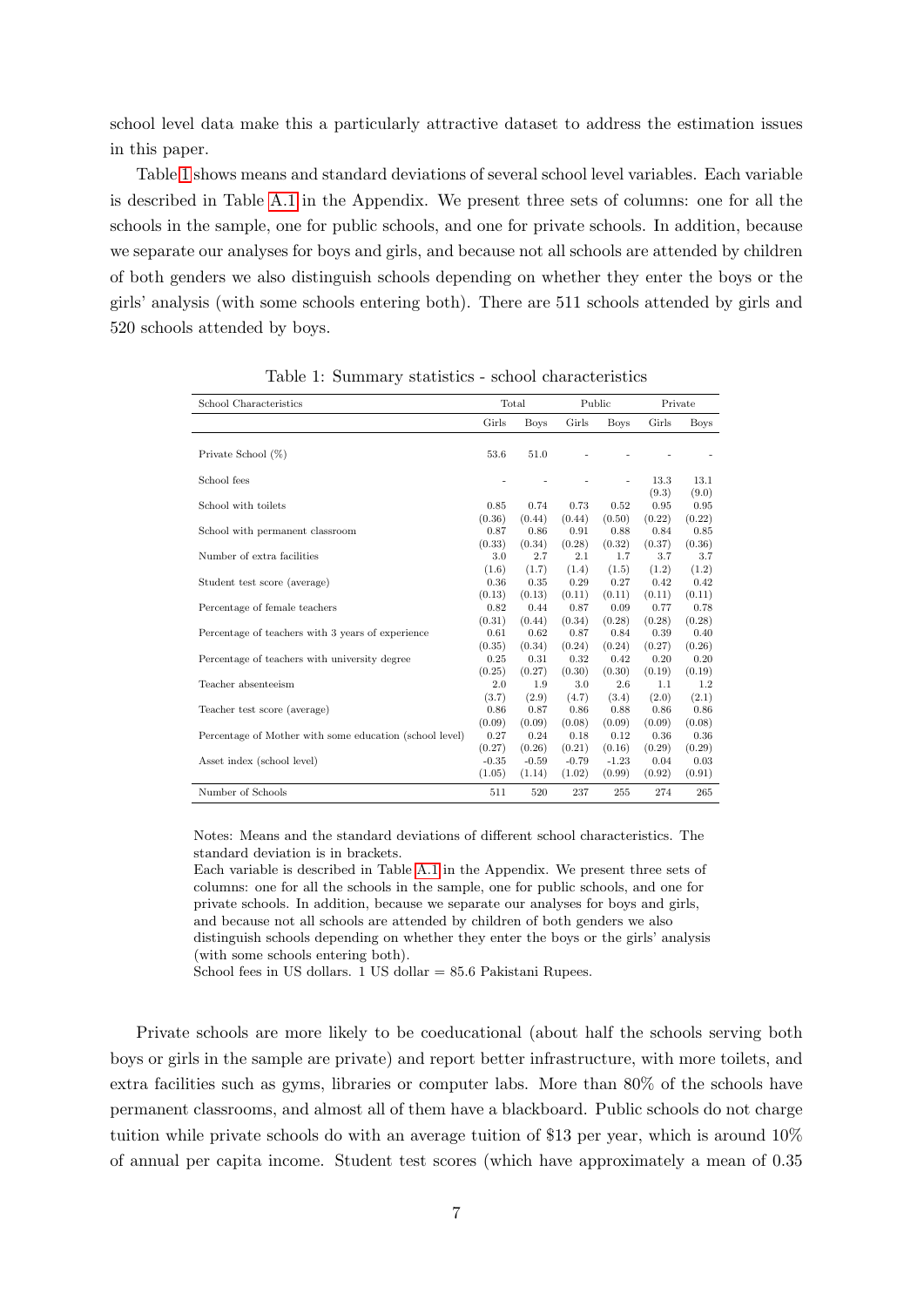school level data make this a particularly attractive dataset to address the estimation issues in this paper.

Table [1](#page-8-0) shows means and standard deviations of several school level variables. Each variable is described in Table [A.1](#page-48-0) in the Appendix. We present three sets of columns: one for all the schools in the sample, one for public schools, and one for private schools. In addition, because we separate our analyses for boys and girls, and because not all schools are attended by children of both genders we also distinguish schools depending on whether they enter the boys or the girls' analysis (with some schools entering both). There are 511 schools attended by girls and 520 schools attended by boys.

<span id="page-8-0"></span>

| School Characteristics                                  |                             | Total                       |                             | Public                      |                          | Private                  |
|---------------------------------------------------------|-----------------------------|-----------------------------|-----------------------------|-----------------------------|--------------------------|--------------------------|
|                                                         | Girls                       | <b>Boys</b>                 | Girls                       | <b>Boys</b>                 | Girls                    | <b>Boys</b>              |
| Private School (%)                                      | 53.6                        | 51.0                        |                             |                             |                          |                          |
| School fees                                             |                             |                             |                             |                             | 13.3                     | 13.1                     |
| School with toilets                                     | 0.85                        | 0.74                        | 0.73                        | 0.52                        | (9.3)<br>0.95            | (9.0)<br>0.95            |
| School with permanent classroom                         | (0.36)<br>0.87              | (0.44)<br>0.86              | (0.44)<br>0.91              | (0.50)<br>0.88              | (0.22)<br>0.84           | (0.22)<br>0.85           |
| Number of extra facilities                              | (0.33)<br>3.0               | (0.34)<br>2.7               | (0.28)<br>2.1               | (0.32)<br>1.7               | (0.37)<br>3.7            | (0.36)<br>3.7            |
| Student test score (average)                            | (1.6)<br>0.36               | (1.7)<br>0.35               | (1.4)<br>0.29               | (1.5)<br>0.27               | (1.2)<br>0.42            | (1.2)<br>0.42            |
| Percentage of female teachers                           | (0.13)<br>0.82              | (0.13)<br>0.44              | (0.11)<br>0.87              | (0.11)<br>0.09              | (0.11)<br>0.77           | (0.11)<br>0.78           |
| Percentage of teachers with 3 years of experience       | (0.31)<br>0.61<br>(0.35)    | (0.44)<br>0.62<br>(0.34)    | (0.34)<br>0.87<br>(0.24)    | (0.28)<br>0.84<br>(0.24)    | (0.28)<br>0.39           | (0.28)<br>0.40<br>(0.26) |
| Percentage of teachers with university degree           | 0.25<br>(0.25)              | 0.31<br>(0.27)              | 0.32<br>(0.30)              | 0.42<br>(0.30)              | (0.27)<br>0.20<br>(0.19) | 0.20<br>(0.19)           |
| Teacher absenteeism                                     | 2.0                         | 1.9                         | 3.0                         | 2.6                         | 1.1                      | 1.2                      |
| Teacher test score (average)                            | (3.7)<br>0.86               | (2.9)<br>0.87               | (4.7)<br>0.86               | (3.4)<br>0.88               | (2.0)<br>0.86            | (2.1)<br>0.86            |
| Percentage of Mother with some education (school level) | (0.09)<br>0.27              | (0.09)<br>0.24              | (0.08)<br>0.18              | (0.09)<br>0.12              | (0.09)<br>0.36           | (0.08)<br>0.36           |
| Asset index (school level)                              | (0.27)<br>$-0.35$<br>(1.05) | (0.26)<br>$-0.59$<br>(1.14) | (0.21)<br>$-0.79$<br>(1.02) | (0.16)<br>$-1.23$<br>(0.99) | (0.29)<br>0.04<br>(0.92) | (0.29)<br>0.03<br>(0.91) |
| Number of Schools                                       | 511                         | 520                         | 237                         | 255                         | 274                      | 265                      |

Table 1: Summary statistics - school characteristics

Notes: Means and the standard deviations of different school characteristics. The standard deviation is in brackets.

Each variable is described in Table [A.1](#page-48-0) in the Appendix. We present three sets of columns: one for all the schools in the sample, one for public schools, and one for private schools. In addition, because we separate our analyses for boys and girls, and because not all schools are attended by children of both genders we also distinguish schools depending on whether they enter the boys or the girls' analysis

(with some schools entering both).

School fees in US dollars. 1 US dollar = 85.6 Pakistani Rupees.

Private schools are more likely to be coeducational (about half the schools serving both boys or girls in the sample are private) and report better infrastructure, with more toilets, and extra facilities such as gyms, libraries or computer labs. More than 80% of the schools have permanent classrooms, and almost all of them have a blackboard. Public schools do not charge tuition while private schools do with an average tuition of \$13 per year, which is around 10% of annual per capita income. Student test scores (which have approximately a mean of 0.35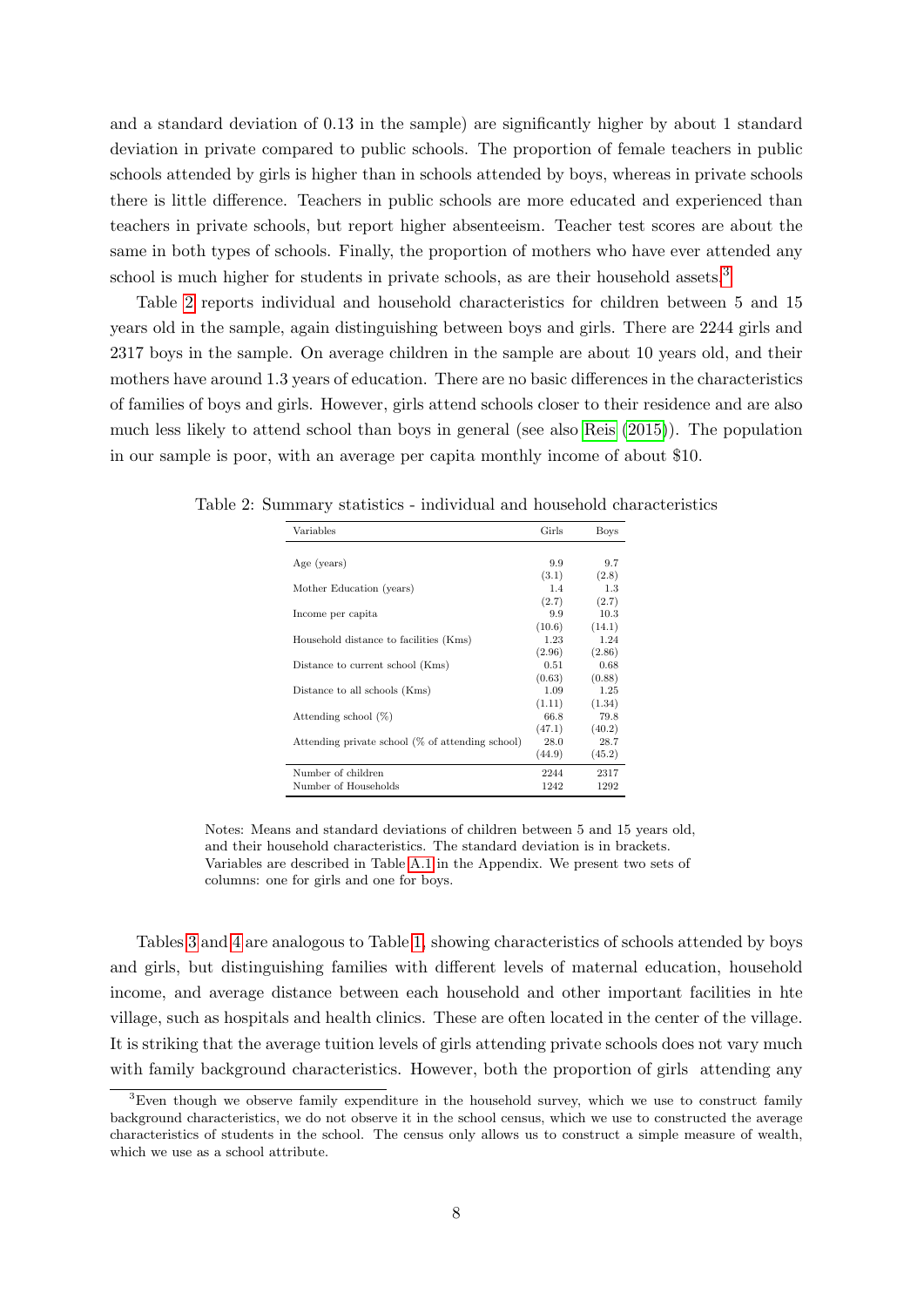and a standard deviation of 0.13 in the sample) are significantly higher by about 1 standard deviation in private compared to public schools. The proportion of female teachers in public schools attended by girls is higher than in schools attended by boys, whereas in private schools there is little difference. Teachers in public schools are more educated and experienced than teachers in private schools, but report higher absenteeism. Teacher test scores are about the same in both types of schools. Finally, the proportion of mothers who have ever attended any school is much higher for students in private schools, as are their household assets.<sup>[3](#page-9-0)</sup>

Table [2](#page-9-1) reports individual and household characteristics for children between 5 and 15 years old in the sample, again distinguishing between boys and girls. There are 2244 girls and 2317 boys in the sample. On average children in the sample are about 10 years old, and their mothers have around 1.3 years of education. There are no basic differences in the characteristics of families of boys and girls. However, girls attend schools closer to their residence and are also much less likely to attend school than boys in general (see also [Reis](#page-46-5) [\(2015\)](#page-46-5)). The population in our sample is poor, with an average per capita monthly income of about \$10.

| Variables                                        | Girls  | <b>Boys</b> |
|--------------------------------------------------|--------|-------------|
|                                                  |        |             |
| Age (years)                                      | 9.9    | 9.7         |
|                                                  | (3.1)  | (2.8)       |
| Mother Education (years)                         | 1.4    | 1.3         |
|                                                  | (2.7)  | (2.7)       |
| Income per capita                                | 9.9    | 10.3        |
|                                                  | (10.6) | (14.1)      |
| Household distance to facilities (Kms)           | 1.23   | 1.24        |
|                                                  | (2.96) | (2.86)      |
| Distance to current school (Kms)                 | 0.51   | 0.68        |
|                                                  | (0.63) | (0.88)      |
| Distance to all schools (Kms)                    | 1.09   | 1.25        |
|                                                  | (1.11) | (1.34)      |
| Attending school $(\%)$                          | 66.8   | 79.8        |
|                                                  | (47.1) | (40.2)      |
| Attending private school (% of attending school) | 28.0   | 28.7        |
|                                                  | (44.9) | (45.2)      |
| Number of children                               | 2244   | 2317        |
| Number of Households                             | 1242   | 1292        |

<span id="page-9-1"></span>Table 2: Summary statistics - individual and household characteristics

Notes: Means and standard deviations of children between 5 and 15 years old, and their household characteristics. The standard deviation is in brackets. Variables are described in Table [A.1](#page-48-0) in the Appendix. We present two sets of columns: one for girls and one for boys.

Tables [3](#page-10-0) and [4](#page-11-0) are analogous to Table [1,](#page-8-0) showing characteristics of schools attended by boys and girls, but distinguishing families with different levels of maternal education, household income, and average distance between each household and other important facilities in hte village, such as hospitals and health clinics. These are often located in the center of the village. It is striking that the average tuition levels of girls attending private schools does not vary much with family background characteristics. However, both the proportion of girls attending any

<span id="page-9-0"></span><sup>&</sup>lt;sup>3</sup>Even though we observe family expenditure in the household survey, which we use to construct family background characteristics, we do not observe it in the school census, which we use to constructed the average characteristics of students in the school. The census only allows us to construct a simple measure of wealth, which we use as a school attribute.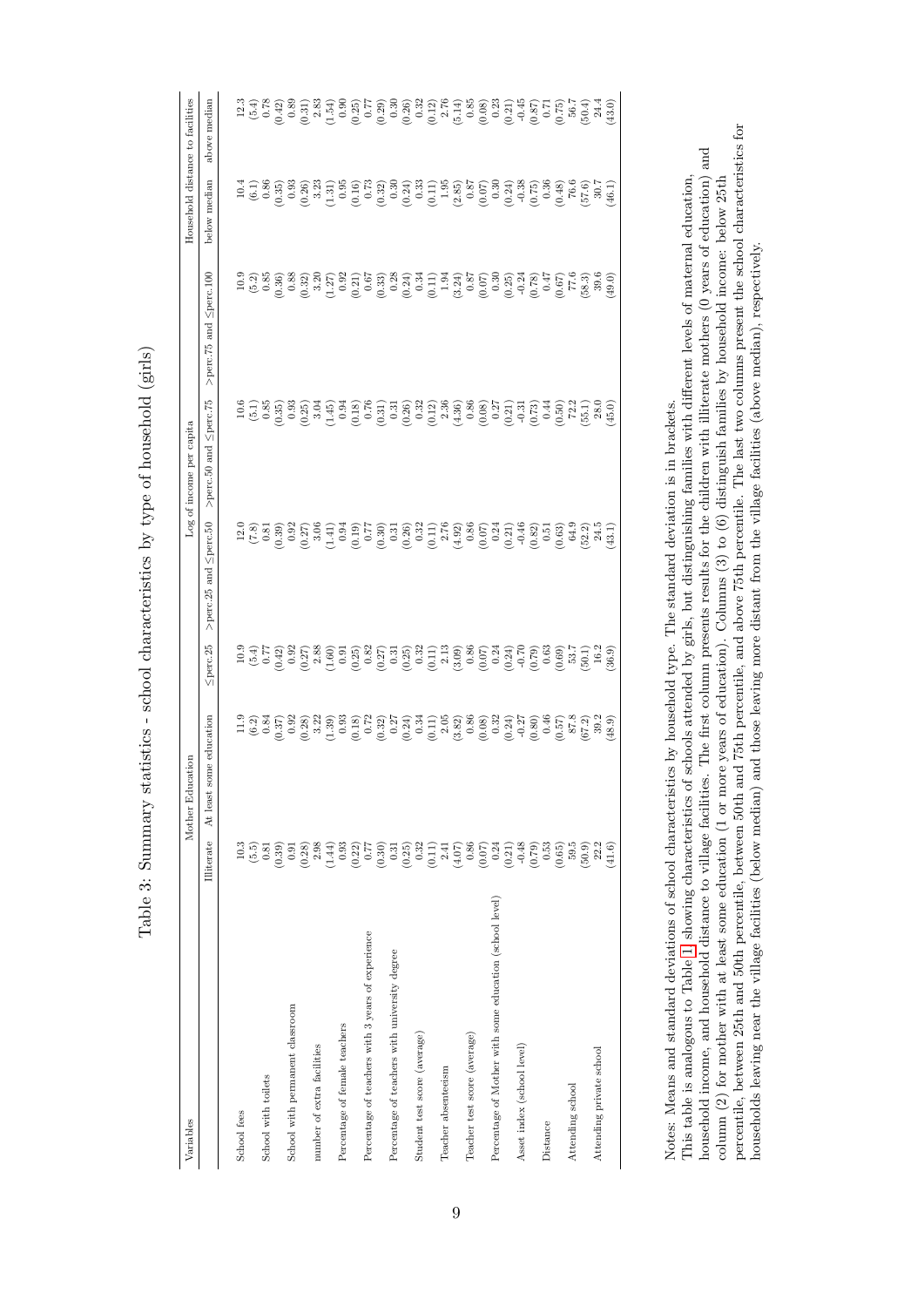| $\sim$ $\sim$ $\sim$ $\sim$                                                             |
|-----------------------------------------------------------------------------------------|
| l                                                                                       |
|                                                                                         |
|                                                                                         |
| j                                                                                       |
| <b>SPIRE</b>                                                                            |
| l                                                                                       |
|                                                                                         |
| ;<br>;<br>í                                                                             |
|                                                                                         |
| Simmmore etatiotica - echool characteristica her temp of house hold<br>Ì<br>)<br>}<br>i |
|                                                                                         |
| )<br>)<br>)<br>)                                                                        |
| I                                                                                       |
| 3<br>Į                                                                                  |
|                                                                                         |
|                                                                                         |
| $\frac{1}{2}$<br>$\frac{1}{2}$<br>$T_{\rm e}$ $1$ $\sim$                                |

<span id="page-10-0"></span>

| Variables                                               |                                                                                                                                                                                                                                                                                                                                                       | cation<br>Mother Edu                                                                                                                                                                                                                                                                                                                   |                |                                                                                                                                                                                                                                                                                                                                                                           | Log of income per capita                                                                                                                                                                                                                                                                                                        |                        |              | Household distance to facilities                                                                                                                                                                                                                                                                              |
|---------------------------------------------------------|-------------------------------------------------------------------------------------------------------------------------------------------------------------------------------------------------------------------------------------------------------------------------------------------------------------------------------------------------------|----------------------------------------------------------------------------------------------------------------------------------------------------------------------------------------------------------------------------------------------------------------------------------------------------------------------------------------|----------------|---------------------------------------------------------------------------------------------------------------------------------------------------------------------------------------------------------------------------------------------------------------------------------------------------------------------------------------------------------------------------|---------------------------------------------------------------------------------------------------------------------------------------------------------------------------------------------------------------------------------------------------------------------------------------------------------------------------------|------------------------|--------------|---------------------------------------------------------------------------------------------------------------------------------------------------------------------------------------------------------------------------------------------------------------------------------------------------------------|
|                                                         | Illiterate                                                                                                                                                                                                                                                                                                                                            | some education<br>At least                                                                                                                                                                                                                                                                                                             | $\leq$ perc.25 | $\leq$ perc.50<br>$>$ perc. $25$ and                                                                                                                                                                                                                                                                                                                                      | $\leq$ perc.75<br>>perc.50 and                                                                                                                                                                                                                                                                                                  | >perc.75 and Sperc.100 | below median | above median                                                                                                                                                                                                                                                                                                  |
| School fees                                             | 10.3                                                                                                                                                                                                                                                                                                                                                  |                                                                                                                                                                                                                                                                                                                                        |                |                                                                                                                                                                                                                                                                                                                                                                           |                                                                                                                                                                                                                                                                                                                                 |                        |              |                                                                                                                                                                                                                                                                                                               |
|                                                         | $(5.5)$<br>0.81                                                                                                                                                                                                                                                                                                                                       | $\begin{array}{l} 199 \\[-4pt] 099 \\[-4pt] 099 \\[-4pt] 099 \\[-4pt] 099 \\[-4pt] 099 \\[-4pt] 099 \\[-4pt] 099 \\[-4pt] 099 \\[-4pt] 099 \\[-4pt] 099 \\[-4pt] 099 \\[-4pt] 099 \\[-4pt] 099 \\[-4pt] 099 \\[-4pt] 099 \\[-4pt] 099 \\[-4pt] 099 \\[-4pt] 099 \\[-4pt] 099 \\[-4pt] 099 \\[-4pt] 099 \\[-4pt] 099 \\[-4pt] 099 \\[-$ |                | $\begin{array}{l} 216.83 \hskip -0.8cm \hskip 0.8cm \hskip 0.8cm \hskip 0.8cm \hskip 0.8cm \hskip 0.8cm \hskip 0.8cm \hskip 0.8cm \hskip 0.8cm \hskip 0.8cm \hskip 0.8cm \hskip 0.8cm \hskip 0.8cm \hskip 0.8cm \hskip 0.8cm \hskip 0.8cm \hskip 0.8cm \hskip 0.8cm \hskip 0.8cm \hskip 0.8cm \hskip 0.8cm \hskip 0.8cm \hskip 0.8cm \hskip 0.8cm \hskip 0.8cm \hskip 0.$ | $\begin{array}{l} 56 \\[-4.0ex] 100 \\[-4.0ex] -0.05 \\[-4.0ex] -0.05 \\[-4.0ex] -0.05 \\[-4.0ex] -0.05 \\[-4.0ex] -0.05 \\[-4.0ex] -0.05 \\[-4.0ex] -0.05 \\[-4.0ex] -0.05 \\[-4.0ex] -0.05 \\[-4.0ex] -0.05 \\[-4.0ex] -0.05 \\[-4.0ex] -0.05 \\[-4.0ex] -0.05 \\[-4.0ex] -0.05 \\[-4.0ex] -0.05 \\[-4.0ex] -0.05 \\[-4.0ex]$ |                        |              | $\begin{array}{l} 13.3 \\ 15.4 \\ 16.5 \\ 17.5 \\ 18.6 \\ 19.6 \\ 10.6 \\ 11.6 \\ 11.6 \\ 13.6 \\ 14.6 \\ 15.6 \\ 16.6 \\ 17.6 \\ 18.6 \\ 19.6 \\ 10.6 \\ 10.6 \\ 10.6 \\ 10.6 \\ 10.6 \\ 10.6 \\ 10.6 \\ 11.6 \\ 12.6 \\ 13.6 \\ 14.6 \\ 15.6 \\ 16.6 \\ 17.6 \\ 18.6 \\ 19.6 \\ 19.6 \\ 13.6 \\ 14.4 \\ 15$ |
| School with toilets                                     |                                                                                                                                                                                                                                                                                                                                                       |                                                                                                                                                                                                                                                                                                                                        |                |                                                                                                                                                                                                                                                                                                                                                                           |                                                                                                                                                                                                                                                                                                                                 |                        |              |                                                                                                                                                                                                                                                                                                               |
|                                                         |                                                                                                                                                                                                                                                                                                                                                       |                                                                                                                                                                                                                                                                                                                                        |                |                                                                                                                                                                                                                                                                                                                                                                           |                                                                                                                                                                                                                                                                                                                                 |                        |              |                                                                                                                                                                                                                                                                                                               |
| School with permanent classroom                         |                                                                                                                                                                                                                                                                                                                                                       |                                                                                                                                                                                                                                                                                                                                        |                |                                                                                                                                                                                                                                                                                                                                                                           |                                                                                                                                                                                                                                                                                                                                 |                        |              |                                                                                                                                                                                                                                                                                                               |
|                                                         | $\begin{smallmatrix} (0.9) \\ (0.9) \\ (0.9) \\ (0.9) \\ (0.9) \\ (0.9) \\ (0.9) \\ (0.9) \\ (0.9) \\ (0.9) \\ (0.9) \\ (0.9) \\ (0.9) \\ (0.9) \\ (0.9) \\ (0.9) \\ (0.9) \\ (0.9) \\ (0.9) \\ (0.9) \\ (0.9) \\ (0.9) \\ (0.9) \\ (0.9) \\ (0.9) \\ (0.9) \\ (0.9) \\ (0.9) \\ (0.9) \\ (0.9) \\ (0.9) \\ (0.9) \\ (0.9) \\ (0.9) \\ (0.9) \\ (0.9$ |                                                                                                                                                                                                                                                                                                                                        |                |                                                                                                                                                                                                                                                                                                                                                                           |                                                                                                                                                                                                                                                                                                                                 |                        |              |                                                                                                                                                                                                                                                                                                               |
| number of extra facilities                              |                                                                                                                                                                                                                                                                                                                                                       |                                                                                                                                                                                                                                                                                                                                        |                |                                                                                                                                                                                                                                                                                                                                                                           |                                                                                                                                                                                                                                                                                                                                 |                        |              |                                                                                                                                                                                                                                                                                                               |
|                                                         |                                                                                                                                                                                                                                                                                                                                                       |                                                                                                                                                                                                                                                                                                                                        |                |                                                                                                                                                                                                                                                                                                                                                                           |                                                                                                                                                                                                                                                                                                                                 |                        |              |                                                                                                                                                                                                                                                                                                               |
| Percentage of female teachers                           |                                                                                                                                                                                                                                                                                                                                                       |                                                                                                                                                                                                                                                                                                                                        |                |                                                                                                                                                                                                                                                                                                                                                                           |                                                                                                                                                                                                                                                                                                                                 |                        |              |                                                                                                                                                                                                                                                                                                               |
|                                                         |                                                                                                                                                                                                                                                                                                                                                       |                                                                                                                                                                                                                                                                                                                                        |                |                                                                                                                                                                                                                                                                                                                                                                           |                                                                                                                                                                                                                                                                                                                                 |                        |              |                                                                                                                                                                                                                                                                                                               |
| Percentage of teachers with 3 years of experience       |                                                                                                                                                                                                                                                                                                                                                       |                                                                                                                                                                                                                                                                                                                                        |                |                                                                                                                                                                                                                                                                                                                                                                           |                                                                                                                                                                                                                                                                                                                                 |                        |              |                                                                                                                                                                                                                                                                                                               |
|                                                         |                                                                                                                                                                                                                                                                                                                                                       |                                                                                                                                                                                                                                                                                                                                        |                |                                                                                                                                                                                                                                                                                                                                                                           |                                                                                                                                                                                                                                                                                                                                 |                        |              |                                                                                                                                                                                                                                                                                                               |
| Percentage of teachers with university degree           |                                                                                                                                                                                                                                                                                                                                                       |                                                                                                                                                                                                                                                                                                                                        |                |                                                                                                                                                                                                                                                                                                                                                                           |                                                                                                                                                                                                                                                                                                                                 |                        |              |                                                                                                                                                                                                                                                                                                               |
|                                                         |                                                                                                                                                                                                                                                                                                                                                       |                                                                                                                                                                                                                                                                                                                                        |                |                                                                                                                                                                                                                                                                                                                                                                           |                                                                                                                                                                                                                                                                                                                                 |                        |              |                                                                                                                                                                                                                                                                                                               |
| Student test score (average)                            |                                                                                                                                                                                                                                                                                                                                                       |                                                                                                                                                                                                                                                                                                                                        |                |                                                                                                                                                                                                                                                                                                                                                                           |                                                                                                                                                                                                                                                                                                                                 |                        |              |                                                                                                                                                                                                                                                                                                               |
|                                                         |                                                                                                                                                                                                                                                                                                                                                       |                                                                                                                                                                                                                                                                                                                                        |                |                                                                                                                                                                                                                                                                                                                                                                           |                                                                                                                                                                                                                                                                                                                                 |                        |              |                                                                                                                                                                                                                                                                                                               |
| Teacher absenteeism                                     |                                                                                                                                                                                                                                                                                                                                                       |                                                                                                                                                                                                                                                                                                                                        |                |                                                                                                                                                                                                                                                                                                                                                                           |                                                                                                                                                                                                                                                                                                                                 |                        |              |                                                                                                                                                                                                                                                                                                               |
|                                                         |                                                                                                                                                                                                                                                                                                                                                       |                                                                                                                                                                                                                                                                                                                                        |                |                                                                                                                                                                                                                                                                                                                                                                           |                                                                                                                                                                                                                                                                                                                                 |                        |              |                                                                                                                                                                                                                                                                                                               |
| Teacher test score (average)                            |                                                                                                                                                                                                                                                                                                                                                       |                                                                                                                                                                                                                                                                                                                                        |                |                                                                                                                                                                                                                                                                                                                                                                           |                                                                                                                                                                                                                                                                                                                                 |                        |              |                                                                                                                                                                                                                                                                                                               |
|                                                         |                                                                                                                                                                                                                                                                                                                                                       |                                                                                                                                                                                                                                                                                                                                        |                |                                                                                                                                                                                                                                                                                                                                                                           |                                                                                                                                                                                                                                                                                                                                 |                        |              |                                                                                                                                                                                                                                                                                                               |
| Percentage of Mother with some education (school level) |                                                                                                                                                                                                                                                                                                                                                       |                                                                                                                                                                                                                                                                                                                                        |                |                                                                                                                                                                                                                                                                                                                                                                           |                                                                                                                                                                                                                                                                                                                                 |                        |              |                                                                                                                                                                                                                                                                                                               |
|                                                         |                                                                                                                                                                                                                                                                                                                                                       |                                                                                                                                                                                                                                                                                                                                        |                |                                                                                                                                                                                                                                                                                                                                                                           |                                                                                                                                                                                                                                                                                                                                 |                        |              |                                                                                                                                                                                                                                                                                                               |
| Asset index (school level)                              |                                                                                                                                                                                                                                                                                                                                                       |                                                                                                                                                                                                                                                                                                                                        |                |                                                                                                                                                                                                                                                                                                                                                                           |                                                                                                                                                                                                                                                                                                                                 |                        |              |                                                                                                                                                                                                                                                                                                               |
|                                                         |                                                                                                                                                                                                                                                                                                                                                       |                                                                                                                                                                                                                                                                                                                                        |                |                                                                                                                                                                                                                                                                                                                                                                           |                                                                                                                                                                                                                                                                                                                                 |                        |              |                                                                                                                                                                                                                                                                                                               |
| Distance                                                |                                                                                                                                                                                                                                                                                                                                                       |                                                                                                                                                                                                                                                                                                                                        |                |                                                                                                                                                                                                                                                                                                                                                                           |                                                                                                                                                                                                                                                                                                                                 |                        |              |                                                                                                                                                                                                                                                                                                               |
|                                                         | (0.65)                                                                                                                                                                                                                                                                                                                                                |                                                                                                                                                                                                                                                                                                                                        |                |                                                                                                                                                                                                                                                                                                                                                                           |                                                                                                                                                                                                                                                                                                                                 |                        |              |                                                                                                                                                                                                                                                                                                               |
| Attending school                                        | 59.5                                                                                                                                                                                                                                                                                                                                                  |                                                                                                                                                                                                                                                                                                                                        |                |                                                                                                                                                                                                                                                                                                                                                                           |                                                                                                                                                                                                                                                                                                                                 |                        |              |                                                                                                                                                                                                                                                                                                               |
|                                                         | $(50.9)$<br>22.2                                                                                                                                                                                                                                                                                                                                      |                                                                                                                                                                                                                                                                                                                                        |                |                                                                                                                                                                                                                                                                                                                                                                           |                                                                                                                                                                                                                                                                                                                                 |                        |              |                                                                                                                                                                                                                                                                                                               |
| Attending private school                                |                                                                                                                                                                                                                                                                                                                                                       |                                                                                                                                                                                                                                                                                                                                        |                |                                                                                                                                                                                                                                                                                                                                                                           |                                                                                                                                                                                                                                                                                                                                 |                        |              |                                                                                                                                                                                                                                                                                                               |
|                                                         | (9.14)                                                                                                                                                                                                                                                                                                                                                |                                                                                                                                                                                                                                                                                                                                        |                |                                                                                                                                                                                                                                                                                                                                                                           |                                                                                                                                                                                                                                                                                                                                 |                        |              |                                                                                                                                                                                                                                                                                                               |
|                                                         |                                                                                                                                                                                                                                                                                                                                                       |                                                                                                                                                                                                                                                                                                                                        |                |                                                                                                                                                                                                                                                                                                                                                                           |                                                                                                                                                                                                                                                                                                                                 |                        |              |                                                                                                                                                                                                                                                                                                               |

Notes: Means and standard deviations of school characteristics by household type. The standard deviation is in brackets. Notes: Means and standard deviations of school characteristics by household type. The standard deviation is in brackets.

This table is analogous to Table 1, showing characteristics of schools attended by girls, but distinguishing families with different levels of maternal education,<br>household income, and household distance to village facilit household income, and household distance to village facilities. The first column presents results for the children with illiterate mothers (0 years of education) and column (2) for mother with at least some education (1 or more years of education). Columns (3) to (6) distinguish families by household income: below 25th This table is analogous to Table [1,](#page-8-0) showing characteristics of schools attended by girls, but distinguishing families with different levels of maternal education, column (2) for mother with at least some education (1 or more years of education). Columns (3) to (6) distinguish families by household income: below 25th

percentile, between 25th and 50th percentile, between 50th and 75th percentile, and above 75th percentile. The last two columns present the school characteristics for

percentile, between 25th and 50th percentile, between 50th and 75th percentile, and above 75th percentile. The last two columns present the school characteristics for

households leaving near the village facilities (below median) and those leaving more distant from the village facilities (above median), respectively.

households leaving near the village facilities (below median) and those leaving more distant from the village facilities (above median), respectively.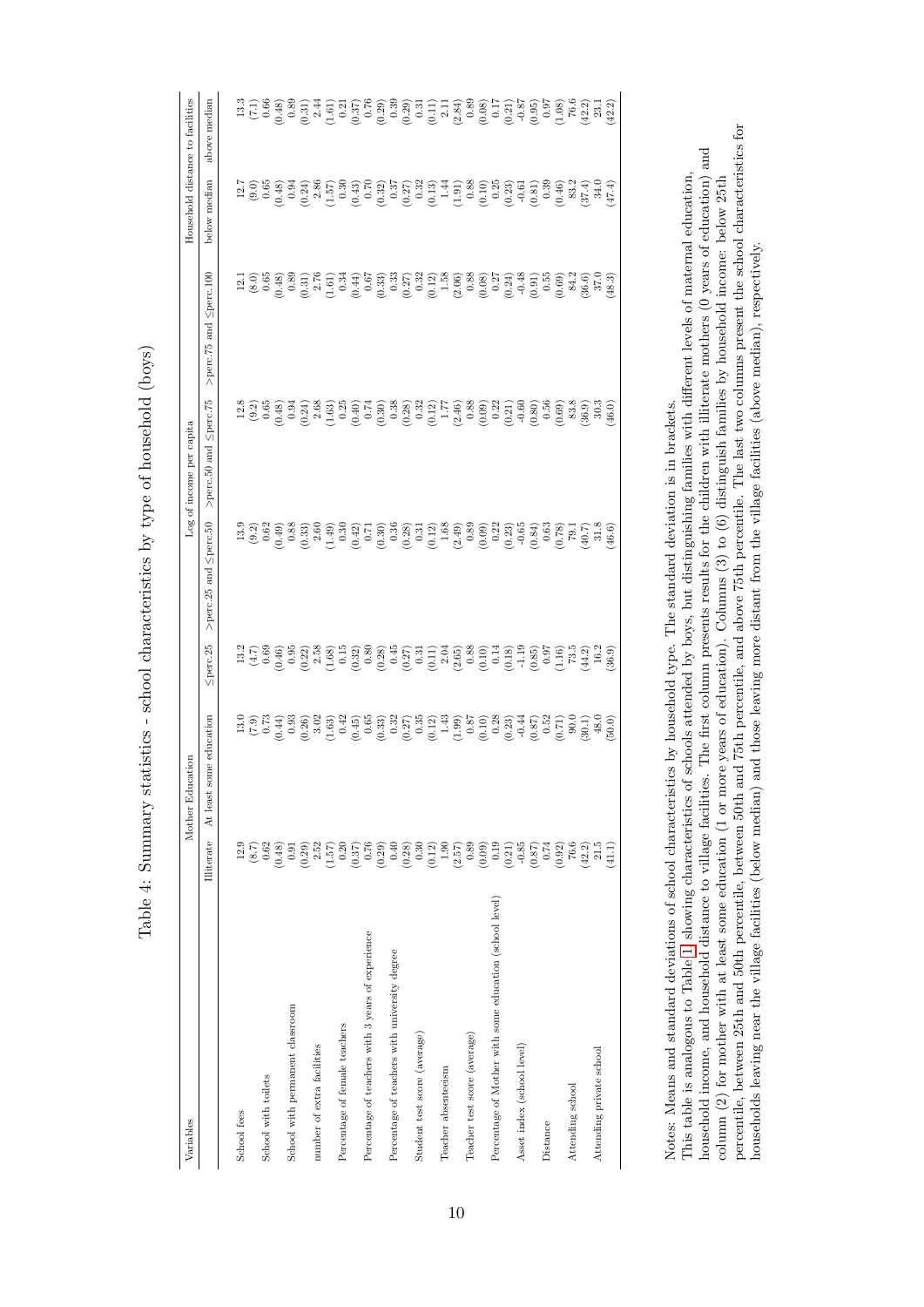<span id="page-11-0"></span>Table 4: Summary statistics - school characteristics by type of household (boys) Table 4: Summary statistics - school characteristics by type of household (boys)

| Variables                                               |                                                                                                                                                                                                                                                                                                                                        | rcation<br>Mother Edu      |                |                                                                                                                                                                                                                                                                                                                                                                                                                                      | Log of income per capita       |                                                                                                                                                                                                                                                                                                                                                                              |              | Household distance to facilities |
|---------------------------------------------------------|----------------------------------------------------------------------------------------------------------------------------------------------------------------------------------------------------------------------------------------------------------------------------------------------------------------------------------------|----------------------------|----------------|--------------------------------------------------------------------------------------------------------------------------------------------------------------------------------------------------------------------------------------------------------------------------------------------------------------------------------------------------------------------------------------------------------------------------------------|--------------------------------|------------------------------------------------------------------------------------------------------------------------------------------------------------------------------------------------------------------------------------------------------------------------------------------------------------------------------------------------------------------------------|--------------|----------------------------------|
|                                                         | Illiterate                                                                                                                                                                                                                                                                                                                             | some education<br>At least | $\leq$ perc.25 | >perc.25 and $\leq$ perc.50                                                                                                                                                                                                                                                                                                                                                                                                          | $>$ perc.50 and $\leq$ perc.75 | >perc.75 and Sperc.100                                                                                                                                                                                                                                                                                                                                                       | below median | above median                     |
| School fees                                             | 12.9                                                                                                                                                                                                                                                                                                                                   |                            |                |                                                                                                                                                                                                                                                                                                                                                                                                                                      |                                |                                                                                                                                                                                                                                                                                                                                                                              |              |                                  |
|                                                         |                                                                                                                                                                                                                                                                                                                                        |                            |                |                                                                                                                                                                                                                                                                                                                                                                                                                                      |                                |                                                                                                                                                                                                                                                                                                                                                                              |              |                                  |
| School with toilets                                     | $(8.7)$<br>0.62                                                                                                                                                                                                                                                                                                                        |                            |                |                                                                                                                                                                                                                                                                                                                                                                                                                                      |                                |                                                                                                                                                                                                                                                                                                                                                                              |              |                                  |
|                                                         | (0.48)                                                                                                                                                                                                                                                                                                                                 |                            |                |                                                                                                                                                                                                                                                                                                                                                                                                                                      |                                |                                                                                                                                                                                                                                                                                                                                                                              |              |                                  |
| School with permanent classroom                         |                                                                                                                                                                                                                                                                                                                                        |                            |                |                                                                                                                                                                                                                                                                                                                                                                                                                                      |                                |                                                                                                                                                                                                                                                                                                                                                                              |              |                                  |
|                                                         | $\left( \begin{smallmatrix} 0 & 0 & 0 & 0 \\ 0 & 0 & 0 & 0 \\ 0 & 0 & 0 & 0 \\ 0 & 0 & 0 & 0 \\ 0 & 0 & 0 & 0 \\ 0 & 0 & 0 & 0 \\ 0 & 0 & 0 & 0 \\ 0 & 0 & 0 & 0 \\ 0 & 0 & 0 & 0 \\ 0 & 0 & 0 & 0 \\ 0 & 0 & 0 & 0 \\ 0 & 0 & 0 & 0 \\ 0 & 0 & 0 & 0 \\ 0 & 0 & 0 & 0 \\ 0 & 0 & 0 & 0 \\ 0 & 0 & 0 & 0 \\ 0 & 0 & 0 & 0 \\ 0 & 0 & $ |                            |                | $\begin{array}{l} 33 \\ 32 \\ 0 \\ 0 \\ 0 \\ \end{array} \begin{array}{l} 23 \\ 23 \\ 0 \\ 0 \\ 0 \\ \end{array} \begin{array}{l} 23 \\ 23 \\ 23 \\ 0 \\ 0 \\ \end{array} \begin{array}{l} 25 \\ 23 \\ 23 \\ 0 \\ 0 \\ \end{array} \begin{array}{l} 23 \\ 23 \\ 24 \\ 0 \\ 0 \\ \end{array} \begin{array}{l} 23 \\ 23 \\ 23 \\ 0 \\ \end{array} \begin{array}{l} 23 \\ 23 \\ 23 \\ 0 \\ \end{array} \begin{array}{l} 23 \\ 23 \\ 23$ |                                | $\begin{array}{l} 11 \, \\ 20 \, \\ 30 \, \\ 60 \, \\ \end{array} \begin{array}{l} 6 \, \\ 6 \, \\ 30 \, \\ 60 \, \\ \end{array} \begin{array}{l} 6 \, \\ 6 \, \\ 7 \, \\ 6 \, \\ 7 \, \\ 8 \, \\ 9 \, \\ 10 \, \\ 11 \, \\ 12 \, \\ 13 \, \\ 14 \, \\ 15 \, \\ 16 \, \\ 16 \, \\ 17 \, \\ 18 \, \\ 19 \, \\ 10 \, \\ 10 \, \\ 10 \, \\ 10 \, \\ 10 \, \\ 10 \, \\ 10 \, \\$ |              |                                  |
| number of extra facilities                              |                                                                                                                                                                                                                                                                                                                                        |                            |                |                                                                                                                                                                                                                                                                                                                                                                                                                                      |                                |                                                                                                                                                                                                                                                                                                                                                                              |              |                                  |
|                                                         |                                                                                                                                                                                                                                                                                                                                        |                            |                |                                                                                                                                                                                                                                                                                                                                                                                                                                      |                                |                                                                                                                                                                                                                                                                                                                                                                              |              |                                  |
| Percentage of female teachers                           |                                                                                                                                                                                                                                                                                                                                        |                            |                |                                                                                                                                                                                                                                                                                                                                                                                                                                      |                                |                                                                                                                                                                                                                                                                                                                                                                              |              |                                  |
|                                                         |                                                                                                                                                                                                                                                                                                                                        |                            |                |                                                                                                                                                                                                                                                                                                                                                                                                                                      |                                |                                                                                                                                                                                                                                                                                                                                                                              |              |                                  |
| Percentage of teachers with 3 years of experience       |                                                                                                                                                                                                                                                                                                                                        |                            |                |                                                                                                                                                                                                                                                                                                                                                                                                                                      |                                |                                                                                                                                                                                                                                                                                                                                                                              |              |                                  |
|                                                         |                                                                                                                                                                                                                                                                                                                                        |                            |                |                                                                                                                                                                                                                                                                                                                                                                                                                                      |                                |                                                                                                                                                                                                                                                                                                                                                                              |              |                                  |
| Percentage of teachers with university degree           |                                                                                                                                                                                                                                                                                                                                        |                            |                |                                                                                                                                                                                                                                                                                                                                                                                                                                      |                                |                                                                                                                                                                                                                                                                                                                                                                              |              |                                  |
|                                                         |                                                                                                                                                                                                                                                                                                                                        |                            |                |                                                                                                                                                                                                                                                                                                                                                                                                                                      |                                |                                                                                                                                                                                                                                                                                                                                                                              |              |                                  |
| Student test score (average)                            |                                                                                                                                                                                                                                                                                                                                        |                            |                |                                                                                                                                                                                                                                                                                                                                                                                                                                      |                                |                                                                                                                                                                                                                                                                                                                                                                              |              |                                  |
|                                                         |                                                                                                                                                                                                                                                                                                                                        |                            |                |                                                                                                                                                                                                                                                                                                                                                                                                                                      |                                |                                                                                                                                                                                                                                                                                                                                                                              |              |                                  |
| Teacher absenteeism                                     |                                                                                                                                                                                                                                                                                                                                        |                            |                |                                                                                                                                                                                                                                                                                                                                                                                                                                      |                                |                                                                                                                                                                                                                                                                                                                                                                              |              |                                  |
|                                                         |                                                                                                                                                                                                                                                                                                                                        |                            |                |                                                                                                                                                                                                                                                                                                                                                                                                                                      |                                |                                                                                                                                                                                                                                                                                                                                                                              |              |                                  |
| Teacher test score (average)                            |                                                                                                                                                                                                                                                                                                                                        |                            |                |                                                                                                                                                                                                                                                                                                                                                                                                                                      |                                |                                                                                                                                                                                                                                                                                                                                                                              |              |                                  |
|                                                         |                                                                                                                                                                                                                                                                                                                                        |                            |                |                                                                                                                                                                                                                                                                                                                                                                                                                                      |                                |                                                                                                                                                                                                                                                                                                                                                                              |              |                                  |
| Percentage of Mother with some education (school level) |                                                                                                                                                                                                                                                                                                                                        |                            |                |                                                                                                                                                                                                                                                                                                                                                                                                                                      |                                |                                                                                                                                                                                                                                                                                                                                                                              |              |                                  |
|                                                         |                                                                                                                                                                                                                                                                                                                                        |                            |                |                                                                                                                                                                                                                                                                                                                                                                                                                                      |                                |                                                                                                                                                                                                                                                                                                                                                                              |              |                                  |
| Asset index (school level)                              |                                                                                                                                                                                                                                                                                                                                        |                            |                |                                                                                                                                                                                                                                                                                                                                                                                                                                      |                                |                                                                                                                                                                                                                                                                                                                                                                              |              |                                  |
|                                                         |                                                                                                                                                                                                                                                                                                                                        |                            |                |                                                                                                                                                                                                                                                                                                                                                                                                                                      |                                |                                                                                                                                                                                                                                                                                                                                                                              |              |                                  |
| Distance                                                |                                                                                                                                                                                                                                                                                                                                        |                            |                |                                                                                                                                                                                                                                                                                                                                                                                                                                      |                                |                                                                                                                                                                                                                                                                                                                                                                              |              |                                  |
|                                                         |                                                                                                                                                                                                                                                                                                                                        |                            |                |                                                                                                                                                                                                                                                                                                                                                                                                                                      |                                |                                                                                                                                                                                                                                                                                                                                                                              |              |                                  |
| Attending school                                        |                                                                                                                                                                                                                                                                                                                                        |                            |                |                                                                                                                                                                                                                                                                                                                                                                                                                                      |                                |                                                                                                                                                                                                                                                                                                                                                                              |              |                                  |
|                                                         | $\begin{array}{c} (0.92) \\ 76.6 \\ (42.2) \\ 21.5 \end{array}$                                                                                                                                                                                                                                                                        |                            |                |                                                                                                                                                                                                                                                                                                                                                                                                                                      |                                |                                                                                                                                                                                                                                                                                                                                                                              |              |                                  |
| Attending private school                                |                                                                                                                                                                                                                                                                                                                                        |                            |                |                                                                                                                                                                                                                                                                                                                                                                                                                                      |                                |                                                                                                                                                                                                                                                                                                                                                                              |              |                                  |
|                                                         | $\left(1.1\right)$                                                                                                                                                                                                                                                                                                                     |                            |                |                                                                                                                                                                                                                                                                                                                                                                                                                                      |                                |                                                                                                                                                                                                                                                                                                                                                                              |              |                                  |
|                                                         |                                                                                                                                                                                                                                                                                                                                        |                            |                |                                                                                                                                                                                                                                                                                                                                                                                                                                      |                                |                                                                                                                                                                                                                                                                                                                                                                              |              |                                  |

percentile, between 25th and 50th percentile, between 50th and 75th percentile, and above 75th percentile. The last two columns present the school characteristics for percentile, between 25th and 50th percentile, between 50th and 75th percentile, and above 75th percentile. The last two columns present the school characteristics for This table is analogous to Table 1, showing characteristics of schools attended by boys, but distinguishing families with different levels of maternal education,<br>household income, and household distance to village faciliti household income, and household distance to village facilities. The first column presents results for the children with illiterate mothers (0 years of education) and This table is analogous to Table [1,](#page-8-0) showing characteristics of schools attended by boys, but distinguishing families with different levels of maternal education, column (2) for mother with at least some education (1 or more years of education). Columns (3) to (6) distinguish families by household income: below 25th column (2) for mother with at least some education (1 or more years of education). Columns (3) to (6) distinguish families by household income: below 25th households leaving near the village facilities (below median) and those leaving more distant from the village facilities (above median), respectively. households leaving near the village facilities (below median) and those leaving more distant from the village facilities (above median), respectively. Notes: Means and standard deviations of school characteristics by household type. The standard deviation is in brackets. Notes: Means and standard deviations of school characteristics by household type. The standard deviation is in brackets.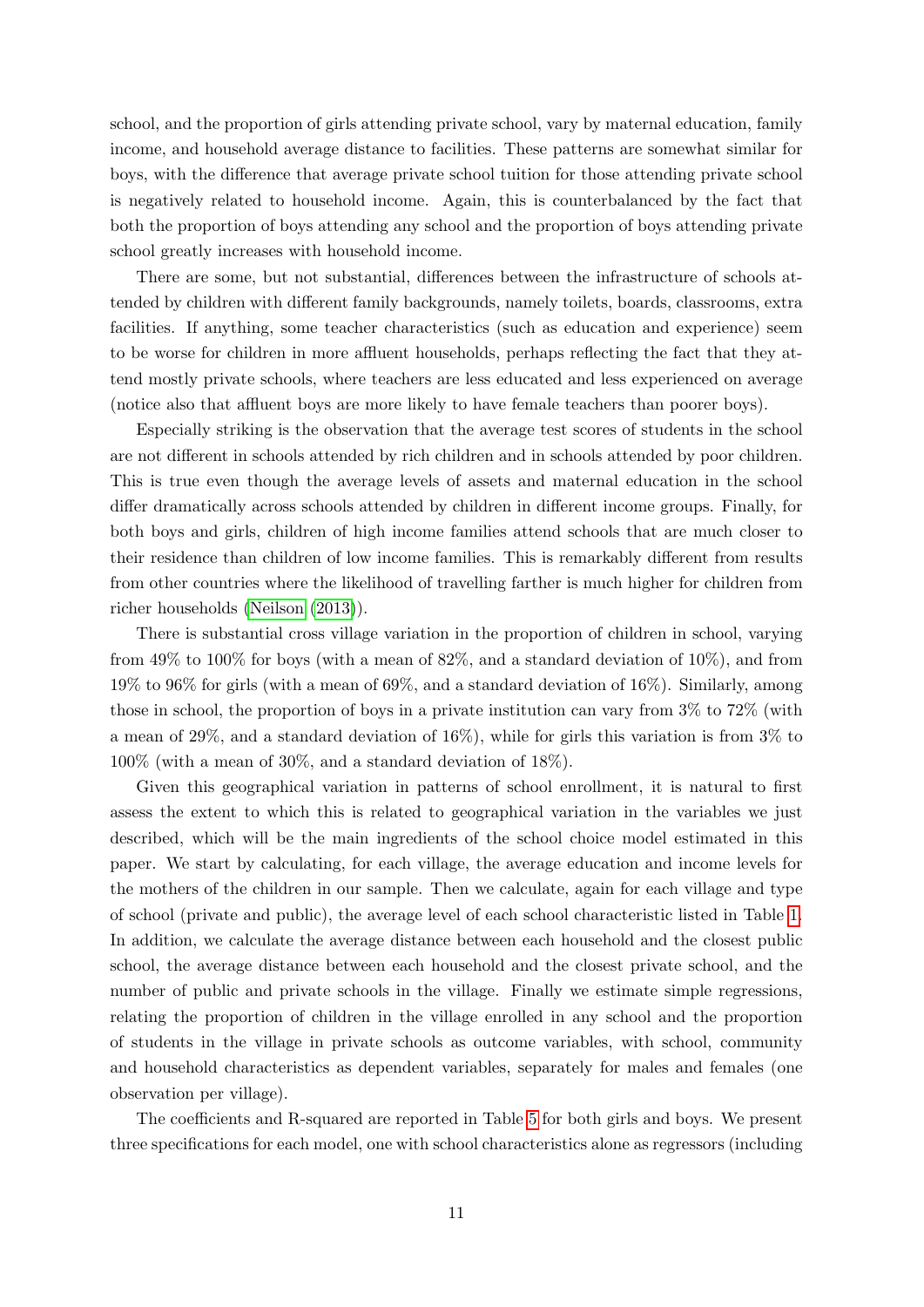school, and the proportion of girls attending private school, vary by maternal education, family income, and household average distance to facilities. These patterns are somewhat similar for boys, with the difference that average private school tuition for those attending private school is negatively related to household income. Again, this is counterbalanced by the fact that both the proportion of boys attending any school and the proportion of boys attending private school greatly increases with household income.

There are some, but not substantial, differences between the infrastructure of schools attended by children with different family backgrounds, namely toilets, boards, classrooms, extra facilities. If anything, some teacher characteristics (such as education and experience) seem to be worse for children in more affluent households, perhaps reflecting the fact that they attend mostly private schools, where teachers are less educated and less experienced on average (notice also that affluent boys are more likely to have female teachers than poorer boys).

Especially striking is the observation that the average test scores of students in the school are not different in schools attended by rich children and in schools attended by poor children. This is true even though the average levels of assets and maternal education in the school differ dramatically across schools attended by children in different income groups. Finally, for both boys and girls, children of high income families attend schools that are much closer to their residence than children of low income families. This is remarkably different from results from other countries where the likelihood of travelling farther is much higher for children from richer households [\(Neilson](#page-46-4) [\(2013\)](#page-46-4)).

There is substantial cross village variation in the proportion of children in school, varying from  $49\%$  to  $100\%$  for boys (with a mean of  $82\%$ , and a standard deviation of  $10\%$ ), and from 19% to 96% for girls (with a mean of 69%, and a standard deviation of 16%). Similarly, among those in school, the proportion of boys in a private institution can vary from 3% to 72% (with a mean of 29%, and a standard deviation of 16%), while for girls this variation is from 3% to 100% (with a mean of 30%, and a standard deviation of 18%).

Given this geographical variation in patterns of school enrollment, it is natural to first assess the extent to which this is related to geographical variation in the variables we just described, which will be the main ingredients of the school choice model estimated in this paper. We start by calculating, for each village, the average education and income levels for the mothers of the children in our sample. Then we calculate, again for each village and type of school (private and public), the average level of each school characteristic listed in Table [1.](#page-8-0) In addition, we calculate the average distance between each household and the closest public school, the average distance between each household and the closest private school, and the number of public and private schools in the village. Finally we estimate simple regressions, relating the proportion of children in the village enrolled in any school and the proportion of students in the village in private schools as outcome variables, with school, community and household characteristics as dependent variables, separately for males and females (one observation per village).

The coefficients and R-squared are reported in Table [5](#page-13-0) for both girls and boys. We present three specifications for each model, one with school characteristics alone as regressors (including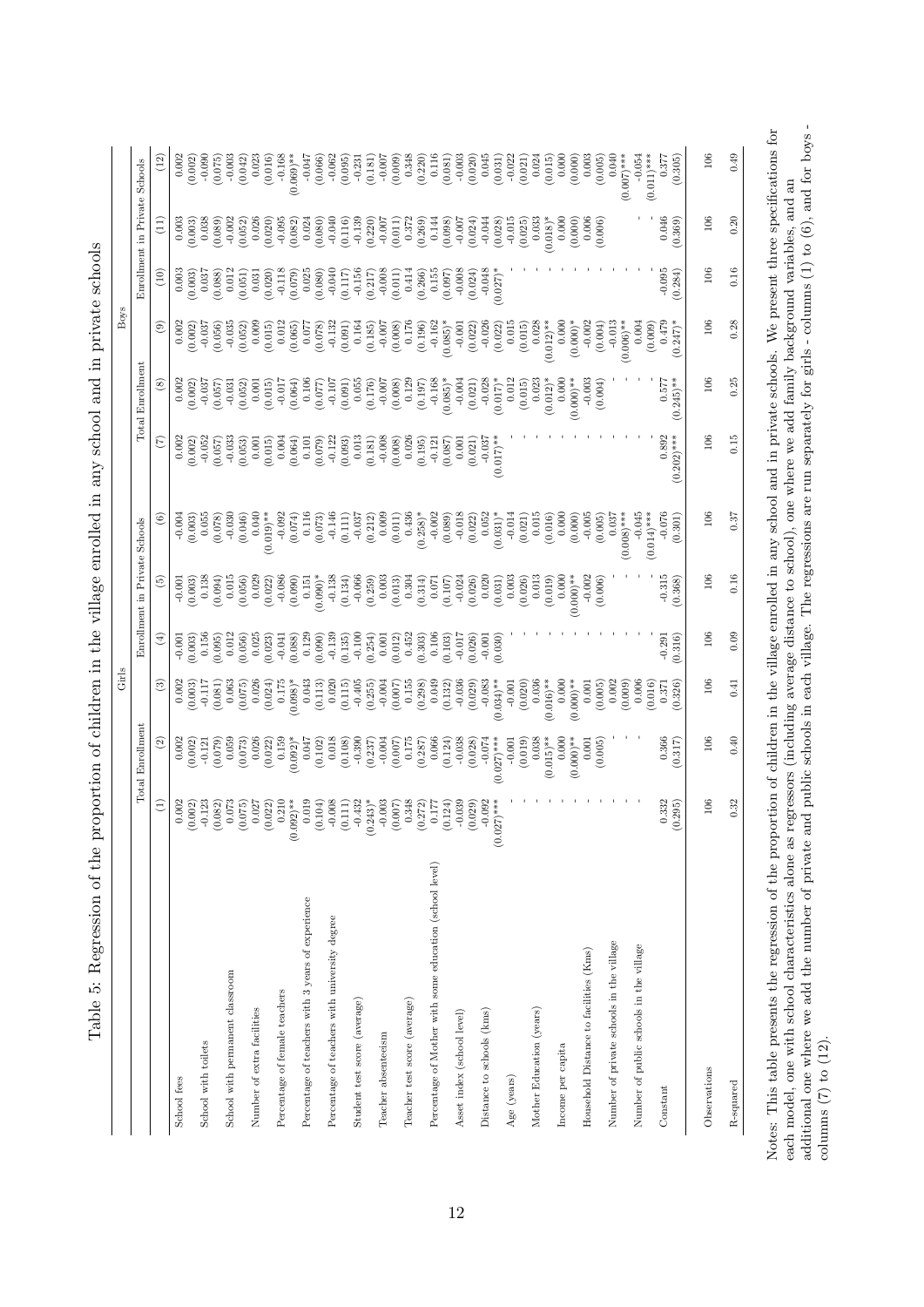|                                                         |                                                                                      |                        | Girls                 |                        |                               |                        |                     |                      | <b>Boys</b>                       |                     |                               |                        |
|---------------------------------------------------------|--------------------------------------------------------------------------------------|------------------------|-----------------------|------------------------|-------------------------------|------------------------|---------------------|----------------------|-----------------------------------|---------------------|-------------------------------|------------------------|
|                                                         |                                                                                      | Total Enrollment       |                       |                        | Enrollment in Private Schools |                        |                     | Total Enrollment     |                                   |                     | Enrollment in Private Schools |                        |
|                                                         | Ξ                                                                                    | $\widehat{\mathbb{E}}$ | $\odot$               | $\widehat{\mathbf{f}}$ | ලි)                           | E                      | $\widehat{E}$       | $\circledast$        | $\circledcirc$                    | $\widehat{\Xi}$     | Ξ                             | $(12)$                 |
| School fees                                             |                                                                                      | 0.002                  | 0.002                 | $-0.001$               | $-0.001$                      | $-0.004$               | 0.002               | 0.002                | 0.002                             | 0.003               | 0.003                         | 0.002                  |
|                                                         | $\begin{array}{c} 0.002 \\ (0.002) \\ -0.123 \end{array}$                            | (0.002)                | (0.003)               | (0.003)                | (0.003)                       | (0.003)                | (0.002)             | (0.002)              | (0.002)                           | (0.003)             | (0.003)                       | (0.002)                |
| School with toilets                                     |                                                                                      | $-0.121$               | $-0.117$              | 0.156                  | 0.138                         | 0.055                  | $-0.052$            | $-0.037$             | $-0.037$                          | 0.037               | 0.038                         | $-0.090$               |
| School with permanent classroom                         | $\begin{array}{c} (0.082) \\ 0.073 \\ (0.075) \end{array}$                           | 0.059<br>(620.0)       | 0.063<br>(0.081)      | 0.012<br>(0.095)       | 0.015<br>(0.094)              | $-0.030$<br>(0.078)    | $-0.033$<br>(0.057) | $-0.031$<br>(0.057)  | $-0.035$<br>(0.056)               | 0.012<br>(0.088)    | $-0.002$<br>(0.089)           | $-0.003$<br>(0.075)    |
|                                                         |                                                                                      | (0.073)                | (0.075)               | (0.056)                | (0.056)                       | (0.046)                | (0.053)             | (0.052)              | (0.052)                           | (0.051)             | (0.052)                       | (0.042)                |
| Number of extra facilities                              | 0.027                                                                                | 0.026                  | 0.026                 | 0.025                  | 0.029                         | 0.040                  | 0.001               | 0.001                | 0.009                             | 0.031               | 0.026                         | 0.023                  |
|                                                         | (0.022)                                                                              | (0.022)                | (0.024)               | (0.023)                | (0.022)                       | $(0.019)$ **           | (0.015)             | (0.015)              | (0.015)                           | (0.020)             | $(0.020)$<br>$-0.095$         | (0.016)                |
| Percentage of female teachers                           | 0.210                                                                                | 0.159<br>$(0.092)^*$   | $(0.098)*$<br>0.175   | (0.088)<br>$-0.041$    | $-0.086$<br>(0.090)           | $-0.092$<br>(0.074)    | 0.004<br>(0.064)    | (0.064)<br>$-0.017$  | 0.012<br>(0.065)                  | $-0.118$<br>(0.079) | (0.082)                       | $0.069)**$<br>$-0.168$ |
| Percentage of teachers with 3 years of experience       | $(0.092)$ **<br>0.019                                                                | 0.047                  | 0.043                 | 0.129                  | 0.151                         | 0.116                  | 0.101               | 0.106                | 0.077                             | 0.025               | 0.024                         | $-0.047$               |
|                                                         | (0.104)                                                                              | (0.102)                | (0.113)               | (0.090)                | $*(0.090)*$                   | (0.073)                | (0.079)             | (0.077)              | (0.078)                           | (0.080)             | (0.080)                       | (0.066)                |
| Percentage of teachers with university degree           |                                                                                      | 0.018                  | 0.020                 | $-0.139$               | $-0.138$                      | $-0.146$               | $-0.122$            | $-0.107$             | $-0.132$                          | $-0.040$            | $-0.040$                      | $-0.062$               |
| Student test score (average)                            | $\begin{array}{c} -0.008 \\ -0.008 \\ (0.111) \\ -0.432 \\ (0.243)^* \\ \end{array}$ | $(0.108)$<br>$-0.390$  | $-0.405$<br>(0.115)   | $-0.100$<br>(0.135)    | (0.134)<br>$-0.066$           | (0.111)<br>$-0.037$    | 0.013<br>(0.093)    | 0.055<br>(0.091)     | (0.091)<br>0.164                  | $-0.156$<br>(0.117) | $-0.139$<br>(0.116)           | (0.095)<br>$-0.231$    |
|                                                         |                                                                                      | (0.237)                | (0.255)               | (0.254)                | (0.259)                       | (0.212)                | (0.181)             | (0.176)              | (0.185)                           | (0.217)             | (0.220)                       | (0.181)                |
| Teacher absenteeism                                     |                                                                                      | (0.007)                | $-0.004$              | 0.001                  | (0.003)                       | 0.009                  | $-0.008$            | $-0.007$             | $700.0 -$                         | $-0.008$            | (110.0)                       | $-0.007$               |
|                                                         | (0.007)                                                                              |                        | 0.155<br>(0.007)      | (0.012)                | 0.304                         | (0.011)                | (0.008)             | (0.008)              | 0.176<br>(0.008)                  | (0.011)             | 0.372                         | (0.009)                |
| Teacher test score (average)                            |                                                                                      | 0.175                  | (0.298)               | 0.452<br>(0.303)       | (0.314)                       | $(0.258)^*$<br>0.436   | 0.026<br>(0.195)    | 0.129<br>(0.197)     | (0.196)                           | 0.414<br>(0.266)    | (0.269)                       | 0.348<br>(0.220)       |
| Percentage of Mother with some education (school level) | $\begin{array}{c} 0.348 \\ 0.272) \\ 0.177 \\ 0.124) \\ 0.039 \end{array}$           | $(0.287)$<br>0.066     | 0.049                 | 0.106                  | 0.071                         | $-0.002$               | $-0.121$            | $-0.168$             | $-0.162$                          | 0.155               | 0.144                         | 0.116                  |
|                                                         |                                                                                      | (0.124)                | (0.132)               | (0.103)                | (0.107)                       | (0.089)                | (0.087)             | $(0.085)*$           | $0.085)*$                         | (0.097)             | (0.098)                       | (0.081)                |
| Asset index (school level)                              |                                                                                      | $-0.038$<br>(0.028)    | $-0.036$<br>(0.029)   | $-0.017$<br>(0.026)    | $-0.024$<br>(0.026)           | $-0.018$<br>(0.022)    | 0.001<br>(0.021)    | $-0.004$<br>(0.021)  | $-0.001$<br>(0.022)               | $-0.008$<br>(0.024) | $-0.007$<br>(0.024)           | $-0.003$<br>(0.020)    |
| Distance to schools (lcms)                              | (0.029)<br>$-0.092$                                                                  | $-0.074$               | $-0.083$              | $-0.001$               | 0.020                         | 0.052                  | $-0.037$            | $-0.028$             | $-0.026$                          | $-0.048$            | $-0.044$                      | 0.045                  |
|                                                         | $***$<br>(0.027)                                                                     | $(0.027)$ ***          | $(0.034)$ **          | (0.030)                | (0.031)                       | $(0.031)^*$            | $(0.017)$ *         | $(0.017)$ *          | (0.022)                           | $(0.027)$ *         | (0.028)                       | (0.031)                |
| Age (years)                                             |                                                                                      | $-0.001$               | $-0.001$              |                        | 0.003                         | $-0.014$               |                     | 0.012                | 0.015                             |                     | $-0.015$                      | $-0.022$               |
|                                                         |                                                                                      | (0.019)                | (0.020)               |                        | (0.026)                       | (0.021)                |                     | (0.015)              | (0.015)                           |                     | (0.025)                       | (0.021)                |
| Mother Education (years)                                |                                                                                      | $(0.015)$ **<br>0.038  | 0.036<br>$(0.016)$ ** |                        | 0.013<br>(0.019)              | 0.015<br>(0.016)       |                     | 0.023<br>$(0.012)^*$ | 0.028<br>$0.012$ <sup>**</sup>    |                     | 0.033                         | 0.024<br>(0.015)       |
| Income per capita                                       |                                                                                      | 0.000                  | $0.000$               |                        | 0.000                         | 0.000                  |                     | 0.000                | 0.000                             |                     | $(0.018)*$                    | 0.000                  |
|                                                         |                                                                                      | $(0.000)*$             | $(0.000)**$           |                        | $0.000$ <sup>**</sup>         | (0.000)                |                     | $(0.000)**$          | $(0.000)*$                        |                     | (0.000)                       | (0.000)                |
| Household Distance to facilities (Kms)                  |                                                                                      | 0.001                  | 0.001                 |                        | $-0.002$                      | $-0.005$               |                     | $-0.003$             | $-0.002$                          |                     | 0.006                         | 0.003                  |
|                                                         |                                                                                      | (0.005)                | (0.005)               |                        | (0.006)                       | (0.005)                |                     | (0.004)              | (0.004)                           |                     | (0.006)                       | (0.005)                |
| Number of private schools in the village                |                                                                                      |                        | 0.002<br>(0.009)      |                        |                               | $(0.008)$ ***<br>0.037 |                     |                      | $-0.013$<br>$0.006$ <sup>**</sup> |                     |                               | 0.040<br>$(0.007)$ *** |
| Number of public schools in the village                 |                                                                                      |                        | 0.006                 |                        |                               | $-0.045$               |                     |                      | 0.004                             |                     |                               | $-0.054$               |
|                                                         |                                                                                      |                        | (0.016)               |                        |                               | $(0.014)$ ***          |                     |                      | (0.009)                           |                     |                               | $(0.011)$ ***          |
| Constant                                                | 0.332                                                                                | 0.366                  | 0.371                 | $-0.291$               | $-0.315$                      | $-0.076$               | 0.892               | 0.577                | 0.479                             | $-0.095$            | 0.046                         | 0.377                  |
|                                                         | (0.295)                                                                              | (0.317)                | (0.326)               | (0.316)                | (0.368)                       | (0.301)                | $(0.202)$ ***       | $(0.245)$ **         | $(0.247)^*$                       | (0.284)             | (0.369)                       | (0.305)                |
| Observations                                            | 106                                                                                  | 106                    | 106                   | 106                    | 106                           | 106                    | 106                 | 106                  | 106                               | 106                 | 106                           | 106                    |
| R-squared                                               | 0.32                                                                                 | 0.40                   | 0.41                  | 0.09                   | 0.16                          | 0.37                   | 0.15                | 0.25                 | 0.28                              | 0.16                | 0.20                          | 0.49                   |
|                                                         |                                                                                      |                        |                       |                        |                               |                        |                     |                      |                                   |                     |                               |                        |

columns  $(7)$  to  $(12)$ .

<span id="page-13-0"></span>columns  $(7)$  to  $(12)$ .

Table 5: Regression of the proportion of children in the village eprolled in any school and in private schools Table 5: Regression of the proportion of children in the village enrolled in any school and in private schools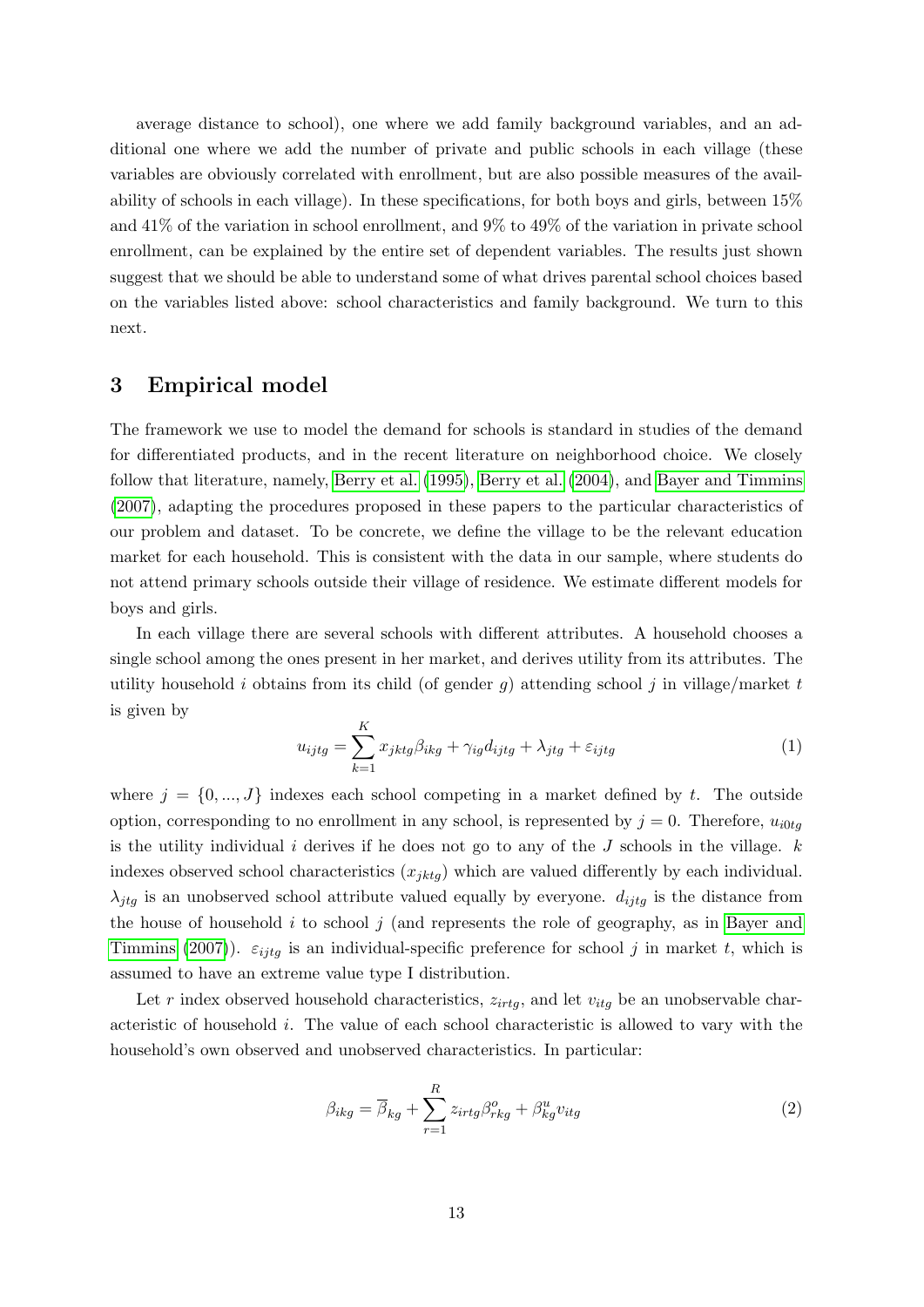average distance to school), one where we add family background variables, and an additional one where we add the number of private and public schools in each village (these variables are obviously correlated with enrollment, but are also possible measures of the availability of schools in each village). In these specifications, for both boys and girls, between 15% and 41% of the variation in school enrollment, and 9% to 49% of the variation in private school enrollment, can be explained by the entire set of dependent variables. The results just shown suggest that we should be able to understand some of what drives parental school choices based on the variables listed above: school characteristics and family background. We turn to this next.

### <span id="page-14-0"></span>3 Empirical model

The framework we use to model the demand for schools is standard in studies of the demand for differentiated products, and in the recent literature on neighborhood choice. We closely follow that literature, namely, [Berry et al.](#page-44-3) [\(1995\)](#page-44-3), [Berry et al.](#page-45-2) [\(2004\)](#page-45-2), and [Bayer and Timmins](#page-44-4) [\(2007\)](#page-44-4), adapting the procedures proposed in these papers to the particular characteristics of our problem and dataset. To be concrete, we define the village to be the relevant education market for each household. This is consistent with the data in our sample, where students do not attend primary schools outside their village of residence. We estimate different models for boys and girls.

In each village there are several schools with different attributes. A household chooses a single school among the ones present in her market, and derives utility from its attributes. The utility household i obtains from its child (of gender  $g$ ) attending school j in village/market t is given by

<span id="page-14-2"></span>
$$
u_{ijtg} = \sum_{k=1}^{K} x_{jktg} \beta_{ikg} + \gamma_{ig} d_{ijtg} + \lambda_{jtg} + \varepsilon_{ijtg}
$$
(1)

where  $j = \{0, ..., J\}$  indexes each school competing in a market defined by t. The outside option, corresponding to no enrollment in any school, is represented by  $j = 0$ . Therefore,  $u_{i0tq}$ is the utility individual  $i$  derives if he does not go to any of the  $J$  schools in the village.  $k$ indexes observed school characteristics  $(x_{jktg})$  which are valued differently by each individual.  $\lambda_{jtg}$  is an unobserved school attribute valued equally by everyone.  $d_{ijtg}$  is the distance from the house of household  $i$  to school  $j$  (and represents the role of geography, as in [Bayer and](#page-44-4) [Timmins](#page-44-4) [\(2007\)](#page-44-4)).  $\varepsilon_{ijtq}$  is an individual-specific preference for school j in market t, which is assumed to have an extreme value type I distribution.

Let r index observed household characteristics,  $z_{irtq}$ , and let  $v_{itq}$  be an unobservable characteristic of household i. The value of each school characteristic is allowed to vary with the household's own observed and unobserved characteristics. In particular:

<span id="page-14-1"></span>
$$
\beta_{ikg} = \overline{\beta}_{kg} + \sum_{r=1}^{R} z_{irtg} \beta_{rkg}^{o} + \beta_{kg}^{u} v_{itg}
$$
\n(2)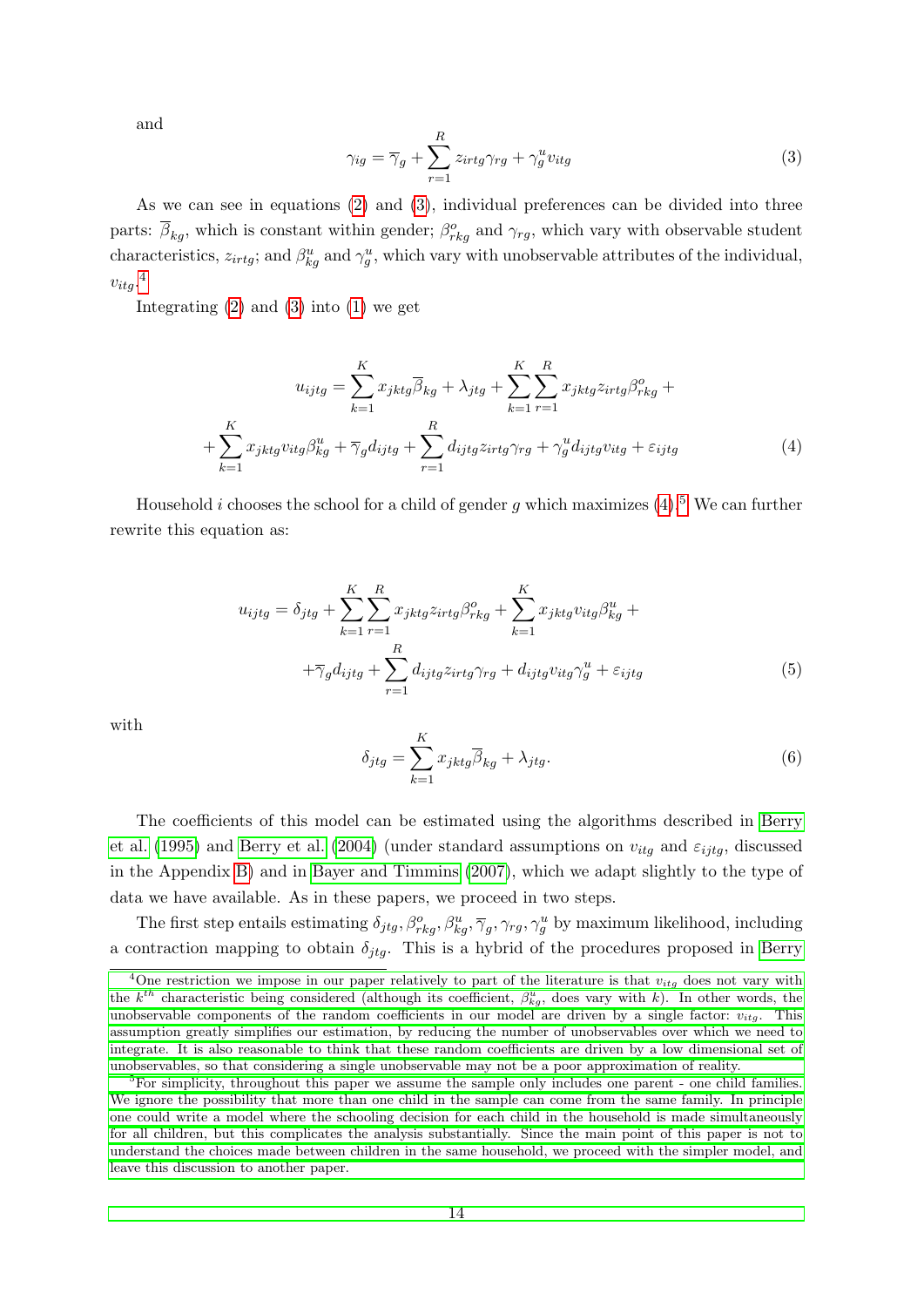and

<span id="page-15-0"></span>
$$
\gamma_{ig} = \overline{\gamma}_g + \sum_{r=1}^{R} z_{irtg} \gamma_{rg} + \gamma_g^u v_{itg}
$$
\n(3)

As we can see in equations [\(2\)](#page-14-1) and [\(3\)](#page-15-0), individual preferences can be divided into three parts:  $\overline{\beta}_{kg}$ , which is constant within gender;  $\beta_{rkg}^o$  and  $\gamma_{rg}$ , which vary with observable student characteristics,  $z_{irtg}$ ; and  $\beta_{kg}^u$  and  $\gamma_g^u$ , which vary with unobservable attributes of the individual,  $v_{itg}.^4$  $v_{itg}.^4$ 

Integrating  $(2)$  and  $(3)$  into  $(1)$  we get

<span id="page-15-2"></span>
$$
u_{ijtg} = \sum_{k=1}^{K} x_{jktg} \overline{\beta}_{kg} + \lambda_{jtg} + \sum_{k=1}^{K} \sum_{r=1}^{R} x_{jktg} z_{irtg} \beta_{rkg}^{o} + + \sum_{k=1}^{K} x_{jktg} v_{itg} \beta_{kg}^{u} + \overline{\gamma}_g d_{ijtg} + \sum_{r=1}^{R} d_{ijtg} z_{irtg} \gamma_{rg} + \gamma_g^{u} d_{ijtg} v_{itg} + \varepsilon_{ijtg}
$$
(4)

Household *i* chooses the school for a child of gender g which maximizes  $(4)$ .<sup>[5](#page-15-3)</sup> We can further rewrite this equation as:

<span id="page-15-5"></span>
$$
u_{ijtg} = \delta_{jtg} + \sum_{k=1}^{K} \sum_{r=1}^{R} x_{jktg} z_{irtg} \beta_{rkg}^{o} + \sum_{k=1}^{K} x_{jktg} v_{itg} \beta_{kg}^{u} +
$$
  
 
$$
+ \overline{\gamma}_g d_{ijtg} + \sum_{r=1}^{R} d_{ijtg} z_{irtg} \gamma_{rg} + d_{ijtg} v_{itg} \gamma_g^{u} + \varepsilon_{ijtg}
$$
(5)

with

<span id="page-15-4"></span>
$$
\delta_{jtg} = \sum_{k=1}^{K} x_{jktg} \overline{\beta}_{kg} + \lambda_{jtg}.
$$
\n(6)

The coefficients of this model can be estimated using the algorithms described in [Berry](#page-44-3) [et al.](#page-44-3) [\(1995\)](#page-44-3) and [Berry et al.](#page-45-2) [\(2004\)](#page-45-2) (under standard assumptions on  $v_{itg}$  and  $\varepsilon_{ijtg}$ , discussed in the Appendix [B\)](#page-66-0) and in [Bayer and Timmins](#page-44-4) [\(2007\)](#page-44-4), which we adapt slightly to the type of data we have available. As in these papers, we proceed in two steps.

The first step entails estimating  $\delta_{jtg}, \beta_{rkg}^o, \beta_{kg}^u, \overline{\gamma}_g, \gamma_{rg}, \gamma_g^u$  by maximum likelihood, including a contraction mapping to obtain  $\delta_{jtq}$ . This is a hybrid of the procedures proposed in [Berry](#page-44-3)

<span id="page-15-1"></span><sup>&</sup>lt;sup>4</sup>[One restriction we impose in our paper relatively to part of the literature is that](#page-44-3)  $v_{itg}$  does not vary with the  $k^{th}$  [characteristic being considered \(although its coefficient,](#page-44-3)  $\beta_{kg}^u$ , does vary with k). In other words, the [unobservable components of the random coefficients in our model are driven by a single factor:](#page-44-3)  $v_{itg}$ . This [assumption greatly simplifies our estimation, by reducing the number of unobservables over which we need to](#page-44-3) [integrate. It is also reasonable to think that these random coefficients are driven by a low dimensional set of](#page-44-3) [unobservables, so that considering a single unobservable may not be a poor approximation of reality.](#page-44-3)

<span id="page-15-3"></span><sup>&</sup>lt;sup>5</sup>[For simplicity, throughout this paper we assume the sample only includes one parent - one child families.](#page-44-3) [We ignore the possibility that more than one child in the sample can come from the same family. In principle](#page-44-3) [one could write a model where the schooling decision for each child in the household is made simultaneously](#page-44-3) [for all children, but this complicates the analysis substantially. Since the main point of this paper is not to](#page-44-3) [understand the choices made between children in the same household, we proceed with the simpler model, and](#page-44-3) [leave this discussion to another paper.](#page-44-3)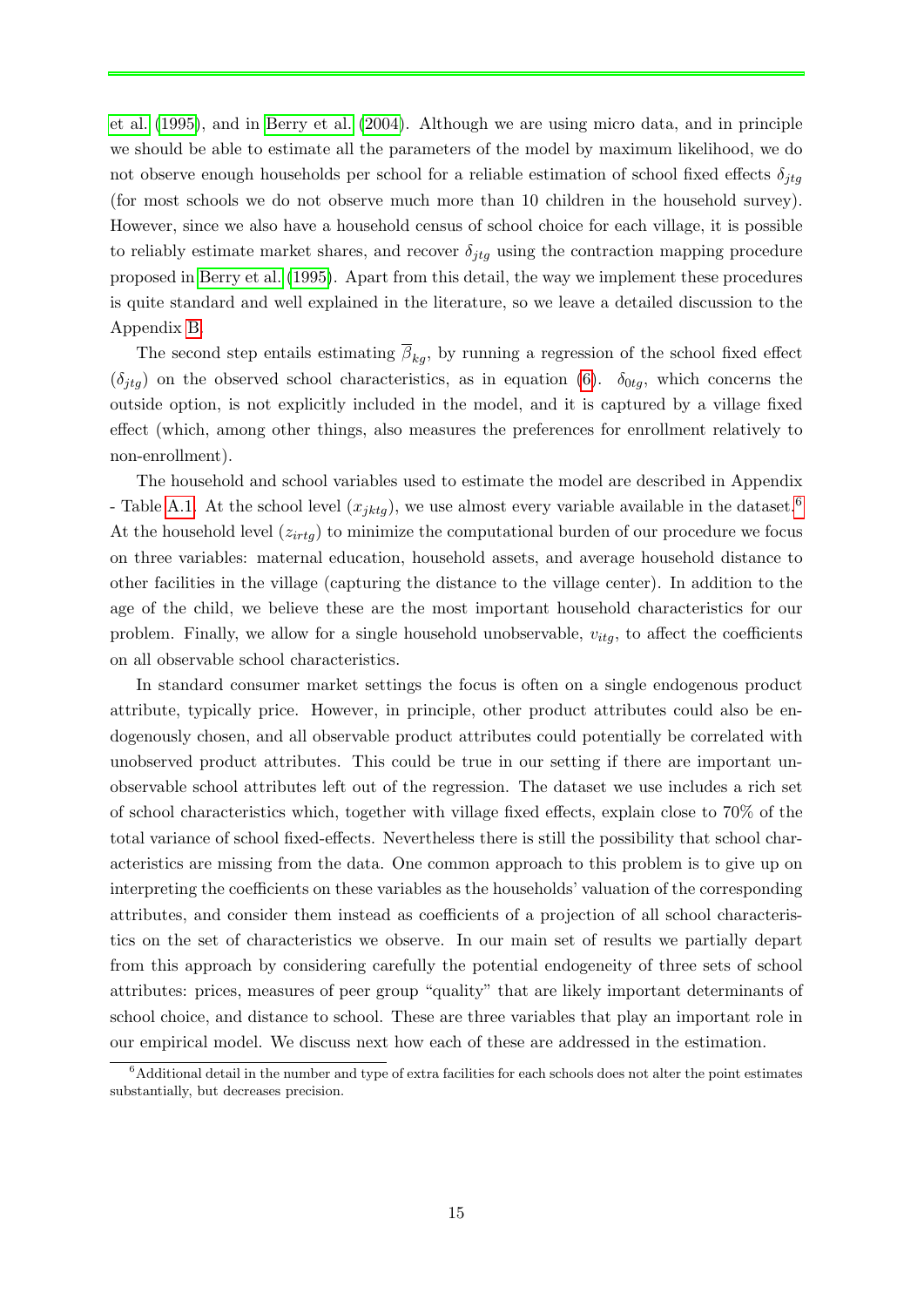[et al.](#page-44-3) [\(1995\)](#page-44-3), and in [Berry et al.](#page-45-2) [\(2004\)](#page-45-2). Although we are using micro data, and in principle we should be able to estimate all the parameters of the model by maximum likelihood, we do not observe enough households per school for a reliable estimation of school fixed effects  $\delta_{jtg}$ (for most schools we do not observe much more than 10 children in the household survey). However, since we also have a household census of school choice for each village, it is possible to reliably estimate market shares, and recover  $\delta_{jtg}$  using the contraction mapping procedure proposed in [Berry et al.](#page-44-3) [\(1995\)](#page-44-3). Apart from this detail, the way we implement these procedures is quite standard and well explained in the literature, so we leave a detailed discussion to the Appendix [B.](#page-66-0)

The second step entails estimating  $\overline{\beta}_{kq}$ , by running a regression of the school fixed effect  $(\delta_{jtg})$  on the observed school characteristics, as in equation [\(6\)](#page-15-4).  $\delta_{0tg}$ , which concerns the outside option, is not explicitly included in the model, and it is captured by a village fixed effect (which, among other things, also measures the preferences for enrollment relatively to non-enrollment).

The household and school variables used to estimate the model are described in Appendix - Table [A.1.](#page-48-0) At the school level  $(x_{iktq})$ , we use almost every variable available in the dataset.<sup>[6](#page-16-0)</sup> At the household level  $(z_{irtg})$  to minimize the computational burden of our procedure we focus on three variables: maternal education, household assets, and average household distance to other facilities in the village (capturing the distance to the village center). In addition to the age of the child, we believe these are the most important household characteristics for our problem. Finally, we allow for a single household unobservable,  $v_{itg}$ , to affect the coefficients on all observable school characteristics.

In standard consumer market settings the focus is often on a single endogenous product attribute, typically price. However, in principle, other product attributes could also be endogenously chosen, and all observable product attributes could potentially be correlated with unobserved product attributes. This could be true in our setting if there are important unobservable school attributes left out of the regression. The dataset we use includes a rich set of school characteristics which, together with village fixed effects, explain close to 70% of the total variance of school fixed-effects. Nevertheless there is still the possibility that school characteristics are missing from the data. One common approach to this problem is to give up on interpreting the coefficients on these variables as the households' valuation of the corresponding attributes, and consider them instead as coefficients of a projection of all school characteristics on the set of characteristics we observe. In our main set of results we partially depart from this approach by considering carefully the potential endogeneity of three sets of school attributes: prices, measures of peer group "quality" that are likely important determinants of school choice, and distance to school. These are three variables that play an important role in our empirical model. We discuss next how each of these are addressed in the estimation.

<span id="page-16-0"></span> $6$ Additional detail in the number and type of extra facilities for each schools does not alter the point estimates substantially, but decreases precision.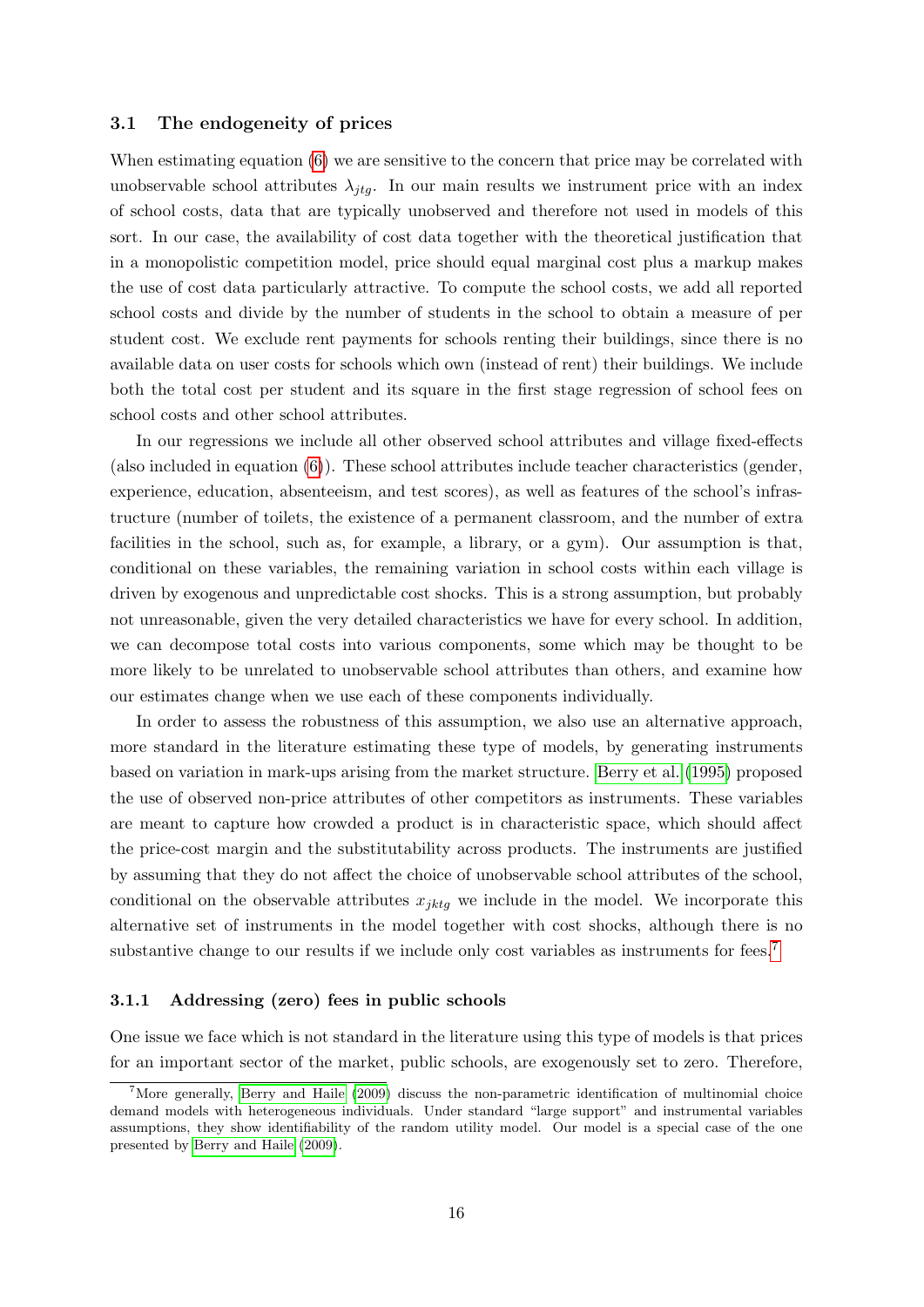#### 3.1 The endogeneity of prices

When estimating equation  $(6)$  we are sensitive to the concern that price may be correlated with unobservable school attributes  $\lambda_{jtq}$ . In our main results we instrument price with an index of school costs, data that are typically unobserved and therefore not used in models of this sort. In our case, the availability of cost data together with the theoretical justification that in a monopolistic competition model, price should equal marginal cost plus a markup makes the use of cost data particularly attractive. To compute the school costs, we add all reported school costs and divide by the number of students in the school to obtain a measure of per student cost. We exclude rent payments for schools renting their buildings, since there is no available data on user costs for schools which own (instead of rent) their buildings. We include both the total cost per student and its square in the first stage regression of school fees on school costs and other school attributes.

In our regressions we include all other observed school attributes and village fixed-effects (also included in equation [\(6\)](#page-15-4)). These school attributes include teacher characteristics (gender, experience, education, absenteeism, and test scores), as well as features of the school's infrastructure (number of toilets, the existence of a permanent classroom, and the number of extra facilities in the school, such as, for example, a library, or a gym). Our assumption is that, conditional on these variables, the remaining variation in school costs within each village is driven by exogenous and unpredictable cost shocks. This is a strong assumption, but probably not unreasonable, given the very detailed characteristics we have for every school. In addition, we can decompose total costs into various components, some which may be thought to be more likely to be unrelated to unobservable school attributes than others, and examine how our estimates change when we use each of these components individually.

In order to assess the robustness of this assumption, we also use an alternative approach, more standard in the literature estimating these type of models, by generating instruments based on variation in mark-ups arising from the market structure. [Berry et al.](#page-44-3) [\(1995\)](#page-44-3) proposed the use of observed non-price attributes of other competitors as instruments. These variables are meant to capture how crowded a product is in characteristic space, which should affect the price-cost margin and the substitutability across products. The instruments are justified by assuming that they do not affect the choice of unobservable school attributes of the school, conditional on the observable attributes  $x_{jktg}$  we include in the model. We incorporate this alternative set of instruments in the model together with cost shocks, although there is no substantive change to our results if we include only cost variables as instruments for fees.<sup>[7](#page-17-0)</sup>

#### 3.1.1 Addressing (zero) fees in public schools

One issue we face which is not standard in the literature using this type of models is that prices for an important sector of the market, public schools, are exogenously set to zero. Therefore,

<span id="page-17-0"></span><sup>&</sup>lt;sup>7</sup>More generally, [Berry and Haile](#page-45-11) [\(2009\)](#page-45-11) discuss the non-parametric identification of multinomial choice demand models with heterogeneous individuals. Under standard "large support" and instrumental variables assumptions, they show identifiability of the random utility model. Our model is a special case of the one presented by [Berry and Haile](#page-45-11) [\(2009\)](#page-45-11).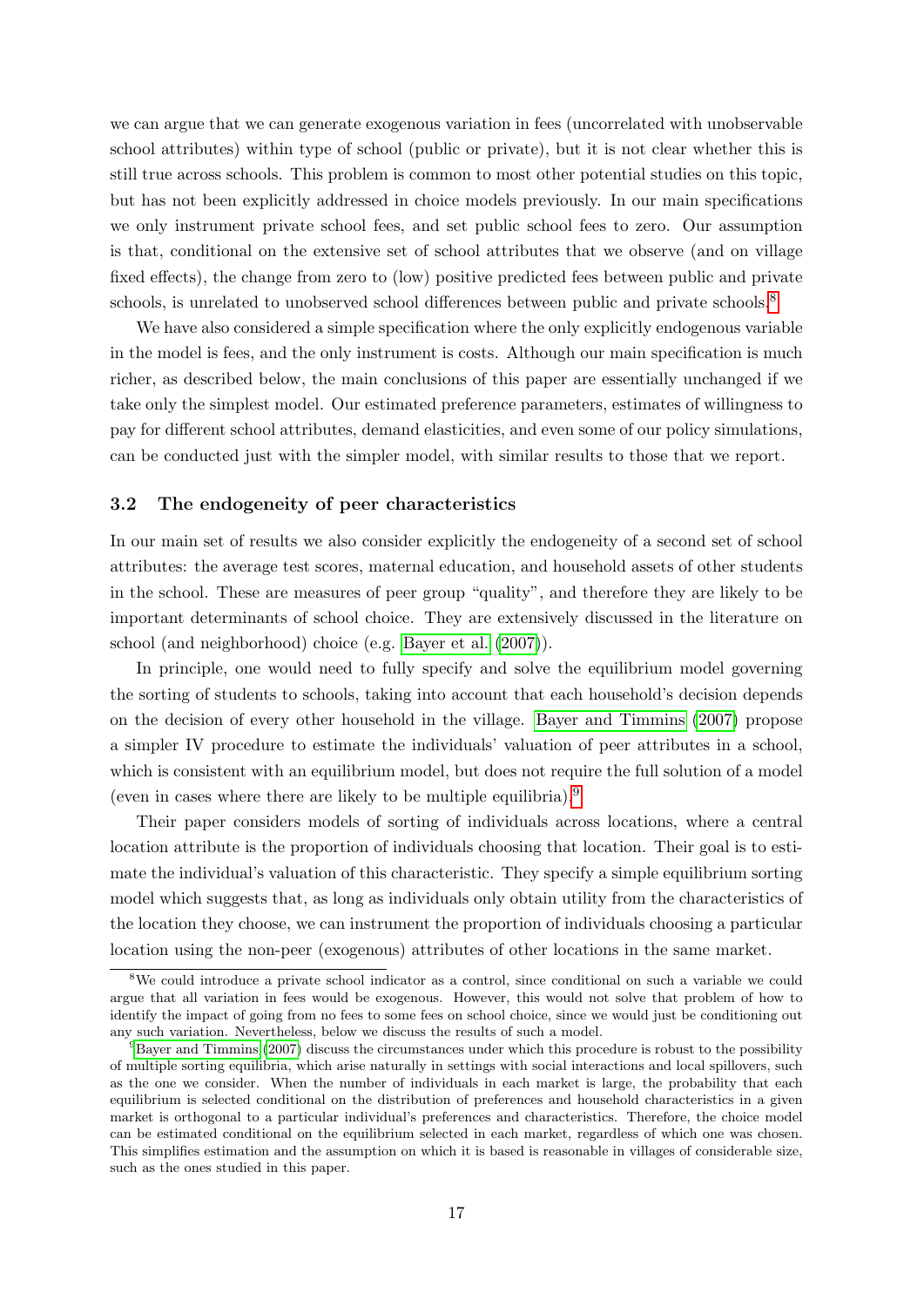we can argue that we can generate exogenous variation in fees (uncorrelated with unobservable school attributes) within type of school (public or private), but it is not clear whether this is still true across schools. This problem is common to most other potential studies on this topic, but has not been explicitly addressed in choice models previously. In our main specifications we only instrument private school fees, and set public school fees to zero. Our assumption is that, conditional on the extensive set of school attributes that we observe (and on village fixed effects), the change from zero to (low) positive predicted fees between public and private schools, is unrelated to unobserved school differences between public and private schools.<sup>[8](#page-18-0)</sup>

We have also considered a simple specification where the only explicitly endogenous variable in the model is fees, and the only instrument is costs. Although our main specification is much richer, as described below, the main conclusions of this paper are essentially unchanged if we take only the simplest model. Our estimated preference parameters, estimates of willingness to pay for different school attributes, demand elasticities, and even some of our policy simulations, can be conducted just with the simpler model, with similar results to those that we report.

#### 3.2 The endogeneity of peer characteristics

In our main set of results we also consider explicitly the endogeneity of a second set of school attributes: the average test scores, maternal education, and household assets of other students in the school. These are measures of peer group "quality", and therefore they are likely to be important determinants of school choice. They are extensively discussed in the literature on school (and neighborhood) choice (e.g. [Bayer et al.](#page-44-8) [\(2007\)](#page-44-8)).

In principle, one would need to fully specify and solve the equilibrium model governing the sorting of students to schools, taking into account that each household's decision depends on the decision of every other household in the village. [Bayer and Timmins](#page-44-4) [\(2007\)](#page-44-4) propose a simpler IV procedure to estimate the individuals' valuation of peer attributes in a school, which is consistent with an equilibrium model, but does not require the full solution of a model (even in cases where there are likely to be multiple equilibria).[9](#page-18-1)

Their paper considers models of sorting of individuals across locations, where a central location attribute is the proportion of individuals choosing that location. Their goal is to estimate the individual's valuation of this characteristic. They specify a simple equilibrium sorting model which suggests that, as long as individuals only obtain utility from the characteristics of the location they choose, we can instrument the proportion of individuals choosing a particular location using the non-peer (exogenous) attributes of other locations in the same market.

<span id="page-18-0"></span><sup>8</sup>We could introduce a private school indicator as a control, since conditional on such a variable we could argue that all variation in fees would be exogenous. However, this would not solve that problem of how to identify the impact of going from no fees to some fees on school choice, since we would just be conditioning out any such variation. Nevertheless, below we discuss the results of such a model.

<span id="page-18-1"></span><sup>9</sup>[Bayer and Timmins](#page-44-4) [\(2007\)](#page-44-4) discuss the circumstances under which this procedure is robust to the possibility of multiple sorting equilibria, which arise naturally in settings with social interactions and local spillovers, such as the one we consider. When the number of individuals in each market is large, the probability that each equilibrium is selected conditional on the distribution of preferences and household characteristics in a given market is orthogonal to a particular individual's preferences and characteristics. Therefore, the choice model can be estimated conditional on the equilibrium selected in each market, regardless of which one was chosen. This simplifies estimation and the assumption on which it is based is reasonable in villages of considerable size, such as the ones studied in this paper.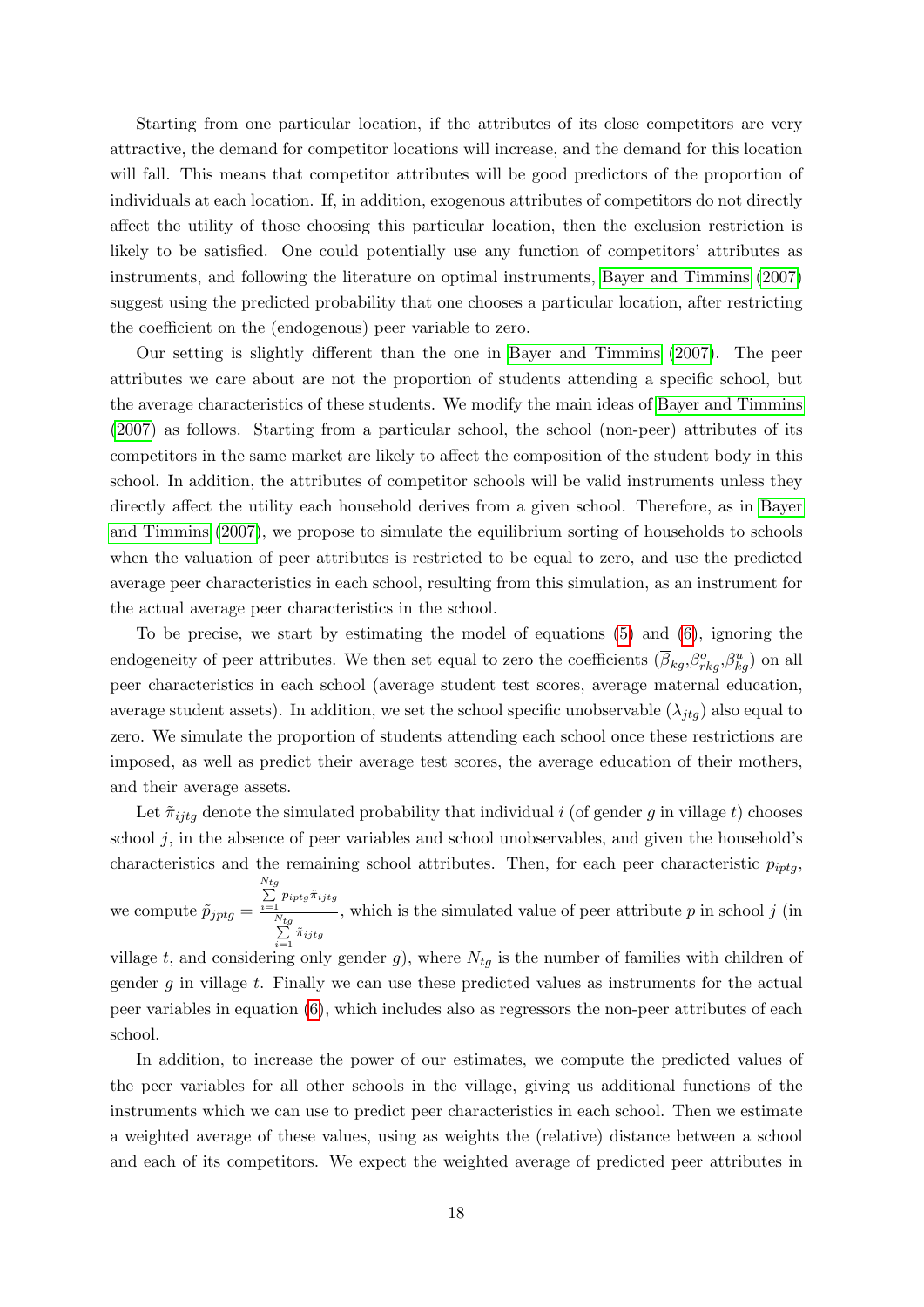Starting from one particular location, if the attributes of its close competitors are very attractive, the demand for competitor locations will increase, and the demand for this location will fall. This means that competitor attributes will be good predictors of the proportion of individuals at each location. If, in addition, exogenous attributes of competitors do not directly affect the utility of those choosing this particular location, then the exclusion restriction is likely to be satisfied. One could potentially use any function of competitors' attributes as instruments, and following the literature on optimal instruments, [Bayer and Timmins](#page-44-4) [\(2007\)](#page-44-4) suggest using the predicted probability that one chooses a particular location, after restricting the coefficient on the (endogenous) peer variable to zero.

Our setting is slightly different than the one in [Bayer and Timmins](#page-44-4) [\(2007\)](#page-44-4). The peer attributes we care about are not the proportion of students attending a specific school, but the average characteristics of these students. We modify the main ideas of [Bayer and Timmins](#page-44-4) [\(2007\)](#page-44-4) as follows. Starting from a particular school, the school (non-peer) attributes of its competitors in the same market are likely to affect the composition of the student body in this school. In addition, the attributes of competitor schools will be valid instruments unless they directly affect the utility each household derives from a given school. Therefore, as in [Bayer](#page-44-4) [and Timmins](#page-44-4) [\(2007\)](#page-44-4), we propose to simulate the equilibrium sorting of households to schools when the valuation of peer attributes is restricted to be equal to zero, and use the predicted average peer characteristics in each school, resulting from this simulation, as an instrument for the actual average peer characteristics in the school.

To be precise, we start by estimating the model of equations [\(5\)](#page-15-5) and [\(6\)](#page-15-4), ignoring the endogeneity of peer attributes. We then set equal to zero the coefficients  $(\overline{\beta}_{kg}, \beta_{rkg}^o, \beta_{kg}^u)$  on all peer characteristics in each school (average student test scores, average maternal education, average student assets). In addition, we set the school specific unobservable  $(\lambda_{itq})$  also equal to zero. We simulate the proportion of students attending each school once these restrictions are imposed, as well as predict their average test scores, the average education of their mothers, and their average assets.

Let  $\tilde{\pi}_{i}$  denote the simulated probability that individual i (of gender g in village t) chooses school  $j$ , in the absence of peer variables and school unobservables, and given the household's characteristics and the remaining school attributes. Then, for each peer characteristic  $p_{iptg}$ we compute  $\tilde{p}_{jptg} =$  $\sum_{i=1}^{N_t}$  $\sum_{i=1} p_{iptg} \tilde{\pi}_{ijtg}$  $\sum_{i=1}^{N_t}$  $\sum_{i=1}$   $\tilde{\pi}_{ijtg}$ , which is the simulated value of peer attribute  $p$  in school  $j$  (in village t, and considering only gender g), where  $N_{tg}$  is the number of families with children of gender  $g$  in village  $t$ . Finally we can use these predicted values as instruments for the actual peer variables in equation [\(6\)](#page-15-4), which includes also as regressors the non-peer attributes of each school.

In addition, to increase the power of our estimates, we compute the predicted values of the peer variables for all other schools in the village, giving us additional functions of the instruments which we can use to predict peer characteristics in each school. Then we estimate a weighted average of these values, using as weights the (relative) distance between a school and each of its competitors. We expect the weighted average of predicted peer attributes in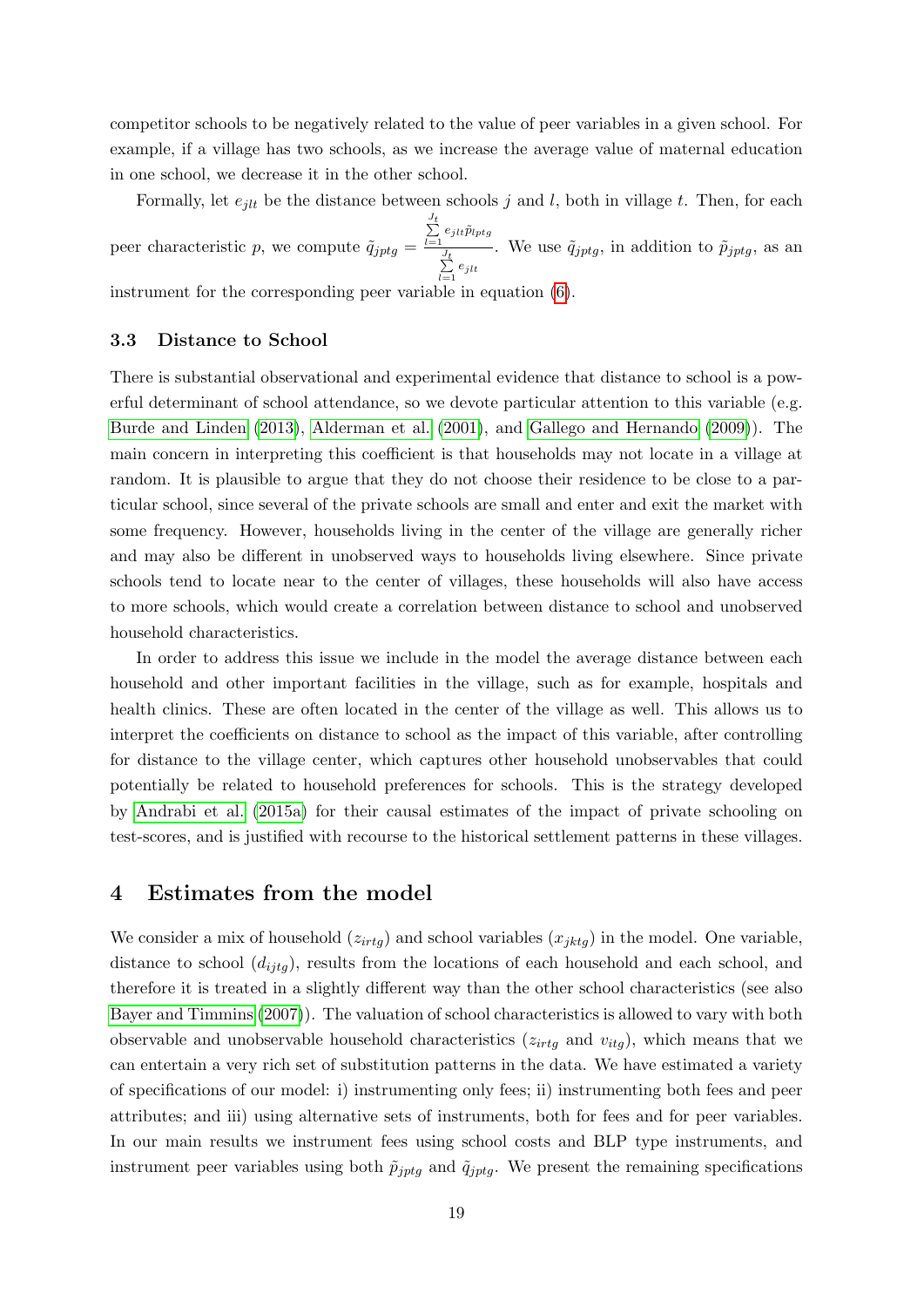competitor schools to be negatively related to the value of peer variables in a given school. For example, if a village has two schools, as we increase the average value of maternal education in one school, we decrease it in the other school.

Formally, let  $e_{jlt}$  be the distance between schools j and l, both in village t. Then, for each peer characteristic p, we compute  $\tilde{q}_{jptg} =$  $\sum_{l=1}^{J_t} e_{jlt} \tilde{p}_{lptg}$  $\sum_{l=1}^{J_t} e_{jlt}$ . We use  $\tilde{q}_{jptg}$ , in addition to  $\tilde{p}_{jptg}$ , as an

instrument for the corresponding peer variable in equation  $(6)$ .

#### 3.3 Distance to School

There is substantial observational and experimental evidence that distance to school is a powerful determinant of school attendance, so we devote particular attention to this variable (e.g. [Burde and Linden](#page-45-5) [\(2013\)](#page-45-5), [Alderman et al.](#page-44-7) [\(2001\)](#page-44-7), and [Gallego and Hernando](#page-45-10) [\(2009\)](#page-45-10)). The main concern in interpreting this coefficient is that households may not locate in a village at random. It is plausible to argue that they do not choose their residence to be close to a particular school, since several of the private schools are small and enter and exit the market with some frequency. However, households living in the center of the village are generally richer and may also be different in unobserved ways to households living elsewhere. Since private schools tend to locate near to the center of villages, these households will also have access to more schools, which would create a correlation between distance to school and unobserved household characteristics.

In order to address this issue we include in the model the average distance between each household and other important facilities in the village, such as for example, hospitals and health clinics. These are often located in the center of the village as well. This allows us to interpret the coefficients on distance to school as the impact of this variable, after controlling for distance to the village center, which captures other household unobservables that could potentially be related to household preferences for schools. This is the strategy developed by [Andrabi et al.](#page-44-1) [\(2015a\)](#page-44-1) for their causal estimates of the impact of private schooling on test-scores, and is justified with recourse to the historical settlement patterns in these villages.

### <span id="page-20-0"></span>4 Estimates from the model

We consider a mix of household  $(z_{irtg})$  and school variables  $(x_{jktg})$  in the model. One variable, distance to school  $(d_{ijtq})$ , results from the locations of each household and each school, and therefore it is treated in a slightly different way than the other school characteristics (see also [Bayer and Timmins](#page-44-4) [\(2007\)](#page-44-4)). The valuation of school characteristics is allowed to vary with both observable and unobservable household characteristics  $(z_{irtg}$  and  $v_{itg})$ , which means that we can entertain a very rich set of substitution patterns in the data. We have estimated a variety of specifications of our model: i) instrumenting only fees; ii) instrumenting both fees and peer attributes; and iii) using alternative sets of instruments, both for fees and for peer variables. In our main results we instrument fees using school costs and BLP type instruments, and instrument peer variables using both  $\tilde{p}_{jptg}$  and  $\tilde{q}_{jptg}$ . We present the remaining specifications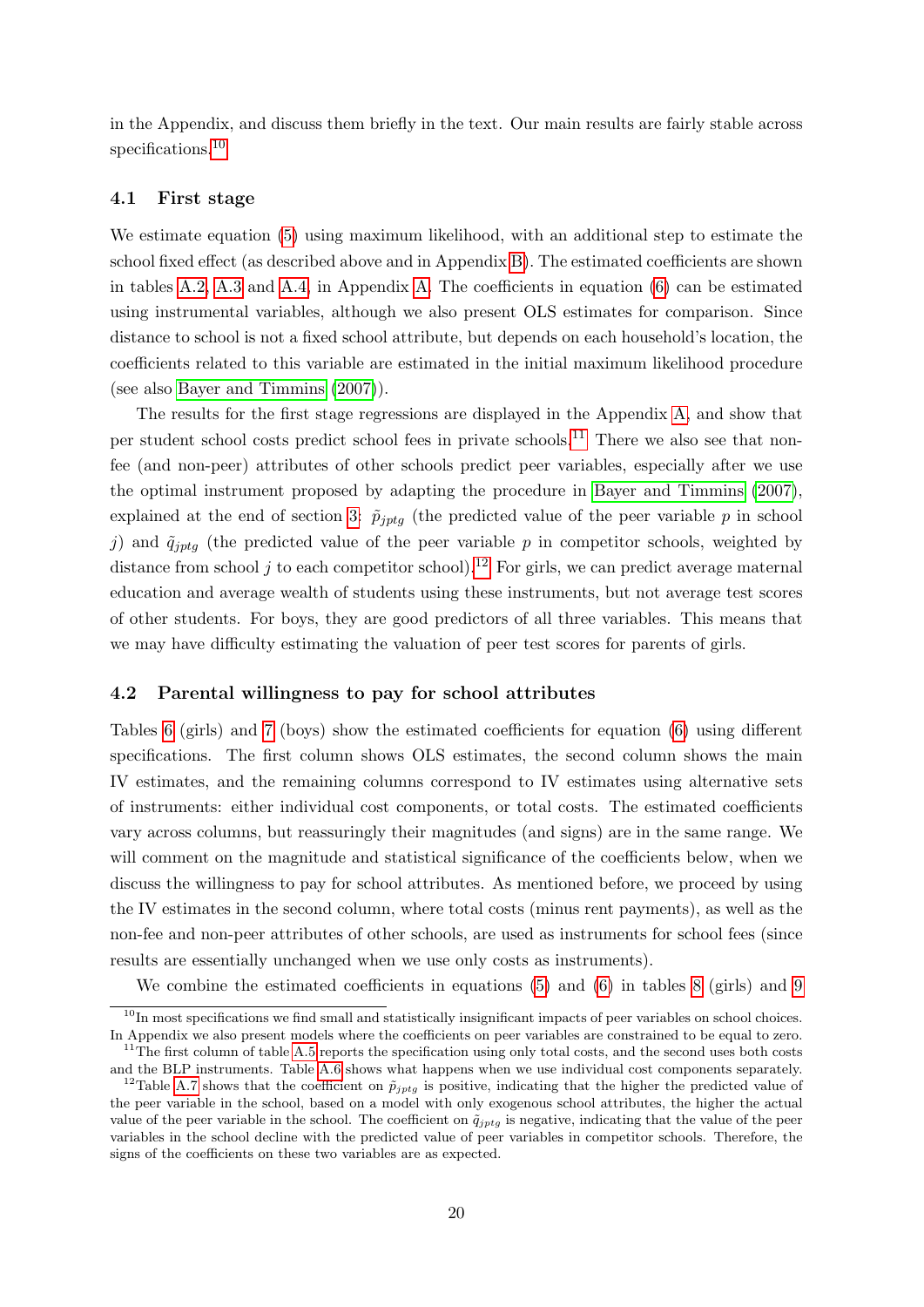in the Appendix, and discuss them briefly in the text. Our main results are fairly stable across specifications.<sup>[10](#page-21-0)</sup>

#### 4.1 First stage

We estimate equation [\(5\)](#page-15-5) using maximum likelihood, with an additional step to estimate the school fixed effect (as described above and in Appendix [B\)](#page-66-0). The estimated coefficients are shown in tables [A.2,](#page-49-0) [A.3](#page-50-0) and [A.4,](#page-51-0) in Appendix [A.](#page-47-0) The coefficients in equation [\(6\)](#page-15-4) can be estimated using instrumental variables, although we also present OLS estimates for comparison. Since distance to school is not a fixed school attribute, but depends on each household's location, the coefficients related to this variable are estimated in the initial maximum likelihood procedure (see also [Bayer and Timmins](#page-44-4) [\(2007\)](#page-44-4)).

The results for the first stage regressions are displayed in the Appendix [A,](#page-47-0) and show that per student school costs predict school fees in private schools.[11](#page-21-1) There we also see that nonfee (and non-peer) attributes of other schools predict peer variables, especially after we use the optimal instrument proposed by adapting the procedure in [Bayer and Timmins](#page-44-4) [\(2007\)](#page-44-4), explained at the end of section [3:](#page-14-0)  $\tilde{p}_{iptq}$  (the predicted value of the peer variable p in school j) and  $\tilde{q}_{iptg}$  (the predicted value of the peer variable p in competitor schools, weighted by distance from school  $j$  to each competitor school).<sup>[12](#page-21-2)</sup> For girls, we can predict average maternal education and average wealth of students using these instruments, but not average test scores of other students. For boys, they are good predictors of all three variables. This means that we may have difficulty estimating the valuation of peer test scores for parents of girls.

#### 4.2 Parental willingness to pay for school attributes

Tables [6](#page-22-0) (girls) and [7](#page-23-0) (boys) show the estimated coefficients for equation [\(6\)](#page-15-4) using different specifications. The first column shows OLS estimates, the second column shows the main IV estimates, and the remaining columns correspond to IV estimates using alternative sets of instruments: either individual cost components, or total costs. The estimated coefficients vary across columns, but reassuringly their magnitudes (and signs) are in the same range. We will comment on the magnitude and statistical significance of the coefficients below, when we discuss the willingness to pay for school attributes. As mentioned before, we proceed by using the IV estimates in the second column, where total costs (minus rent payments), as well as the non-fee and non-peer attributes of other schools, are used as instruments for school fees (since results are essentially unchanged when we use only costs as instruments).

We combine the estimated coefficients in equations [\(5\)](#page-15-5) and [\(6\)](#page-15-4) in tables [8](#page-25-0) (girls) and [9](#page-26-0)

<span id="page-21-0"></span> $10$ In most specifications we find small and statistically insignificant impacts of peer variables on school choices. In Appendix we also present models where the coefficients on peer variables are constrained to be equal to zero.  $11$ The first column of table [A.5](#page-52-0) reports the specification using only total costs, and the second uses both costs

<span id="page-21-1"></span>and the BLP instruments. Table [A.6](#page-53-0) shows what happens when we use individual cost components separately.

<span id="page-21-2"></span><sup>&</sup>lt;sup>12</sup>Table [A.7](#page-54-0) shows that the coefficient on  $\tilde{p}_{iptq}$  is positive, indicating that the higher the predicted value of the peer variable in the school, based on a model with only exogenous school attributes, the higher the actual value of the peer variable in the school. The coefficient on  $\tilde{q}_{jptg}$  is negative, indicating that the value of the peer variables in the school decline with the predicted value of peer variables in competitor schools. Therefore, the signs of the coefficients on these two variables are as expected.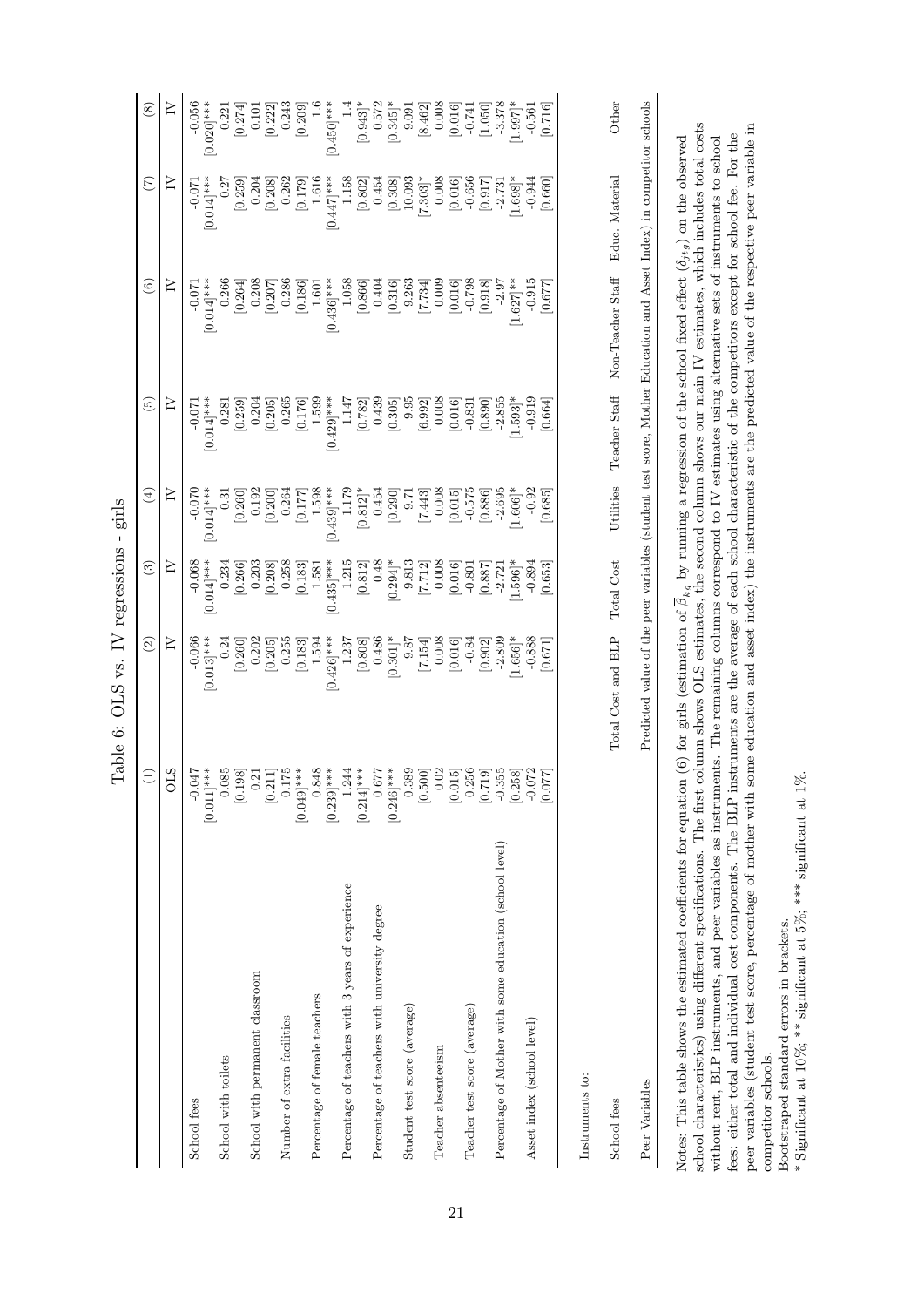<span id="page-22-0"></span>

|                                                                 | Ξ                                                                                               | $\widehat{\mathfrak{D}}$                                                                                                      | $\widehat{\mathbf{e}}$    | $\left( 4\right)$                  | $\widetilde{\Xi}$         | $\circledcirc$            | $\widetilde{(\mathcal{L})}$ | $\circledS$                                     |
|-----------------------------------------------------------------|-------------------------------------------------------------------------------------------------|-------------------------------------------------------------------------------------------------------------------------------|---------------------------|------------------------------------|---------------------------|---------------------------|-----------------------------|-------------------------------------------------|
|                                                                 | <b>OLS</b>                                                                                      | $\geq$                                                                                                                        | ≧                         | $\geq$                             | ≧                         | ≧                         | ≧                           | $\geq$                                          |
| School fees                                                     | $[0.011]$ ***<br>$-0.047$                                                                       | $-0.066$<br>$[0.013]$ ***                                                                                                     | $[0.014]$ ***<br>$-0.068$ | $0.014$ <sup>***</sup><br>$-0.070$ | $[0.014]$ ***<br>$-0.071$ | $[0.014]$ ***<br>$-0.071$ | $[0.014]$ ***<br>$-0.071$   | $-0.056$<br>$[0.020]$ ***                       |
| School with toilets                                             | 0.085                                                                                           | 0.24                                                                                                                          | 0.234                     | $\overline{0.31}$                  | 0.281                     | 0.266                     | 0.27                        | 0.221                                           |
|                                                                 | $\begin{bmatrix} 0.198 \\ 0.21 \end{bmatrix}$                                                   | 0.202<br>[0.260]                                                                                                              | [0.266]<br>0.203          | 0.192<br>[0.260]                   | 0.204<br>[0.259]          | 0.208<br>[0.264]          | 0.204<br>[0.259]            | [0.274]<br>0.101                                |
| School with permanent classroom                                 |                                                                                                 | [0.205]                                                                                                                       | [0.208]                   | [0.200]                            | [0.205]                   | [0.207]                   | [0.208]                     | [0.222]                                         |
| Number of extra facilities                                      | $\left[ 0.211\right] 0.175$                                                                     | 0.255                                                                                                                         | 0.258                     | 0.264                              | 0.265                     | 0.286                     | 0.262                       | 0.243                                           |
| Percentage of female teachers                                   | $[0.049]$ ***<br>0.848                                                                          | 1.594<br>[0.183]                                                                                                              | [0.183]<br>1.581          | 1.598<br>[0.177]                   | 1.599<br>[0.176]          | [0.186]<br>1.601          | 1.616<br>[0.179]            | $\frac{6}{1}$<br>[0.209]                        |
|                                                                 | $[0.239]$ ***                                                                                   | $[0.426]$ ***                                                                                                                 | $[0.435]$ ***             | $[0.439]$ ***                      | $[0.429]$ ***             | $0.436$ <sup>***</sup>    | $[0.447]$ ***               | $[0.450]$ ***                                   |
| Percentage of teachers with 3 years of experience               | 1.244                                                                                           | 1.237                                                                                                                         | 1.215                     | 1.179                              | $1.147\,$                 | 1.058                     | 1.158                       |                                                 |
| Percentage of teachers with university degree                   | $[0.214]***$<br>0.677                                                                           | 0.486<br>[0.808]                                                                                                              | 0.48<br>[0.812]           | $[0.812]$ *<br>0.454               | 0.439<br>[0.782]          | 0.404<br>[0.866]          | 0.454<br>[0.802]            | [0.943]<br>0.572                                |
|                                                                 | $[0.246]$ ***                                                                                   | $[0.301]$ *                                                                                                                   | $0.294$ <sup>*</sup>      | [0.290]                            | [0.305]                   | [0.316]                   | [0.308]                     | $[0.345]$ *                                     |
| Student test score (average)                                    | 0.389                                                                                           | 9.87                                                                                                                          | 9.813                     | $-6.7$                             | 9.95                      | 9.263                     | 10.093                      | 9.091                                           |
|                                                                 | $\begin{bmatrix} 0.500 \\ 0.015 \\ 0.015 \\ 0.256 \\ 0.719 \\ 0.719 \\ 0.7355 \\ \end{bmatrix}$ | [7.154]                                                                                                                       | [7.712]                   | $[7.443]$                          | [6.992]                   | [7.734]                   | $7.303*$                    | [8.462]                                         |
| Teacher absenteeism                                             |                                                                                                 | 0.008                                                                                                                         | 0.008                     | 0.008                              | 0.008                     | 0.009                     | 0.008                       | 0.008                                           |
|                                                                 |                                                                                                 | [0.016]                                                                                                                       | [0.016]                   | [0.015]                            | [0.016]                   | [0.016]                   | [0.016]                     | [0.016]                                         |
| Teacher test score (average)                                    |                                                                                                 | $-0.84$                                                                                                                       | $-0.801$                  | $-0.575$                           | $-0.831$                  | $-0.798$                  | $-0.656$                    | $\begin{bmatrix} 0.741 \\ -0.741 \end{bmatrix}$ |
|                                                                 |                                                                                                 | [0.902]                                                                                                                       | [0.887]                   | [0.886]                            | [0.890]                   | [0.918]                   | [0.917]                     |                                                 |
| Percentage of Mother with some education (school level)         |                                                                                                 | $-2.809$                                                                                                                      | $-2.721$                  | $-2.695$                           | $-2.855$                  | $-2.97$                   | $-2.731$                    | $-3.378$<br>1.997]*                             |
|                                                                 | [0.258]                                                                                         | $1.656$ <sup>*</sup>                                                                                                          | $1.596$ <sup>*</sup>      | $1.606$ <sup>*</sup>               | $1.593$ <sup>*</sup>      | $[1.627]$ **              | $1.698$ <sup>*</sup>        |                                                 |
| Asset index (school level)                                      |                                                                                                 | $-0.888$                                                                                                                      | $-0.894$                  | $-0.92$                            | $-0.919$                  | $-0.915$                  | $-0.944$                    | $-0.561$                                        |
|                                                                 | [0.077]                                                                                         | [0.671]                                                                                                                       | [0.653]                   | [0.685]                            | [0.664]                   | [773.0]                   | [0.660]                     | [0.716]                                         |
| Instruments to:                                                 |                                                                                                 |                                                                                                                               |                           |                                    |                           |                           |                             |                                                 |
|                                                                 |                                                                                                 |                                                                                                                               |                           |                                    |                           |                           |                             |                                                 |
| School fees                                                     |                                                                                                 | Total Cost and BLP                                                                                                            | Total Cost                | Utilities                          | Teacher Staff             | Non-Teacher Staff         | Educ. Material              | Other                                           |
| Peer Variables                                                  |                                                                                                 | Predicted value of the peer variables (student test score, Mother Education and Asset Index) in competitor schools            |                           |                                    |                           |                           |                             |                                                 |
|                                                                 |                                                                                                 |                                                                                                                               |                           |                                    |                           |                           |                             |                                                 |
| Notes: This table shows the estimated coefficients for equation |                                                                                                 | (6) for girls (estimation of $\beta_{kg}$ by running a regression of the school fixed effect $(\delta_{jtg})$ on the observed |                           |                                    |                           |                           |                             |                                                 |

Table 6: OLS vs. IV regressions - girls Table 6: OLS vs. IV regressions - girls

school characteristics) using different specifications. The first column shows OLS estimates, the second column shows our main IV estimates, which includes total costs peer variables (student test score, percentage of mother with some education and asset index) the instruments are the predicted value of the respective peer variable in school characteristics) using different specifications. The first column shows OLS estimates, the second column shows our main IV estimates, which includes total costs peer variables (student test score, percentage of mother with some education and asset index) the instruments are the predicted value of the respective peer variable in fees: either total and individual cost components. The BLP instruments are the average of each school characteristic of the competitors except for school fee. For the without rent, BLP instruments, and peer variables as instruments. The remaining columns correspond to IV estimates using alternative sets of instruments to school fees: either total and individual cost components. The BLP instruments are the average of each school characteristic of the competitors except for school fee. For the without rent, BLP instruments, and peer variables as instruments. The remaining columns correspond to IV estimates using alternative sets of instruments to school competitor schools. competitor schools.  $\overline{N}$ 

Bootstraped standard errors in brackets. Bootstraped standard errors in brackets.

\* Significant at 10%; \*\* significant at 5%; \*\*\* significant at 1%. \* Significant at 10%; \*\* significant at 5%; \*\*\* significant at 1%.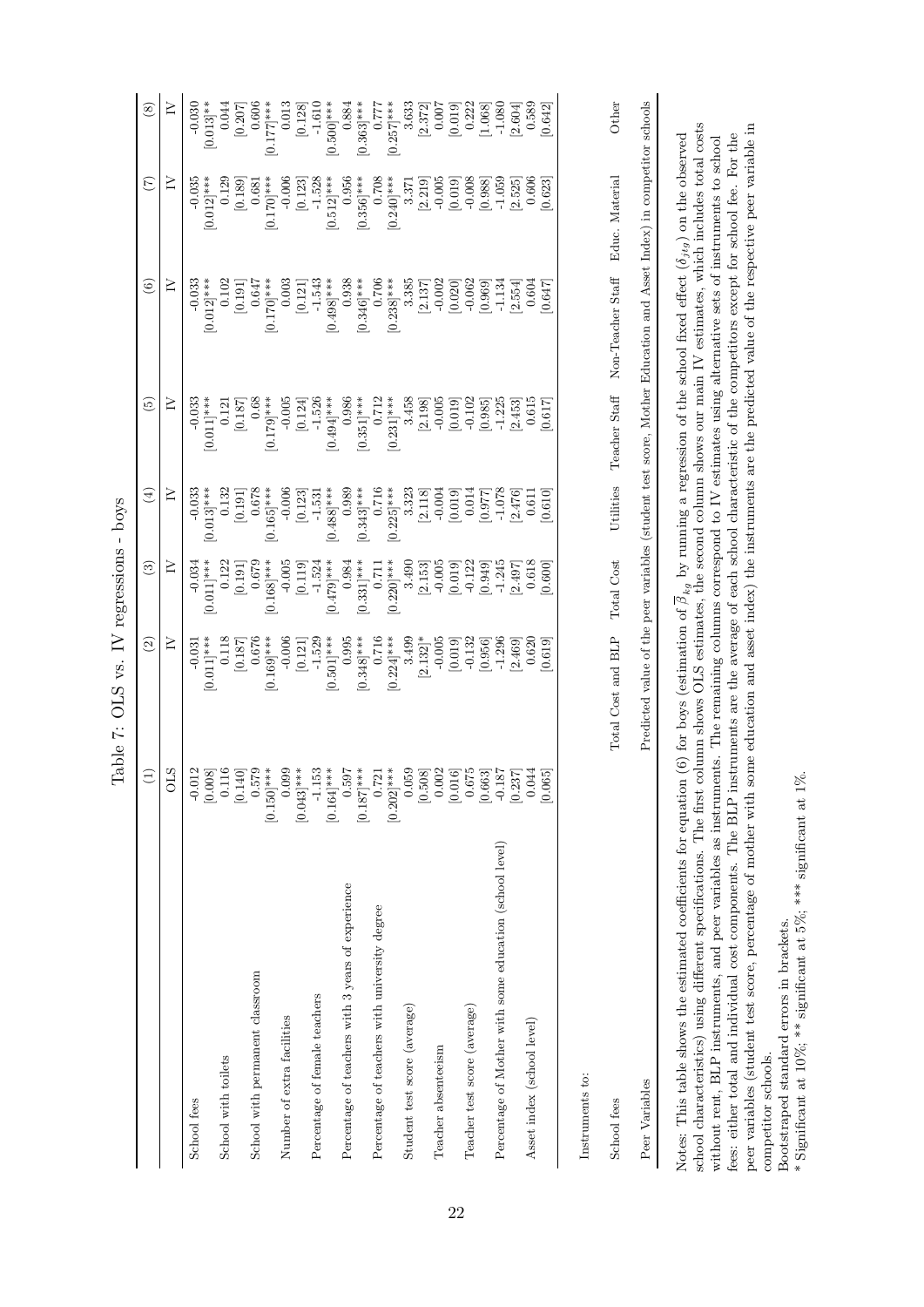<span id="page-23-0"></span>

| Cric              |
|-------------------|
| I                 |
| <b>NUCLOSOMON</b> |
|                   |
| ١<br>ļ            |
| ÿ,                |
| てきく               |
|                   |
| $\frac{1}{2}$     |

|                                                         | $\bigoplus$                                                                                                                                                                                                                                                                                        | $\widehat{\mathfrak{D}}$                                                                                           | $\widehat{\mathbf{e}}$    | $\bigoplus$               | $\widetilde{5}$           | $\circledcirc$            | $\widetilde{C}$           | $\circledast$                                           |
|---------------------------------------------------------|----------------------------------------------------------------------------------------------------------------------------------------------------------------------------------------------------------------------------------------------------------------------------------------------------|--------------------------------------------------------------------------------------------------------------------|---------------------------|---------------------------|---------------------------|---------------------------|---------------------------|---------------------------------------------------------|
|                                                         | GLS                                                                                                                                                                                                                                                                                                | ≧                                                                                                                  | ≧                         | $\geq$                    | ≧                         | ≧                         | ≧                         | $\geq$                                                  |
| School fees                                             | $\begin{array}{c} -0.012 \\ 0.008 \\ 0.116 \\ 0.140 \\ 0.579 \end{array}$                                                                                                                                                                                                                          | $[0.011]$ ***<br>$-0.031$                                                                                          | $[0.011]$ ***<br>$-0.034$ | $-0.033$<br>$[0.013]$ *** | $-0.033$<br>$[0.011]$ *** | $-0.033$<br>$[0.012]$ *** | $-0.035$<br>$[0.012]$ *** | $-0.030$<br>$[0.013]$ **                                |
| School with toilets                                     |                                                                                                                                                                                                                                                                                                    | 0.118                                                                                                              | 0.122                     | 0.132                     | 0.121                     | 0.102                     | 0.129                     | 0.044                                                   |
| School with permanent classroom                         |                                                                                                                                                                                                                                                                                                    | 0.676<br>[0.187]                                                                                                   | 0.679<br>[0.191]          | 0.678<br>[0.191]          | 0.68<br>[0.187]           | 0.647<br>$[0.191]$        | [0.189]<br>0.681          | 0.606<br>[0.207]                                        |
| Number of extra facilities                              | $[0.150]$ ***<br>0.099                                                                                                                                                                                                                                                                             | $-0.006$<br>$[0.169]$ ***                                                                                          | $[0.168]$ ***<br>$-0.005$ | $-0.006$<br>$[0.165]$ *** | $-0.005$<br>$[0.179]$ *** | 0.003<br>$[0.170]$ ***    | $-0.006$<br>$[0.170]$ *** | 0.013<br>$[0.177]$ ***                                  |
|                                                         |                                                                                                                                                                                                                                                                                                    | [0.121]                                                                                                            | [0.119]                   | [0.123]                   | [0.124]                   | [0.121]                   | [0.123]                   | [0.128]                                                 |
| Percentage of female teachers                           | $[0.043]^{***}$<br>-1.153<br>[0.164]***                                                                                                                                                                                                                                                            | $-1.529$<br>$[0.501]$ ***                                                                                          | $[0.479]$ ***<br>$-1.524$ | $[0.488]***$<br>$-1.531$  | $[0.494]***$<br>$-1.526$  | $-1.543$<br>$[0.498]$ *** | $-1.528$<br>$[0.512]$ *** | $-1.610$<br>$[0.500]$ ***                               |
| Percentage of teachers with 3 years of experience       | 0.597                                                                                                                                                                                                                                                                                              | 0.995                                                                                                              | 0.984                     | 0.989                     | 0.986                     | 0.938                     | 0.956                     | 0.884                                                   |
| Percentage of teachers with university degree           | $[0.187]^{***}_{**}$ 0.721                                                                                                                                                                                                                                                                         | 0.716<br>$[0.348]$ ***                                                                                             | $[0.331]$ ***<br>0.711    | 0.716<br>$[0.343]$ ***    | $[0.351]$ ***<br>0.712    | 0.706<br>$[0.346]$ ***    | 0.708<br>$[0.356]$ ***    | $[0.363]$ ***<br>7777                                   |
|                                                         | $[0.202]^{***}_{0.050} \eqno{0.050} \eqno{0.050} \eqno{0.050} \eqno{0.002} \eqno{0.002} \eqno{0.001} \eqno{0.003} \eqno{0.003} \eqno{0.003} \eqno{0.003} \eqno{0.003} \eqno{0.003} \eqno{0.003} \eqno{0.003} \eqno{0.003} \eqno{0.003} \eqno{0.003} \eqno{0.003} \eqno{0.003} \eqno{0.004} \eqno{$ | $[0.224]$ ***                                                                                                      | $[0.220]$ ***             | $[0.225]$ ***             | $[0.231]$ ***             | $[0.238]***$              | $[0.240]$ ***             | $[0.257]$ ***                                           |
| Student test score (average)                            |                                                                                                                                                                                                                                                                                                    | 3.499                                                                                                              | 3.490                     | 3.323                     | 3.458                     | 3.385                     | 3.371                     | 3.633                                                   |
|                                                         |                                                                                                                                                                                                                                                                                                    | $[2.132]$ *                                                                                                        | [2.153]                   | [2.118]                   | [2.198]                   | [2.137]                   | [2.219]                   | [2.372]                                                 |
| Teacher absenteeism                                     |                                                                                                                                                                                                                                                                                                    | $-0.005$                                                                                                           | $-0.005$                  | $-0.004$                  | $-0.005$                  | $-0.002$                  | $-0.005$                  | 0.007                                                   |
|                                                         |                                                                                                                                                                                                                                                                                                    | [0.019]                                                                                                            | [0.019]                   | [0.019]                   | [0.019]                   | [0.020]                   | [0.019]                   | $\begin{bmatrix} 0.019 \\ 0.222 \\ 1.068 \end{bmatrix}$ |
| Teacher test score (average)                            |                                                                                                                                                                                                                                                                                                    | $-0.132$                                                                                                           | $-0.122$                  | 0.014                     | $-0.102$                  |                           | $-0.008$                  |                                                         |
|                                                         |                                                                                                                                                                                                                                                                                                    | [0.956]                                                                                                            | [0.949]                   | [0.977]                   | [0.985]                   | [0.969]                   | [0.988]                   |                                                         |
| Percentage of Mother with some education (school level) |                                                                                                                                                                                                                                                                                                    | $-1.296$                                                                                                           | $-1.245$                  | $-1.078$                  | $-1.225$                  | $-1.134$                  | $-1.059$                  | $-1.080$                                                |
|                                                         |                                                                                                                                                                                                                                                                                                    | [2.469]                                                                                                            | [2.497]                   | [2.476]                   | [2.453]                   | [2.554]                   | [2.525]                   | [2.604]                                                 |
| Asset index (school level)                              | 0.044                                                                                                                                                                                                                                                                                              | 0.620                                                                                                              | 0.618                     | 0.611                     | 0.615                     | 0.604                     | 0.606                     | 0.589                                                   |
|                                                         | [0.065]                                                                                                                                                                                                                                                                                            | [0.619]                                                                                                            | [0.600]                   | 0.610                     | [0.617]                   | 0.647                     | [0.623]                   | [0.642]                                                 |
| Instruments to:                                         |                                                                                                                                                                                                                                                                                                    |                                                                                                                    |                           |                           |                           |                           |                           |                                                         |
| School fees                                             |                                                                                                                                                                                                                                                                                                    | Total Cost and BLP                                                                                                 | Total Cost                | Utilities                 | Teacher Staff             | Non-Teacher Staff         | Educ. Material            | Other                                                   |
| Peer Variables                                          |                                                                                                                                                                                                                                                                                                    | Predicted value of the peer variables (student test score, Mother Education and Asset Index) in competitor schools |                           |                           |                           |                           |                           |                                                         |

Notes: This table shows the estimated coefficients for equation (6) for boys (estimation of  $\bar{\rho}_{kg}$  by running a regression of the school fixed effect  $(\delta_{jtg})$  on the observed school characteristics) using different spe peer variables (student test score, percentage of mother with some education and asset index) the instruments are the predicted value of the respective peer variable in school characteristics) using different specifications. The first column shows OLS estimates, the second column shows our main IV estimates, which includes total costs peer variables (student test score, percentage of mother with some education and asset index) the instruments are the predicted value of the respective peer variable in fees: either total and individual cost components. The BLP instruments are the average of each school characteristic of the competitors except for school fee. For the without rent, BLP instruments, and peer variables as instruments. The remaining columns correspond to IV estimates using alternative sets of instruments to school Notes: This table shows the estimated coefficients for equation (6) for boys (estimation of  $\beta_{kg}$  by running a regression of the school fixed effect  $(\delta_{jtg})$  on the observed fees: either total and individual cost components. The BLP instruments are the average of each school characteristic of the competitors except for school fee. For the without rent, BLP instruments, and peer variables as instruments. The remaining columns correspond to IV estimates using alternative sets of instruments to school competitor schools. competitor schools.

Bootstraped standard errors in brackets. Bootstraped standard errors in brackets.

\* Significant at 10%; \*\* significant at 5%; \*\*\* significant at 1%. \* Significant at 10%; \*\* significant at 5%; \*\*\* significant at 1%.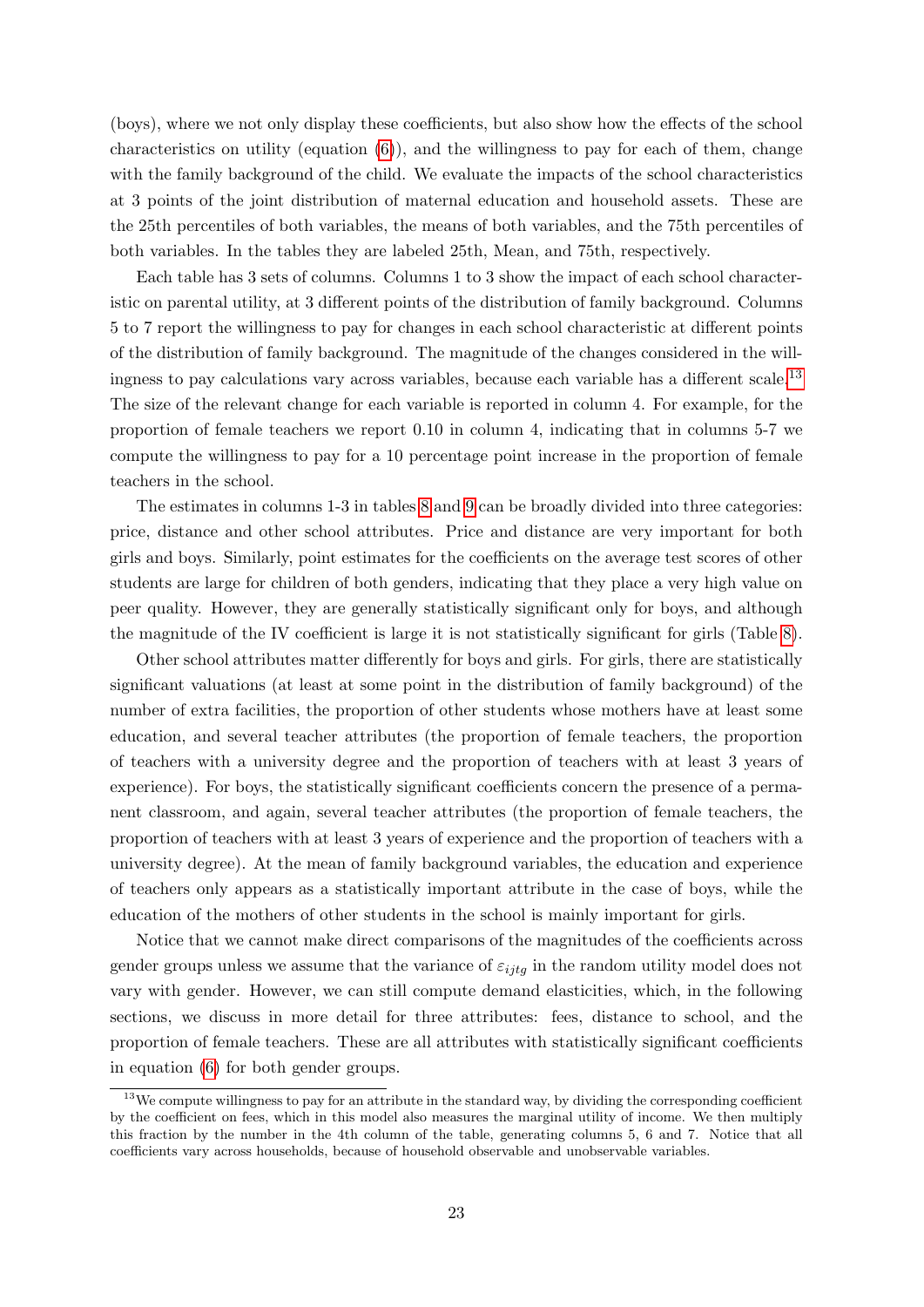(boys), where we not only display these coefficients, but also show how the effects of the school characteristics on utility (equation  $(6)$ ), and the willingness to pay for each of them, change with the family background of the child. We evaluate the impacts of the school characteristics at 3 points of the joint distribution of maternal education and household assets. These are the 25th percentiles of both variables, the means of both variables, and the 75th percentiles of both variables. In the tables they are labeled 25th, Mean, and 75th, respectively.

Each table has 3 sets of columns. Columns 1 to 3 show the impact of each school characteristic on parental utility, at 3 different points of the distribution of family background. Columns 5 to 7 report the willingness to pay for changes in each school characteristic at different points of the distribution of family background. The magnitude of the changes considered in the will-ingness to pay calculations vary across variables, because each variable has a different scale.<sup>[13](#page-24-0)</sup> The size of the relevant change for each variable is reported in column 4. For example, for the proportion of female teachers we report 0.10 in column 4, indicating that in columns 5-7 we compute the willingness to pay for a 10 percentage point increase in the proportion of female teachers in the school.

The estimates in columns 1-3 in tables [8](#page-25-0) and [9](#page-26-0) can be broadly divided into three categories: price, distance and other school attributes. Price and distance are very important for both girls and boys. Similarly, point estimates for the coefficients on the average test scores of other students are large for children of both genders, indicating that they place a very high value on peer quality. However, they are generally statistically significant only for boys, and although the magnitude of the IV coefficient is large it is not statistically significant for girls (Table [8\)](#page-25-0).

Other school attributes matter differently for boys and girls. For girls, there are statistically significant valuations (at least at some point in the distribution of family background) of the number of extra facilities, the proportion of other students whose mothers have at least some education, and several teacher attributes (the proportion of female teachers, the proportion of teachers with a university degree and the proportion of teachers with at least 3 years of experience). For boys, the statistically significant coefficients concern the presence of a permanent classroom, and again, several teacher attributes (the proportion of female teachers, the proportion of teachers with at least 3 years of experience and the proportion of teachers with a university degree). At the mean of family background variables, the education and experience of teachers only appears as a statistically important attribute in the case of boys, while the education of the mothers of other students in the school is mainly important for girls.

Notice that we cannot make direct comparisons of the magnitudes of the coefficients across gender groups unless we assume that the variance of  $\varepsilon_{ijtg}$  in the random utility model does not vary with gender. However, we can still compute demand elasticities, which, in the following sections, we discuss in more detail for three attributes: fees, distance to school, and the proportion of female teachers. These are all attributes with statistically significant coefficients in equation [\(6\)](#page-15-4) for both gender groups.

<span id="page-24-0"></span><sup>&</sup>lt;sup>13</sup>We compute willingness to pay for an attribute in the standard way, by dividing the corresponding coefficient by the coefficient on fees, which in this model also measures the marginal utility of income. We then multiply this fraction by the number in the 4th column of the table, generating columns 5, 6 and 7. Notice that all coefficients vary across households, because of household observable and unobservable variables.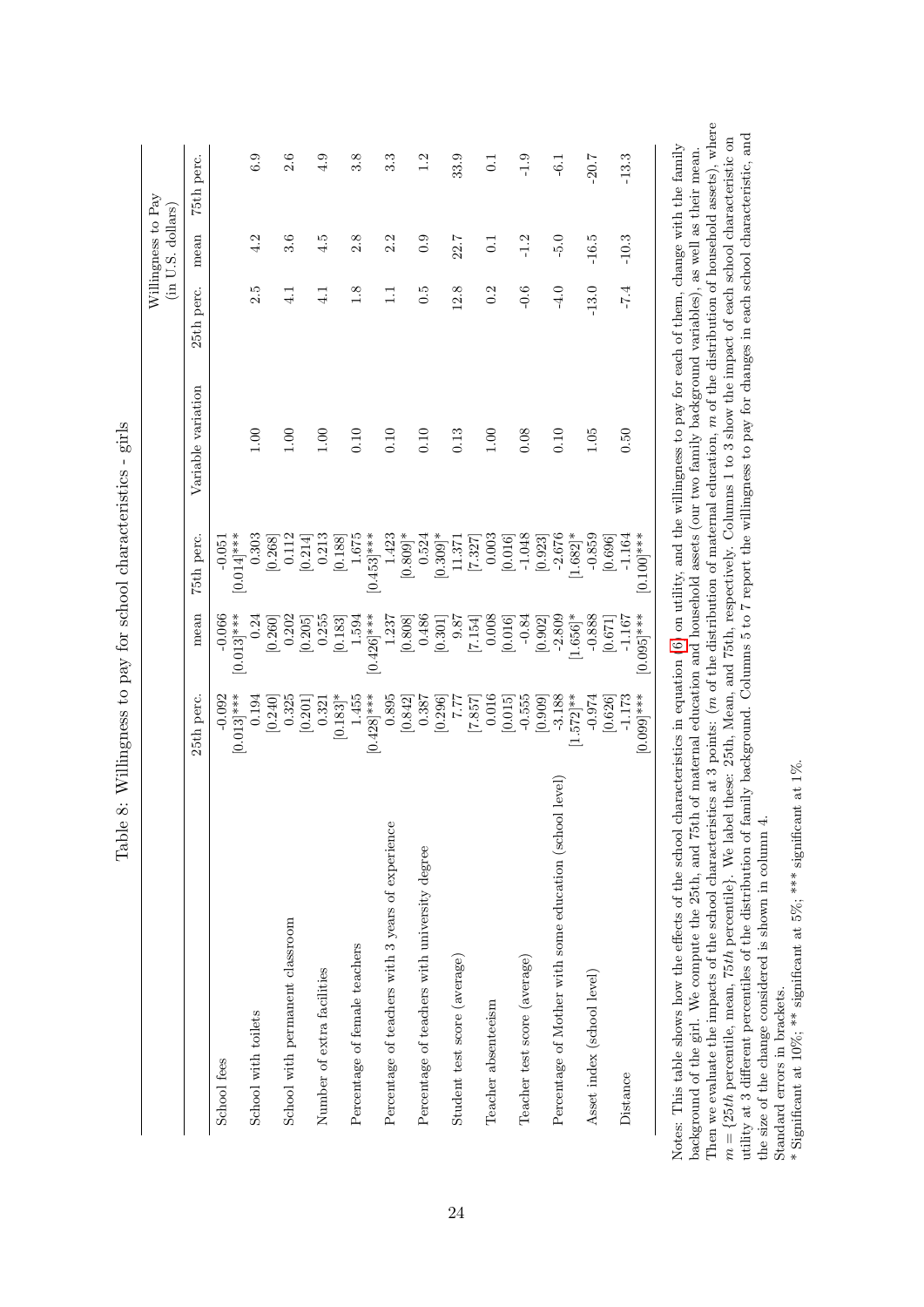<span id="page-25-0"></span>

|                                                         |               |                      |                      |                    |               | (in U.S. dollars) |                  |
|---------------------------------------------------------|---------------|----------------------|----------------------|--------------------|---------------|-------------------|------------------|
|                                                         | 25th perc.    | mean                 | 75th perc.           | Variable variation | 25th perc.    | mean              | 75th perc.       |
| School fees                                             | $-0.092$      | $-0.066$             | $-0.051$             |                    |               |                   |                  |
|                                                         | $[0.013]$ *** | $[0.013]$ ***        | $[0.014]$ ***        |                    |               |                   |                  |
| School with toilets                                     | 0.194         | 0.24                 | 0.303                | 00.1               | 2.5           | 4.2               | 6.9              |
|                                                         | [0.240]       | [0.260]              | [0.268]              |                    |               |                   |                  |
| School with permanent classroom                         | 0.325         | 0.202                | 0.112                | 00.1               | $\frac{1}{4}$ | 3.6               | 2.6              |
|                                                         | [0.201]       | [0.205]              | 0.214                |                    |               |                   |                  |
| Number of extra facilities                              | 0.321         | 0.255                | 0.213                | 00.1               | $\frac{1}{4}$ | 4.5               | 4.9              |
|                                                         | $[0.183]$ *   | [0.183]              | [0.188]              |                    |               |                   |                  |
| Percentage of female teachers                           | 1.455         | 1.594                | 1.675                | 0.10               | 1.8           | 2.8               | 3.8              |
|                                                         | $[0.428]$ *** | $[0.426]$ ***        | $[0.453]$ ***        |                    |               |                   |                  |
| Percentage of teachers with 3 years of experience       | 0.895         | 1.237                | 1.423                | 0.10               | $\Xi$         | 2.2               | 3.3              |
|                                                         | [0.842]       | [0.808]              | $[0.809]$ *          |                    |               |                   |                  |
| Percentage of teachers with university degree           | 0.387         | 0.486                | 0.524                | 0.10               | $\ddot{0}$ .  | 0.9               | 1.2              |
|                                                         | [0.296]       | [0.301]              | $0.309$ <sup>*</sup> |                    |               |                   |                  |
| Student test score (average)                            | 7.77          | 9.87                 | 11.371               | 0.13               | 12.8          | 22.7              | 33.9             |
|                                                         | [7.887]       | [7.154]              | [7.327]              |                    |               |                   |                  |
| Teacher absenteeism                                     | 0.016         | 0.008                | 0.003                | 001                | 0.2           | 0.1               | $\overline{0}$ . |
|                                                         | [0.015]       | [0.016]              | [0.016]              |                    |               |                   |                  |
| Teacher test score (average)                            | $-0.555$      | $-0.84$              | $-1.048$             | 0.08               | $-0.6$        | $-1.2$            | $-1.9$           |
|                                                         | [0.909]       | [0.902]              | [0.923]              |                    |               |                   |                  |
| Percentage of Mother with some education (school level) | $-3.188$      | $-2.809$             | $-2.676$             | 0.10               | $-4.0$        | $-5.0$            | $-6.1$           |
|                                                         | $[1.572]$ **  | $1.656$ <sup>*</sup> | $1.682$ <sup>*</sup> |                    |               |                   |                  |
| Asset index (school level)                              | $-0.974$      | $-0.888$             | $-0.859$             | 1.05               | $-13.0$       | $-16.5$           | $-20.7$          |
|                                                         | [0.626]       | [0.671]              | [0.696]              |                    |               |                   |                  |
| Distance                                                | $-1.173$      | $-1.167$             | $-1.164$             | 0.50               | $-7.4$        | $-10.3$           | $-13.3$          |
|                                                         | $[0.099]$ *** | $[0.095]$ ***        | $[0.100]$ ***        |                    |               |                   |                  |

Table 8: Willingness to pay for school characteristics - girls Table 8: Willingness to pay for school characteristics - girls

Then we evaluate the impacts of the school characteristics at 3 points: (*m* of the distribution of maternal education, *m* of the distribution of household assets), where  $m = \{25th$  percentile, mean, 75th percentile}. We Then we evaluate the impacts of the school characteristics at 3 points: (m of the distribution of maternal education, m of the distribution of household assets), where  $-$  or the material control of household assets), whe utility at 3 different percentiles of the distribution of family background. Columns 5 to 7 report the willingness to pay for changes in each school characteristic, and utility at 3 different percentiles of the distribution of family background. Columns 5 to 7 report the willingness to pay for changes in each school characteristic, and  $m = \{25th$  percentile, mean, 75th percentile}. We label these: 25th, Mean, and 75th, respectively. Columns 1 to 3 show the impact of each school characteristic on<br>  $\sum_{i=1}^{n}$  and  $\sum_{i=1}^{n}$  and  $\sum_{i=1}^{n}$  and  $\sum_{i=1$ background of the girl. We compute the 25th, and 75th of maternal education and household assets (our two family background variables), as well as their mean. the size of the change considered is shown in column 4. the size of the change considered is shown in column 4. Note back

Standard errors in brackets. <br>  $\label{eq:4}$  <br> \* Significant at 10%; <br> \*\* significant at 5%; <br> \*\*\* significant at 1%. Standard errors in brackets.

\* Significant at 10%; \*\* significant at 5%; \*\*\* significant at 1%.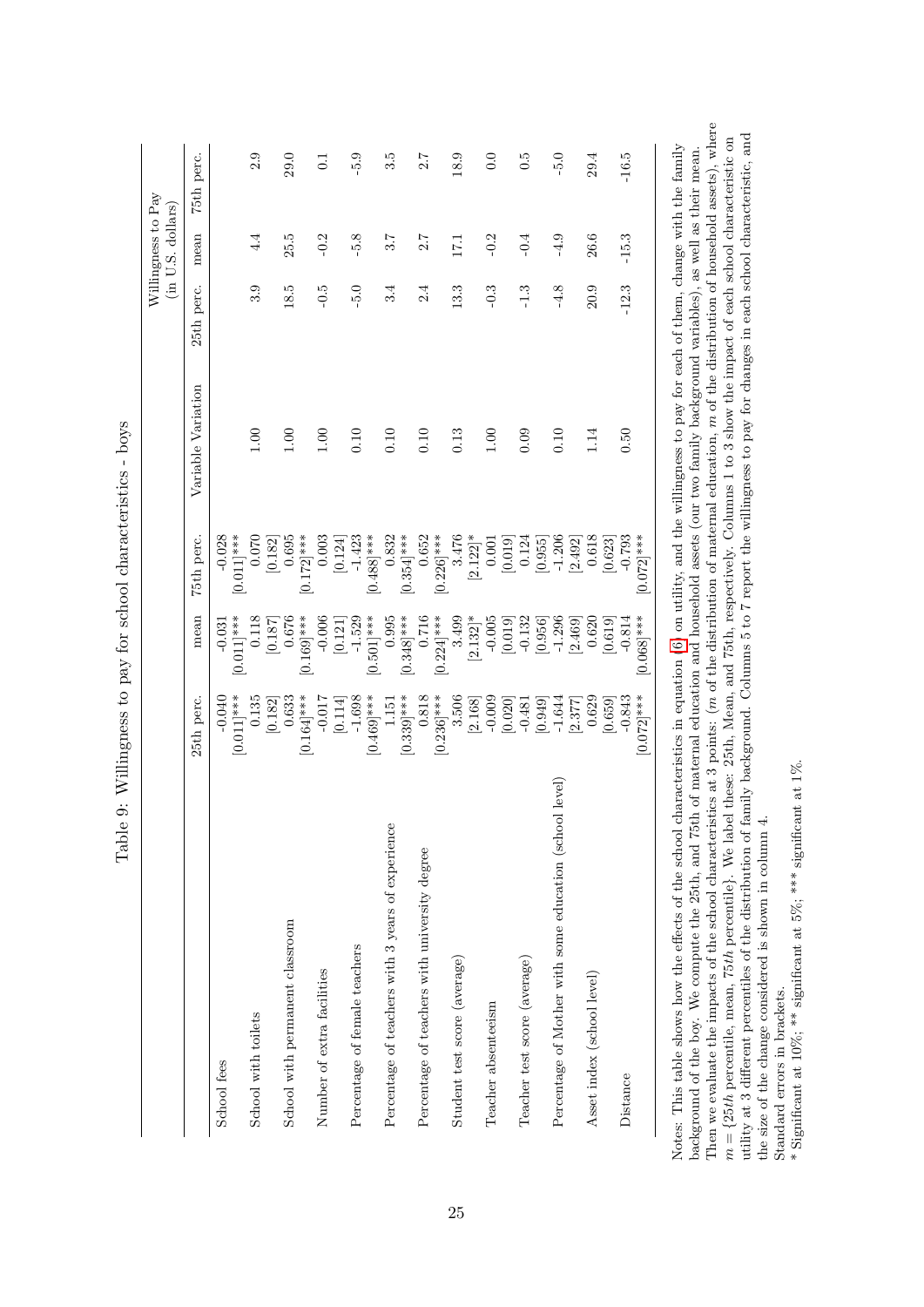|                                                         | 25th perc.                 | mean                      | 75th perc.                | Variable Variation | 25th perc. | mean       | 75th perc.       |
|---------------------------------------------------------|----------------------------|---------------------------|---------------------------|--------------------|------------|------------|------------------|
| School fees                                             | $[0.011]$ ***<br>$-0.040$  | $[0.011]$ ***<br>$-0.031$ | $-0.028$<br>$[0.011]$ *** |                    |            |            |                  |
| School with toilets                                     | 0.135                      | 0.118                     | 0.070                     | 1.00               | 3.9        | $\ddot{4}$ | 2.9              |
| School with permanent classroom                         | 0.633<br>[0.182]           | 0.676<br>[0.187]          | 0.695<br>[0.182]          | 1.00               | 18.5       | 25.5       | 29.0             |
| Number of extra facilities                              | $[0.164]$ ***<br>$-0.017$  | $[0.169]$ ***<br>$-0.006$ | $[0.172]$ ***<br>0.003    | 00.1               | $-0.5$     | $-0.2$     | 0.1              |
| Percentage of female teachers                           | $-1.698$<br>[0.114]        | $-1.529$<br>[0.121]       | $-1.423$<br>[0.124]       | 0.10               | $-5.0$     | $-5.8$     | $-5.9$           |
|                                                         | $[0.469]$ ***              | $[0.501]$ ***             | $[0.488]***$              |                    |            |            |                  |
| Percentage of teachers with 3 years of experience       | 1.151                      | 0.995                     | 0.832                     | 0.10               | 3.4        | 3.7        | 3.5              |
| Percentage of teachers with university degree           | $0.818\,$<br>$[0.339]$ *** | $[0.348]$ ***<br>0.716    | 0.652<br>$0.354]***$      | 0.10               | 2.4        | 2.7        | 2.7              |
|                                                         | $[0.236]$ ***              | $[0.224]$ ***             | $[0.226]$ ***             |                    |            |            |                  |
| Student test score (average)                            | 3.506                      | 3.499                     | 3.476                     | 0.13               | 13.3       | 171        | 18.9             |
|                                                         | [2.168]                    | $[2.132]$ *               | $[2.122]$ *               |                    |            |            |                  |
| Teacher absenteeism                                     | $-0.009$                   | $-0.005$                  | 0.001                     | 00.1               | $-0.3$     | $-0.2$     | 0.0              |
|                                                         | [0.020]                    | [0.019]                   | [0.019]                   |                    |            |            |                  |
| Teacher test score (average)                            | $-0.481$                   | $-0.132$                  | 0.124                     | 0.09               | $-1.3$     | $-0.4$     | $0.\overline{5}$ |
|                                                         | [0.949]                    | [0.956]                   | [0.955]                   |                    |            |            |                  |
| Percentage of Mother with some education (school level) | $-1.644$                   | $-1.296$                  | $-1.206$                  | 0.10               | $-4.8$     | $-4.9$     | $-5.0$           |
|                                                         | [2.377]                    | [2.469]                   | [2.492]                   |                    |            |            |                  |
| Asset index (school level)                              | 0.629                      | 0.620                     | 0.618                     | 1.14               | 20.9       | 26.6       | 29.4             |
|                                                         | [0.659]                    | [0.619]                   | [0.623]                   |                    |            |            |                  |
| Distance                                                | $-0.843$                   | $-0.814$                  | $-0.793$                  | 0.50               | $-12.3$    | $-15.3$    | $-16.5$          |
|                                                         | $[0.072]$ ***              | $[0.068]$ ***             | $[0.072]$ ***             |                    |            |            |                  |

<span id="page-26-0"></span>Table 9: Willingness to pay for school characteristics - boys Table 9: Willingness to pay for school characteristics - boys

Then we evaluate the impacts of the school characteristics at 3 points: (*m* of the distribution of maternal education, *m* of the distribution of household assets), where  $m = \{25th$  percentile, mean, 75th percentile}. We Then we evaluate the impacts of the school characteristics at 3 points: (m of the distribution of maternal education, m of the distribution of household assets), where  $-$  or the material control of household assets), whe utility at 3 different percentiles of the distribution of family background. Columns 5 to 7 report the willingness to pay for changes in each school characteristic, and utility at 3 different percentiles of the distribution of family background. Columns 5 to 7 report the willingness to pay for changes in each school characteristic, and  $m = \{25th$  percentile, mean, 75th percentile}. We label these: 25th, Mean, and 75th, respectively. Columns 1 to 3 show the impact of each school characteristic on<br>  $\sum_{i=1}^{n}$  and  $\sum_{i=1}^{n}$  and  $\sum_{i=1}^{n}$  and  $\sum_{i=1$ Notes: This table shows how the effects of the school characteristics in equation [\(6\)](#page-15-4) on utility, and the willingness to pay for each of them, change with the family background of the boy. We compute the 25th, and 75th of maternal education and household assets (our two family background variables), as well as their mean. the size of the change considered is shown in column 4. the size of the change considered is shown in column 4. Not<br>bac

Standard errors in brackets. <br>  $\label{eq:4}$  <br> \* Significant at 10%; <br> \*\* significant at 5%; <br> \*\*\* significant at 1%. Standard errors in brackets.

\* Significant at 10%; \*\* significant at 5%; \*\*\* significant at 1%.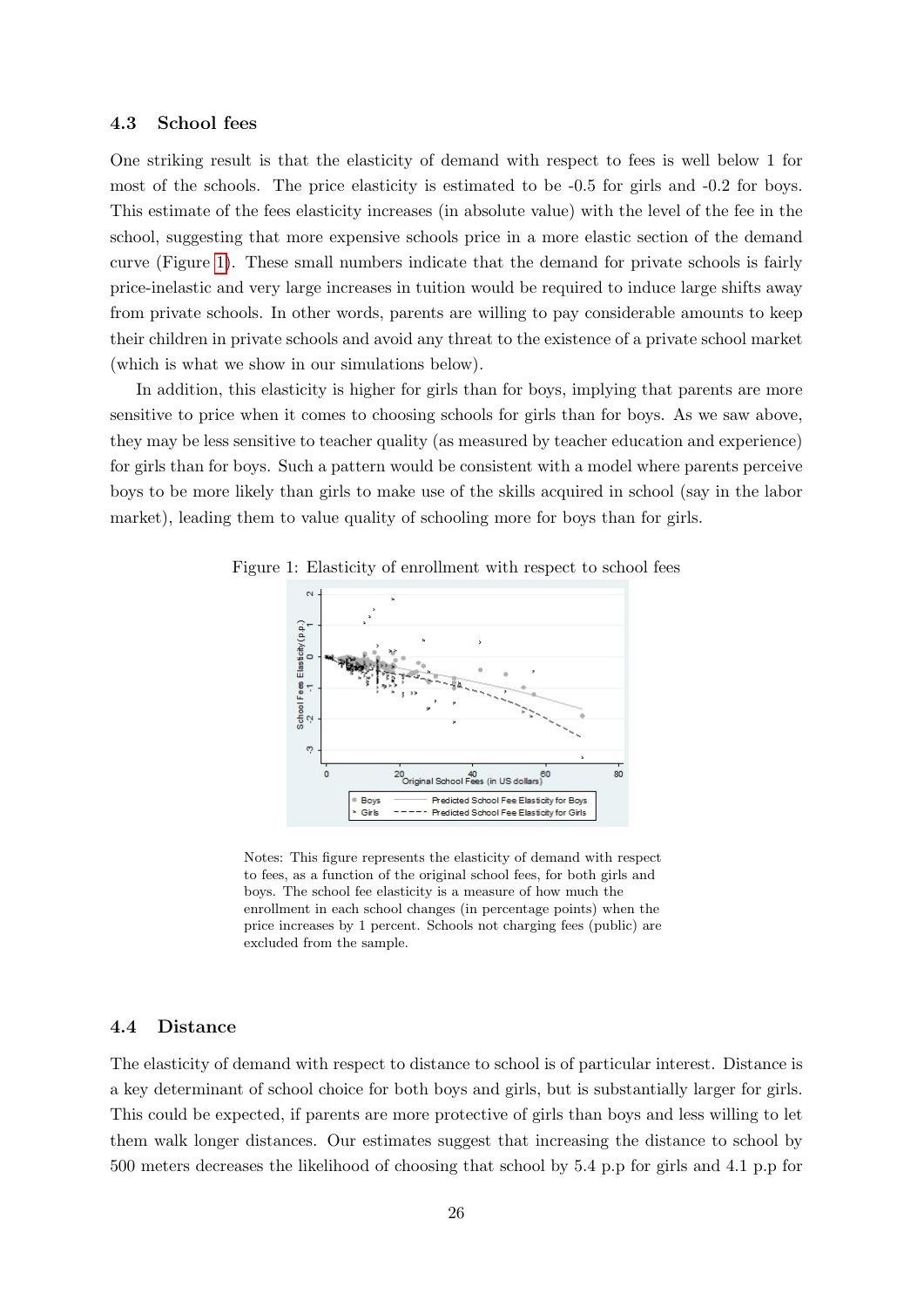#### 4.3 School fees

One striking result is that the elasticity of demand with respect to fees is well below 1 for most of the schools. The price elasticity is estimated to be -0.5 for girls and -0.2 for boys. This estimate of the fees elasticity increases (in absolute value) with the level of the fee in the school, suggesting that more expensive schools price in a more elastic section of the demand curve (Figure [1\)](#page-27-0). These small numbers indicate that the demand for private schools is fairly price-inelastic and very large increases in tuition would be required to induce large shifts away from private schools. In other words, parents are willing to pay considerable amounts to keep their children in private schools and avoid any threat to the existence of a private school market (which is what we show in our simulations below).

In addition, this elasticity is higher for girls than for boys, implying that parents are more sensitive to price when it comes to choosing schools for girls than for boys. As we saw above, they may be less sensitive to teacher quality (as measured by teacher education and experience) for girls than for boys. Such a pattern would be consistent with a model where parents perceive boys to be more likely than girls to make use of the skills acquired in school (say in the labor market), leading them to value quality of schooling more for boys than for girls.



<span id="page-27-0"></span>Figure 1: Elasticity of enrollment with respect to school fees

Notes: This figure represents the elasticity of demand with respect to fees, as a function of the original school fees, for both girls and boys. The school fee elasticity is a measure of how much the enrollment in each school changes (in percentage points) when the price increases by 1 percent. Schools not charging fees (public) are excluded from the sample.

#### 4.4 Distance

The elasticity of demand with respect to distance to school is of particular interest. Distance is a key determinant of school choice for both boys and girls, but is substantially larger for girls. This could be expected, if parents are more protective of girls than boys and less willing to let them walk longer distances. Our estimates suggest that increasing the distance to school by 500 meters decreases the likelihood of choosing that school by 5.4 p.p for girls and 4.1 p.p for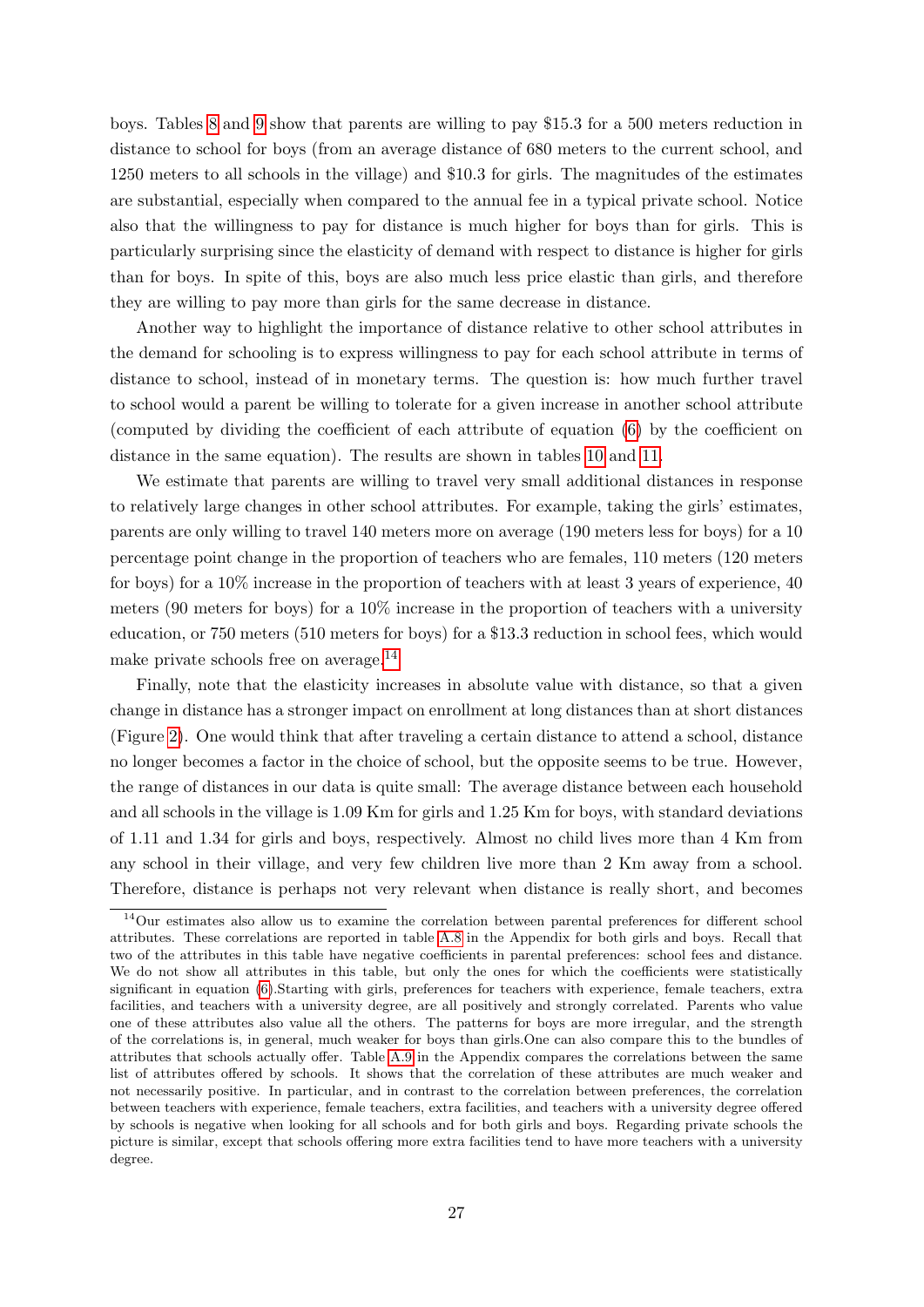boys. Tables [8](#page-25-0) and [9](#page-26-0) show that parents are willing to pay \$15.3 for a 500 meters reduction in distance to school for boys (from an average distance of 680 meters to the current school, and 1250 meters to all schools in the village) and \$10.3 for girls. The magnitudes of the estimates are substantial, especially when compared to the annual fee in a typical private school. Notice also that the willingness to pay for distance is much higher for boys than for girls. This is particularly surprising since the elasticity of demand with respect to distance is higher for girls than for boys. In spite of this, boys are also much less price elastic than girls, and therefore they are willing to pay more than girls for the same decrease in distance.

Another way to highlight the importance of distance relative to other school attributes in the demand for schooling is to express willingness to pay for each school attribute in terms of distance to school, instead of in monetary terms. The question is: how much further travel to school would a parent be willing to tolerate for a given increase in another school attribute (computed by dividing the coefficient of each attribute of equation [\(6\)](#page-15-4) by the coefficient on distance in the same equation). The results are shown in tables [10](#page-29-0) and [11.](#page-30-0)

We estimate that parents are willing to travel very small additional distances in response to relatively large changes in other school attributes. For example, taking the girls' estimates, parents are only willing to travel 140 meters more on average (190 meters less for boys) for a 10 percentage point change in the proportion of teachers who are females, 110 meters (120 meters for boys) for a 10% increase in the proportion of teachers with at least 3 years of experience, 40 meters (90 meters for boys) for a 10% increase in the proportion of teachers with a university education, or 750 meters (510 meters for boys) for a \$13.3 reduction in school fees, which would make private schools free on average.[14](#page-28-0)

Finally, note that the elasticity increases in absolute value with distance, so that a given change in distance has a stronger impact on enrollment at long distances than at short distances (Figure [2\)](#page-31-0). One would think that after traveling a certain distance to attend a school, distance no longer becomes a factor in the choice of school, but the opposite seems to be true. However, the range of distances in our data is quite small: The average distance between each household and all schools in the village is 1.09 Km for girls and 1.25 Km for boys, with standard deviations of 1.11 and 1.34 for girls and boys, respectively. Almost no child lives more than 4 Km from any school in their village, and very few children live more than 2 Km away from a school. Therefore, distance is perhaps not very relevant when distance is really short, and becomes

<span id="page-28-0"></span><sup>14</sup>Our estimates also allow us to examine the correlation between parental preferences for different school attributes. These correlations are reported in table [A.8](#page-55-0) in the Appendix for both girls and boys. Recall that two of the attributes in this table have negative coefficients in parental preferences: school fees and distance. We do not show all attributes in this table, but only the ones for which the coefficients were statistically significant in equation [\(6\)](#page-15-4).Starting with girls, preferences for teachers with experience, female teachers, extra facilities, and teachers with a university degree, are all positively and strongly correlated. Parents who value one of these attributes also value all the others. The patterns for boys are more irregular, and the strength of the correlations is, in general, much weaker for boys than girls.One can also compare this to the bundles of attributes that schools actually offer. Table [A.9](#page-56-0) in the Appendix compares the correlations between the same list of attributes offered by schools. It shows that the correlation of these attributes are much weaker and not necessarily positive. In particular, and in contrast to the correlation between preferences, the correlation between teachers with experience, female teachers, extra facilities, and teachers with a university degree offered by schools is negative when looking for all schools and for both girls and boys. Regarding private schools the picture is similar, except that schools offering more extra facilities tend to have more teachers with a university degree.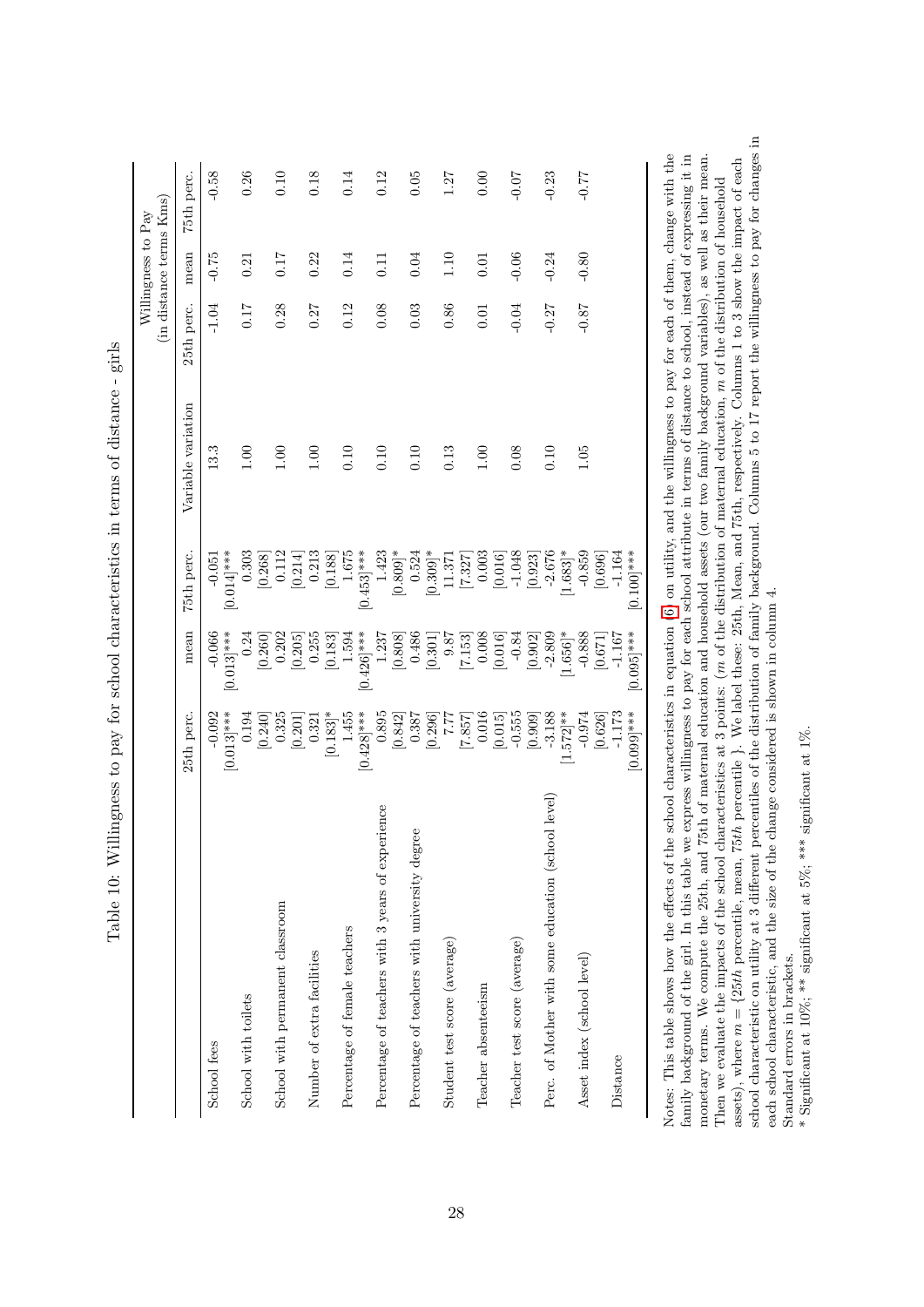<span id="page-29-0"></span>

|                                                    |               |                      |                      |                    |            | (in distance terms Kms)<br>Willingness to Pay |            |
|----------------------------------------------------|---------------|----------------------|----------------------|--------------------|------------|-----------------------------------------------|------------|
|                                                    | 25th perc.    | mean                 | 75th perc.           | Variable variation | 25th perc. | mean                                          | 75th perc. |
| School fees                                        | $-0.092$      | $-0.066$             | $-0.051$             | 13.3               | $-1.04$    | $-0.75$                                       | $-0.58$    |
|                                                    | $[0.013]$ *** | $[0.013]$ ***        | $[0.014]$ ***        |                    |            |                                               |            |
| School with toilets                                | 0.194         | 0.24                 | 0.303                | 1.00               | 0.17       | 0.21                                          | 0.26       |
|                                                    | [0.240]       | [0.260]              | [0.268]              |                    |            |                                               |            |
| School with permanent classroom                    | 0.325         | 0.202                | 0.112                | 1.00               | 0.28       | 0.17                                          | 0.10       |
|                                                    | [0.201]       | [0.205]              | [0.214]              |                    |            |                                               |            |
| Number of extra facilities                         | 0.321         | 0.255                | 0.213                | 1.00               | 0.27       | 0.22                                          | 0.18       |
|                                                    | $[0.183]\ast$ | [0.183]              | [0.188]              |                    |            |                                               |            |
| Percentage of female teachers                      | 1.455         | 1.594                | 1.675                | 0.10               | 0.12       | 0.14                                          | 0.14       |
|                                                    | $[0.428]$ *** | $[0.426]$ ***        | $[0.453]$ ***        |                    |            |                                               |            |
| Percentage of teachers with 3 years of experience  | 0.895         | $1.237$              | 1.423                | 0.10               | 0.08       | 0.11                                          | 0.12       |
|                                                    | [0.842]       | [0.808]              | $[0.809]$ *          |                    |            |                                               |            |
| Percentage of teachers with university degree      | 0.387         | 0.486                | 0.524                | 0.10               | 0.03       | 0.04                                          | 0.05       |
|                                                    | [0.296]       | [0.301]              | $[0.309]$ *          |                    |            |                                               |            |
| Student test score (average)                       | 7.77          | 9.87                 | 11.371               | 0.13               | 0.86       | 1.10                                          | 1.27       |
|                                                    | [7.857]       | [7.153]              | [7.327]              |                    |            |                                               |            |
| Teacher absenteeism                                | 0.016         | 0.008                | 0.003                | 1.00               | 0.01       | 0.01                                          | 0.00       |
|                                                    | [0.015]       | [0.016]              | [0.016]              |                    |            |                                               |            |
| Teacher test score (average)                       | $-0.555$      | $-0.84$              | $-1.048$             | 0.08               | $-0.04$    | $-0.06$                                       | $-0.07$    |
|                                                    | [0.909]       | [0.902]              | [0.923]              |                    |            |                                               |            |
| Perc. of Mother with some education (school level) | $-3.188$      | $-2.809$             | $-2.676$             | 0.10               | $-0.27$    | $-0.24$                                       | $-0.23$    |
|                                                    | $[1.572]$ **  | $1.656$ <sup>*</sup> | $1.683$ <sup>*</sup> |                    |            |                                               |            |
| Asset index (school level)                         | $-0.974$      | $-0.888$             | $-0.859$             | 1.05               | $-0.87$    | $-0.80$                                       | $-0.77$    |
|                                                    | [0.626]       | [0.671]              | [0.696]              |                    |            |                                               |            |
| Distance                                           | $-1.173$      | $-1.167$             | $-1.164$             |                    |            |                                               |            |
|                                                    | $[0.090]$ *** | $[0.095]$ ***        | $[0.100]$ ***        |                    |            |                                               |            |
|                                                    |               |                      |                      |                    |            |                                               |            |

Table 10: Willingness to pay for school characteristics in terms of distance - girls Table 10: Willingness to pay for school characteristics in terms of distance - girls

school characteristic on utility at 3 different percentiles of the distribution of family background. Columns 5 to 17 report the willingness to pay for changes in school characteristic on utility at 3 different percentiles of the distribution of family background. Columns 5 to 17 report the willingness to pay for changes in Notes: This table shows how the effects of the school characteristics in equation (6) on utility, and the willingness to pay for each of them, change with the family background of the girl. In this table we express willingness to pay for each school attribute in terms of distance to school, instead of expressing it in monetary terms. We compute the 25th, and 75th of maternal education and household assets (our two family background variables), as well as their mean. Notes: This table shows how the effects of the school characteristics in equation ([6\)](#page-15-4) on utility, and the willingness to pay for each of them, change with the monetary terms. We compute the 25th, and 75th of maternal education and household assets (our two family background variables), as well as their mean. family background of the girl. In this table we express willingness to pay for each school attribute in terms of distance to school, instead of expressing it in = {25th percentile, mean, 75th percentile }. We label these: 25th, Mean, and 75th, respectively. Columns 1 to 3 show the impact of each m of the distribution of household mm of the distribution of maternal education,  $\frac{1}{n}$ each school characteristic, and the size of the change considered is shown in column 4. each school characteristic, and the size of the change considered is shown in column 4. mThen we evaluate the impacts of the school characteristics at 3 points:  $(r)$ Standard errors in brackets. Standard errors in brackets. massets), where

\* Significant at 10%; \*\* significant at 5%; \*\*\* significant at 1% \* Significant at 10%; \*\* significant at 5%; \*\*\* significant at 1%.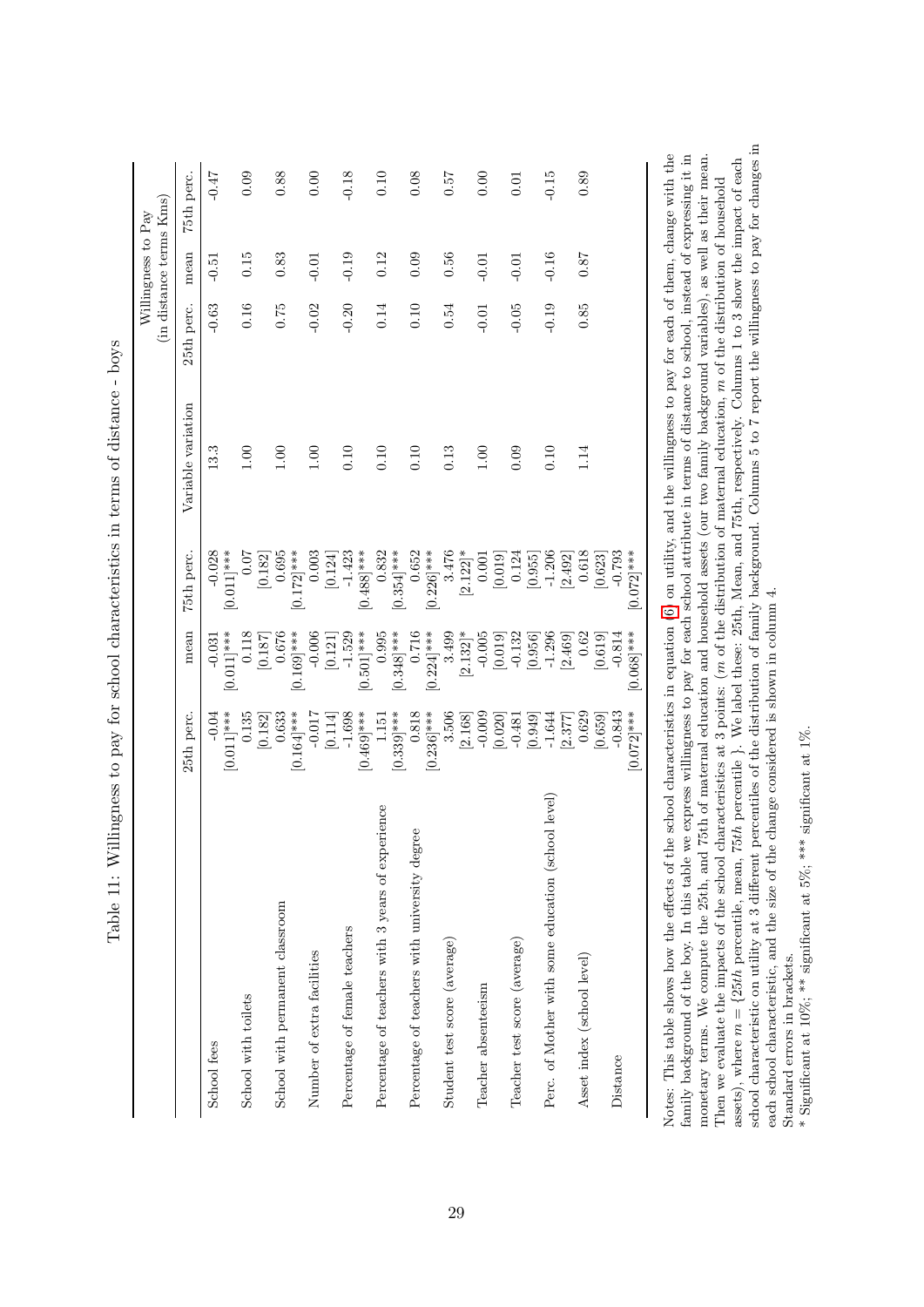|                                                    |                       |               |               |                    |            | (in distance terms Kms)<br>Willingness to Pay |            |
|----------------------------------------------------|-----------------------|---------------|---------------|--------------------|------------|-----------------------------------------------|------------|
|                                                    | 25th perc.            | mean          | 75th perc.    | Variable variation | 25th perc. | mean                                          | 75th perc. |
| School fees                                        | $-0.04$               | $-0.031$      | $-0.028$      | 13.3               | $-0.63$    | $-0.51$                                       | $-0.47$    |
|                                                    | $[0.011]$ ***         | $[0.011]$ *** | $[0.011]$ *** |                    |            |                                               |            |
| School with toilets                                | 0.135                 | 0.118         | 0.07          | 0.00               | 0.16       | 0.15                                          | 0.09       |
|                                                    | [0.182]               | [0.187]       | [0.182]       |                    |            |                                               |            |
| School with permanent classroom                    |                       | 0.676         | 0.695         | 1.00               | 0.75       | 0.83                                          | 0.88       |
|                                                    | $0.633$<br>[0.164]*** | $[0.169]$ *** | $[0.172]$ *** |                    |            |                                               |            |
| Number of extra facilities                         |                       | $-0.006$      | 0.003         | 1.00               | $-0.02$    | $-0.01$                                       | 0.00       |
|                                                    | [0.114]               | [0.121]       | [0.124]       |                    |            |                                               |            |
| Percentage of female teachers                      | $-1.698$              |               | $-1.423$      | 0.10               | $-0.20$    | $-0.19$                                       | $-0.18$    |
|                                                    | $[0.469]$ ***         | $[0.501]$ *** | $[0.488]$ *** |                    |            |                                               |            |
| Percentage of teachers with 3 years of experience  | 1.151                 | 0.995         | 0.832         | 0.10               | 0.14       | 0.12                                          | 0.10       |
|                                                    | $[0.339]$ ***         | $[0.348]$ *** | $[0.354]$ *** |                    |            |                                               |            |
| Percentage of teachers with university degree      | 0.818                 | 0.716         | 0.652         | 0.10               | 0.10       | 0.09                                          | 0.08       |
|                                                    | $[0.236]$ ***         | $[0.224]$ *** | $[0.226]$ *** |                    |            |                                               |            |
| Student test score (average)                       | 3.506                 | 3.499         | 3.476         | 0.13               | 0.54       | 0.56                                          | 75.0       |
|                                                    | [2.168]               | $[2.132]$ *   | $[2.122]$ *   |                    |            |                                               |            |
| Teacher absenteeism                                | $-0.009$              | $-0.005$      | 0.001         | 0.00               | $-0.01$    | $-0.01$                                       | 0.00       |
|                                                    | [0.020]               | [0.019]       | [0.019]       |                    |            |                                               |            |
| Teacher test score (average)                       | $-0.481$              | $-0.132$      | 0.124         | 0.09               | $-0.05$    | $-0.01$                                       | 0.01       |
|                                                    | [0.949]               | [0.956]       | [0.955]       |                    |            |                                               |            |
| Perc. of Mother with some education (school level) | $-1.644$              | $-1.296$      | $-1.206$      | 0.10               | $-0.19$    | $-0.16$                                       | $-0.15$    |
|                                                    | 2.377                 | [2.469]       | [2.492]       |                    |            |                                               |            |
| Asset index (school level)                         | 0.629                 | 0.62          | 0.618         | 1.14               | 0.85       | 0.87                                          | 0.89       |
|                                                    | [0.659]               | [0.619]       | [0.623]       |                    |            |                                               |            |
| Distance                                           | $-0.843$              | $-0.814$      | $-0.793$      |                    |            |                                               |            |
|                                                    | $[0.072]$ ***         | $[0.068]$ *** | $[0.072]$ *** |                    |            |                                               |            |
|                                                    |                       |               |               |                    |            |                                               |            |

Table 11: Willingness to pay for school characteristics in terms of distance - boys Table 11: Willingness to pay for school characteristics in terms of distance - boys

school characteristic on utility at 3 different percentiles of the distribution of family background. Columns 5 to 7 report the willingness to pay for changes in Notes: This table shows how the effects of the school characteristics in equation (6) on utility, and the willingness to pay for each of them, change with the family background of the boy. In this table we express willingness to pay for each school attribute in terms of distance to school, instead of expressing it in monetary terms. We compute the 25th, and 75th of maternal education and household assets (our two family background variables), as well as their mean. Notes: This table shows how the effects of the school characteristics in equation ([6\)](#page-15-4) on utility, and the willingness to pay for each of them, change with the family background of the boy. In this table we express willingness to pay for each school attribute in terms of distance to school, instead of expressing it in monetary terms. We compute the 25th, and 75th of maternal education and household assets (our two family background variables), as well as their mean. = {25th percentile, mean, 75th percentile }. We label these: 25th, Mean, and 75th, respectively. Columns 1 to 3 show the impact of each m of the distribution of household mm of the distribution of maternal education,  $\frac{1}{n}$ each school characteristic, and the size of the change considered is shown in column 4. each school characteristic, and the size of the change considered is shown in column 4. mThen we evaluate the impacts of the school characteristics at 3 points:  $(r)$ Standard errors in brackets. Standard errors in brackets. e : assets), where

<span id="page-30-0"></span>\* Significant at 10%; \*\* significant at 5%; \*\*\* significant at 1%. \* Significant at 10%; \*\* significant at 5%; \*\*\* significant at 1%.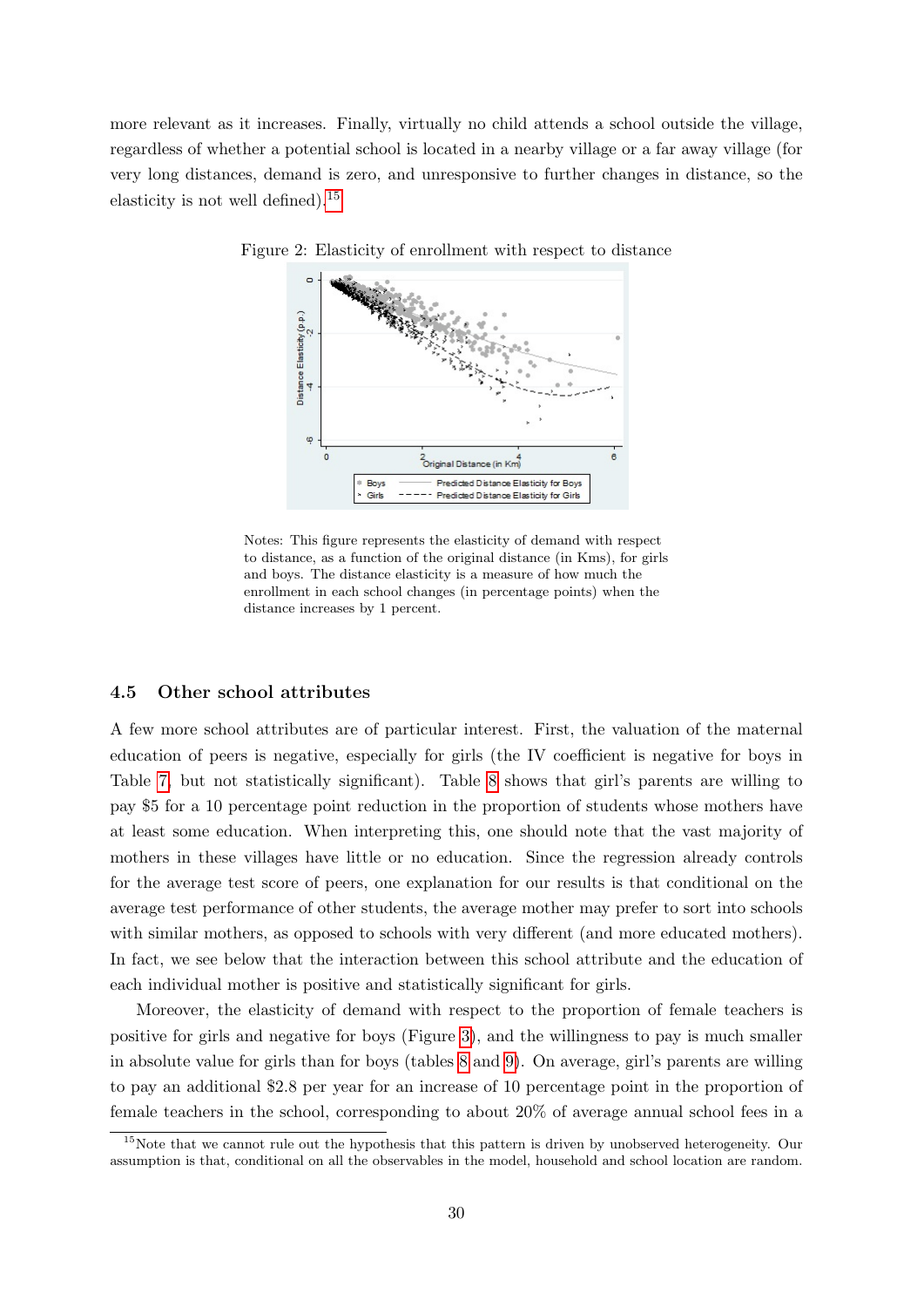<span id="page-31-0"></span>more relevant as it increases. Finally, virtually no child attends a school outside the village, regardless of whether a potential school is located in a nearby village or a far away village (for very long distances, demand is zero, and unresponsive to further changes in distance, so the elasticity is not well defined).<sup>[15](#page-31-1)</sup>



Figure 2: Elasticity of enrollment with respect to distance

Notes: This figure represents the elasticity of demand with respect to distance, as a function of the original distance (in Kms), for girls and boys. The distance elasticity is a measure of how much the enrollment in each school changes (in percentage points) when the distance increases by 1 percent.

#### 4.5 Other school attributes

A few more school attributes are of particular interest. First, the valuation of the maternal education of peers is negative, especially for girls (the IV coefficient is negative for boys in Table [7,](#page-23-0) but not statistically significant). Table [8](#page-25-0) shows that girl's parents are willing to pay \$5 for a 10 percentage point reduction in the proportion of students whose mothers have at least some education. When interpreting this, one should note that the vast majority of mothers in these villages have little or no education. Since the regression already controls for the average test score of peers, one explanation for our results is that conditional on the average test performance of other students, the average mother may prefer to sort into schools with similar mothers, as opposed to schools with very different (and more educated mothers). In fact, we see below that the interaction between this school attribute and the education of each individual mother is positive and statistically significant for girls.

Moreover, the elasticity of demand with respect to the proportion of female teachers is positive for girls and negative for boys (Figure [3\)](#page-32-0), and the willingness to pay is much smaller in absolute value for girls than for boys (tables [8](#page-25-0) and [9\)](#page-26-0). On average, girl's parents are willing to pay an additional \$2.8 per year for an increase of 10 percentage point in the proportion of female teachers in the school, corresponding to about 20% of average annual school fees in a

<span id="page-31-1"></span><sup>&</sup>lt;sup>15</sup>Note that we cannot rule out the hypothesis that this pattern is driven by unobserved heterogeneity. Our assumption is that, conditional on all the observables in the model, household and school location are random.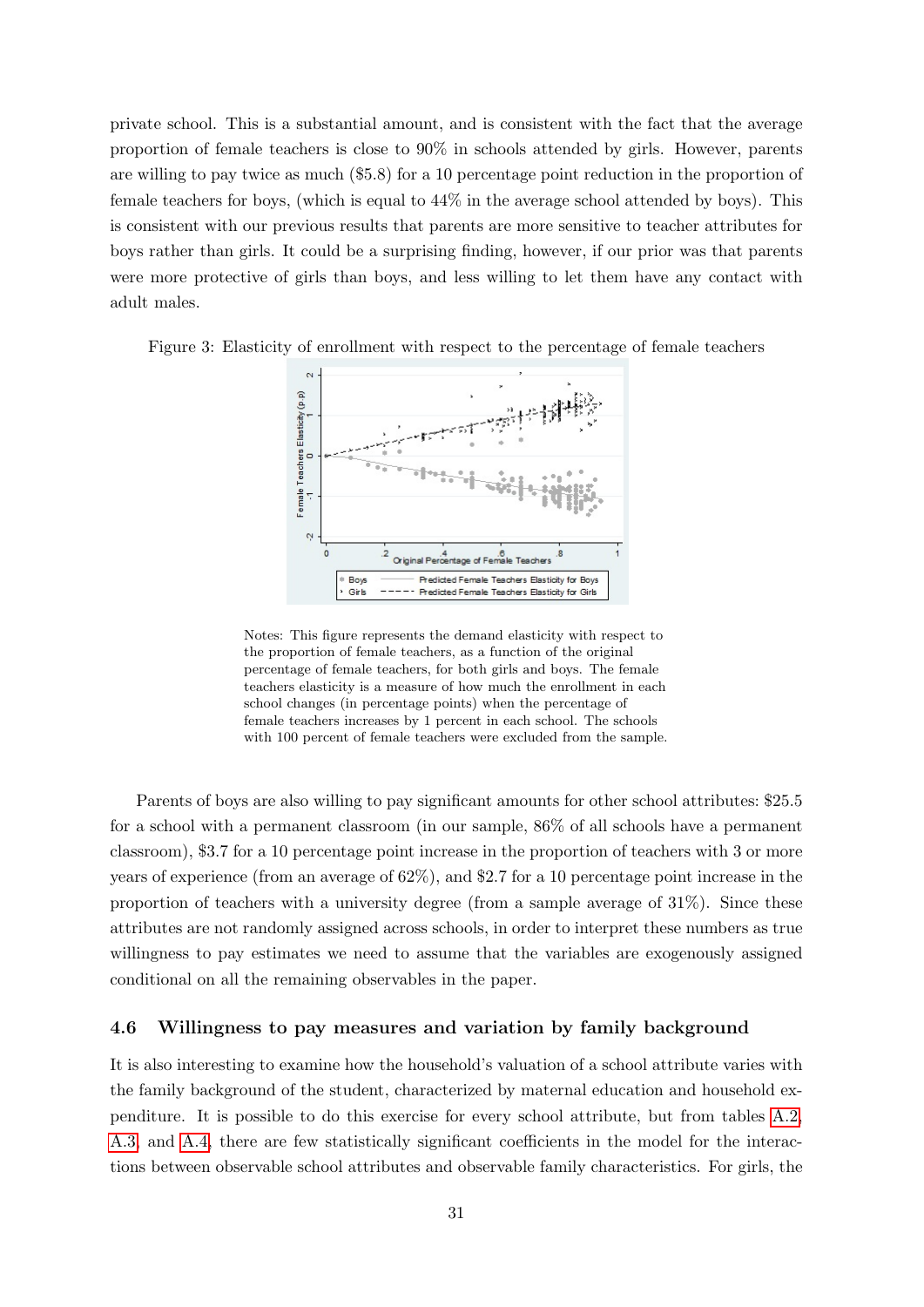private school. This is a substantial amount, and is consistent with the fact that the average proportion of female teachers is close to 90% in schools attended by girls. However, parents are willing to pay twice as much (\$5.8) for a 10 percentage point reduction in the proportion of female teachers for boys, (which is equal to 44% in the average school attended by boys). This is consistent with our previous results that parents are more sensitive to teacher attributes for boys rather than girls. It could be a surprising finding, however, if our prior was that parents were more protective of girls than boys, and less willing to let them have any contact with adult males.

<span id="page-32-0"></span>Figure 3: Elasticity of enrollment with respect to the percentage of female teachers



Notes: This figure represents the demand elasticity with respect to the proportion of female teachers, as a function of the original percentage of female teachers, for both girls and boys. The female teachers elasticity is a measure of how much the enrollment in each school changes (in percentage points) when the percentage of female teachers increases by 1 percent in each school. The schools with 100 percent of female teachers were excluded from the sample.

Parents of boys are also willing to pay significant amounts for other school attributes: \$25.5 for a school with a permanent classroom (in our sample, 86% of all schools have a permanent classroom), \$3.7 for a 10 percentage point increase in the proportion of teachers with 3 or more years of experience (from an average of 62%), and \$2.7 for a 10 percentage point increase in the proportion of teachers with a university degree (from a sample average of  $31\%$ ). Since these attributes are not randomly assigned across schools, in order to interpret these numbers as true willingness to pay estimates we need to assume that the variables are exogenously assigned conditional on all the remaining observables in the paper.

#### 4.6 Willingness to pay measures and variation by family background

It is also interesting to examine how the household's valuation of a school attribute varies with the family background of the student, characterized by maternal education and household expenditure. It is possible to do this exercise for every school attribute, but from tables [A.2,](#page-49-0) [A.3,](#page-50-0) and [A.4,](#page-51-0) there are few statistically significant coefficients in the model for the interactions between observable school attributes and observable family characteristics. For girls, the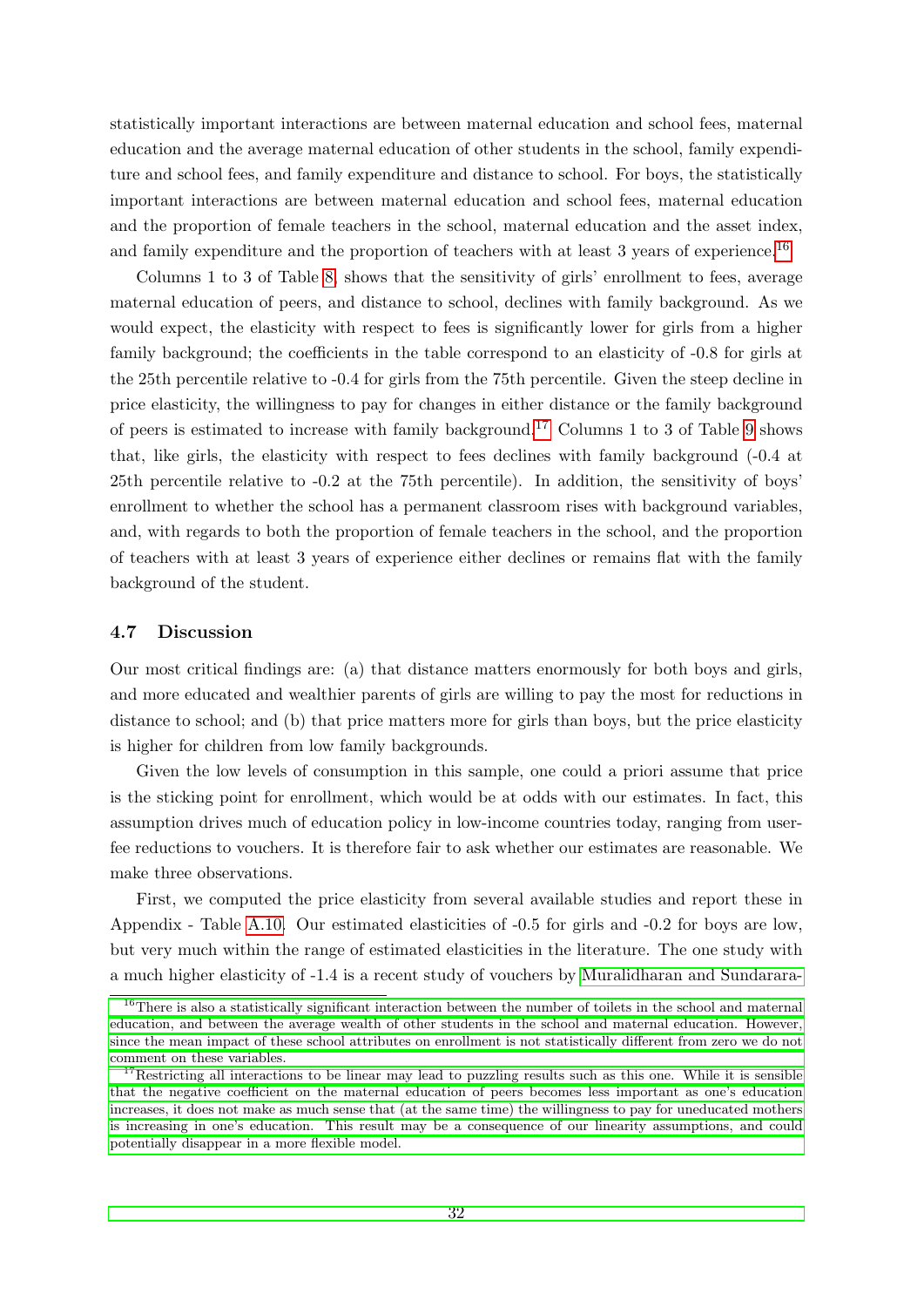statistically important interactions are between maternal education and school fees, maternal education and the average maternal education of other students in the school, family expenditure and school fees, and family expenditure and distance to school. For boys, the statistically important interactions are between maternal education and school fees, maternal education and the proportion of female teachers in the school, maternal education and the asset index, and family expenditure and the proportion of teachers with at least 3 years of experience.<sup>[16](#page-33-0)</sup>

Columns 1 to 3 of Table [8,](#page-25-0) shows that the sensitivity of girls' enrollment to fees, average maternal education of peers, and distance to school, declines with family background. As we would expect, the elasticity with respect to fees is significantly lower for girls from a higher family background; the coefficients in the table correspond to an elasticity of -0.8 for girls at the 25th percentile relative to -0.4 for girls from the 75th percentile. Given the steep decline in price elasticity, the willingness to pay for changes in either distance or the family background of peers is estimated to increase with family background.[17](#page-33-1) Columns 1 to 3 of Table [9](#page-26-0) shows that, like girls, the elasticity with respect to fees declines with family background (-0.4 at 25th percentile relative to -0.2 at the 75th percentile). In addition, the sensitivity of boys' enrollment to whether the school has a permanent classroom rises with background variables, and, with regards to both the proportion of female teachers in the school, and the proportion of teachers with at least 3 years of experience either declines or remains flat with the family background of the student.

#### 4.7 Discussion

Our most critical findings are: (a) that distance matters enormously for both boys and girls, and more educated and wealthier parents of girls are willing to pay the most for reductions in distance to school; and (b) that price matters more for girls than boys, but the price elasticity is higher for children from low family backgrounds.

Given the low levels of consumption in this sample, one could a priori assume that price is the sticking point for enrollment, which would be at odds with our estimates. In fact, this assumption drives much of education policy in low-income countries today, ranging from userfee reductions to vouchers. It is therefore fair to ask whether our estimates are reasonable. We make three observations.

First, we computed the price elasticity from several available studies and report these in Appendix - Table [A.10.](#page-57-0) Our estimated elasticities of -0.5 for girls and -0.2 for boys are low, but very much within the range of estimated elasticities in the literature. The one study with a much higher elasticity of -1.4 is a recent study of vouchers by [Muralidharan and Sundarara-](#page-46-0)

<span id="page-33-0"></span><sup>&</sup>lt;sup>16</sup>[There is also a statistically significant interaction between the number of toilets in the school and maternal](#page-46-0) [education, and between the average wealth of other students in the school and maternal education. However,](#page-46-0) [since the mean impact of these school attributes on enrollment is not statistically different from zero we do not](#page-46-0) [comment on these variables.](#page-46-0)

<span id="page-33-1"></span><sup>&</sup>lt;sup>17</sup>[Restricting all interactions to be linear may lead to puzzling results such as this one. While it is sensible](#page-46-0) [that the negative coefficient on the maternal education of peers becomes less important as one's education](#page-46-0) [increases, it does not make as much sense that \(at the same time\) the willingness to pay for uneducated mothers](#page-46-0) [is increasing in one's education. This result may be a consequence of our linearity assumptions, and could](#page-46-0) [potentially disappear in a more flexible model.](#page-46-0)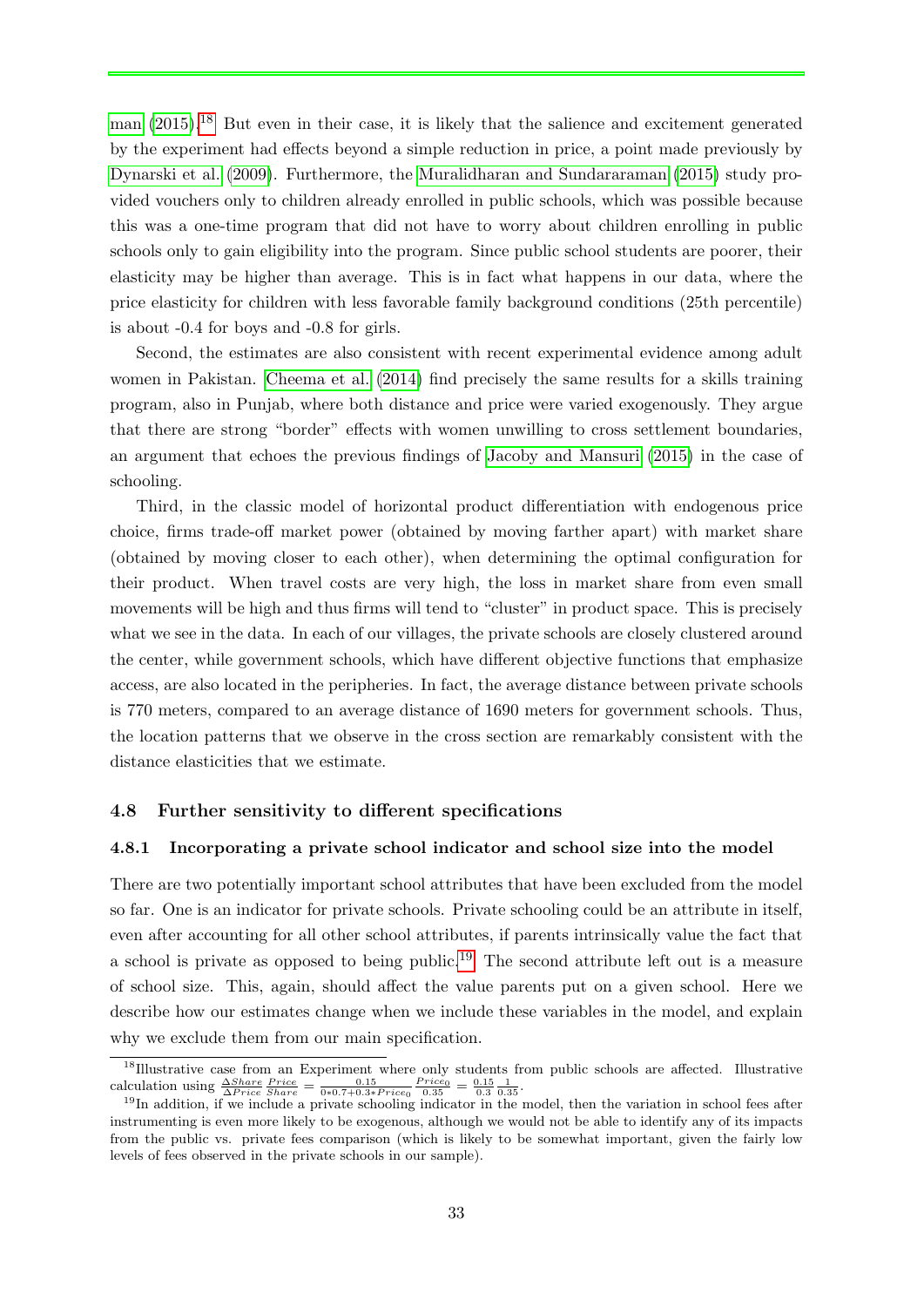[man](#page-46-0) [\(2015\)](#page-46-0).<sup>[18](#page-34-0)</sup> But even in their case, it is likely that the salience and excitement generated by the experiment had effects beyond a simple reduction in price, a point made previously by [Dynarski et al.](#page-45-7) [\(2009\)](#page-45-7). Furthermore, the [Muralidharan and Sundararaman](#page-46-0) [\(2015\)](#page-46-0) study provided vouchers only to children already enrolled in public schools, which was possible because this was a one-time program that did not have to worry about children enrolling in public schools only to gain eligibility into the program. Since public school students are poorer, their elasticity may be higher than average. This is in fact what happens in our data, where the price elasticity for children with less favorable family background conditions (25th percentile) is about -0.4 for boys and -0.8 for girls.

Second, the estimates are also consistent with recent experimental evidence among adult women in Pakistan. [Cheema et al.](#page-45-12) [\(2014\)](#page-45-12) find precisely the same results for a skills training program, also in Punjab, where both distance and price were varied exogenously. They argue that there are strong "border" effects with women unwilling to cross settlement boundaries, an argument that echoes the previous findings of [Jacoby and Mansuri](#page-46-3) [\(2015\)](#page-46-3) in the case of schooling.

Third, in the classic model of horizontal product differentiation with endogenous price choice, firms trade-off market power (obtained by moving farther apart) with market share (obtained by moving closer to each other), when determining the optimal configuration for their product. When travel costs are very high, the loss in market share from even small movements will be high and thus firms will tend to "cluster" in product space. This is precisely what we see in the data. In each of our villages, the private schools are closely clustered around the center, while government schools, which have different objective functions that emphasize access, are also located in the peripheries. In fact, the average distance between private schools is 770 meters, compared to an average distance of 1690 meters for government schools. Thus, the location patterns that we observe in the cross section are remarkably consistent with the distance elasticities that we estimate.

#### 4.8 Further sensitivity to different specifications

#### 4.8.1 Incorporating a private school indicator and school size into the model

There are two potentially important school attributes that have been excluded from the model so far. One is an indicator for private schools. Private schooling could be an attribute in itself, even after accounting for all other school attributes, if parents intrinsically value the fact that a school is private as opposed to being public.<sup>[19](#page-34-1)</sup> The second attribute left out is a measure of school size. This, again, should affect the value parents put on a given school. Here we describe how our estimates change when we include these variables in the model, and explain why we exclude them from our main specification.

<span id="page-34-0"></span><sup>&</sup>lt;sup>18</sup>Illustrative case from an Experiment where only students from public schools are affected. Illustrative calculation using  $\frac{\Delta Share}{\Delta Price}\frac{Price}{Share} = \frac{0.15}{0*0.7+0.3*Price0}\frac{Price0}{0.35} = \frac{0.15}{0.3}\frac{1}{0.35}$ .

<span id="page-34-1"></span><sup>&</sup>lt;sup>19</sup>In addition, if we include a private schooling indicator in the model, then the variation in school fees after instrumenting is even more likely to be exogenous, although we would not be able to identify any of its impacts from the public vs. private fees comparison (which is likely to be somewhat important, given the fairly low levels of fees observed in the private schools in our sample).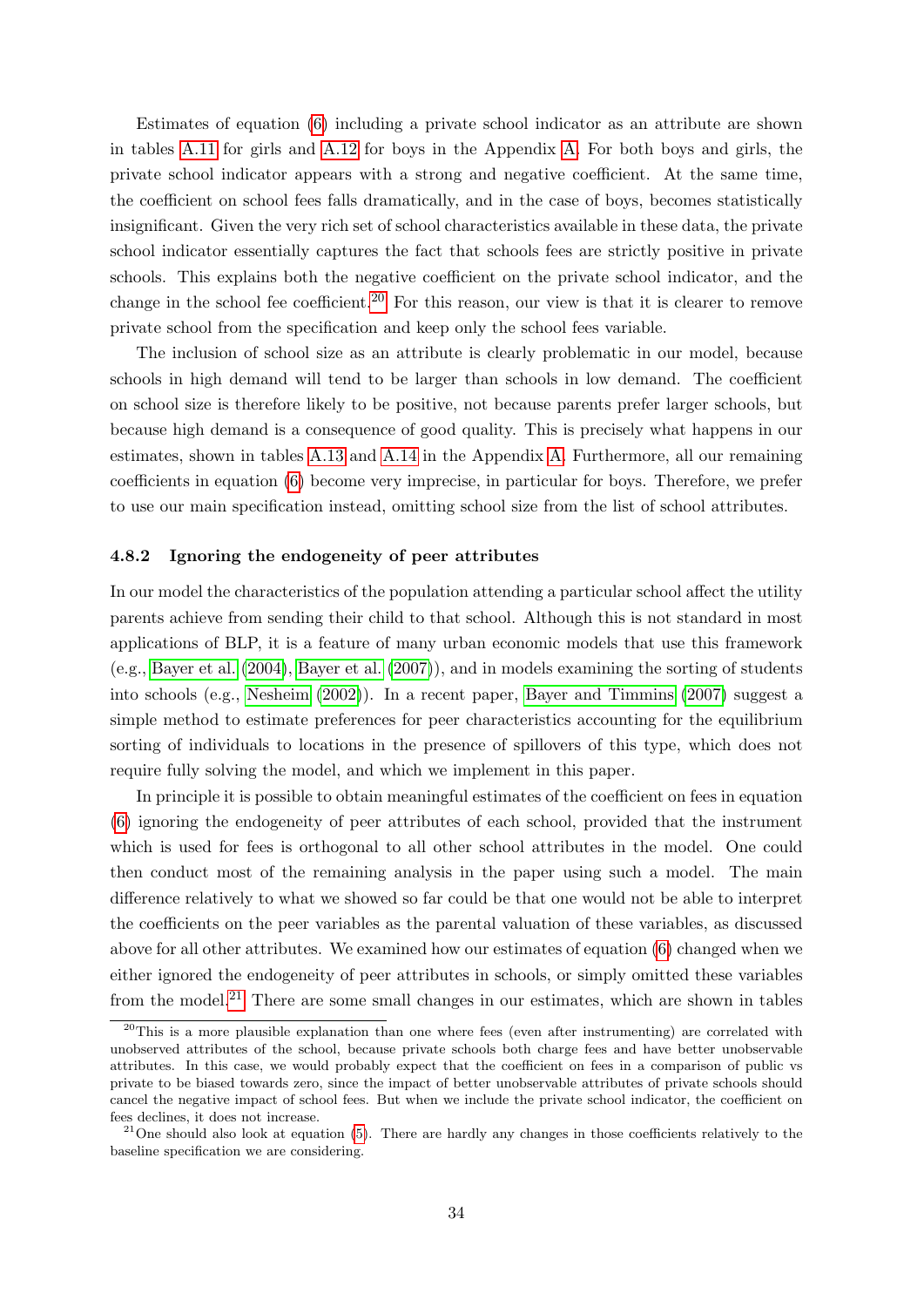Estimates of equation [\(6\)](#page-15-4) including a private school indicator as an attribute are shown in tables [A.11](#page-58-0) for girls and [A.12](#page-59-0) for boys in the Appendix [A.](#page-47-0) For both boys and girls, the private school indicator appears with a strong and negative coefficient. At the same time, the coefficient on school fees falls dramatically, and in the case of boys, becomes statistically insignificant. Given the very rich set of school characteristics available in these data, the private school indicator essentially captures the fact that schools fees are strictly positive in private schools. This explains both the negative coefficient on the private school indicator, and the change in the school fee coefficient.<sup>[20](#page-35-0)</sup> For this reason, our view is that it is clearer to remove private school from the specification and keep only the school fees variable.

The inclusion of school size as an attribute is clearly problematic in our model, because schools in high demand will tend to be larger than schools in low demand. The coefficient on school size is therefore likely to be positive, not because parents prefer larger schools, but because high demand is a consequence of good quality. This is precisely what happens in our estimates, shown in tables [A.13](#page-60-0) and [A.14](#page-61-0) in the Appendix [A.](#page-47-0) Furthermore, all our remaining coefficients in equation [\(6\)](#page-15-4) become very imprecise, in particular for boys. Therefore, we prefer to use our main specification instead, omitting school size from the list of school attributes.

#### 4.8.2 Ignoring the endogeneity of peer attributes

In our model the characteristics of the population attending a particular school affect the utility parents achieve from sending their child to that school. Although this is not standard in most applications of BLP, it is a feature of many urban economic models that use this framework (e.g., [Bayer et al.](#page-44-11) [\(2004\)](#page-44-11), [Bayer et al.](#page-44-8) [\(2007\)](#page-44-8)), and in models examining the sorting of students into schools (e.g., [Nesheim](#page-46-6) [\(2002\)](#page-46-6)). In a recent paper, [Bayer and Timmins](#page-44-4) [\(2007\)](#page-44-4) suggest a simple method to estimate preferences for peer characteristics accounting for the equilibrium sorting of individuals to locations in the presence of spillovers of this type, which does not require fully solving the model, and which we implement in this paper.

In principle it is possible to obtain meaningful estimates of the coefficient on fees in equation [\(6\)](#page-15-4) ignoring the endogeneity of peer attributes of each school, provided that the instrument which is used for fees is orthogonal to all other school attributes in the model. One could then conduct most of the remaining analysis in the paper using such a model. The main difference relatively to what we showed so far could be that one would not be able to interpret the coefficients on the peer variables as the parental valuation of these variables, as discussed above for all other attributes. We examined how our estimates of equation [\(6\)](#page-15-4) changed when we either ignored the endogeneity of peer attributes in schools, or simply omitted these variables from the model.<sup>[21](#page-35-1)</sup> There are some small changes in our estimates, which are shown in tables

<span id="page-35-0"></span> $20$ This is a more plausible explanation than one where fees (even after instrumenting) are correlated with unobserved attributes of the school, because private schools both charge fees and have better unobservable attributes. In this case, we would probably expect that the coefficient on fees in a comparison of public vs private to be biased towards zero, since the impact of better unobservable attributes of private schools should cancel the negative impact of school fees. But when we include the private school indicator, the coefficient on fees declines, it does not increase.

<span id="page-35-1"></span> $21$ One should also look at equation [\(5\)](#page-15-5). There are hardly any changes in those coefficients relatively to the baseline specification we are considering.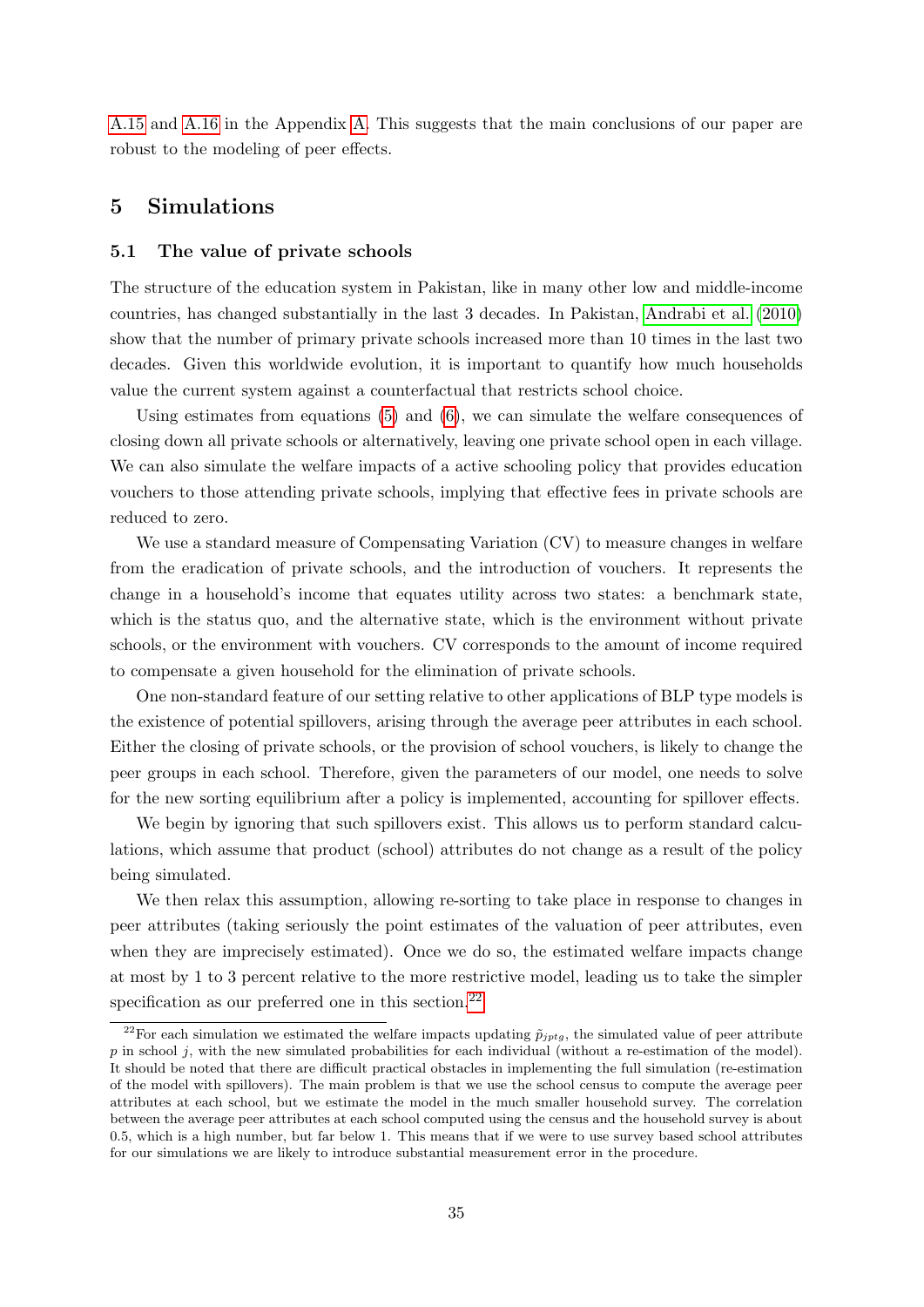[A.15](#page-62-0) and [A.16](#page-63-0) in the Appendix [A.](#page-47-0) This suggests that the main conclusions of our paper are robust to the modeling of peer effects.

### <span id="page-36-0"></span>5 Simulations

#### 5.1 The value of private schools

The structure of the education system in Pakistan, like in many other low and middle-income countries, has changed substantially in the last 3 decades. In Pakistan, [Andrabi et al.](#page-44-6) [\(2010\)](#page-44-6) show that the number of primary private schools increased more than 10 times in the last two decades. Given this worldwide evolution, it is important to quantify how much households value the current system against a counterfactual that restricts school choice.

Using estimates from equations [\(5\)](#page-15-5) and [\(6\)](#page-15-4), we can simulate the welfare consequences of closing down all private schools or alternatively, leaving one private school open in each village. We can also simulate the welfare impacts of a active schooling policy that provides education vouchers to those attending private schools, implying that effective fees in private schools are reduced to zero.

We use a standard measure of Compensating Variation (CV) to measure changes in welfare from the eradication of private schools, and the introduction of vouchers. It represents the change in a household's income that equates utility across two states: a benchmark state, which is the status quo, and the alternative state, which is the environment without private schools, or the environment with vouchers. CV corresponds to the amount of income required to compensate a given household for the elimination of private schools.

One non-standard feature of our setting relative to other applications of BLP type models is the existence of potential spillovers, arising through the average peer attributes in each school. Either the closing of private schools, or the provision of school vouchers, is likely to change the peer groups in each school. Therefore, given the parameters of our model, one needs to solve for the new sorting equilibrium after a policy is implemented, accounting for spillover effects.

We begin by ignoring that such spillovers exist. This allows us to perform standard calculations, which assume that product (school) attributes do not change as a result of the policy being simulated.

We then relax this assumption, allowing re-sorting to take place in response to changes in peer attributes (taking seriously the point estimates of the valuation of peer attributes, even when they are imprecisely estimated). Once we do so, the estimated welfare impacts change at most by 1 to 3 percent relative to the more restrictive model, leading us to take the simpler specification as our preferred one in this section.<sup>[22](#page-36-1)</sup>

<span id="page-36-1"></span><sup>&</sup>lt;sup>22</sup>For each simulation we estimated the welfare impacts updating  $\tilde{p}_{jptg}$ , the simulated value of peer attribute  $p$  in school j, with the new simulated probabilities for each individual (without a re-estimation of the model). It should be noted that there are difficult practical obstacles in implementing the full simulation (re-estimation of the model with spillovers). The main problem is that we use the school census to compute the average peer attributes at each school, but we estimate the model in the much smaller household survey. The correlation between the average peer attributes at each school computed using the census and the household survey is about 0.5, which is a high number, but far below 1. This means that if we were to use survey based school attributes for our simulations we are likely to introduce substantial measurement error in the procedure.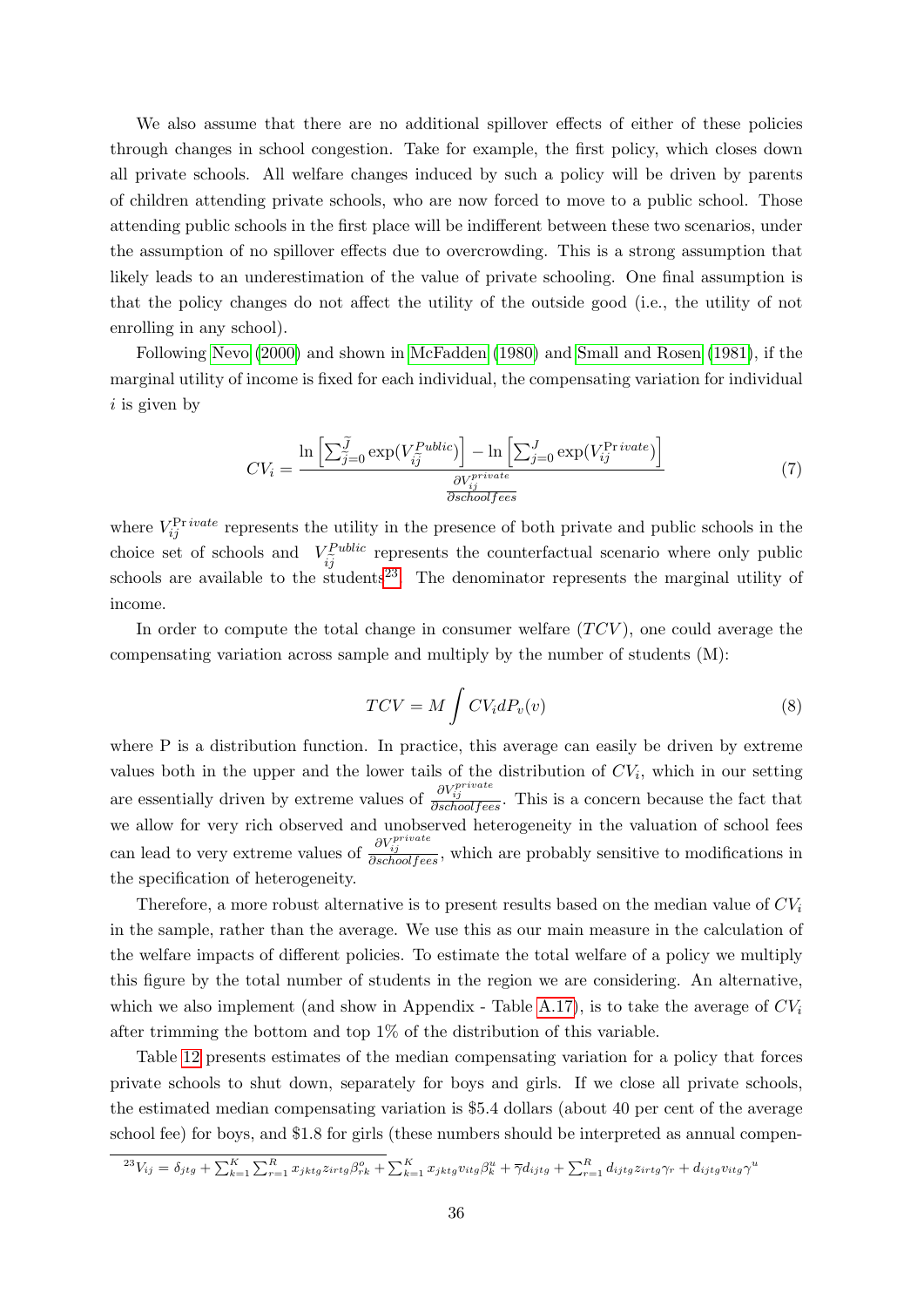We also assume that there are no additional spillover effects of either of these policies through changes in school congestion. Take for example, the first policy, which closes down all private schools. All welfare changes induced by such a policy will be driven by parents of children attending private schools, who are now forced to move to a public school. Those attending public schools in the first place will be indifferent between these two scenarios, under the assumption of no spillover effects due to overcrowding. This is a strong assumption that likely leads to an underestimation of the value of private schooling. One final assumption is that the policy changes do not affect the utility of the outside good (i.e., the utility of not enrolling in any school).

Following [Nevo](#page-46-7) [\(2000\)](#page-46-7) and shown in [McFadden](#page-46-8) [\(1980\)](#page-46-8) and [Small and Rosen](#page-46-9) [\(1981\)](#page-46-9), if the marginal utility of income is fixed for each individual, the compensating variation for individual  $i$  is given by

$$
CV_i = \frac{\ln\left[\sum_{j=0}^{\widetilde{J}} \exp(V_{i\widetilde{j}}^{Public})\right] - \ln\left[\sum_{j=0}^{J} \exp(V_{ij}^{\text{Private}})\right]}{\frac{\partial V_{ij}^{private}}{\partial school fees}}
$$
(7)

where  $V_{ij}^{\text{Pr}\,ivate}$  represents the utility in the presence of both private and public schools in the choice set of schools and  $V_{\tilde{G}}^{Public}$  $i_j^{\text{Public}}$  represents the counterfactual scenario where only public schools are available to the students<sup>[23](#page-37-0)</sup>. The denominator represents the marginal utility of income.

In order to compute the total change in consumer welfare  $(TCV)$ , one could average the compensating variation across sample and multiply by the number of students (M):

$$
TCV = M \int CV_i dP_v(v)
$$
\n(8)

where P is a distribution function. In practice, this average can easily be driven by extreme values both in the upper and the lower tails of the distribution of  $CV_i$ , which in our setting are essentially driven by extreme values of  $\frac{\partial V_{ij}^{private}}{\partial school fees}$ . This is a concern because the fact that we allow for very rich observed and unobserved heterogeneity in the valuation of school fees can lead to very extreme values of  $\frac{\partial V_{ij}^{private}}{\partial school fees}$ , which are probably sensitive to modifications in the specification of heterogeneity.

Therefore, a more robust alternative is to present results based on the median value of  $CV_i$ in the sample, rather than the average. We use this as our main measure in the calculation of the welfare impacts of different policies. To estimate the total welfare of a policy we multiply this figure by the total number of students in the region we are considering. An alternative, which we also implement (and show in Appendix - Table [A.17\)](#page-64-0), is to take the average of  $CV_i$ after trimming the bottom and top 1% of the distribution of this variable.

Table [12](#page-38-0) presents estimates of the median compensating variation for a policy that forces private schools to shut down, separately for boys and girls. If we close all private schools, the estimated median compensating variation is \$5.4 dollars (about 40 per cent of the average school fee) for boys, and \$1.8 for girls (these numbers should be interpreted as annual compen-

<span id="page-37-0"></span>
$$
^{23}V_{ij} = \delta_{jtg} + \sum_{k=1}^{K} \sum_{r=1}^{R} x_{jktg} z_{irtg} \beta_{rk}^o + \sum_{k=1}^{K} x_{jktg} v_{itg} \beta_k^u + \overline{\gamma} d_{ijtg} + \sum_{r=1}^{R} d_{ijtg} z_{irtg} \gamma_r + d_{ijtg} v_{itg} \gamma^u
$$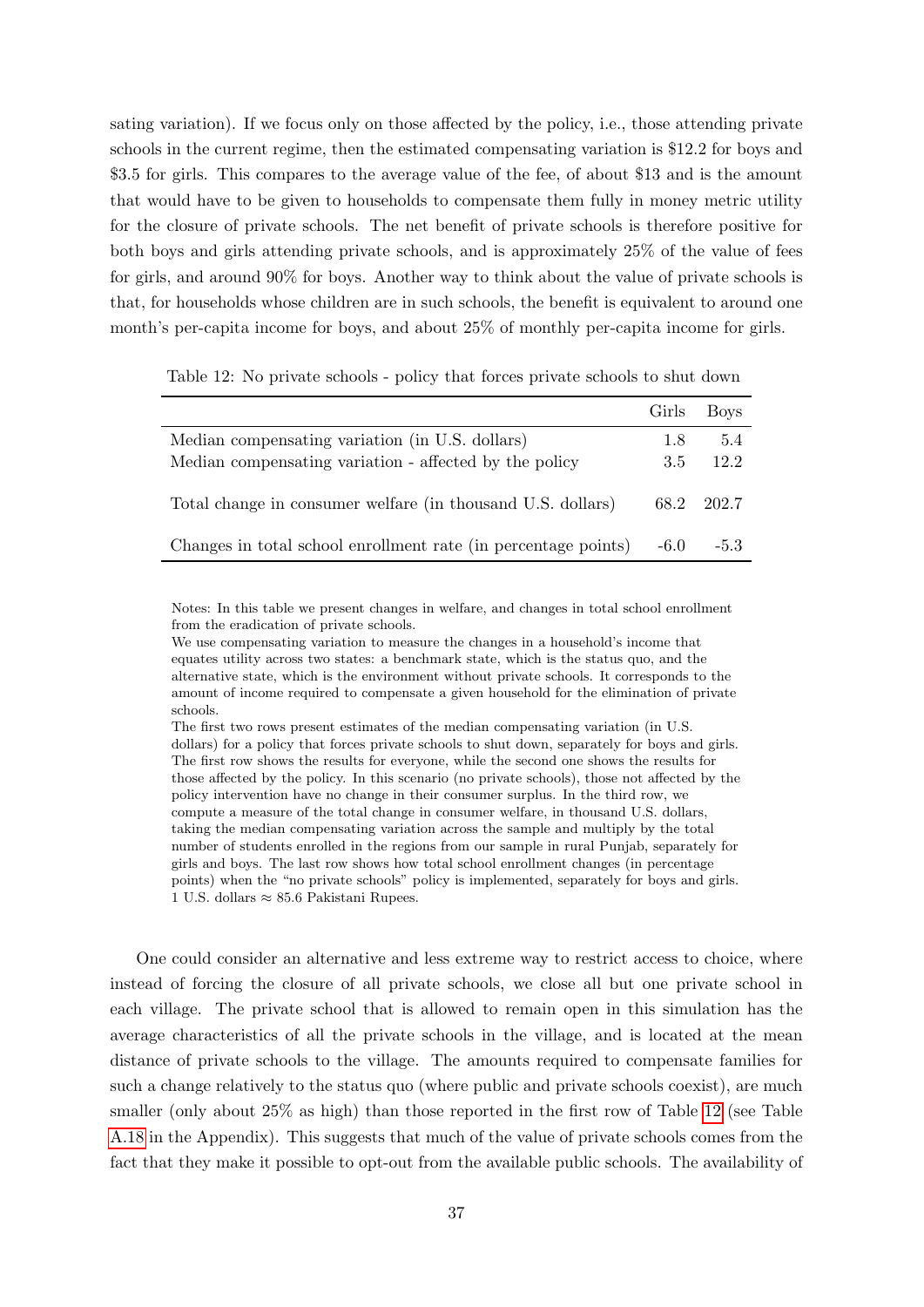sating variation). If we focus only on those affected by the policy, i.e., those attending private schools in the current regime, then the estimated compensating variation is \$12.2 for boys and \$3.5 for girls. This compares to the average value of the fee, of about \$13 and is the amount that would have to be given to households to compensate them fully in money metric utility for the closure of private schools. The net benefit of private schools is therefore positive for both boys and girls attending private schools, and is approximately 25% of the value of fees for girls, and around 90% for boys. Another way to think about the value of private schools is that, for households whose children are in such schools, the benefit is equivalent to around one month's per-capita income for boys, and about 25% of monthly per-capita income for girls.

<span id="page-38-0"></span>Table 12: No private schools - policy that forces private schools to shut down

|                                                                                                           | Girls      | <b>Boys</b> |
|-----------------------------------------------------------------------------------------------------------|------------|-------------|
| Median compensating variation (in U.S. dollars)<br>Median compensating variation - affected by the policy | 1.8<br>3.5 | 5.4<br>12.2 |
| Total change in consumer welfare (in thousand U.S. dollars)                                               |            | 68.2 202.7  |
| Changes in total school enrollment rate (in percentage points)                                            | $-6.0$     | $-5.3$      |

Notes: In this table we present changes in welfare, and changes in total school enrollment from the eradication of private schools.

We use compensating variation to measure the changes in a household's income that equates utility across two states: a benchmark state, which is the status quo, and the alternative state, which is the environment without private schools. It corresponds to the amount of income required to compensate a given household for the elimination of private schools.

The first two rows present estimates of the median compensating variation (in U.S. dollars) for a policy that forces private schools to shut down, separately for boys and girls. The first row shows the results for everyone, while the second one shows the results for those affected by the policy. In this scenario (no private schools), those not affected by the policy intervention have no change in their consumer surplus. In the third row, we compute a measure of the total change in consumer welfare, in thousand U.S. dollars, taking the median compensating variation across the sample and multiply by the total number of students enrolled in the regions from our sample in rural Punjab, separately for girls and boys. The last row shows how total school enrollment changes (in percentage points) when the "no private schools" policy is implemented, separately for boys and girls. 1 U.S. dollars ≈ 85.6 Pakistani Rupees.

One could consider an alternative and less extreme way to restrict access to choice, where instead of forcing the closure of all private schools, we close all but one private school in each village. The private school that is allowed to remain open in this simulation has the average characteristics of all the private schools in the village, and is located at the mean distance of private schools to the village. The amounts required to compensate families for such a change relatively to the status quo (where public and private schools coexist), are much smaller (only about 25% as high) than those reported in the first row of Table [12](#page-38-0) (see Table [A.18](#page-64-1) in the Appendix). This suggests that much of the value of private schools comes from the fact that they make it possible to opt-out from the available public schools. The availability of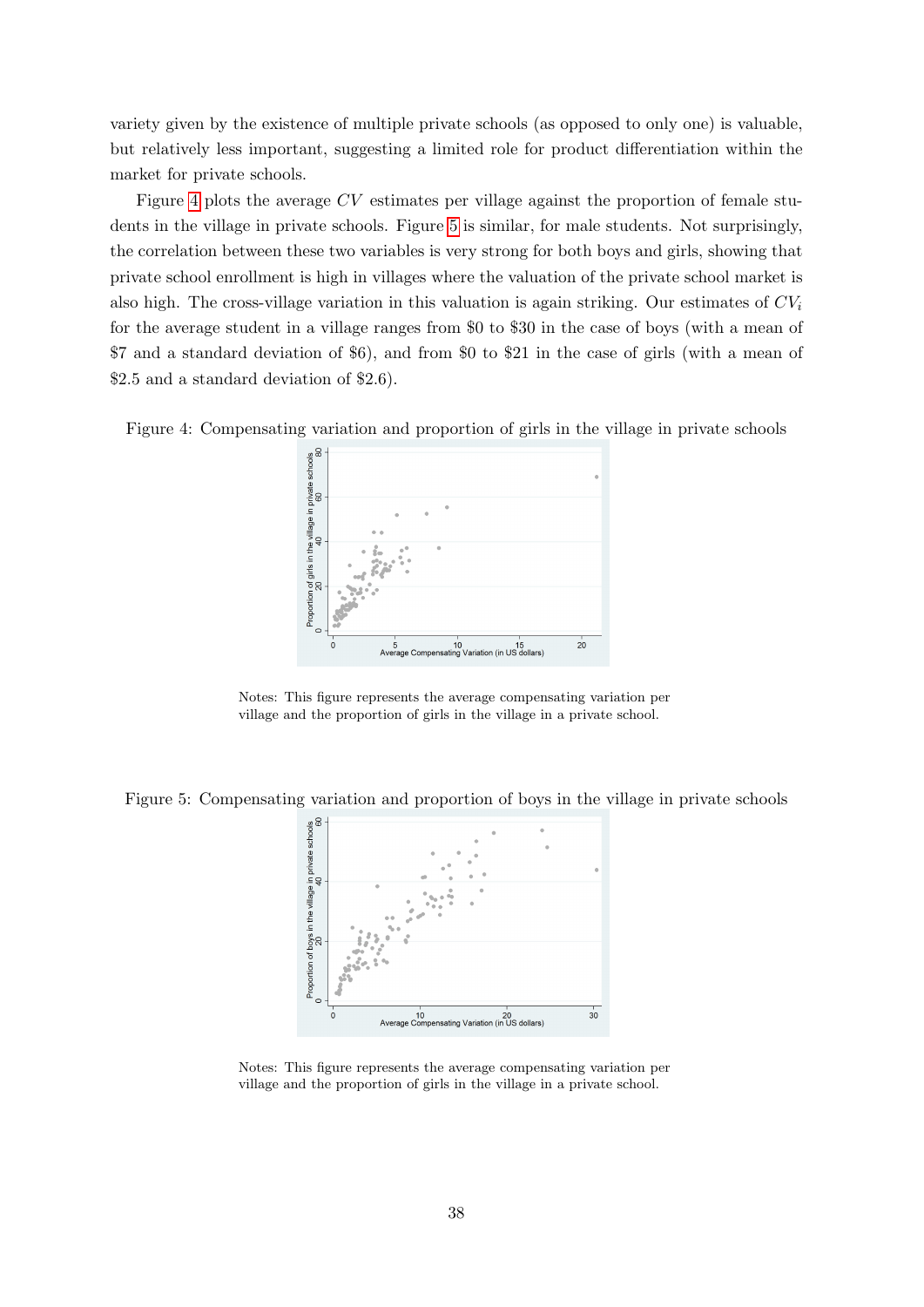variety given by the existence of multiple private schools (as opposed to only one) is valuable, but relatively less important, suggesting a limited role for product differentiation within the market for private schools.

Figure [4](#page-39-0) plots the average CV estimates per village against the proportion of female students in the village in private schools. Figure [5](#page-39-1) is similar, for male students. Not surprisingly, the correlation between these two variables is very strong for both boys and girls, showing that private school enrollment is high in villages where the valuation of the private school market is also high. The cross-village variation in this valuation is again striking. Our estimates of  $CV_i$ for the average student in a village ranges from \$0 to \$30 in the case of boys (with a mean of \$7 and a standard deviation of \$6), and from \$0 to \$21 in the case of girls (with a mean of \$2.5 and a standard deviation of \$2.6).

<span id="page-39-0"></span>Figure 4: Compensating variation and proportion of girls in the village in private schools



Notes: This figure represents the average compensating variation per village and the proportion of girls in the village in a private school.

<span id="page-39-1"></span>Figure 5: Compensating variation and proportion of boys in the village in private schools



Notes: This figure represents the average compensating variation per village and the proportion of girls in the village in a private school.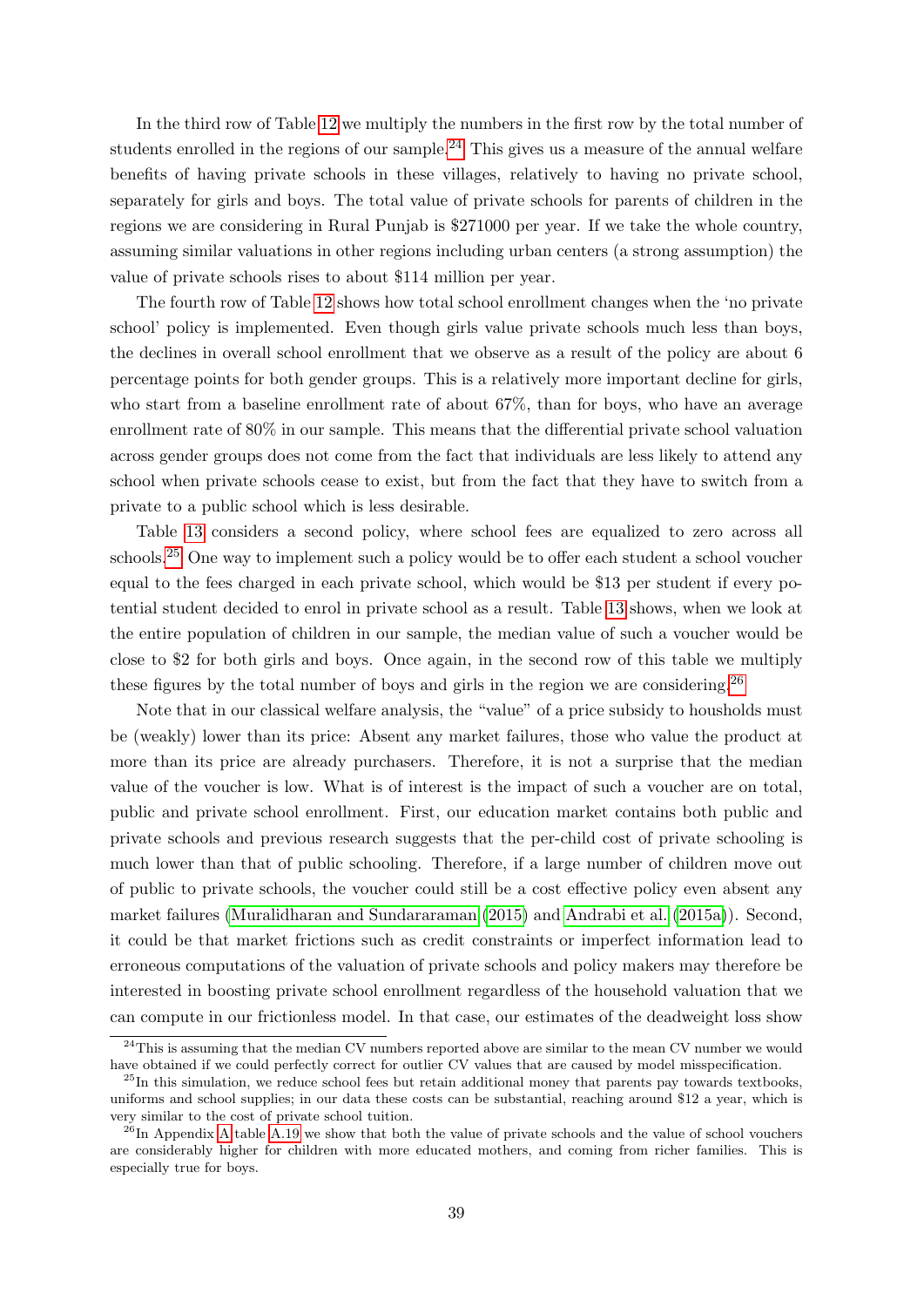In the third row of Table [12](#page-38-0) we multiply the numbers in the first row by the total number of students enrolled in the regions of our sample.<sup>[24](#page-40-0)</sup> This gives us a measure of the annual welfare benefits of having private schools in these villages, relatively to having no private school, separately for girls and boys. The total value of private schools for parents of children in the regions we are considering in Rural Punjab is \$271000 per year. If we take the whole country, assuming similar valuations in other regions including urban centers (a strong assumption) the value of private schools rises to about \$114 million per year.

The fourth row of Table [12](#page-38-0) shows how total school enrollment changes when the 'no private school' policy is implemented. Even though girls value private schools much less than boys, the declines in overall school enrollment that we observe as a result of the policy are about 6 percentage points for both gender groups. This is a relatively more important decline for girls, who start from a baseline enrollment rate of about 67%, than for boys, who have an average enrollment rate of 80% in our sample. This means that the differential private school valuation across gender groups does not come from the fact that individuals are less likely to attend any school when private schools cease to exist, but from the fact that they have to switch from a private to a public school which is less desirable.

Table [13](#page-41-0) considers a second policy, where school fees are equalized to zero across all schools.[25](#page-40-1) One way to implement such a policy would be to offer each student a school voucher equal to the fees charged in each private school, which would be \$13 per student if every potential student decided to enrol in private school as a result. Table [13](#page-41-0) shows, when we look at the entire population of children in our sample, the median value of such a voucher would be close to \$2 for both girls and boys. Once again, in the second row of this table we multiply these figures by the total number of boys and girls in the region we are considering.<sup>[26](#page-40-2)</sup>

Note that in our classical welfare analysis, the "value" of a price subsidy to housholds must be (weakly) lower than its price: Absent any market failures, those who value the product at more than its price are already purchasers. Therefore, it is not a surprise that the median value of the voucher is low. What is of interest is the impact of such a voucher are on total, public and private school enrollment. First, our education market contains both public and private schools and previous research suggests that the per-child cost of private schooling is much lower than that of public schooling. Therefore, if a large number of children move out of public to private schools, the voucher could still be a cost effective policy even absent any market failures [\(Muralidharan and Sundararaman](#page-46-0) [\(2015\)](#page-46-0) and [Andrabi et al.](#page-44-1) [\(2015a\)](#page-44-1)). Second, it could be that market frictions such as credit constraints or imperfect information lead to erroneous computations of the valuation of private schools and policy makers may therefore be interested in boosting private school enrollment regardless of the household valuation that we can compute in our frictionless model. In that case, our estimates of the deadweight loss show

<span id="page-40-0"></span><sup>&</sup>lt;sup>24</sup>This is assuming that the median CV numbers reported above are similar to the mean CV number we would have obtained if we could perfectly correct for outlier CV values that are caused by model misspecification.

<span id="page-40-1"></span> $^{25}$ In this simulation, we reduce school fees but retain additional money that parents pay towards textbooks, uniforms and school supplies; in our data these costs can be substantial, reaching around \$12 a year, which is very similar to the cost of private school tuition.

<span id="page-40-2"></span><sup>&</sup>lt;sup>26</sup>In [A](#page-47-0)ppendix A table [A.19](#page-65-0) we show that both the value of private schools and the value of school vouchers are considerably higher for children with more educated mothers, and coming from richer families. This is especially true for boys.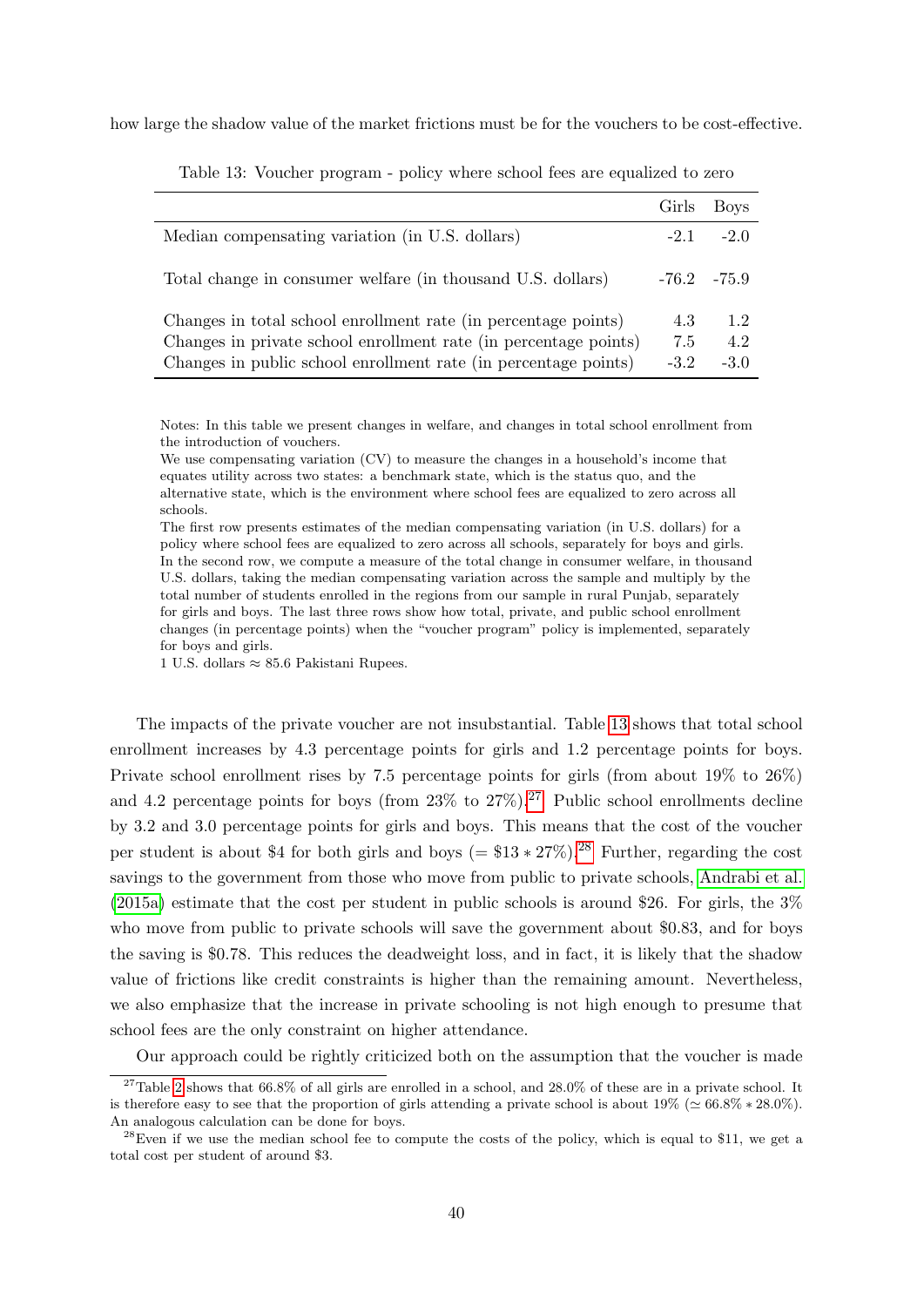<span id="page-41-0"></span>how large the shadow value of the market frictions must be for the vouchers to be cost-effective.

|                                                                  | Girls           | Boys   |
|------------------------------------------------------------------|-----------------|--------|
| Median compensating variation (in U.S. dollars)                  | $-2.1$          | $-2.0$ |
| Total change in consumer welfare (in thousand U.S. dollars)      | $-76.2$ $-75.9$ |        |
| Changes in total school enrollment rate (in percentage points)   | 4.3             | 1.2    |
| Changes in private school enrollment rate (in percentage points) | 7.5             | 4.2    |
| Changes in public school enrollment rate (in percentage points)  | $-3.2$          | $-3.0$ |

Table 13: Voucher program - policy where school fees are equalized to zero

Notes: In this table we present changes in welfare, and changes in total school enrollment from the introduction of vouchers.

We use compensating variation (CV) to measure the changes in a household's income that equates utility across two states: a benchmark state, which is the status quo, and the alternative state, which is the environment where school fees are equalized to zero across all schools.

The first row presents estimates of the median compensating variation (in U.S. dollars) for a policy where school fees are equalized to zero across all schools, separately for boys and girls. In the second row, we compute a measure of the total change in consumer welfare, in thousand U.S. dollars, taking the median compensating variation across the sample and multiply by the total number of students enrolled in the regions from our sample in rural Punjab, separately for girls and boys. The last three rows show how total, private, and public school enrollment changes (in percentage points) when the "voucher program" policy is implemented, separately for boys and girls.

1 U.S. dollars ≈ 85.6 Pakistani Rupees.

The impacts of the private voucher are not insubstantial. Table [13](#page-41-0) shows that total school enrollment increases by 4.3 percentage points for girls and 1.2 percentage points for boys. Private school enrollment rises by 7.5 percentage points for girls (from about 19% to 26%) and 4.2 percentage points for boys (from  $23\%$  to  $27\%$  $27\%$ ).<sup>27</sup> Public school enrollments decline by 3.2 and 3.0 percentage points for girls and boys. This means that the cost of the voucher per student is about \$4 for both girls and boys (=  $$13 * 27\%$ ).<sup>[28](#page-41-2)</sup> Further, regarding the cost savings to the government from those who move from public to private schools, [Andrabi et al.](#page-44-1)  $(2015a)$  estimate that the cost per student in public schools is around \$26. For girls, the 3% who move from public to private schools will save the government about \$0.83, and for boys the saving is \$0.78. This reduces the deadweight loss, and in fact, it is likely that the shadow value of frictions like credit constraints is higher than the remaining amount. Nevertheless, we also emphasize that the increase in private schooling is not high enough to presume that school fees are the only constraint on higher attendance.

<span id="page-41-1"></span>Our approach could be rightly criticized both on the assumption that the voucher is made

 $27$ Table [2](#page-9-1) shows that 66.8% of all girls are enrolled in a school, and 28.0% of these are in a private school. It is therefore easy to see that the proportion of girls attending a private school is about  $19\%$  ( $\simeq 66.8\% * 28.0\%$ ). An analogous calculation can be done for boys.

<span id="page-41-2"></span> $^{28}$ Even if we use the median school fee to compute the costs of the policy, which is equal to \$11, we get a total cost per student of around \$3.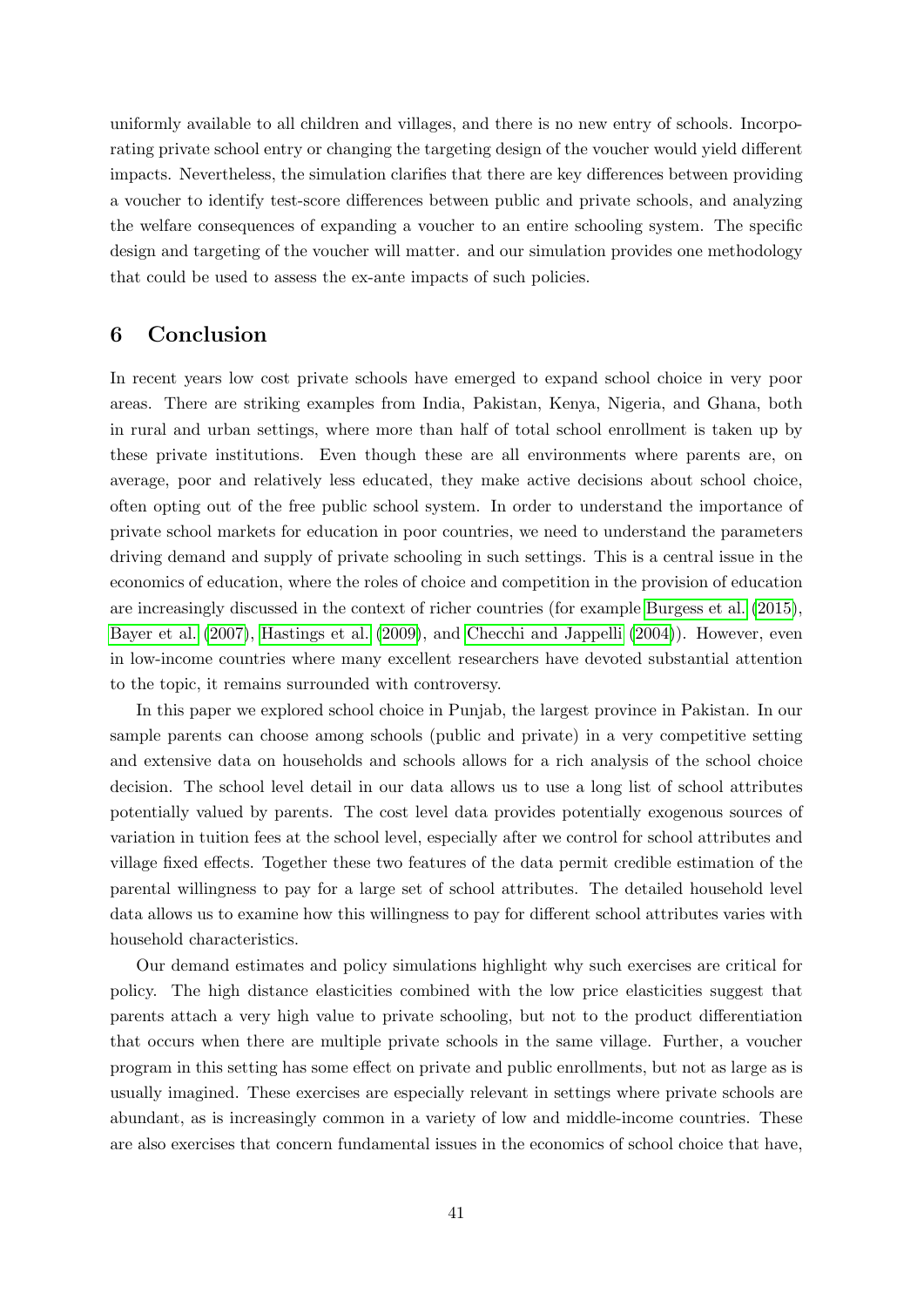uniformly available to all children and villages, and there is no new entry of schools. Incorporating private school entry or changing the targeting design of the voucher would yield different impacts. Nevertheless, the simulation clarifies that there are key differences between providing a voucher to identify test-score differences between public and private schools, and analyzing the welfare consequences of expanding a voucher to an entire schooling system. The specific design and targeting of the voucher will matter. and our simulation provides one methodology that could be used to assess the ex-ante impacts of such policies.

## <span id="page-42-0"></span>6 Conclusion

In recent years low cost private schools have emerged to expand school choice in very poor areas. There are striking examples from India, Pakistan, Kenya, Nigeria, and Ghana, both in rural and urban settings, where more than half of total school enrollment is taken up by these private institutions. Even though these are all environments where parents are, on average, poor and relatively less educated, they make active decisions about school choice, often opting out of the free public school system. In order to understand the importance of private school markets for education in poor countries, we need to understand the parameters driving demand and supply of private schooling in such settings. This is a central issue in the economics of education, where the roles of choice and competition in the provision of education are increasingly discussed in the context of richer countries (for example [Burgess et al.](#page-45-4) [\(2015\)](#page-45-4), [Bayer et al.](#page-44-8) [\(2007\)](#page-44-8), [Hastings et al.](#page-45-9) [\(2009\)](#page-45-9), and [Checchi and Jappelli](#page-45-8) [\(2004\)](#page-45-8)). However, even in low-income countries where many excellent researchers have devoted substantial attention to the topic, it remains surrounded with controversy.

In this paper we explored school choice in Punjab, the largest province in Pakistan. In our sample parents can choose among schools (public and private) in a very competitive setting and extensive data on households and schools allows for a rich analysis of the school choice decision. The school level detail in our data allows us to use a long list of school attributes potentially valued by parents. The cost level data provides potentially exogenous sources of variation in tuition fees at the school level, especially after we control for school attributes and village fixed effects. Together these two features of the data permit credible estimation of the parental willingness to pay for a large set of school attributes. The detailed household level data allows us to examine how this willingness to pay for different school attributes varies with household characteristics.

Our demand estimates and policy simulations highlight why such exercises are critical for policy. The high distance elasticities combined with the low price elasticities suggest that parents attach a very high value to private schooling, but not to the product differentiation that occurs when there are multiple private schools in the same village. Further, a voucher program in this setting has some effect on private and public enrollments, but not as large as is usually imagined. These exercises are especially relevant in settings where private schools are abundant, as is increasingly common in a variety of low and middle-income countries. These are also exercises that concern fundamental issues in the economics of school choice that have,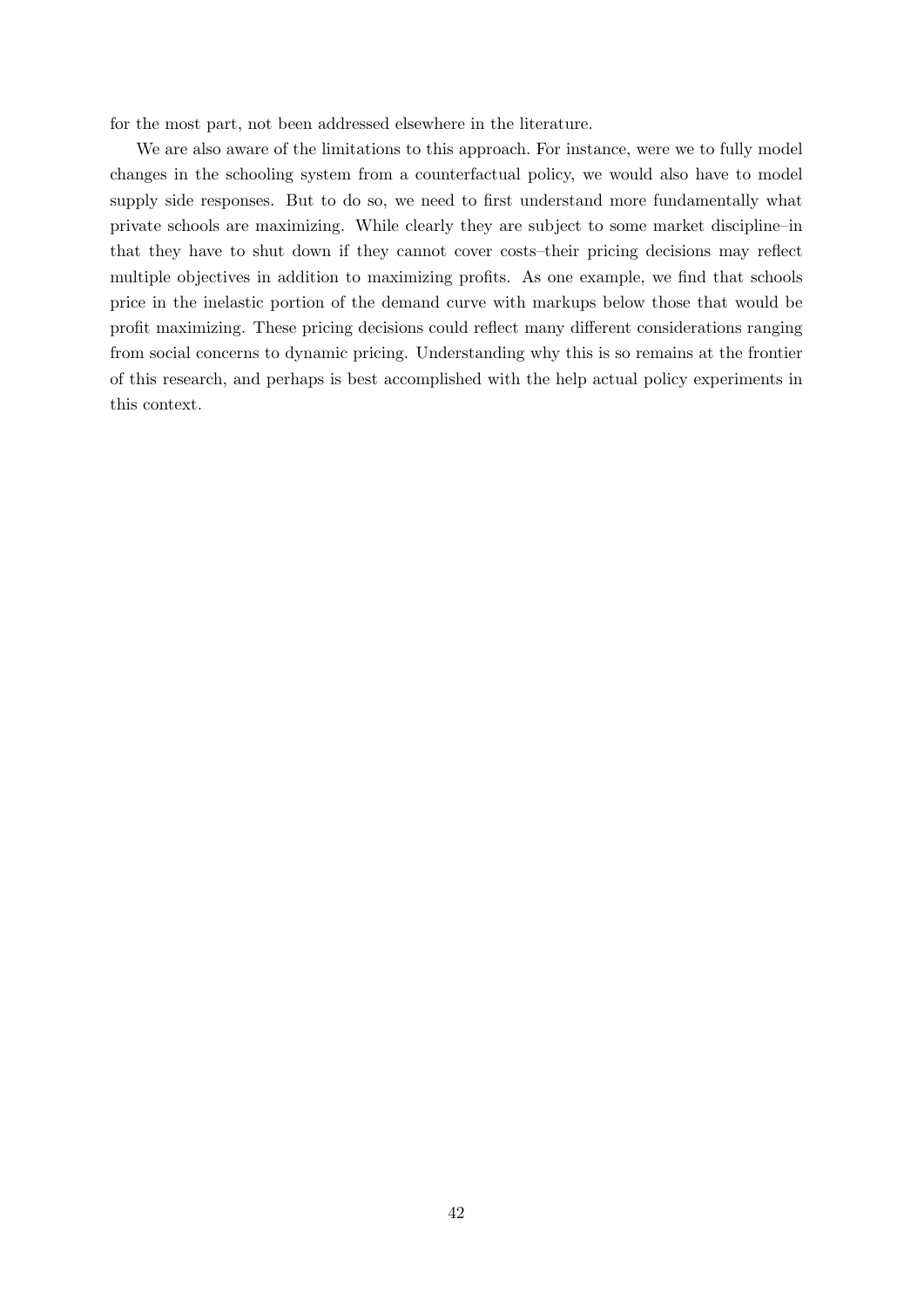for the most part, not been addressed elsewhere in the literature.

We are also aware of the limitations to this approach. For instance, were we to fully model changes in the schooling system from a counterfactual policy, we would also have to model supply side responses. But to do so, we need to first understand more fundamentally what private schools are maximizing. While clearly they are subject to some market discipline–in that they have to shut down if they cannot cover costs–their pricing decisions may reflect multiple objectives in addition to maximizing profits. As one example, we find that schools price in the inelastic portion of the demand curve with markups below those that would be profit maximizing. These pricing decisions could reflect many different considerations ranging from social concerns to dynamic pricing. Understanding why this is so remains at the frontier of this research, and perhaps is best accomplished with the help actual policy experiments in this context.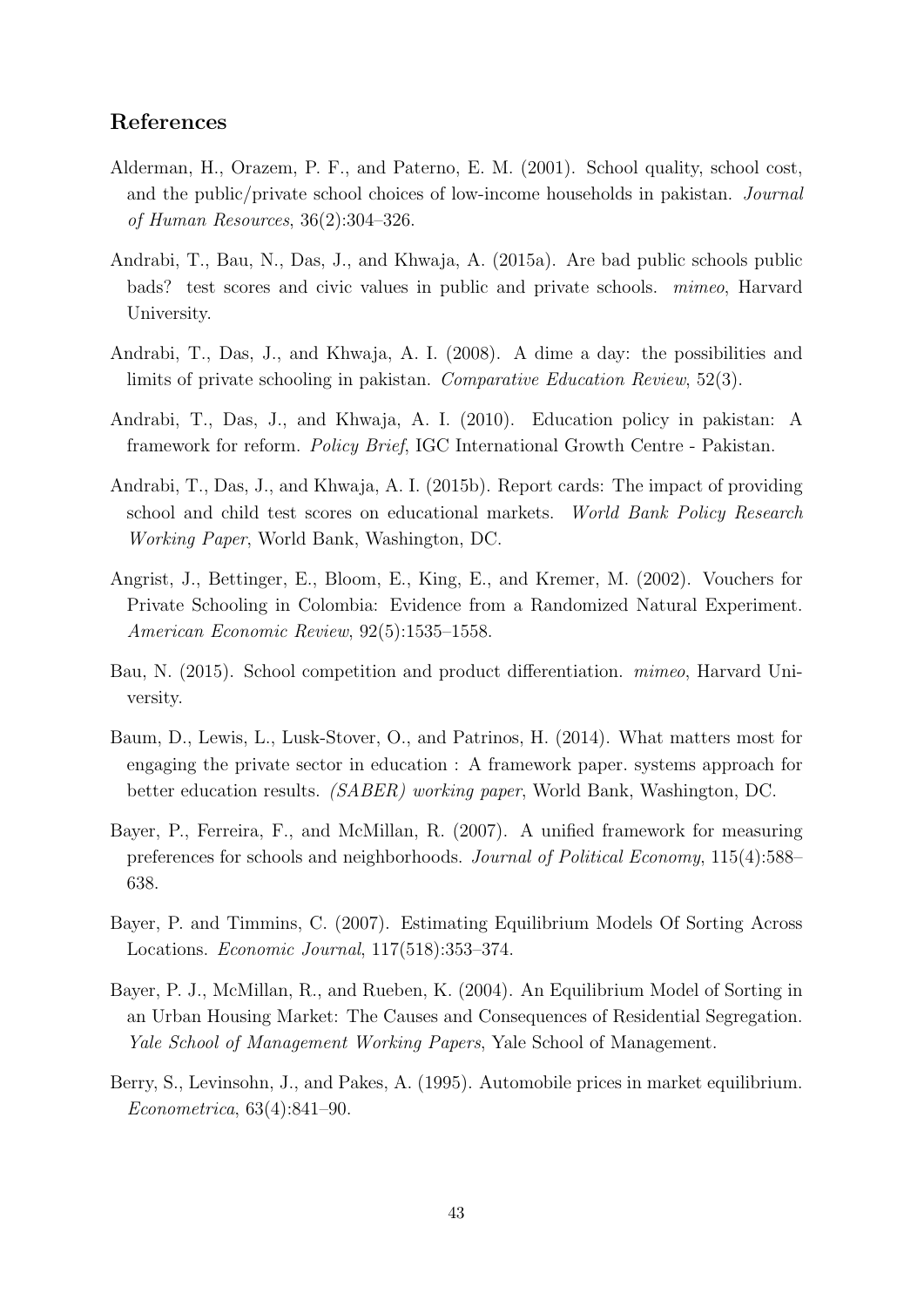### References

- <span id="page-44-7"></span>Alderman, H., Orazem, P. F., and Paterno, E. M. (2001). School quality, school cost, and the public/private school choices of low-income households in pakistan. Journal of Human Resources, 36(2):304–326.
- <span id="page-44-1"></span>Andrabi, T., Bau, N., Das, J., and Khwaja, A. (2015a). Are bad public schools public bads? test scores and civic values in public and private schools. mimeo, Harvard University.
- <span id="page-44-5"></span>Andrabi, T., Das, J., and Khwaja, A. I. (2008). A dime a day: the possibilities and limits of private schooling in pakistan. Comparative Education Review, 52(3).
- <span id="page-44-6"></span>Andrabi, T., Das, J., and Khwaja, A. I. (2010). Education policy in pakistan: A framework for reform. Policy Brief, IGC International Growth Centre - Pakistan.
- <span id="page-44-10"></span>Andrabi, T., Das, J., and Khwaja, A. I. (2015b). Report cards: The impact of providing school and child test scores on educational markets. World Bank Policy Research Working Paper, World Bank, Washington, DC.
- <span id="page-44-2"></span>Angrist, J., Bettinger, E., Bloom, E., King, E., and Kremer, M. (2002). Vouchers for Private Schooling in Colombia: Evidence from a Randomized Natural Experiment. American Economic Review, 92(5):1535–1558.
- <span id="page-44-9"></span>Bau, N. (2015). School competition and product differentiation. mimeo, Harvard University.
- <span id="page-44-0"></span>Baum, D., Lewis, L., Lusk-Stover, O., and Patrinos, H. (2014). What matters most for engaging the private sector in education : A framework paper. systems approach for better education results. (SABER) working paper, World Bank, Washington, DC.
- <span id="page-44-8"></span>Bayer, P., Ferreira, F., and McMillan, R. (2007). A unified framework for measuring preferences for schools and neighborhoods. Journal of Political Economy, 115(4):588– 638.
- <span id="page-44-4"></span>Bayer, P. and Timmins, C. (2007). Estimating Equilibrium Models Of Sorting Across Locations. Economic Journal, 117(518):353–374.
- <span id="page-44-11"></span>Bayer, P. J., McMillan, R., and Rueben, K. (2004). An Equilibrium Model of Sorting in an Urban Housing Market: The Causes and Consequences of Residential Segregation. Yale School of Management Working Papers, Yale School of Management.
- <span id="page-44-3"></span>Berry, S., Levinsohn, J., and Pakes, A. (1995). Automobile prices in market equilibrium. Econometrica, 63(4):841–90.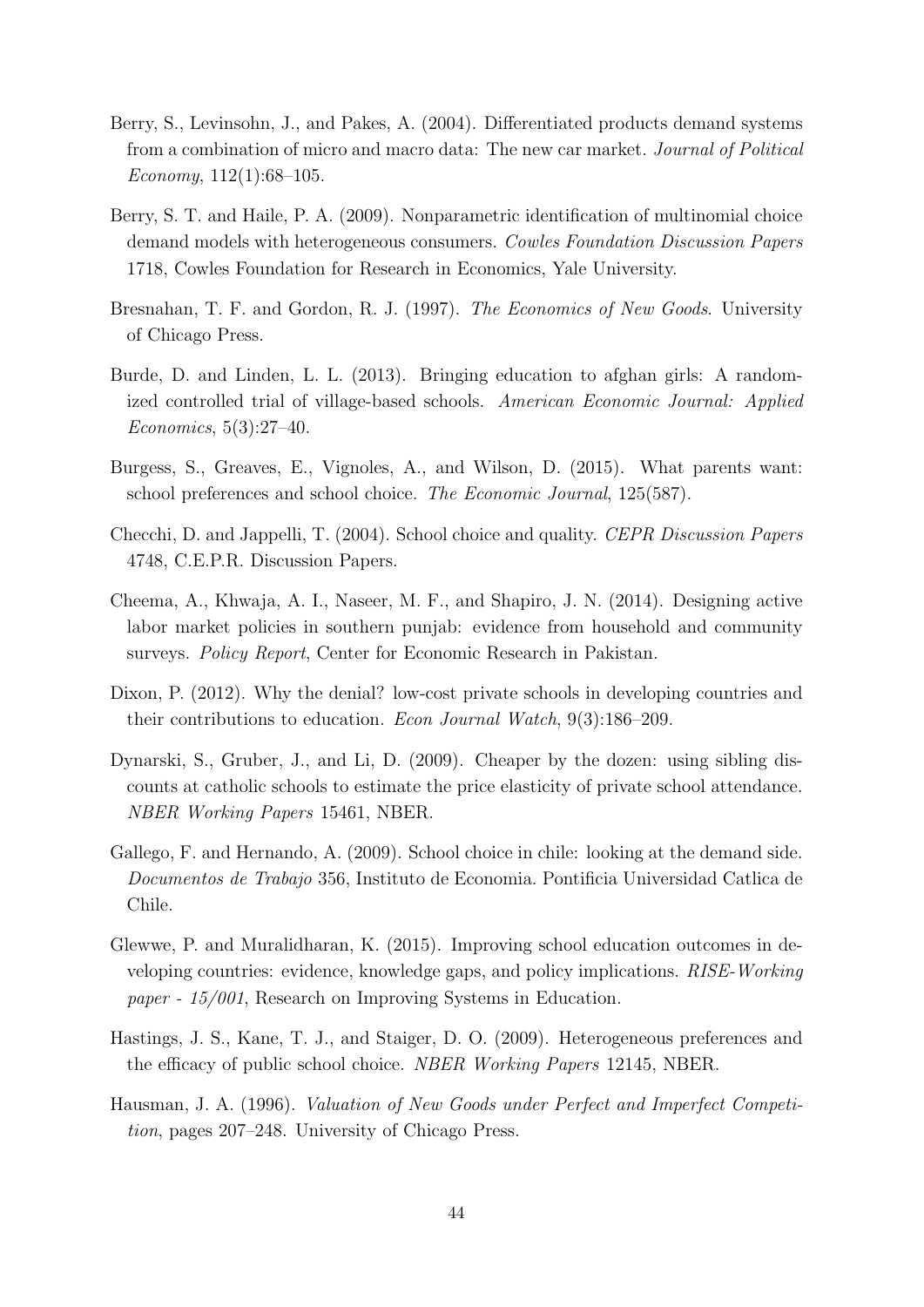- <span id="page-45-2"></span>Berry, S., Levinsohn, J., and Pakes, A. (2004). Differentiated products demand systems from a combination of micro and macro data: The new car market. Journal of Political Economy,  $112(1):68-105$ .
- <span id="page-45-11"></span>Berry, S. T. and Haile, P. A. (2009). Nonparametric identification of multinomial choice demand models with heterogeneous consumers. Cowles Foundation Discussion Papers 1718, Cowles Foundation for Research in Economics, Yale University.
- <span id="page-45-1"></span>Bresnahan, T. F. and Gordon, R. J. (1997). The Economics of New Goods. University of Chicago Press.
- <span id="page-45-5"></span>Burde, D. and Linden, L. L. (2013). Bringing education to afghan girls: A randomized controlled trial of village-based schools. American Economic Journal: Applied Economics, 5(3):27–40.
- <span id="page-45-4"></span>Burgess, S., Greaves, E., Vignoles, A., and Wilson, D. (2015). What parents want: school preferences and school choice. The Economic Journal, 125(587).
- <span id="page-45-8"></span>Checchi, D. and Jappelli, T. (2004). School choice and quality. CEPR Discussion Papers 4748, C.E.P.R. Discussion Papers.
- <span id="page-45-12"></span>Cheema, A., Khwaja, A. I., Naseer, M. F., and Shapiro, J. N. (2014). Designing active labor market policies in southern punjab: evidence from household and community surveys. Policy Report, Center for Economic Research in Pakistan.
- <span id="page-45-3"></span>Dixon, P. (2012). Why the denial? low-cost private schools in developing countries and their contributions to education. Econ Journal Watch, 9(3):186–209.
- <span id="page-45-7"></span>Dynarski, S., Gruber, J., and Li, D. (2009). Cheaper by the dozen: using sibling discounts at catholic schools to estimate the price elasticity of private school attendance. NBER Working Papers 15461, NBER.
- <span id="page-45-10"></span>Gallego, F. and Hernando, A. (2009). School choice in chile: looking at the demand side. Documentos de Trabajo 356, Instituto de Economia. Pontificia Universidad Catlica de Chile.
- <span id="page-45-6"></span>Glewwe, P. and Muralidharan, K. (2015). Improving school education outcomes in developing countries: evidence, knowledge gaps, and policy implications. RISE-Working paper - 15/001, Research on Improving Systems in Education.
- <span id="page-45-9"></span>Hastings, J. S., Kane, T. J., and Staiger, D. O. (2009). Heterogeneous preferences and the efficacy of public school choice. NBER Working Papers 12145, NBER.
- <span id="page-45-0"></span>Hausman, J. A. (1996). Valuation of New Goods under Perfect and Imperfect Competition, pages 207–248. University of Chicago Press.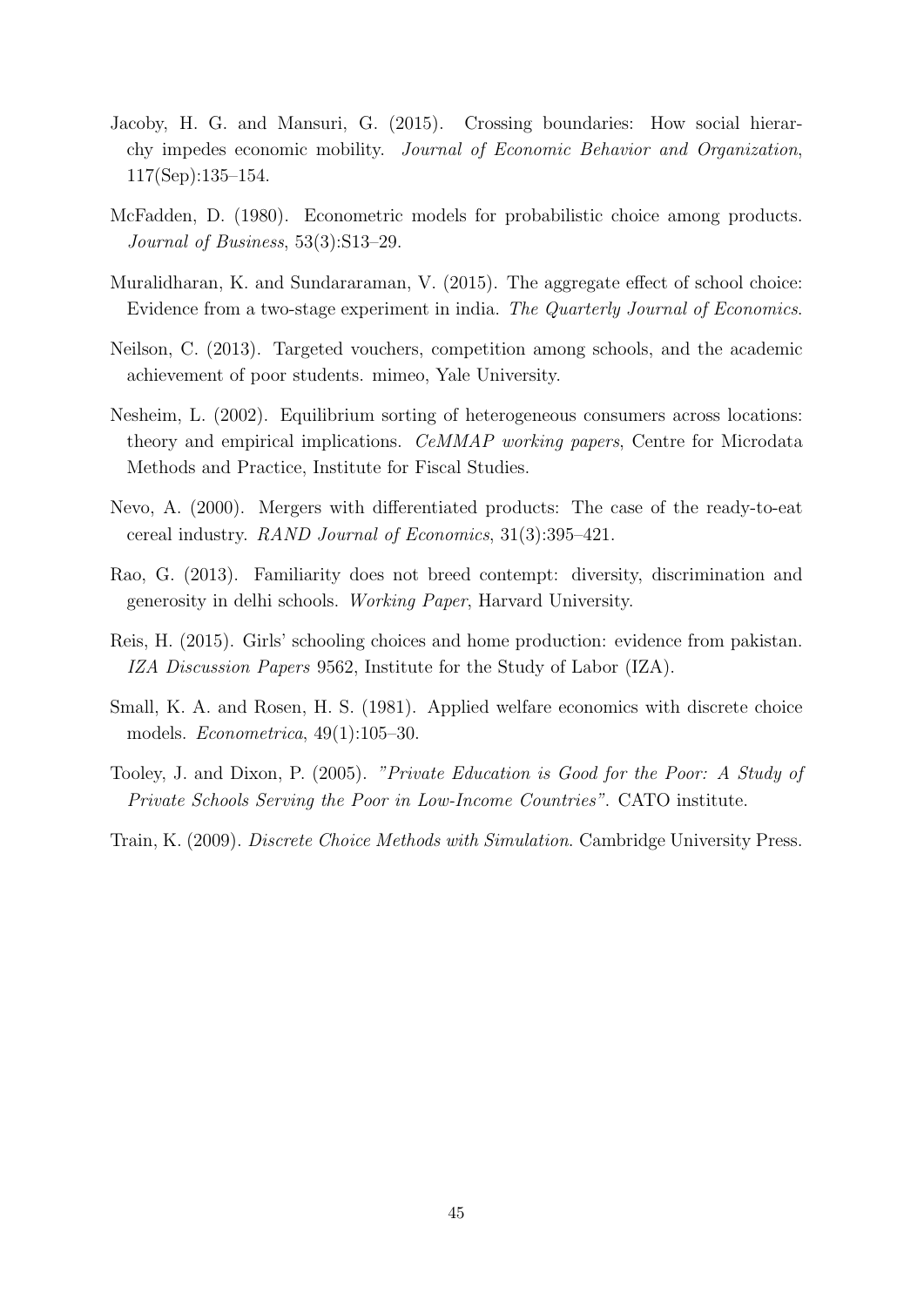- <span id="page-46-3"></span>Jacoby, H. G. and Mansuri, G. (2015). Crossing boundaries: How social hierarchy impedes economic mobility. Journal of Economic Behavior and Organization, 117(Sep):135–154.
- <span id="page-46-8"></span>McFadden, D. (1980). Econometric models for probabilistic choice among products. Journal of Business, 53(3):S13–29.
- <span id="page-46-0"></span>Muralidharan, K. and Sundararaman, V. (2015). The aggregate effect of school choice: Evidence from a two-stage experiment in india. The Quarterly Journal of Economics.
- <span id="page-46-4"></span>Neilson, C. (2013). Targeted vouchers, competition among schools, and the academic achievement of poor students. mimeo, Yale University.
- <span id="page-46-6"></span>Nesheim, L. (2002). Equilibrium sorting of heterogeneous consumers across locations: theory and empirical implications. CeMMAP working papers, Centre for Microdata Methods and Practice, Institute for Fiscal Studies.
- <span id="page-46-7"></span>Nevo, A. (2000). Mergers with differentiated products: The case of the ready-to-eat cereal industry. RAND Journal of Economics, 31(3):395–421.
- <span id="page-46-1"></span>Rao, G. (2013). Familiarity does not breed contempt: diversity, discrimination and generosity in delhi schools. Working Paper, Harvard University.
- <span id="page-46-5"></span>Reis, H. (2015). Girls' schooling choices and home production: evidence from pakistan. IZA Discussion Papers 9562, Institute for the Study of Labor (IZA).
- <span id="page-46-9"></span>Small, K. A. and Rosen, H. S. (1981). Applied welfare economics with discrete choice models. Econometrica, 49(1):105–30.
- <span id="page-46-2"></span>Tooley, J. and Dixon, P. (2005). "Private Education is Good for the Poor: A Study of Private Schools Serving the Poor in Low-Income Countries". CATO institute.
- <span id="page-46-10"></span>Train, K. (2009). Discrete Choice Methods with Simulation. Cambridge University Press.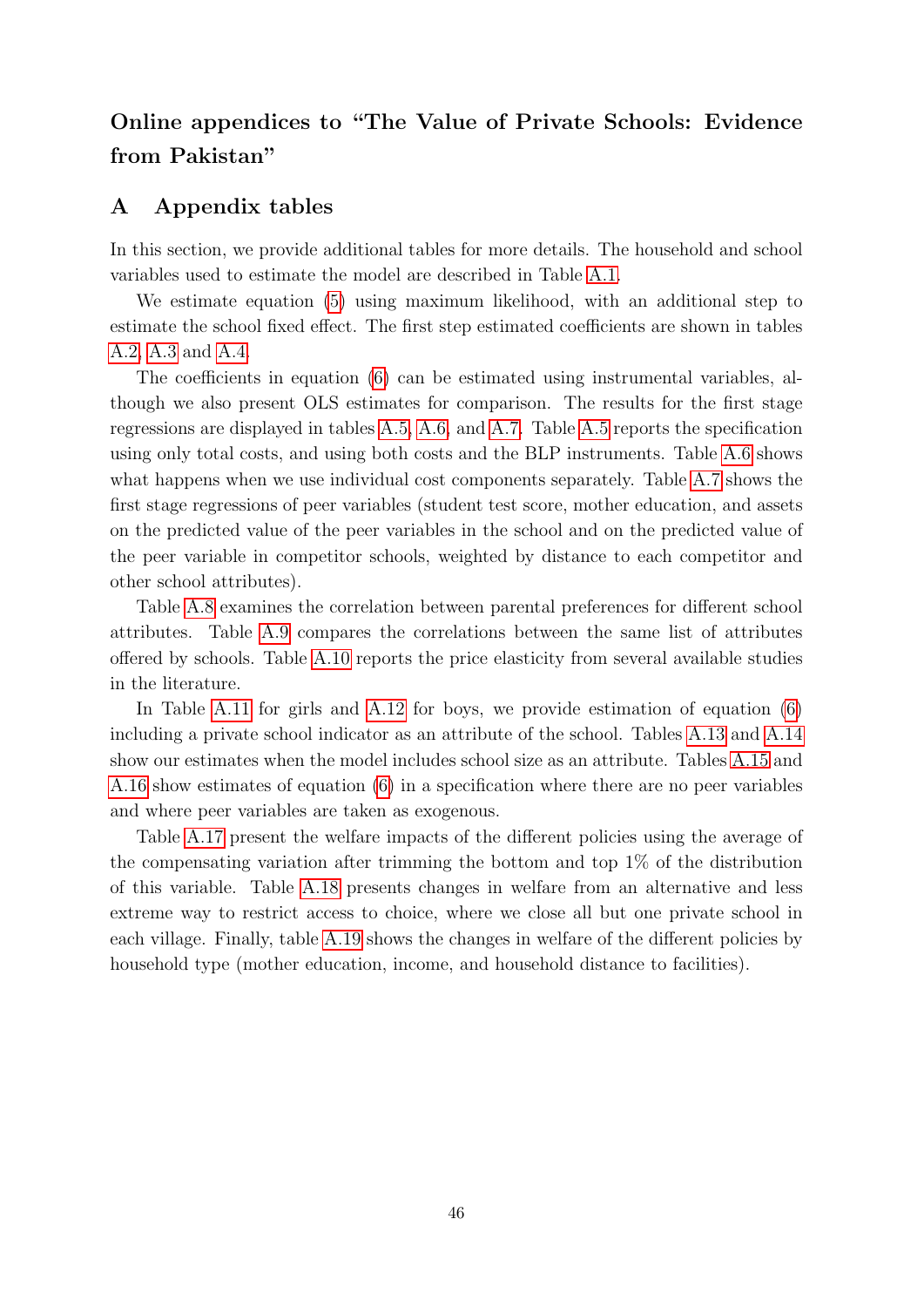## Online appendices to "The Value of Private Schools: Evidence from Pakistan"

## <span id="page-47-0"></span>A Appendix tables

In this section, we provide additional tables for more details. The household and school variables used to estimate the model are described in Table [A.1.](#page-48-0)

We estimate equation [\(5\)](#page-15-5) using maximum likelihood, with an additional step to estimate the school fixed effect. The first step estimated coefficients are shown in tables [A.2,](#page-49-0) [A.3](#page-50-0) and [A.4.](#page-51-0)

The coefficients in equation [\(6\)](#page-15-4) can be estimated using instrumental variables, although we also present OLS estimates for comparison. The results for the first stage regressions are displayed in tables [A.5,](#page-52-0) [A.6,](#page-53-0) and [A.7.](#page-54-0) Table [A.5](#page-52-0) reports the specification using only total costs, and using both costs and the BLP instruments. Table [A.6](#page-53-0) shows what happens when we use individual cost components separately. Table [A.7](#page-54-0) shows the first stage regressions of peer variables (student test score, mother education, and assets on the predicted value of the peer variables in the school and on the predicted value of the peer variable in competitor schools, weighted by distance to each competitor and other school attributes).

Table [A.8](#page-55-0) examines the correlation between parental preferences for different school attributes. Table [A.9](#page-56-0) compares the correlations between the same list of attributes offered by schools. Table [A.10](#page-57-0) reports the price elasticity from several available studies in the literature.

In Table [A.11](#page-58-0) for girls and [A.12](#page-59-0) for boys, we provide estimation of equation [\(6\)](#page-15-4) including a private school indicator as an attribute of the school. Tables [A.13](#page-60-0) and [A.14](#page-61-0) show our estimates when the model includes school size as an attribute. Tables [A.15](#page-62-0) and [A.16](#page-63-0) show estimates of equation [\(6\)](#page-15-4) in a specification where there are no peer variables and where peer variables are taken as exogenous.

Table [A.17](#page-64-0) present the welfare impacts of the different policies using the average of the compensating variation after trimming the bottom and top 1% of the distribution of this variable. Table [A.18](#page-64-1) presents changes in welfare from an alternative and less extreme way to restrict access to choice, where we close all but one private school in each village. Finally, table [A.19](#page-65-0) shows the changes in welfare of the different policies by household type (mother education, income, and household distance to facilities).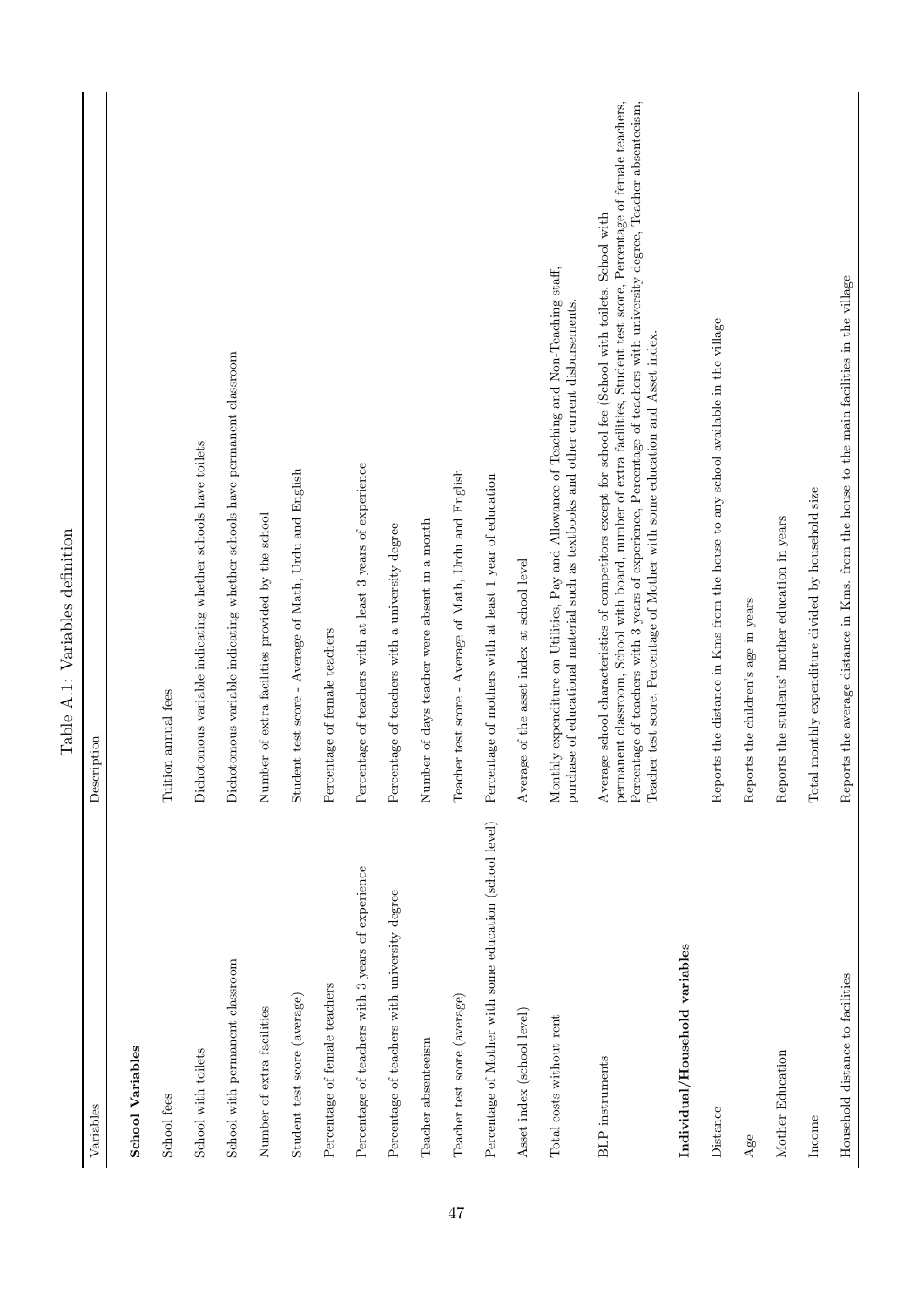<span id="page-48-0"></span>

|                                                         | Table A.1: Variables definition                                                                                                                                                                                                                                                                                                                                                                                                            |
|---------------------------------------------------------|--------------------------------------------------------------------------------------------------------------------------------------------------------------------------------------------------------------------------------------------------------------------------------------------------------------------------------------------------------------------------------------------------------------------------------------------|
| Variables                                               | Description                                                                                                                                                                                                                                                                                                                                                                                                                                |
| <b>School Variables</b>                                 |                                                                                                                                                                                                                                                                                                                                                                                                                                            |
| School fees                                             | Tuition annual fees                                                                                                                                                                                                                                                                                                                                                                                                                        |
| School with toilets                                     | Dichotomous variable indicating whether schools have toilets                                                                                                                                                                                                                                                                                                                                                                               |
| School with permanent classroom                         | Dichotomous variable indicating whether schools have permanent classroom                                                                                                                                                                                                                                                                                                                                                                   |
| Number of extra facilities                              | Number of extra facilities provided by the school                                                                                                                                                                                                                                                                                                                                                                                          |
| Student test score (average)                            | Student test score - Average of Math, Urdu and English                                                                                                                                                                                                                                                                                                                                                                                     |
| Percentage of female teachers                           | Percentage of female teachers                                                                                                                                                                                                                                                                                                                                                                                                              |
| Percentage of teachers with 3 years of experience       | Percentage of teachers with at least 3 years of experience                                                                                                                                                                                                                                                                                                                                                                                 |
| Percentage of teachers with university degree           | Percentage of teachers with a university degree                                                                                                                                                                                                                                                                                                                                                                                            |
| Teacher absenteeism                                     | Number of days teacher were absent in a month                                                                                                                                                                                                                                                                                                                                                                                              |
| Teacher test score (average)                            | Teacher test score - Average of Math, Urdu and English                                                                                                                                                                                                                                                                                                                                                                                     |
| Percentage of Mother with some education (school level) | Percentage of mothers with at least 1 year of education                                                                                                                                                                                                                                                                                                                                                                                    |
| Asset index (school level)                              | Average of the asset index at school level                                                                                                                                                                                                                                                                                                                                                                                                 |
| Total costs without rent                                | Monthly expenditure on Utilities, Pay and Allowance of Teaching and Non-Teaching staff,<br>purchase of educational material such as textbooks and other current disbursements                                                                                                                                                                                                                                                              |
| <b>BLP</b> instruments                                  | permanent classroom, School with board, number of extra facilities, Student test score, Percentage of female teachers,<br>Percentage of teachers with 3 years of experience, Percentage of teachers with university degree, Teacher absenteeism,<br>Average school characteristics of competitors except for school fee (School with toilets, School with<br>Teacher test score, Percentage of Mother with some education and Asset index. |
| Individual/Household variables                          |                                                                                                                                                                                                                                                                                                                                                                                                                                            |
| Distance                                                | Reports the distance in Krns from the house to any school available in the village                                                                                                                                                                                                                                                                                                                                                         |
| Age                                                     | Reports the children's age in years                                                                                                                                                                                                                                                                                                                                                                                                        |
| Mother Education                                        | Reports the students' mother education in years                                                                                                                                                                                                                                                                                                                                                                                            |
| Income                                                  | monthly expenditure divided by household size<br>Total                                                                                                                                                                                                                                                                                                                                                                                     |
| Household distance to facilities                        | Reports the average distance in Kms. from the house to the main facilities in the village                                                                                                                                                                                                                                                                                                                                                  |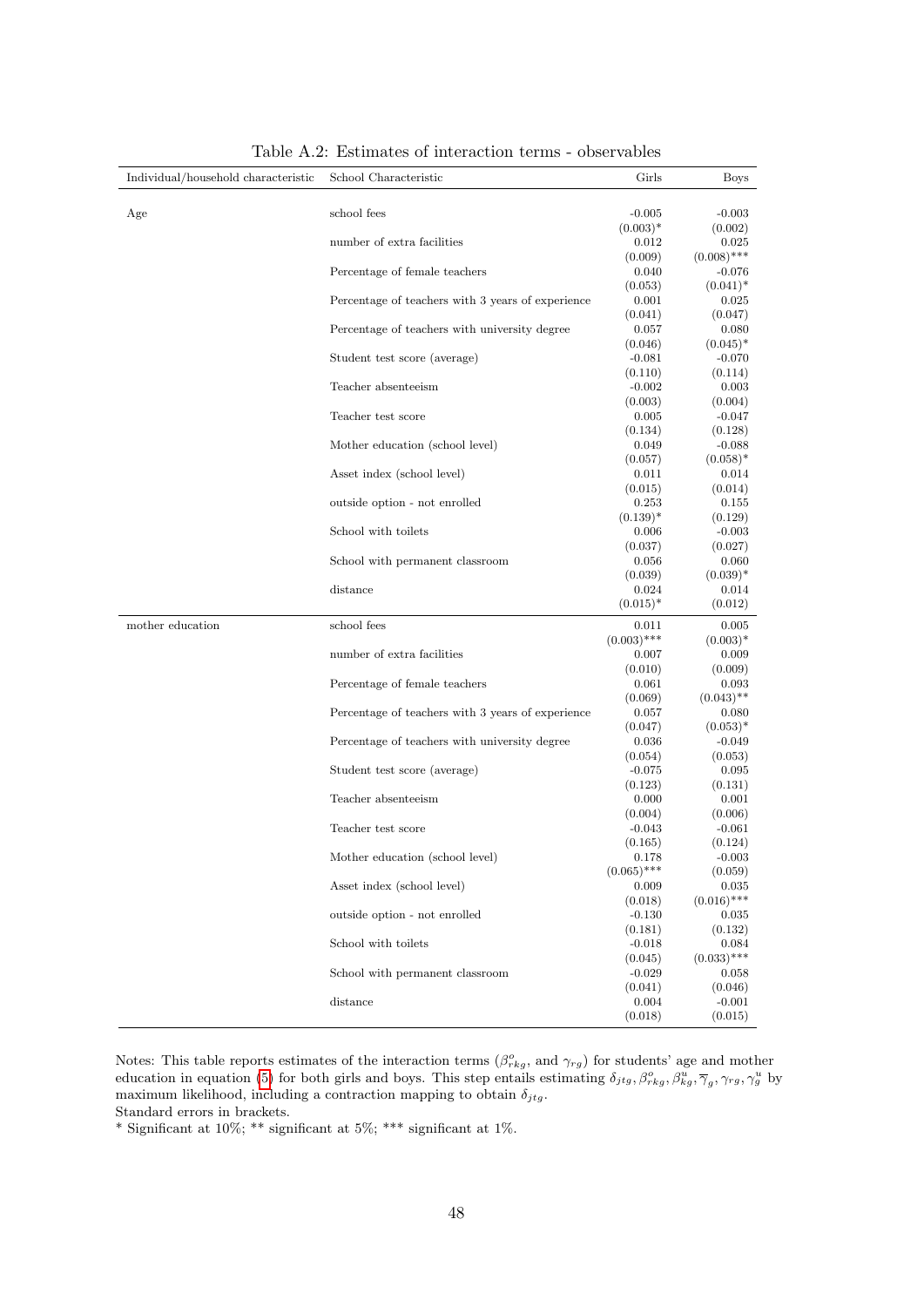<span id="page-49-0"></span>

| Individual/household characteristic | School Characteristic                             | Girls               | <b>Boys</b>            |
|-------------------------------------|---------------------------------------------------|---------------------|------------------------|
|                                     |                                                   |                     |                        |
| Age                                 | school fees                                       | $-0.005$            | $-0.003$               |
|                                     | number of extra facilities                        | $(0.003)*$<br>0.012 | (0.002)                |
|                                     |                                                   | (0.009)             | 0.025<br>$(0.008)$ *** |
|                                     | Percentage of female teachers                     | 0.040               | $-0.076$               |
|                                     |                                                   | (0.053)             | $(0.041)^*$            |
|                                     | Percentage of teachers with 3 years of experience | 0.001               | 0.025                  |
|                                     |                                                   | (0.041)             | (0.047)                |
|                                     | Percentage of teachers with university degree     | 0.057               | 0.080                  |
|                                     |                                                   | (0.046)             | $(0.045)^*$            |
|                                     | Student test score (average)                      | $-0.081$            | $-0.070$               |
|                                     |                                                   | (0.110)             | (0.114)                |
|                                     | Teacher absenteeism                               | $-0.002$            | 0.003                  |
|                                     |                                                   | (0.003)             | (0.004)                |
|                                     | Teacher test score                                | 0.005               | $-0.047$               |
|                                     |                                                   | (0.134)             | (0.128)                |
|                                     | Mother education (school level)                   | 0.049               | $-0.088$               |
|                                     | Asset index (school level)                        | (0.057)<br>0.011    | $(0.058)*$<br>0.014    |
|                                     |                                                   | (0.015)             | (0.014)                |
|                                     | outside option - not enrolled                     | 0.253               | 0.155                  |
|                                     |                                                   | $(0.139)^*$         | (0.129)                |
|                                     | School with toilets                               | 0.006               | $-0.003$               |
|                                     |                                                   | (0.037)             | (0.027)                |
|                                     | School with permanent classroom                   | 0.056               | 0.060                  |
|                                     |                                                   | (0.039)             | $(0.039)*$             |
|                                     | distance                                          | 0.024               | 0.014                  |
|                                     |                                                   | $(0.015)^*$         | (0.012)                |
| mother education                    | school fees                                       | 0.011               | 0.005                  |
|                                     |                                                   | $(0.003)$ ***       | $(0.003)*$             |
|                                     | number of extra facilities                        | 0.007               | 0.009                  |
|                                     |                                                   | (0.010)             | (0.009)                |
|                                     | Percentage of female teachers                     | 0.061<br>(0.069)    | 0.093<br>$(0.043)$ **  |
|                                     | Percentage of teachers with 3 years of experience | 0.057               | 0.080                  |
|                                     |                                                   | (0.047)             | $(0.053)*$             |
|                                     | Percentage of teachers with university degree     | 0.036               | $-0.049$               |
|                                     |                                                   | (0.054)             | (0.053)                |
|                                     | Student test score (average)                      | $-0.075$            | 0.095                  |
|                                     |                                                   | (0.123)             | (0.131)                |
|                                     | Teacher absenteeism                               | 0.000               | 0.001                  |
|                                     |                                                   | (0.004)             | (0.006)                |
|                                     | Teacher test score                                | $-0.043$            | $-0.061$               |
|                                     |                                                   | (0.165)             | (0.124)                |
|                                     | Mother education (school level)                   | 0.178               | $-0.003$               |
|                                     |                                                   | $(0.065)$ ***       | (0.059)                |
|                                     | Asset index (school level)                        | 0.009<br>(0.018)    | 0.035<br>$(0.016)$ *** |
|                                     | outside option - not enrolled                     | $-0.130$            | 0.035                  |
|                                     |                                                   | (0.181)             | (0.132)                |
|                                     | School with toilets                               | $-0.018$            | 0.084                  |
|                                     |                                                   | (0.045)             | $(0.033)$ ***          |
|                                     | School with permanent classroom                   | $-0.029$            | 0.058                  |
|                                     |                                                   | (0.041)             | (0.046)                |
|                                     | distance                                          | 0.004               | $-0.001$               |
|                                     |                                                   | (0.018)             | (0.015)                |

Table A.2: Estimates of interaction terms - observables

Notes: This table reports estimates of the interaction terms  $(\beta_{rkg}^o$ , and  $\gamma_{rg})$  for students' age and mother education in equation [\(5\)](#page-15-5) for both girls and boys. This step entails estimating  $\delta_{jtg}, \beta_{rkg}^{\circ}, \beta_{kg}^{\iota}, \overline{\gamma}_g, \gamma_{rg}, \gamma_g^{\mu}$  by maximum likelihood, including a contraction mapping to obtain  $\delta_{jtg}$ . Standard errors in brackets.

\* Significant at  $10\%$ ; \*\* significant at  $5\%$ ; \*\*\* significant at  $1\%$ .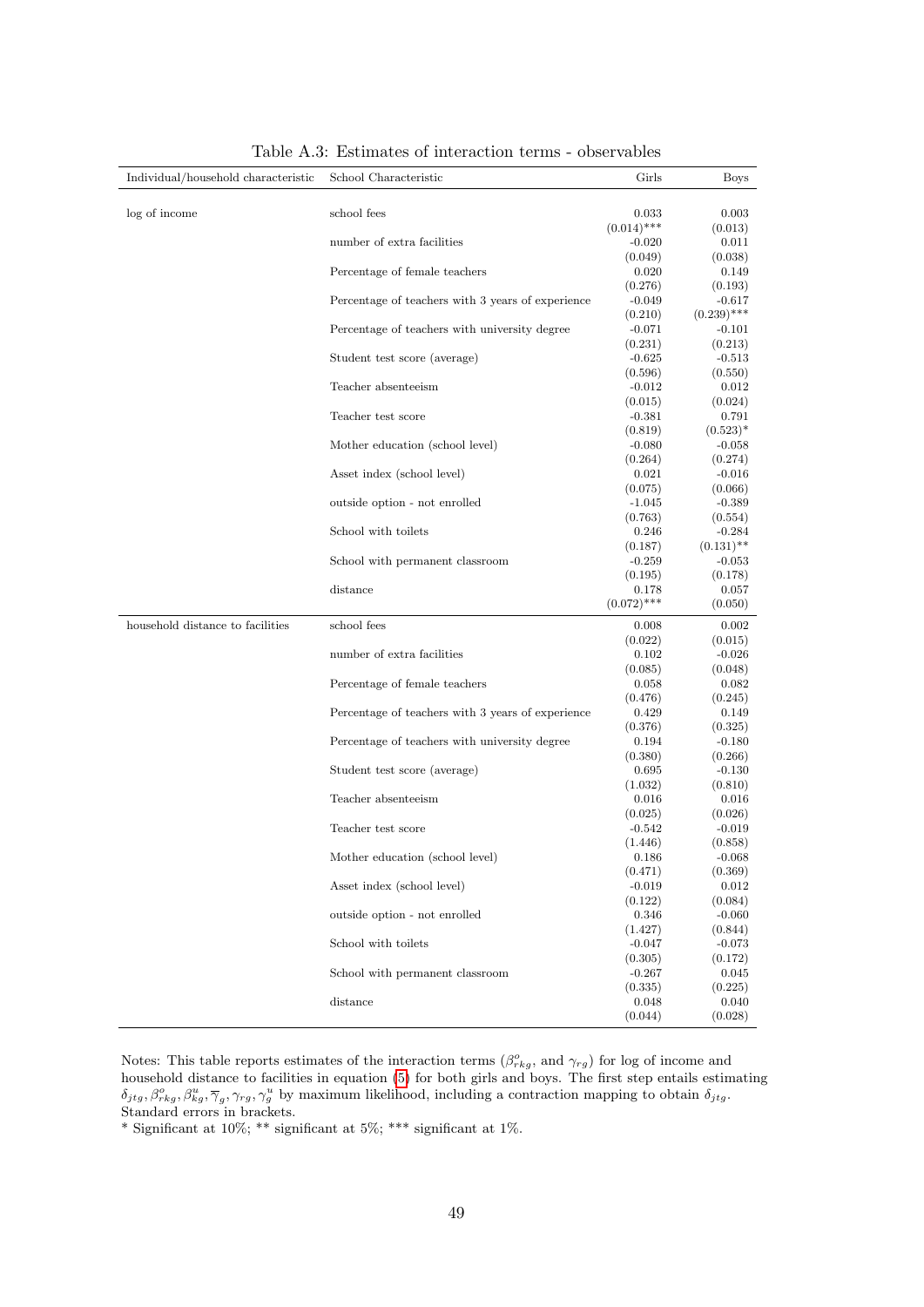<span id="page-50-0"></span>

| Individual/household characteristic | School Characteristic                             | Girls                  | <b>Boys</b>               |
|-------------------------------------|---------------------------------------------------|------------------------|---------------------------|
|                                     |                                                   |                        |                           |
| log of income                       | school fees                                       | 0.033                  | 0.003                     |
|                                     |                                                   | $(0.014)$ ***          | (0.013)                   |
|                                     | number of extra facilities                        | $-0.020$               | 0.011                     |
|                                     |                                                   | (0.049)                | (0.038)                   |
|                                     | Percentage of female teachers                     | 0.020                  | 0.149                     |
|                                     |                                                   | (0.276)                | (0.193)                   |
|                                     | Percentage of teachers with 3 years of experience | $-0.049$               | $-0.617$<br>$(0.239)$ *** |
|                                     | Percentage of teachers with university degree     | (0.210)<br>$-0.071$    | $-0.101$                  |
|                                     |                                                   | (0.231)                | (0.213)                   |
|                                     | Student test score (average)                      | $-0.625$               | $-0.513$                  |
|                                     |                                                   | (0.596)                | (0.550)                   |
|                                     | Teacher absenteeism                               | $-0.012$               | 0.012                     |
|                                     |                                                   | (0.015)                | (0.024)                   |
|                                     | Teacher test score                                | $-0.381$               | 0.791                     |
|                                     |                                                   | (0.819)                | $(0.523)*$                |
|                                     | Mother education (school level)                   | $-0.080$               | $-0.058$                  |
|                                     |                                                   | (0.264)                | (0.274)                   |
|                                     | Asset index (school level)                        | 0.021                  | $-0.016$                  |
|                                     |                                                   | (0.075)                | (0.066)                   |
|                                     | outside option - not enrolled                     | $-1.045$               | $-0.389$                  |
|                                     |                                                   | (0.763)                | (0.554)                   |
|                                     | School with toilets                               | 0.246                  | $-0.284$                  |
|                                     |                                                   | (0.187)                | $(0.131)$ **              |
|                                     | School with permanent classroom                   | $-0.259$               | $-0.053$                  |
|                                     |                                                   | (0.195)                | (0.178)                   |
|                                     | distance                                          | 0.178<br>$(0.072)$ *** | 0.057                     |
|                                     |                                                   |                        | (0.050)                   |
| household distance to facilities    | school fees                                       | 0.008                  | 0.002                     |
|                                     |                                                   | (0.022)                | (0.015)                   |
|                                     | number of extra facilities                        | 0.102                  | $-0.026$                  |
|                                     |                                                   | (0.085)<br>0.058       | (0.048)<br>0.082          |
|                                     | Percentage of female teachers                     | (0.476)                | (0.245)                   |
|                                     | Percentage of teachers with 3 years of experience | 0.429                  | 0.149                     |
|                                     |                                                   | (0.376)                | (0.325)                   |
|                                     | Percentage of teachers with university degree     | 0.194                  | $-0.180$                  |
|                                     |                                                   | (0.380)                | (0.266)                   |
|                                     | Student test score (average)                      | 0.695                  | $-0.130$                  |
|                                     |                                                   | (1.032)                | (0.810)                   |
|                                     | Teacher absenteeism                               | 0.016                  | 0.016                     |
|                                     |                                                   | (0.025)                | (0.026)                   |
|                                     | Teacher test score                                | $-0.542$               | $-0.019$                  |
|                                     |                                                   | (1.446)                | (0.858)                   |
|                                     | Mother education (school level)                   | 0.186                  | -0.068                    |
|                                     |                                                   | (0.471)                | (0.369)                   |
|                                     | Asset index (school level)                        | $-0.019$               | 0.012                     |
|                                     |                                                   | (0.122)                | (0.084)                   |
|                                     | outside option - not enrolled                     | 0.346                  | $-0.060$<br>(0.844)       |
|                                     | School with toilets                               | (1.427)<br>$-0.047$    | $-0.073$                  |
|                                     |                                                   | (0.305)                | (0.172)                   |
|                                     |                                                   |                        |                           |
|                                     |                                                   |                        |                           |
|                                     | School with permanent classroom                   | $-0.267$               | 0.045                     |
|                                     | distance                                          | (0.335)<br>0.048       | (0.225)<br>0.040          |

Table A.3: Estimates of interaction terms - observables

Notes: This table reports estimates of the interaction terms  $(\beta_{rkg}^o$ , and  $\gamma_{rg})$  for log of income and household distance to facilities in equation [\(5\)](#page-15-5) for both girls and boys. The first step entails estimating  $\delta_{jtg}, \beta_{rkg}^o, \beta_{kg}^u, \overline{\gamma}_g, \gamma_{rg}, \gamma_g^u$  by maximum likelihood, including a contraction mapping to obtain  $\delta_{jtg}$ . Standard errors in brackets.

\* Significant at  $10\%$ ; \*\* significant at  $5\%$ ; \*\*\* significant at  $1\%$ .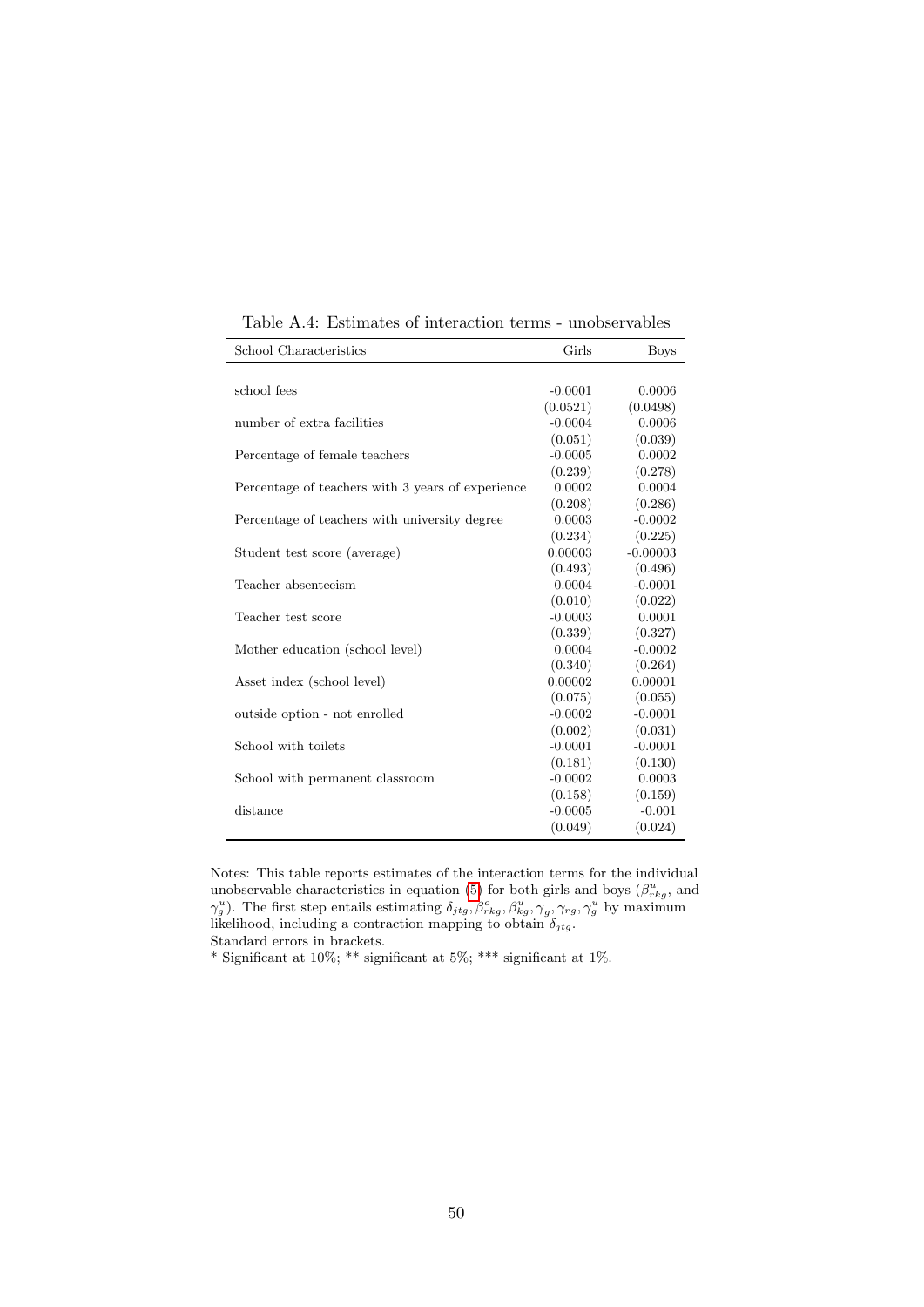<span id="page-51-0"></span>

| School Characteristics                            | Girls     | <b>Boys</b> |
|---------------------------------------------------|-----------|-------------|
|                                                   |           |             |
| school fees                                       | $-0.0001$ | 0.0006      |
|                                                   | (0.0521)  | (0.0498)    |
| number of extra facilities                        | $-0.0004$ | 0.0006      |
|                                                   | (0.051)   | (0.039)     |
| Percentage of female teachers                     | $-0.0005$ | 0.0002      |
|                                                   | (0.239)   | (0.278)     |
| Percentage of teachers with 3 years of experience | 0.0002    | 0.0004      |
|                                                   | (0.208)   | (0.286)     |
| Percentage of teachers with university degree     | 0.0003    | $-0.0002$   |
|                                                   | (0.234)   | (0.225)     |
| Student test score (average)                      | 0.00003   | $-0.00003$  |
|                                                   | (0.493)   | (0.496)     |
| Teacher absenteeism                               | 0.0004    | $-0.0001$   |
|                                                   | (0.010)   | (0.022)     |
| Teacher test score                                | $-0.0003$ | 0.0001      |
|                                                   | (0.339)   | (0.327)     |
| Mother education (school level)                   | 0.0004    | $-0.0002$   |
|                                                   | (0.340)   | (0.264)     |
| Asset index (school level)                        | 0.00002   | 0.00001     |
|                                                   | (0.075)   | (0.055)     |
| outside option - not enrolled                     | $-0.0002$ | $-0.0001$   |
|                                                   | (0.002)   | (0.031)     |
| School with toilets                               | $-0.0001$ | $-0.0001$   |
|                                                   | (0.181)   | (0.130)     |
| School with permanent classroom                   | $-0.0002$ | 0.0003      |
|                                                   | (0.158)   | (0.159)     |
| distance                                          | $-0.0005$ | $-0.001$    |
|                                                   | (0.049)   | (0.024)     |

Table A.4: Estimates of interaction terms - unobservables

Notes: This table reports estimates of the interaction terms for the individual unobservable characteristics in equation [\(5\)](#page-15-5) for both girls and boys  $(\beta_{rkg}^u$ , and  $(\gamma_g^u)$ . The first step entails estimating  $\delta_{jtg}, \beta_{rkg}^o, \beta_{kg}^u, \overline{\gamma}_g, \gamma_{rg}, \gamma_g^u$  by maximum likelihood, including a contraction mapping to obtain  $\delta_{jtg}$ .

Standard errors in brackets.

\* Significant at 10%; \*\* significant at 5%; \*\*\* significant at 1%.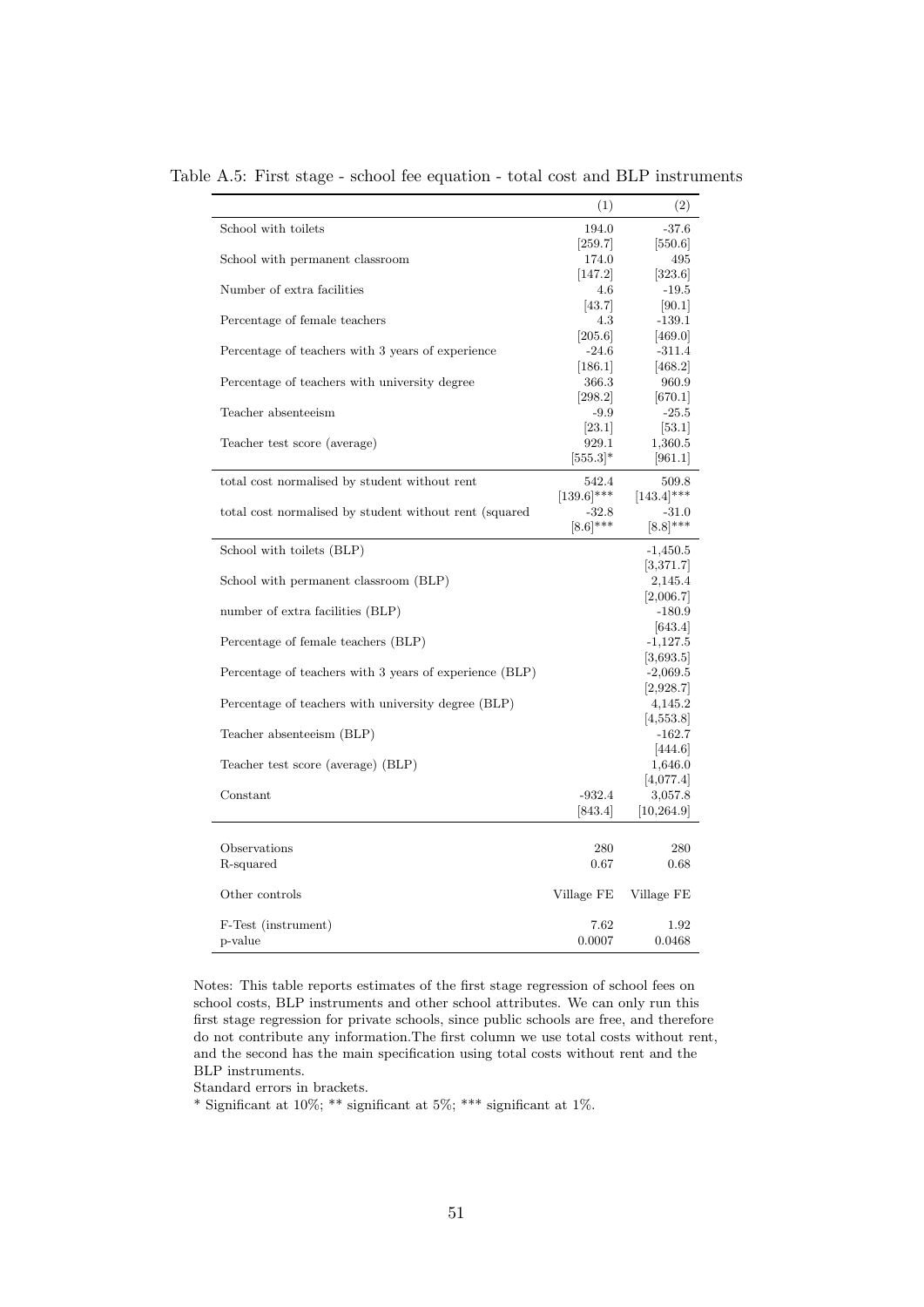|                                                         | (1)           | (2)           |
|---------------------------------------------------------|---------------|---------------|
| School with toilets                                     | 194.0         | $-37.6$       |
|                                                         | 259.7         | 550.6         |
| School with permanent classroom                         | 174.0         | 495           |
|                                                         | 147.2         | 323.6         |
| Number of extra facilities                              | 4.6           | $-19.5$       |
|                                                         | [43.7]        | 90.1          |
| Percentage of female teachers                           | 4.3           | $-139.1$      |
|                                                         | 205.6         | 469.0         |
| Percentage of teachers with 3 years of experience       | $-24.6$       | $-311.4$      |
|                                                         | 186.1         | 468.2         |
| Percentage of teachers with university degree           | 366.3         | 960.9         |
|                                                         | [298.2]       | [670.1]       |
| Teacher absenteeism                                     | $-9.9$        | $-25.5$       |
|                                                         | [23.1]        | [53.1]        |
| Teacher test score (average)                            | 929.1         | 1,360.5       |
|                                                         | $[555.3]$ *   | 961.1         |
|                                                         |               |               |
| total cost normalised by student without rent           | 542.4         | 509.8         |
|                                                         | $[139.6]$ *** | $[143.4]$ *** |
| total cost normalised by student without rent (squared  | -32.8         | $-31.0$       |
|                                                         | $[8.6]$ ***   | $[8.8]$ ***   |
| School with toilets (BLP)                               |               | $-1,450.5$    |
|                                                         |               | 3,371.7       |
| School with permanent classroom (BLP)                   |               | 2,145.4       |
|                                                         |               | [2,006.7]     |
| number of extra facilities (BLP)                        |               | $-180.9$      |
|                                                         |               | [643.4]       |
| Percentage of female teachers (BLP)                     |               | $-1,127.5$    |
|                                                         |               |               |
|                                                         |               | 3,693.5       |
| Percentage of teachers with 3 years of experience (BLP) |               | $-2,069.5$    |
|                                                         |               | 2,928.7       |
| Percentage of teachers with university degree (BLP)     |               | 4,145.2       |
|                                                         |               | 4,553.8       |
| Teacher absenteeism (BLP)                               |               | $-162.7$      |
|                                                         |               | [444.6]       |
| Teacher test score (average) (BLP)                      |               | 1,646.0       |
|                                                         |               | 4,077.4       |
| Constant                                                | $-932.4$      | 3,057.8       |
|                                                         | [843.4]       | [10, 264.9]   |
|                                                         |               |               |
| Observations                                            | 280           | 280           |
| R-squared                                               | 0.67          | $0.68\,$      |
|                                                         |               |               |
| Other controls                                          | Village FE    | Village FE    |
|                                                         |               |               |
| F-Test (instrument)                                     | 7.62          | 1.92          |
| p-value                                                 | 0.0007        | 0.0468        |
|                                                         |               |               |

<span id="page-52-0"></span>Table A.5: First stage - school fee equation - total cost and BLP instruments

Notes: This table reports estimates of the first stage regression of school fees on school costs, BLP instruments and other school attributes. We can only run this first stage regression for private schools, since public schools are free, and therefore do not contribute any information.The first column we use total costs without rent, and the second has the main specification using total costs without rent and the BLP instruments.

Standard errors in brackets.

\* Significant at 10%; \*\* significant at 5%; \*\*\* significant at 1%.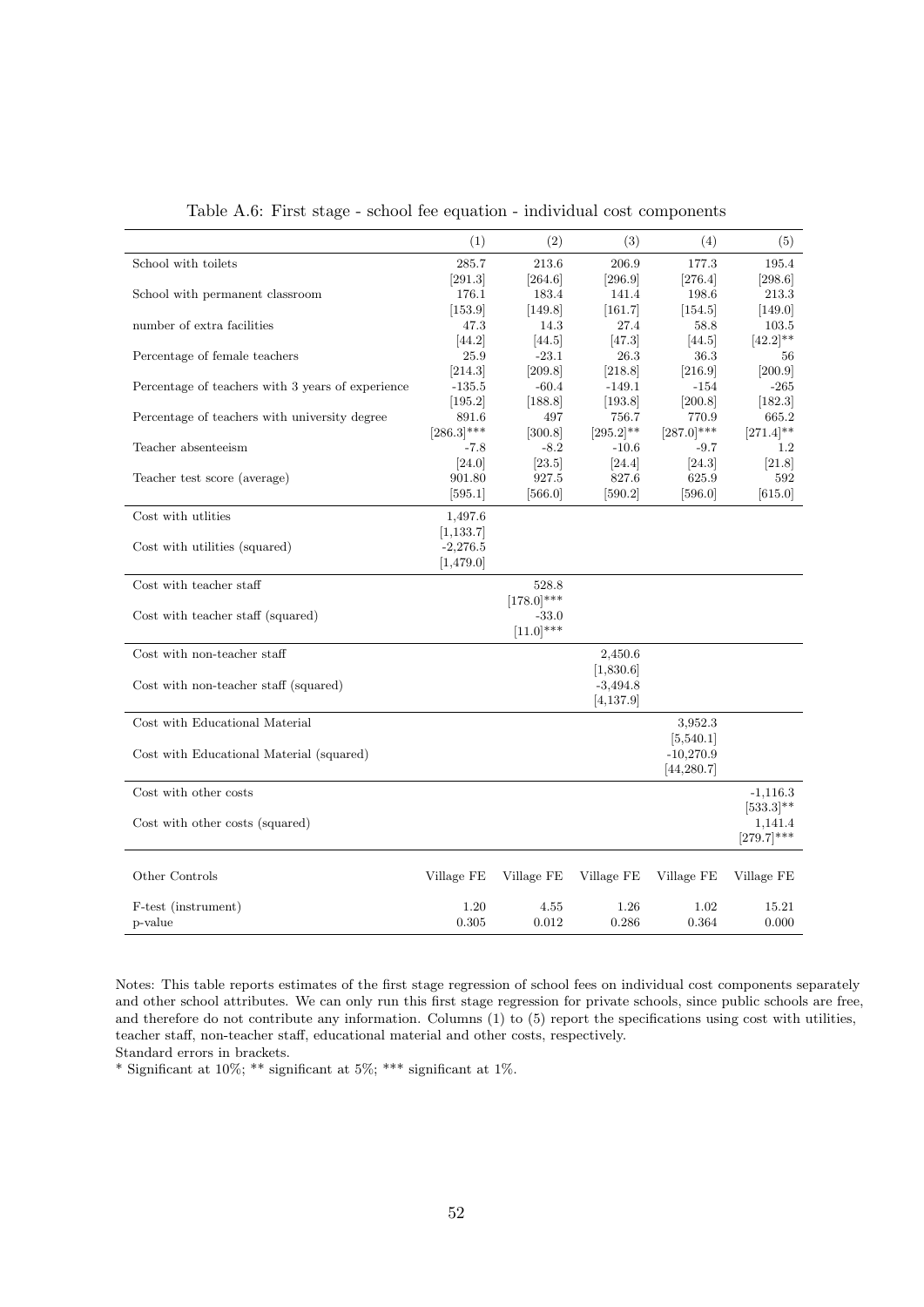<span id="page-53-0"></span>

|                                                   | (1)           | (2)             | (3)                     | (4)           | (5)            |
|---------------------------------------------------|---------------|-----------------|-------------------------|---------------|----------------|
| School with toilets                               | 285.7         | 213.6           | 206.9                   | 177.3         | 195.4          |
|                                                   | [291.3]       | [264.6]         | [296.9]                 | [276.4]       | [298.6]        |
| School with permanent classroom                   | 176.1         | 183.4           | 141.4                   | 198.6         | 213.3          |
|                                                   | [153.9]       | [149.8]         | [161.7]                 | [154.5]       | $[149.0]$      |
| number of extra facilities                        | 47.3          | 14.3            | 27.4                    | 58.8          | 103.5          |
|                                                   | $[44.2]$      | 44.5            | 47.3                    | 44.5          | $[42.2]$ **    |
| Percentage of female teachers                     | 25.9          | $-23.1$         | 26.3                    | 36.3          | 56             |
|                                                   | [214.3]       | [209.8]         | [218.8]                 | 216.9         | 200.9          |
| Percentage of teachers with 3 years of experience | $-135.5$      | $-60.4$         | $-149.1$                | $-154$        | $-265$         |
|                                                   | [195.2]       | [188.8]         | [193.8]                 | [200.8]       | [182.3]        |
| Percentage of teachers with university degree     | 891.6         | 497             | 756.7                   | 770.9         | 665.2          |
|                                                   | $[286.3]$ *** | [300.8]         | $[295.2]^{**}$          | $[287.0]$ *** | $[271.4]^{**}$ |
| Teacher absenteeism                               | -7.8          | $-8.2$          | $-10.6$                 | $-9.7$        | $1.2\,$        |
|                                                   | [24.0]        | [23.5]          | [24.4]                  | [24.3]        | [21.8]         |
| Teacher test score (average)                      | 901.80        | 927.5           | 827.6                   | 625.9         | 592            |
|                                                   | [595.1]       | [566.0]         | [590.2]                 | [596.0]       | [615.0]        |
| Cost with utlities                                |               |                 |                         |               |                |
|                                                   | 1,497.6       |                 |                         |               |                |
|                                                   | [1, 133.7]    |                 |                         |               |                |
| Cost with utilities (squared)                     | $-2,276.5$    |                 |                         |               |                |
|                                                   | [1,479.0]     |                 |                         |               |                |
| Cost with teacher staff                           |               | 528.8           |                         |               |                |
|                                                   |               | $[178.0]^{***}$ |                         |               |                |
| Cost with teacher staff (squared)                 |               | $-33.0$         |                         |               |                |
|                                                   |               | $[11.0]$ ***    |                         |               |                |
|                                                   |               |                 |                         |               |                |
| Cost with non-teacher staff                       |               |                 | 2,450.6                 |               |                |
|                                                   |               |                 | [1,830.6]<br>$-3,494.8$ |               |                |
| Cost with non-teacher staff (squared)             |               |                 |                         |               |                |
|                                                   |               |                 | [4, 137.9]              |               |                |
| Cost with Educational Material                    |               |                 |                         | 3,952.3       |                |
|                                                   |               |                 |                         | 5,540.1       |                |
| Cost with Educational Material (squared)          |               |                 |                         | $-10,270.9$   |                |
|                                                   |               |                 |                         | [44, 280.7]   |                |
|                                                   |               |                 |                         |               |                |
| Cost with other costs                             |               |                 |                         |               | $-1,116.3$     |
|                                                   |               |                 |                         |               | $[533.3]$ **   |
| Cost with other costs (squared)                   |               |                 |                         |               | 1,141.4        |
|                                                   |               |                 |                         |               | $[279.7]***$   |
|                                                   |               |                 |                         |               |                |
| Other Controls                                    | Village FE    | Village FE      | Village FE              | Village FE    | Village FE     |
|                                                   |               |                 |                         |               |                |
| F-test (instrument)                               | 1.20          | 4.55            | 1.26                    | 1.02          | 15.21          |
| p-value                                           | 0.305         | 0.012           | 0.286                   | 0.364         | 0.000          |

Table A.6: First stage - school fee equation - individual cost components

Notes: This table reports estimates of the first stage regression of school fees on individual cost components separately and other school attributes. We can only run this first stage regression for private schools, since public schools are free, and therefore do not contribute any information. Columns (1) to (5) report the specifications using cost with utilities, teacher staff, non-teacher staff, educational material and other costs, respectively. Standard errors in brackets.

 $^*$  Significant at 10%;  $^{**}$  significant at 5%;  $^{***}$  significant at 1%.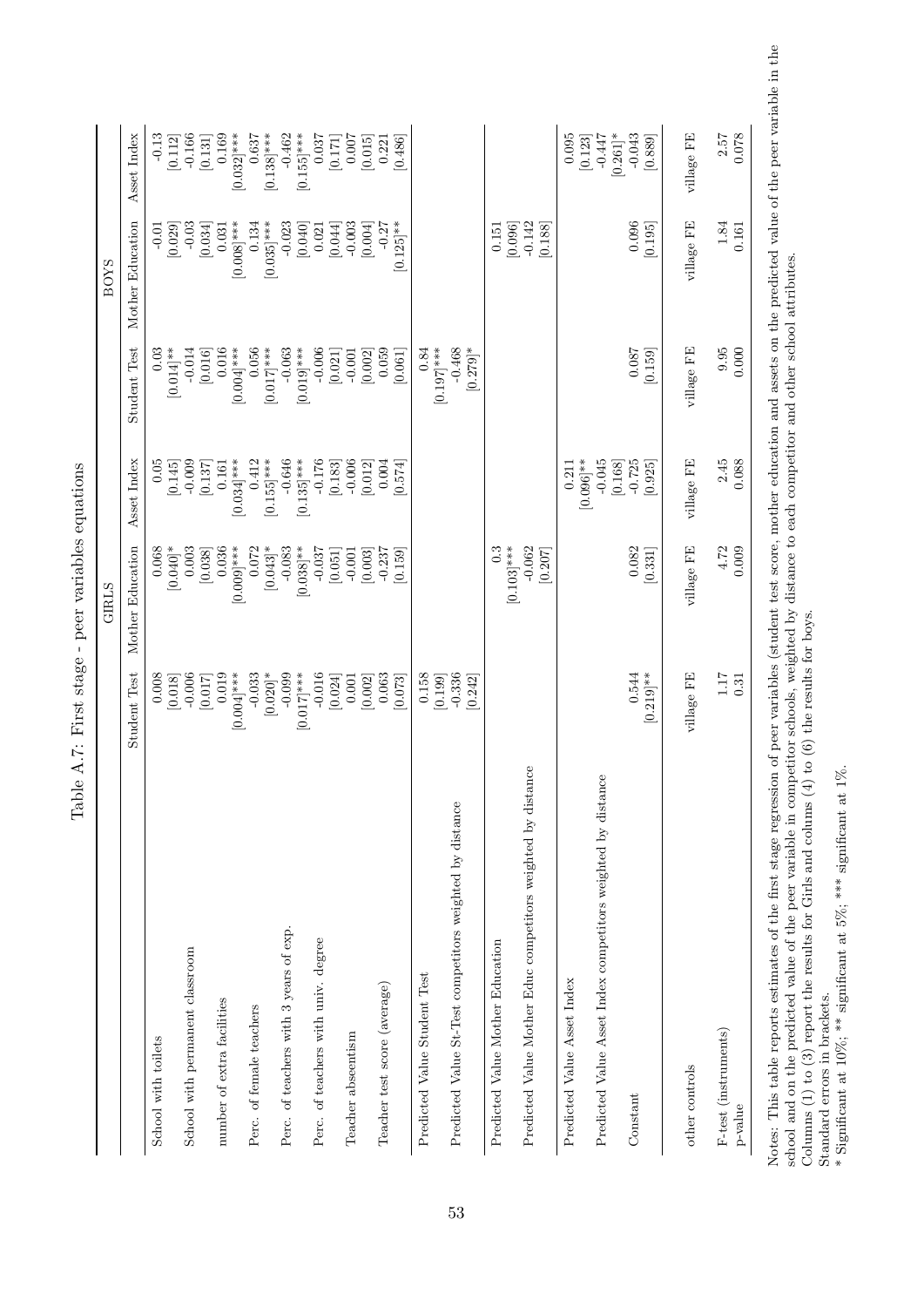|                                                              |                           | GIRLS                    |                           |                           | BOYS                             |                                  |
|--------------------------------------------------------------|---------------------------|--------------------------|---------------------------|---------------------------|----------------------------------|----------------------------------|
|                                                              | <b>Student Test</b>       | Mother Education         | Asset Index               | <b>Student Test</b>       | Mother Education                 | Asset Index                      |
| School with toilets                                          | 0.008                     | 0.068                    | 0.05                      | 0.03                      | $-0.01$                          | $-0.13$                          |
| School with permanent classroom                              | $-0.006$<br>[0.018]       | $[0.040]$ *<br>0.003     | $-0.009$<br>[0.145]       | $-0.014$<br>$[0.014]$ **  | $-0.03$<br>[0.029]               | $-0.166$<br>[0.112]              |
|                                                              | [0.017]                   | [0.038]                  | [0.137]                   | [0.016]                   | [0.034]                          | [0.131]                          |
| number of extra facilities                                   | 0.019<br>$[0.004]$ ***    | 0.036                    | 0.161                     | 0.016                     | 0.031                            | 0.169                            |
| Perc. of female teachers                                     | $-0.033$                  | $[0.009]$ ***<br>0.072   | 0.412<br>$[0.034]$ ***    | 0.056<br>$[0.004]$ ***    | $[0.008]$ ***<br>0.134           | $[0.032]$ ***                    |
|                                                              | $[0.020]^*$               | $[0.043]$ *              | $[0.155]$ ***             | $[0.017]$ ***             | $[0.035]$ ***                    | $[0.138]$ ***                    |
| Perc. of teachers with 3 years of exp.                       | $-0.099$<br>$[0.017]$ *** | $-0.083$<br>$[0.038]$ ** | $[0.135]$ ***<br>$-0.646$ | $[0.019]$ ***<br>$-0.063$ | $-0.023$<br>[0.040]              | $[0.155]$ ***<br>$-0.462$        |
| Perc. of teachers with univ. degree                          | $-0.016$                  | $-0.037$                 | $-0.176$                  | $-0.006$                  | 0.021                            | 0.037                            |
| Teacher abseentism                                           | [0.024]<br>0.001          | [0.051]<br>$-0.001$      | $-0.006$<br>[0.183]       | [0.021]<br>$-0.001$       | $-0.003$<br>[0.044]              | [0.171]<br>0.007                 |
|                                                              | [0.002]                   | [0.003]                  | [0.012]                   | [0.002]                   | [0.004]                          | [0.015]                          |
| Teacher test score (average)                                 | 0.063<br>[670, 0]         | [0.159]<br>$-0.237$      | 0.004<br>[1574]           | 0.059<br>[190.0]          | $0.125$ <sup>**</sup><br>$-0.27$ | 0.486<br>0.221                   |
| Predicted Value Student Test                                 | 0.158<br>[0.199]          |                          |                           | $[0.197]$ ***<br>0.84     |                                  |                                  |
| Predicted Value St-Test competitors weighted by distance     | $-0.336$<br>[0.242]       |                          |                           | $[0.279]$ *<br>$-0.468$   |                                  |                                  |
| Predicted Value Mother Education                             |                           | 0.3<br>$[0.103]$ ***     |                           |                           | 0.151<br>[0.096]                 |                                  |
| Predicted Value Mother Educ competitors weighted by distance |                           | $-0.062$<br>[0.207]      |                           |                           | $-0.142$<br>[0.188]              |                                  |
| Predicted Value Asset Index                                  |                           |                          | $[0.096]$ **<br>0.211     |                           |                                  | 0.095<br>[0.123]                 |
| Predicted Value Asset Index competitors weighted by distance |                           |                          | $-0.045$<br>[0.168]       |                           |                                  | $0.261$ <sup>*</sup><br>$-0.447$ |
| Constant                                                     | 0.544<br>$[0.219]$ **     | 0.082<br>[0.331]         | $-0.725$<br>0.925         | 0.087<br>[0.159]          | 0.096<br>[0.195]                 | $-0.043$<br>[0.889]              |
| other controls                                               | village FE                | village FE               | village FE                | village FE                | village FE                       | village FE                       |
| F-test (instruments)<br>$p$ -value                           | $1.17\phantom{0}0.31$     | 4.72<br>0.009            | 2.45<br>0.088             | 9.95<br>0.000             | 1.84<br>0.161                    | 0.078<br>2.57                    |
|                                                              | $\frac{1}{2}$<br>¢        |                          |                           |                           | t                                | Į                                |

<span id="page-54-0"></span>Table A.7: First stage - peer variables equations Table A.7: First stage - peer variables equations Notes: This table reports estimates of the first stage regression of peer variables (student test score, mother education and assets on the predicted value of the peer variable in the school and on the predicted value of Notes: This table reports estimates of the first stage regression of peer variables (student test score, mother education and assets on the predicted value of the peer variable in the school and on the predicted value of the peer variable in competitor schools, weighted by distance to each competitor and other school attributes. Columns (1) to (3) report the results for Girls and colums (4) to (6) the results for boys.

Standard errors in brackets.

\* Significant at 10%; \*\* significant at 5%; \*\*\* significant at 1%.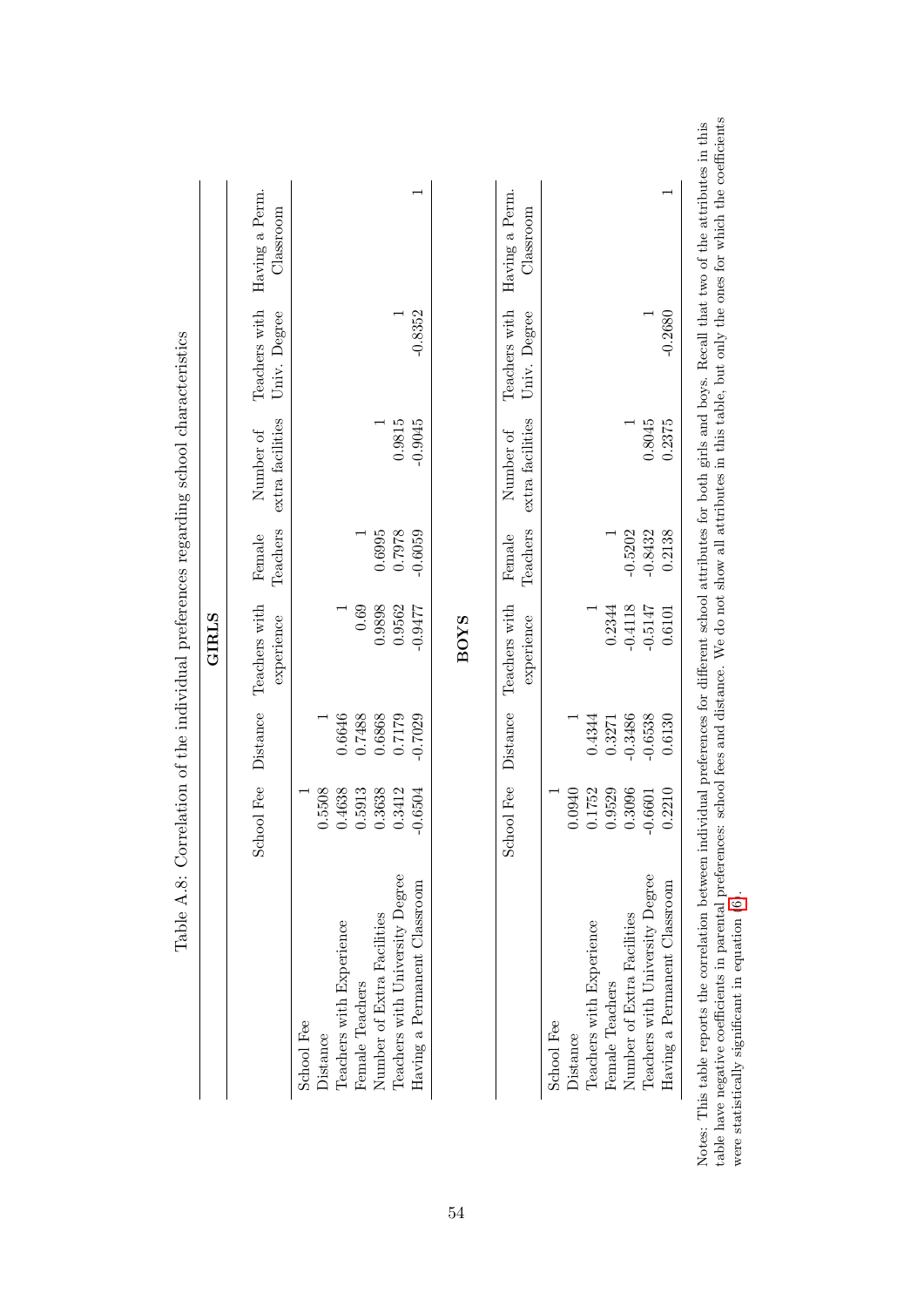<span id="page-55-0"></span>

|                                 | Fee<br>School | Distance  | Teachers with               | Female             | Number of                     | Teachers with                 | Having a Perm.              |
|---------------------------------|---------------|-----------|-----------------------------|--------------------|-------------------------------|-------------------------------|-----------------------------|
|                                 |               |           | experience                  | Teachers           | extra facilities              | Univ. Degree                  | Classroom                   |
| School Fee                      |               |           |                             |                    |                               |                               |                             |
| Distance                        | 0.5508        |           |                             |                    |                               |                               |                             |
| Teachers with Experience        | 0.4638        | 0.6646    |                             |                    |                               |                               |                             |
| Female Teachers                 | 0.5913        | 0.7488    | 0.69                        |                    |                               |                               |                             |
| Number of Extra Facilities      | 0.3638        | 0.6868    | 0.9898                      | 0.6995             |                               |                               |                             |
| Teachers with University Degree | 0.3412        | 0.7179    | 0.9562                      | 0.7978             | 0.9815                        |                               |                             |
| Having a Permanent Classroom    | $-0.6504$     | $-0.7029$ | $-0.9477$                   | $-0.6059$          | $-0.9045$                     | $-0.8352$                     |                             |
|                                 |               |           |                             |                    |                               |                               |                             |
|                                 | Fee<br>School | Distance  | Teachers with<br>experience | Teachers<br>Female | extra facilities<br>Number of | Teachers with<br>Univ. Degree | Having a Perm.<br>Classroom |
| School Fee                      |               |           |                             |                    |                               |                               |                             |
| Distance                        | 0.0940        |           |                             |                    |                               |                               |                             |
| Teachers with Experience        | 752<br>0.1    | 0.4344    |                             |                    |                               |                               |                             |
| Female Teachers                 | 0.9529        | 0.3271    | 0.2344                      |                    |                               |                               |                             |
| Number of Extra Facilities      | 0.3096        | $-0.3486$ | $-0.4118$                   | $-0.5202$          |                               |                               |                             |
| Teachers with University Degree | $-0.6601$     | $-0.6538$ | $-0.5147$                   | $-0.8432$          | 0.8045                        |                               |                             |
| Having a Permanent Classroom    | 0.2210        | 0.6130    | 0.6101                      | 0.2138             | 0.2375                        | $-0.2680$                     |                             |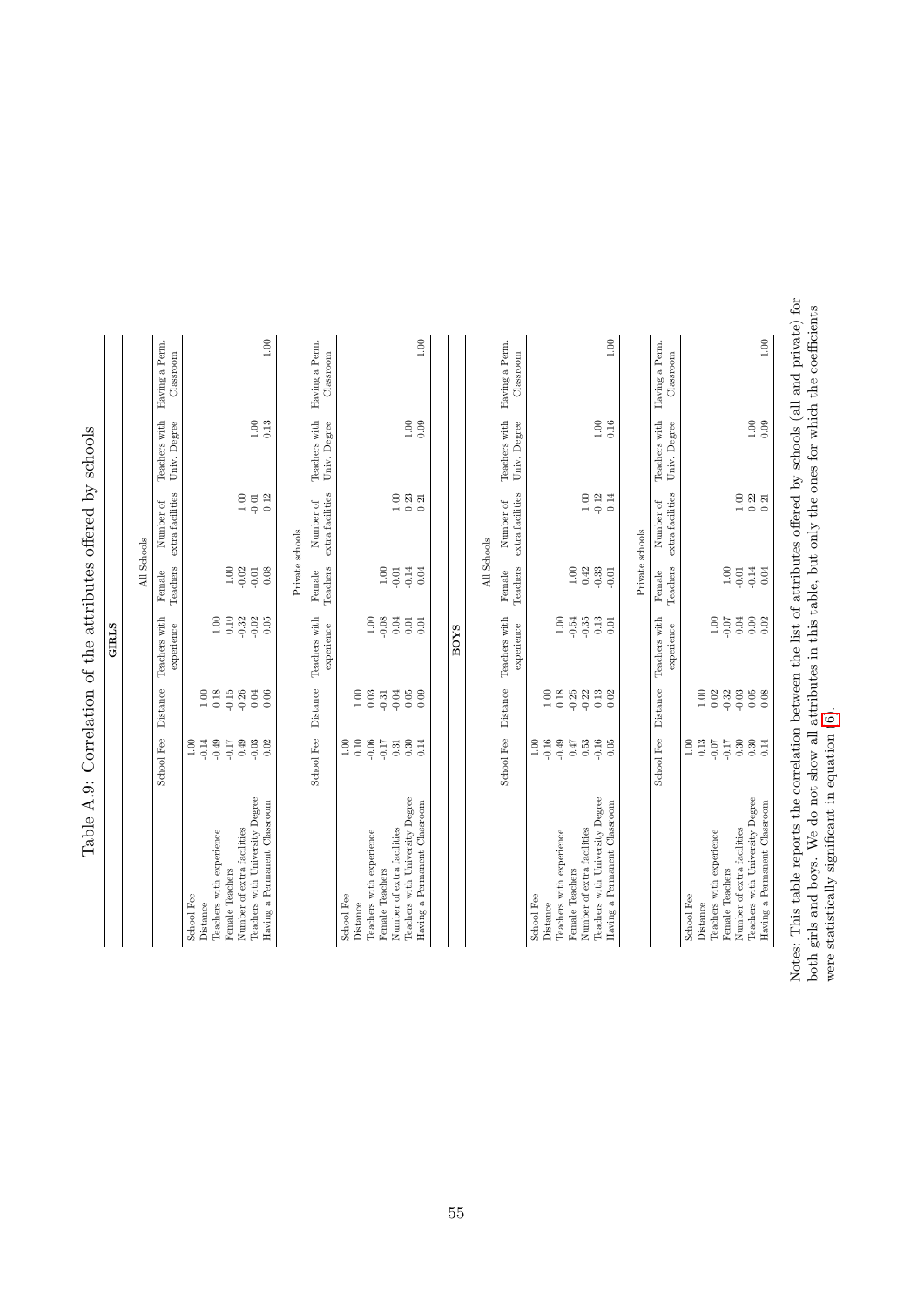|                                                                 | School Fee      | $\label{eq:dist} \text{Distance}$ | Teachers with<br>experience | Teachers<br>Female | extra facilities<br>Number of               | Teachers with<br>Univ. Degree | Having a Perm.<br>Classroom |
|-----------------------------------------------------------------|-----------------|-----------------------------------|-----------------------------|--------------------|---------------------------------------------|-------------------------------|-----------------------------|
| School Fee                                                      | 1.00            |                                   |                             |                    |                                             |                               |                             |
| Distance                                                        | $\!0.14\!$      | 1.00                              |                             |                    |                                             |                               |                             |
| Teachers with experience                                        | $-0.49$         | 0.18                              | $1.00\,$                    |                    |                                             |                               |                             |
| Female Teachers                                                 | $-0.17$         | $-0.15$                           | $0.10\,$                    | $1.00\,$           |                                             |                               |                             |
| Number of extra facilities                                      | $0.49\,$        | $-0.26$                           | $-0.32$                     | $-0.02$            | $1.00\,$                                    |                               |                             |
| Teachers with University Degree                                 | $-0.03$         | $0.04$                            | $-0.02$                     | $-0.01$            | $-0.01$                                     | $1.00$                        |                             |
| Having a Permanent Classroom                                    | 0.02            | 0.06                              | 0.05                        | $0.08$             | 0.12                                        | 0.13                          | 1.00                        |
|                                                                 |                 |                                   |                             | Private schools    |                                             |                               |                             |
|                                                                 | School Fee      | Distance                          | Teachers with<br>experience | Teachers<br>Female | extra facilities<br>Number of               | Teachers with<br>Univ. Degree | Having a Perm.<br>Classroom |
| School Fee                                                      | $1.00\,$        |                                   |                             |                    |                                             |                               |                             |
| Distance                                                        | $\rm 0.10$      | $1.00$                            |                             |                    |                                             |                               |                             |
| Teachers with experience                                        | $-0.06$         | 0.03                              | 1.00                        |                    |                                             |                               |                             |
| Female Teachers                                                 | $-0.17$         | $-0.31$                           | $-0.08$                     | $1.00\,$           |                                             |                               |                             |
| Teachers with University Degree<br>Number of extra facilities   | 0.30<br>0.31    | $-0.04$<br>$0.05\,$               | 0.04<br>$\!0.01$            | $-0.14$<br>$-0.01$ | 1.00<br>0.23                                |                               |                             |
| Having a Permanent Classroom                                    | 0.14            | 0.09                              | 0.01                        | 0.04               | 0.21                                        | $1.00\,$<br>0.09              | 1.00                        |
|                                                                 |                 |                                   | BOYS                        |                    |                                             |                               |                             |
|                                                                 |                 |                                   |                             | All Schools        |                                             |                               |                             |
|                                                                 | School Fee      | Distance                          | Teachers with<br>experience | Teachers<br>Female | extra facilities<br>Number of               | Teachers with<br>Univ. Degree | Having a Perm.<br>Classroom |
| School Fee<br>Distance                                          | $-0.16$<br>1.00 | 1.00                              |                             |                    |                                             |                               |                             |
| Teachers with experience                                        | $-0.49$         | 0.18                              | $1.00\,$                    |                    |                                             |                               |                             |
| Female Teachers                                                 | 0.47            | $-0.25$                           | $-0.54\,$                   | $1.00\,$           |                                             |                               |                             |
| Number of extra facilities                                      | $\rm 0.53$      | $-0.22$                           | $-0.35$                     | 0.42               | $1.00\,$                                    |                               |                             |
| Teachers with University Degree<br>Having a Permanent Classroom | $-0.16$<br>0.05 | $\!0.13$<br>0.02                  | 0.13<br>0.01                | $-0.33$<br>$-0.01$ | $-0.12$<br>0.14                             | $1.00\,$<br>0.16              | 1.00                        |
|                                                                 |                 |                                   |                             | Private schools    |                                             |                               |                             |
|                                                                 | School Fee      | Distance                          | Teachers with<br>experience | Teachers<br>Female | extra facilities<br>Number of               | Teachers with<br>Univ. Degree | Having a Perm.<br>Classroom |
| School Fee                                                      | 1.00            |                                   |                             |                    |                                             |                               |                             |
| Teachers with experience<br>Distance                            | 0.13<br>$-0.07$ | 1.00<br>0.02                      | $1.00\,$                    |                    |                                             |                               |                             |
| Female Teachers                                                 | $-0.17$         | $-0.32$                           | $-0.07$                     | 1.00               |                                             |                               |                             |
| Number of extra facilities                                      | $\rm 0.30$      | $-0.03$                           | $0.04\,$                    | $-0.01$            | 1.00                                        |                               |                             |
| Teachers with University Degree                                 | $\rm 0.30$      | 0.05                              | $\rm 0.00$                  | $-0.14$            |                                             | $1.00\,$                      |                             |
| Having a Permanent Classroom                                    | 0.14            | 0.08                              | 0.02                        | 0.04               | $\begin{array}{c} 0.22 \\ 0.21 \end{array}$ | 0.09                          | $1.00\,$                    |
|                                                                 |                 |                                   |                             |                    |                                             |                               |                             |

<span id="page-56-0"></span>Table A.9: Correlation of the attributes offered by schools Table A.9: Correlation of the attributes offered by schools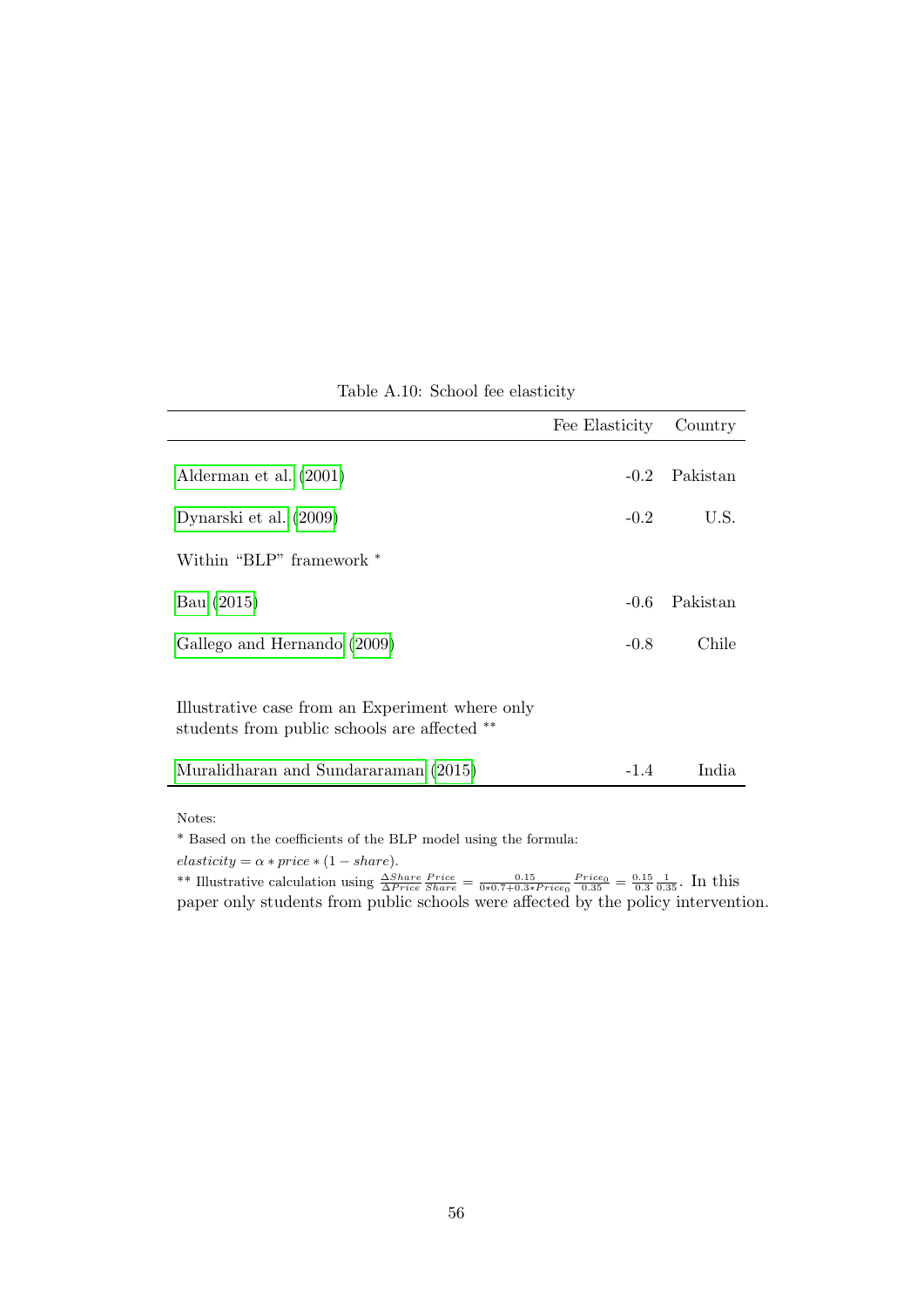<span id="page-57-0"></span>

|                                                                                                 | Fee Elasticity | Country  |
|-------------------------------------------------------------------------------------------------|----------------|----------|
| Alderman et al. (2001)                                                                          | $-0.2$         | Pakistan |
| Dynarski et al. (2009)                                                                          | $-0.2$         | U.S.     |
| Within "BLP" framework *                                                                        |                |          |
| Bau (2015)                                                                                      | $-0.6$         | Pakistan |
| Gallego and Hernando (2009)                                                                     | $-0.8$         | Chile    |
| Illustrative case from an Experiment where only<br>students from public schools are affected ** |                |          |
| Muralidharan and Sundararaman (2015)                                                            | $-1.4$         | India    |
|                                                                                                 |                |          |

Table A.10: School fee elasticity

Notes:

 $^\ast$  Based on the coefficients of the BLP model using the formula:

 $elasticity = \alpha * price * (1 - share).$ 

\*\* Illustrative calculation using  $\frac{\Delta Share}{\Delta Price}\frac{Price}{Share} = \frac{0.15}{0*0.7+0.3*Price_0}\frac{Price_0}{0.35} = \frac{0.15}{0.3}\frac{1}{0.35}$ . In this paper only students from public schools were affected by the policy intervention.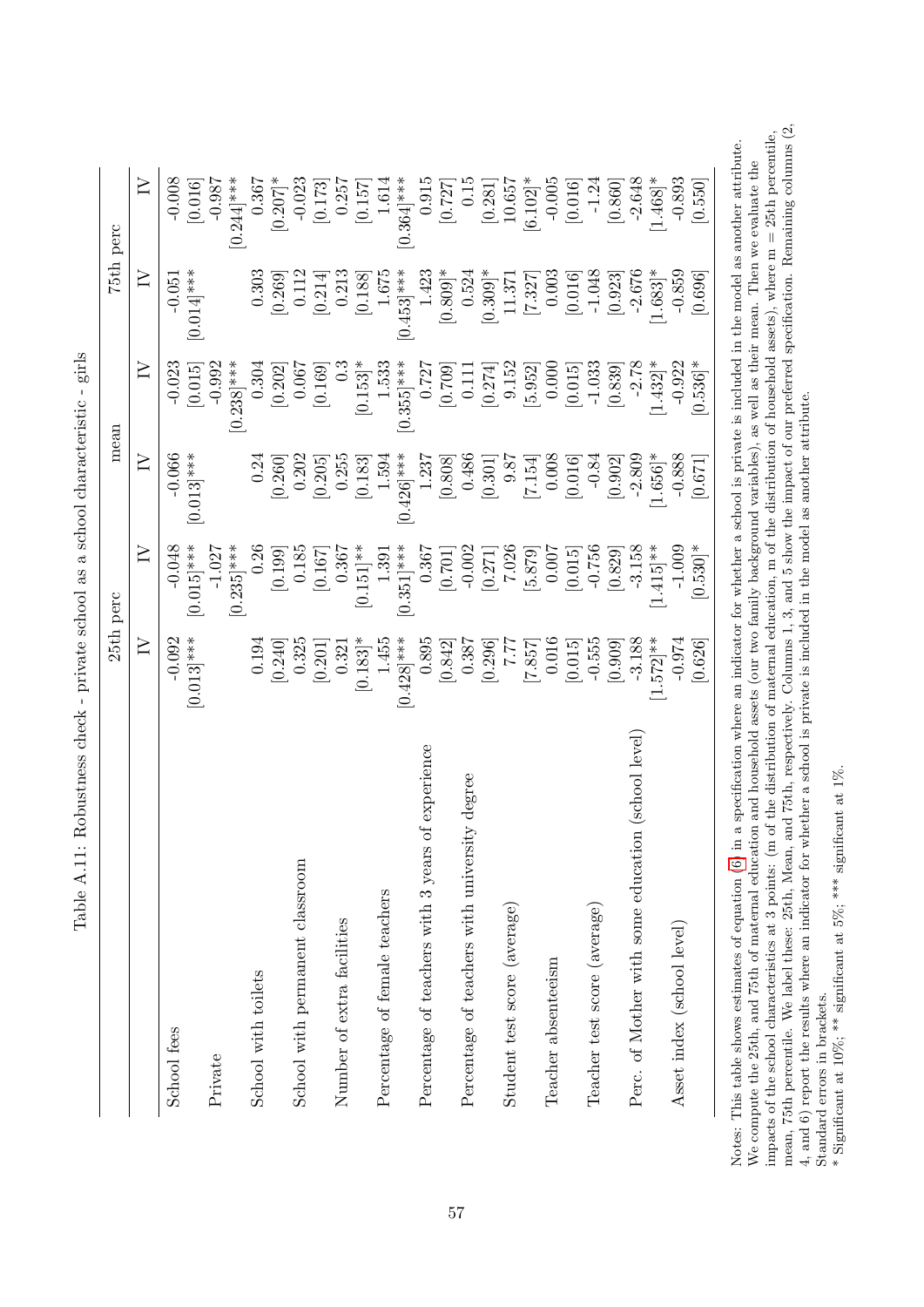| $\geq$<br>$-2.648$<br>$-0.893$<br>$-0.008$<br>0.367<br>$0.364$ <sup>***</sup><br>0.915<br>$-0.005$<br>$0.244$ ]***<br>$-0.023$<br>0.15<br>$[6.102]$ *<br>[0.016]<br>$[0.207]$ *<br>[0.550]<br>$-0.987$<br>0.257<br>1.614<br>[0.016]<br>[0.173]<br>10.657<br>$-1.24$<br>[0.860]<br>[0.157]<br>[0.727]<br>[0.281]<br>$-2.676$<br>1.423<br>$-1.048$<br>$-0.859$<br>≧<br>$[0.014]$ ***<br>0.303<br>1.675<br>$0.453$ <sup>***</sup><br>[0.809]<br>$1.683$ <sup>*</sup><br>0.213<br>0.003<br>0.112<br>0.524<br>$[0.309]$ *<br>[0.188]<br>[0.016]<br>[0.923]<br>[0.696]<br>[0.269]<br>$-0.051$<br>[0.214]<br>11.371<br>[7.327]<br>$-2.78$<br>$0.536$ <sup>*</sup><br>$-0.992$<br>1.533<br>$1.432$ <sup>*</sup><br>$-0.922$<br>$\geq$<br>$0.238$ <sup>***</sup><br>$[0.355]$ ***<br>0.727<br>9.152<br>$-1.033$<br>[0.015]<br>0.000<br>$-0.023$<br>0.304<br>0.067<br>$[0.153]$ <sup>*</sup><br>[0.015]<br>[0.839]<br>[0.169]<br>[0.709]<br>[5.952]<br>[0.202]<br>0.111<br>[0.274]<br>$-0.888$<br>≧<br>$[0.013]$ ***<br>$1.656$ <sup>*</sup><br>$-0.066$<br>1.237<br>0.486<br>$-2.809$<br>$[0.426]$ ***<br>0.008<br>0.24<br>0.202<br>0.255<br>$-0.84$<br>1.594<br>[0.808]<br>[0.902]<br>[0.260]<br>9.87<br>[0.671]<br>[0.183]<br>[0.016]<br>[0.205]<br>[7.154]<br>$[0.301]$<br>$\geq$<br>$0.015$ <sup>***</sup><br>$-3.158$<br>$1.415$ <sup>**</sup><br>$[0.530]$ *<br>$-1.027$<br>$0.351]$ ***<br>$-0.756$<br>$-0.048$<br>$0.235$ <sup>***</sup><br>0.26<br>0.185<br>$-0.002$<br>7.026<br>$-1.009$<br>0.367<br>0.007<br>0.367<br>$[0.151]$ **<br>[5.879]<br>[0.015]<br>[0.829]<br>1.391<br>[0.199]<br>[0.167]<br>[0.701]<br>[0.271]<br>$[0.013]$ ***<br>0.895<br>$-3.188$<br>$1.572$ <sup>**</sup><br>$\geq$<br>1.455<br>$[0.428]$ ***<br>$-0.555$<br>$-0.092$<br>0.387<br>0.016<br>$-0.974$<br>0.194<br>0.325<br>[0.183]<br>[0.626]<br>[0.240]<br>[0.842]<br>[0.296]<br>[0.015]<br>[0.909]<br>7.77<br>[7.857]<br>0.321<br>$[0.201$<br>Perc. of Mother with some education (school level)<br>of experience<br>Percentage of teachers with university degree<br>Percentage of teachers with 3 years<br>School with permanent classroom<br>Percentage of female teachers<br>Student test score (average)<br>Teacher test score (average)<br>Number of extra facilities<br>Asset index (school level)<br>Teacher absenteeism<br>School with toilets<br>School fees<br>Private | 25th perc | mean |  | 75th perc  |
|-------------------------------------------------------------------------------------------------------------------------------------------------------------------------------------------------------------------------------------------------------------------------------------------------------------------------------------------------------------------------------------------------------------------------------------------------------------------------------------------------------------------------------------------------------------------------------------------------------------------------------------------------------------------------------------------------------------------------------------------------------------------------------------------------------------------------------------------------------------------------------------------------------------------------------------------------------------------------------------------------------------------------------------------------------------------------------------------------------------------------------------------------------------------------------------------------------------------------------------------------------------------------------------------------------------------------------------------------------------------------------------------------------------------------------------------------------------------------------------------------------------------------------------------------------------------------------------------------------------------------------------------------------------------------------------------------------------------------------------------------------------------------------------------------------------------------------------------------------------------------------------------------------------------------------------------------------------------------------------------------------------------------------------------------------------------------------------------------------------------------------------------------------------------------------------------------------------------------------------------------------------------------------------------------------------------------------------------------------------------|-----------|------|--|------------|
|                                                                                                                                                                                                                                                                                                                                                                                                                                                                                                                                                                                                                                                                                                                                                                                                                                                                                                                                                                                                                                                                                                                                                                                                                                                                                                                                                                                                                                                                                                                                                                                                                                                                                                                                                                                                                                                                                                                                                                                                                                                                                                                                                                                                                                                                                                                                                                   |           |      |  |            |
|                                                                                                                                                                                                                                                                                                                                                                                                                                                                                                                                                                                                                                                                                                                                                                                                                                                                                                                                                                                                                                                                                                                                                                                                                                                                                                                                                                                                                                                                                                                                                                                                                                                                                                                                                                                                                                                                                                                                                                                                                                                                                                                                                                                                                                                                                                                                                                   |           |      |  |            |
|                                                                                                                                                                                                                                                                                                                                                                                                                                                                                                                                                                                                                                                                                                                                                                                                                                                                                                                                                                                                                                                                                                                                                                                                                                                                                                                                                                                                                                                                                                                                                                                                                                                                                                                                                                                                                                                                                                                                                                                                                                                                                                                                                                                                                                                                                                                                                                   |           |      |  |            |
|                                                                                                                                                                                                                                                                                                                                                                                                                                                                                                                                                                                                                                                                                                                                                                                                                                                                                                                                                                                                                                                                                                                                                                                                                                                                                                                                                                                                                                                                                                                                                                                                                                                                                                                                                                                                                                                                                                                                                                                                                                                                                                                                                                                                                                                                                                                                                                   |           |      |  |            |
|                                                                                                                                                                                                                                                                                                                                                                                                                                                                                                                                                                                                                                                                                                                                                                                                                                                                                                                                                                                                                                                                                                                                                                                                                                                                                                                                                                                                                                                                                                                                                                                                                                                                                                                                                                                                                                                                                                                                                                                                                                                                                                                                                                                                                                                                                                                                                                   |           |      |  |            |
|                                                                                                                                                                                                                                                                                                                                                                                                                                                                                                                                                                                                                                                                                                                                                                                                                                                                                                                                                                                                                                                                                                                                                                                                                                                                                                                                                                                                                                                                                                                                                                                                                                                                                                                                                                                                                                                                                                                                                                                                                                                                                                                                                                                                                                                                                                                                                                   |           |      |  |            |
|                                                                                                                                                                                                                                                                                                                                                                                                                                                                                                                                                                                                                                                                                                                                                                                                                                                                                                                                                                                                                                                                                                                                                                                                                                                                                                                                                                                                                                                                                                                                                                                                                                                                                                                                                                                                                                                                                                                                                                                                                                                                                                                                                                                                                                                                                                                                                                   |           |      |  |            |
|                                                                                                                                                                                                                                                                                                                                                                                                                                                                                                                                                                                                                                                                                                                                                                                                                                                                                                                                                                                                                                                                                                                                                                                                                                                                                                                                                                                                                                                                                                                                                                                                                                                                                                                                                                                                                                                                                                                                                                                                                                                                                                                                                                                                                                                                                                                                                                   |           |      |  |            |
|                                                                                                                                                                                                                                                                                                                                                                                                                                                                                                                                                                                                                                                                                                                                                                                                                                                                                                                                                                                                                                                                                                                                                                                                                                                                                                                                                                                                                                                                                                                                                                                                                                                                                                                                                                                                                                                                                                                                                                                                                                                                                                                                                                                                                                                                                                                                                                   |           |      |  |            |
|                                                                                                                                                                                                                                                                                                                                                                                                                                                                                                                                                                                                                                                                                                                                                                                                                                                                                                                                                                                                                                                                                                                                                                                                                                                                                                                                                                                                                                                                                                                                                                                                                                                                                                                                                                                                                                                                                                                                                                                                                                                                                                                                                                                                                                                                                                                                                                   |           |      |  |            |
|                                                                                                                                                                                                                                                                                                                                                                                                                                                                                                                                                                                                                                                                                                                                                                                                                                                                                                                                                                                                                                                                                                                                                                                                                                                                                                                                                                                                                                                                                                                                                                                                                                                                                                                                                                                                                                                                                                                                                                                                                                                                                                                                                                                                                                                                                                                                                                   |           |      |  |            |
|                                                                                                                                                                                                                                                                                                                                                                                                                                                                                                                                                                                                                                                                                                                                                                                                                                                                                                                                                                                                                                                                                                                                                                                                                                                                                                                                                                                                                                                                                                                                                                                                                                                                                                                                                                                                                                                                                                                                                                                                                                                                                                                                                                                                                                                                                                                                                                   |           |      |  |            |
|                                                                                                                                                                                                                                                                                                                                                                                                                                                                                                                                                                                                                                                                                                                                                                                                                                                                                                                                                                                                                                                                                                                                                                                                                                                                                                                                                                                                                                                                                                                                                                                                                                                                                                                                                                                                                                                                                                                                                                                                                                                                                                                                                                                                                                                                                                                                                                   |           |      |  |            |
|                                                                                                                                                                                                                                                                                                                                                                                                                                                                                                                                                                                                                                                                                                                                                                                                                                                                                                                                                                                                                                                                                                                                                                                                                                                                                                                                                                                                                                                                                                                                                                                                                                                                                                                                                                                                                                                                                                                                                                                                                                                                                                                                                                                                                                                                                                                                                                   |           |      |  |            |
|                                                                                                                                                                                                                                                                                                                                                                                                                                                                                                                                                                                                                                                                                                                                                                                                                                                                                                                                                                                                                                                                                                                                                                                                                                                                                                                                                                                                                                                                                                                                                                                                                                                                                                                                                                                                                                                                                                                                                                                                                                                                                                                                                                                                                                                                                                                                                                   |           |      |  |            |
|                                                                                                                                                                                                                                                                                                                                                                                                                                                                                                                                                                                                                                                                                                                                                                                                                                                                                                                                                                                                                                                                                                                                                                                                                                                                                                                                                                                                                                                                                                                                                                                                                                                                                                                                                                                                                                                                                                                                                                                                                                                                                                                                                                                                                                                                                                                                                                   |           |      |  |            |
|                                                                                                                                                                                                                                                                                                                                                                                                                                                                                                                                                                                                                                                                                                                                                                                                                                                                                                                                                                                                                                                                                                                                                                                                                                                                                                                                                                                                                                                                                                                                                                                                                                                                                                                                                                                                                                                                                                                                                                                                                                                                                                                                                                                                                                                                                                                                                                   |           |      |  |            |
|                                                                                                                                                                                                                                                                                                                                                                                                                                                                                                                                                                                                                                                                                                                                                                                                                                                                                                                                                                                                                                                                                                                                                                                                                                                                                                                                                                                                                                                                                                                                                                                                                                                                                                                                                                                                                                                                                                                                                                                                                                                                                                                                                                                                                                                                                                                                                                   |           |      |  |            |
|                                                                                                                                                                                                                                                                                                                                                                                                                                                                                                                                                                                                                                                                                                                                                                                                                                                                                                                                                                                                                                                                                                                                                                                                                                                                                                                                                                                                                                                                                                                                                                                                                                                                                                                                                                                                                                                                                                                                                                                                                                                                                                                                                                                                                                                                                                                                                                   |           |      |  |            |
|                                                                                                                                                                                                                                                                                                                                                                                                                                                                                                                                                                                                                                                                                                                                                                                                                                                                                                                                                                                                                                                                                                                                                                                                                                                                                                                                                                                                                                                                                                                                                                                                                                                                                                                                                                                                                                                                                                                                                                                                                                                                                                                                                                                                                                                                                                                                                                   |           |      |  |            |
|                                                                                                                                                                                                                                                                                                                                                                                                                                                                                                                                                                                                                                                                                                                                                                                                                                                                                                                                                                                                                                                                                                                                                                                                                                                                                                                                                                                                                                                                                                                                                                                                                                                                                                                                                                                                                                                                                                                                                                                                                                                                                                                                                                                                                                                                                                                                                                   |           |      |  |            |
|                                                                                                                                                                                                                                                                                                                                                                                                                                                                                                                                                                                                                                                                                                                                                                                                                                                                                                                                                                                                                                                                                                                                                                                                                                                                                                                                                                                                                                                                                                                                                                                                                                                                                                                                                                                                                                                                                                                                                                                                                                                                                                                                                                                                                                                                                                                                                                   |           |      |  |            |
|                                                                                                                                                                                                                                                                                                                                                                                                                                                                                                                                                                                                                                                                                                                                                                                                                                                                                                                                                                                                                                                                                                                                                                                                                                                                                                                                                                                                                                                                                                                                                                                                                                                                                                                                                                                                                                                                                                                                                                                                                                                                                                                                                                                                                                                                                                                                                                   |           |      |  |            |
|                                                                                                                                                                                                                                                                                                                                                                                                                                                                                                                                                                                                                                                                                                                                                                                                                                                                                                                                                                                                                                                                                                                                                                                                                                                                                                                                                                                                                                                                                                                                                                                                                                                                                                                                                                                                                                                                                                                                                                                                                                                                                                                                                                                                                                                                                                                                                                   |           |      |  |            |
|                                                                                                                                                                                                                                                                                                                                                                                                                                                                                                                                                                                                                                                                                                                                                                                                                                                                                                                                                                                                                                                                                                                                                                                                                                                                                                                                                                                                                                                                                                                                                                                                                                                                                                                                                                                                                                                                                                                                                                                                                                                                                                                                                                                                                                                                                                                                                                   |           |      |  | $1.468 ^*$ |
|                                                                                                                                                                                                                                                                                                                                                                                                                                                                                                                                                                                                                                                                                                                                                                                                                                                                                                                                                                                                                                                                                                                                                                                                                                                                                                                                                                                                                                                                                                                                                                                                                                                                                                                                                                                                                                                                                                                                                                                                                                                                                                                                                                                                                                                                                                                                                                   |           |      |  |            |
|                                                                                                                                                                                                                                                                                                                                                                                                                                                                                                                                                                                                                                                                                                                                                                                                                                                                                                                                                                                                                                                                                                                                                                                                                                                                                                                                                                                                                                                                                                                                                                                                                                                                                                                                                                                                                                                                                                                                                                                                                                                                                                                                                                                                                                                                                                                                                                   |           |      |  |            |

<span id="page-58-0"></span>Table A.11: Robustness check - private school as a school characteristic - girls Table A.11: Robustness check - private school as a school characteristic - girls

mean, 75th percentile. We label these: 25th, Mean, and 75th, respectively. Columns 1, 3, and 5 show the impact of our preferred specification. Remaining columns (2, mean, 75th percentile. We label these: 25th, Mean, and 75th, respectively. Columns 1, 3, and 5 show the impact of our preferred specification. Remaining columns (2, impacts of the school characteristics at 3 points: (in of the distribution of maternal education, m of the distribution of household assets), where  $m = 25$ th percentile, impacts of the school characteristics at 3 points: (m of the distribution of maternal education, m of the distribution of household assets), where  $m = 25th$  percentile, Notes: This table shows estimates of equation (6) in a specification where an indicator for whether a school is private is included in the model as another attribute. Notes: This table shows estimates of equation [\(6\)](#page-15-4) in a specification where an indicator for whether a school is private is included in the model as another attribute. We compute the 25th, and 75th of maternal education and household assets (our two family background variables), as well as their mean. Then we evaluate the We compute the 25th, and 75th of maternal education and household assets (our two family background variables), as well as their mean. Then we evaluate the 4, and 6) report the results where an indicator for whether a school is private is included in the model as another attribute. 4, and 6) report the results where an indicator for whether a school is private is included in the model as another attribute. Standard errors in brackets. Standard errors in brackets.

\* Significant at  $10\%$ ; \*\* significant at 5%; \*\*\* significant at 1%. \* Significant at 10%; \*\* significant at 5%; \*\*\* significant at 1%.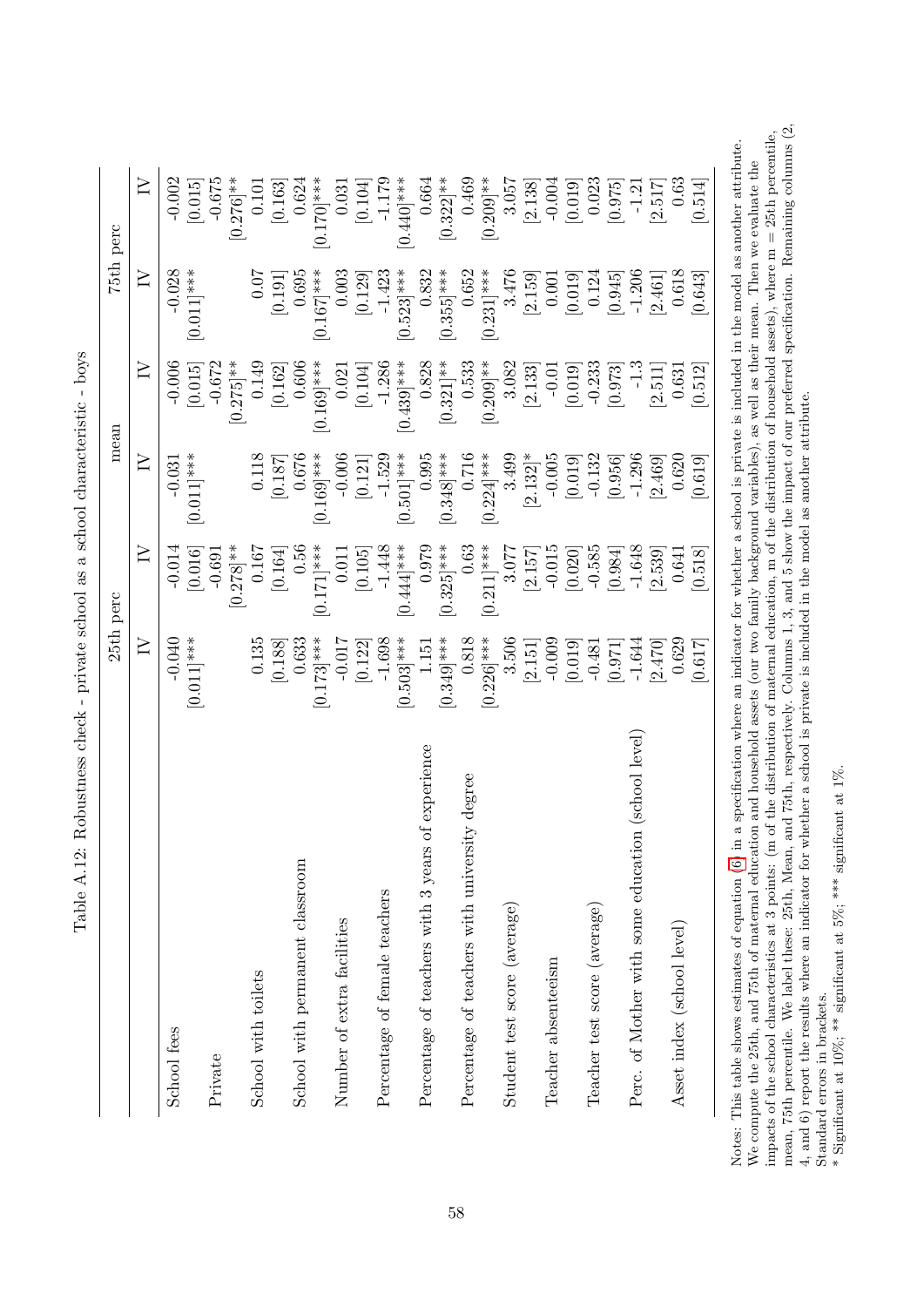| $-0.040$<br>$[0.011]$ ***<br>School fees<br>Private            | $\geq$<br>$\geq$       |                        |                        |                        |                                |
|----------------------------------------------------------------|------------------------|------------------------|------------------------|------------------------|--------------------------------|
|                                                                |                        | $\geq$                 | $\geq$                 | $\geq$                 | $\geq$                         |
|                                                                | $-0.014$               | $-0.031$               | $-0.006$               | $-0.028$               | $-0.002$                       |
|                                                                | [0.016]                | $0.011$ <sup>***</sup> | [0.015]                | $0.011$ <sup>***</sup> | [0.015]                        |
|                                                                | $-0.691$               |                        | $-0.672$               |                        | $-0.675$                       |
| 0.135<br>School with toilets                                   | $[0.278]$ **<br>0.167  | 0.118                  | $[0.275]$ **<br>0.149  | 0.07                   | $0.276$ <sup>**</sup><br>0.101 |
| [0.188]                                                        | [0.164]                | [0.187]                | [0.162]                | [0.191]                | [0.163]                        |
| 0.633<br>School with permanent classroom                       | 0.56                   | 0.676                  | 0.606                  | 0.695                  | 0.624                          |
| $[0.173]$ ***                                                  | $0.171$ <sup>***</sup> | $[0.169]$ ***          | $0.169$ <sup>***</sup> | $[0.167]$ ***          | $0.170$ <sup>***</sup>         |
| Number of extra facilities                                     | 0.011                  | $-0.006$               | 0.021                  | 0.003                  | 0.031                          |
| $-0.017$ [0.122]                                               | [0.105]                | [0.121]                | [0.104]                | [0.129]                | [0.104]                        |
| $-1.698$<br>Percentage of female teachers                      | $-1.448$               | $-1.529$               | $-1.286$               | $-1.423$               | $-1.179$                       |
| $[0.503]$ ***                                                  | $0.444$  ***           | $0.501$ <sup>***</sup> | $0.439$  ***           | $[0.523]$ ***          | $0.440$ <sup>***</sup>         |
| 1.151<br>of experience<br>Percentage of teachers with 3 years  | 0.979                  | 0.995                  | 0.828                  | 0.832                  | 0.664                          |
| $[0.349]$ ***                                                  | $0.325$ ]***           | $0.348$ <sup>***</sup> | $[0.321]$ **           | $0.355$ <sup>***</sup> | $[0.322]$ **                   |
| 0.818<br>Percentage of teachers with university degree         | 0.63                   | 0.716                  | 0.533                  | 0.652                  | 0.469                          |
| $[0.226]***$                                                   | $0.211$ <sup>***</sup> | $[0.224]$ ***          | $[0.209]$ **           | $[0.231]$ ***          | $[0.209]^{**}$                 |
| 3.506<br>Student test score (average)                          | 3.077                  | 3.499                  | 3.082                  | 3.476                  | 3.057                          |
| $[2.151]$                                                      | [2.157]                | $[2.132]$ *            | [2.133]                | [2.159]                | $\left[2.138\right]$ -0.004    |
| $-0.009$<br>Teacher absenteeism                                | $-0.015$               | $-0.005$               | $-0.01$                | 0.001                  |                                |
| [0.019]                                                        | [0.020]                | [0.019]                | [0.019]                | [0.019]                | [0.019]                        |
| $-0.481$<br>Teacher test score (average)                       | $-0.585$               | $-0.132$               | $-0.233$               | 0.124                  | 0.023                          |
| [0.971]                                                        | [0.984]                | $\left[ 0.956\right]$  | [0.973]                | [0.945]                | [0.975]                        |
| $-1.644$<br>Perc. of Mother with some education (school level) | $-1.648$               | $-1.296$               | $-1.3$                 | $-1.206$               | $-1.21$                        |
| [2.470]                                                        | [2.539]                | [2.469]                | [2.511]                | [2.461]                | [2.517]                        |
| 0.629<br>Asset index (school level)                            | 0.641                  | 0.620                  | 0.631                  | 0.618                  | 0.63                           |
| [0.617]                                                        | [0.518]                | [0.619]                | [0.512]                | [0.643]                | [0.514]                        |

<span id="page-59-0"></span>Table A.12: Robustness check - private school as a school characteristic - boys Table A.12: Robustness check - private school as a school characteristic - boys

mean, 75th percentile. We label these: 25th, Mean, and 75th, respectively. Columns 1, 3, and 5 show the impact of our preferred specification. Remaining columns (2, mean, 75th percentile. We label these: 25th, Mean, and 75th, respectively. Columns 1, 3, and 5 show the impact of our preferred specification. Remaining columns (2, impacts of the school characteristics at 3 points: (in of the distribution of maternal education, m of the distribution of household assets), where  $m = 25$ th percentile, impacts of the school characteristics at 3 points: (m of the distribution of maternal education, m of the distribution of household assets), where  $m = 25th$  percentile, Notes: This table shows estimates of equation (6) in a specification where an indicator for whether a school is private is included in the model as another attribute. Notes: This table shows estimates of equation [\(6\)](#page-15-4) in a specification where an indicator for whether a school is private is included in the model as another attribute. We compute the 25th, and 75th of maternal education and household assets (our two family background variables), as well as their mean. Then we evaluate the We compute the 25th, and 75th of maternal education and household assets (our two family background variables), as well as their mean. Then we evaluate the 4, and 6) report the results where an indicator for whether a school is private is included in the model as another attribute. 4, and 6) report the results where an indicator for whether a school is private is included in the model as another attribute. Standard errors in brackets. Standard errors in brackets.

<sup>\*</sup> Significant at  $10\%$ ; \*\* significant at 5%; \*\*\* significant at 1%. \* Significant at 10%; \*\* significant at 5%; \*\*\* significant at 1%.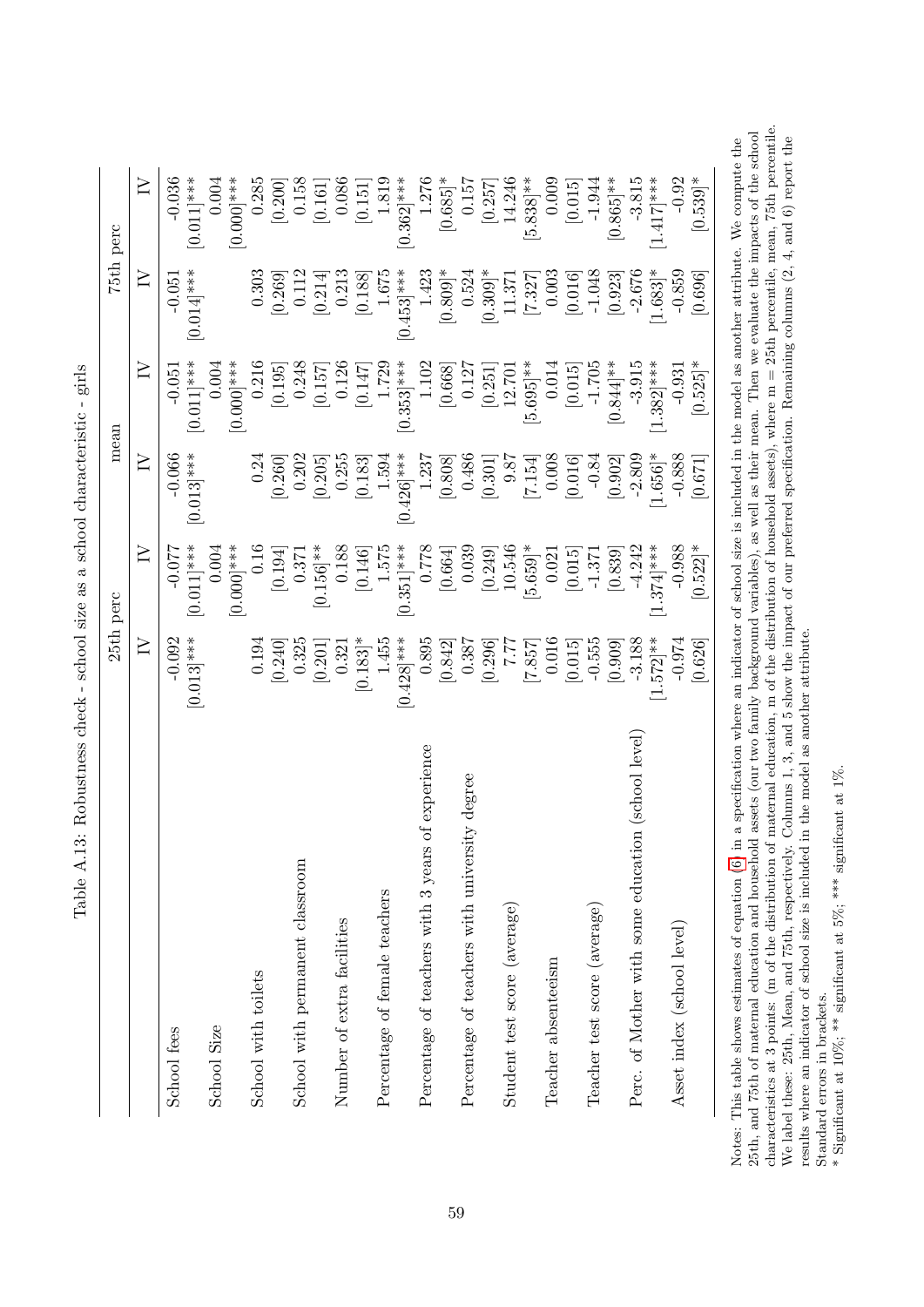| 0.255<br>0.24<br>10.546<br>$\geq$<br>0.188<br>0.778<br>0.039<br>$0.011$ <sup>***</sup><br>0.16<br>1.575<br>$[5.659]$ *<br>$0.351]$ ***<br>0.000<br>$0.156$ <sup>**</sup><br>0.004<br>[0.146]<br>[0.249]<br>0.021<br>$-0.077$<br>[0.664]<br>[0.194]<br>0.371<br>$\geq$<br>$[0.013]$ ***<br>$1.455$<br>0.895<br>$-0.092$<br>$[0.428]$ ***<br>0.387<br>0.016<br>0.194<br>0.325<br>[0.183]<br>[0.842]<br>[0.240]<br>[0.296]<br>[7.857]<br>0.321<br>777<br>[0.201]<br>of experience<br>Percentage of teachers with university degree<br>Percentage of teachers with 3 years<br>School with permanent classroom<br>Percentage of female teachers<br>Student test score (average)<br>Number of extra facilities<br>Teacher absenteeism<br>School with toilets<br>School Size<br>School fees | $\geq$<br>$0.013$ <sup>***</sup><br>$-0.066$ | $\geq$<br>$-0.051$<br>$\geq$<br>$-0.051$       | $\geq$                    |
|--------------------------------------------------------------------------------------------------------------------------------------------------------------------------------------------------------------------------------------------------------------------------------------------------------------------------------------------------------------------------------------------------------------------------------------------------------------------------------------------------------------------------------------------------------------------------------------------------------------------------------------------------------------------------------------------------------------------------------------------------------------------------------------|----------------------------------------------|------------------------------------------------|---------------------------|
|                                                                                                                                                                                                                                                                                                                                                                                                                                                                                                                                                                                                                                                                                                                                                                                      |                                              |                                                |                           |
|                                                                                                                                                                                                                                                                                                                                                                                                                                                                                                                                                                                                                                                                                                                                                                                      |                                              | $0.014$ ]***<br>$0.011$ <sup>***</sup>         | $-0.036$<br>$[0.011]$ *** |
|                                                                                                                                                                                                                                                                                                                                                                                                                                                                                                                                                                                                                                                                                                                                                                                      |                                              | $0.000$ <sup>***</sup><br>0.004                | $[0.000]$ ***<br>0.004    |
|                                                                                                                                                                                                                                                                                                                                                                                                                                                                                                                                                                                                                                                                                                                                                                                      |                                              | 0.303<br>0.216                                 | 0.285                     |
|                                                                                                                                                                                                                                                                                                                                                                                                                                                                                                                                                                                                                                                                                                                                                                                      | 0.202<br>[0.260]                             | 0.112<br>[0.269]<br>0.248<br>[0.195]           | 0.158<br>[0.200]          |
|                                                                                                                                                                                                                                                                                                                                                                                                                                                                                                                                                                                                                                                                                                                                                                                      | [0.205]                                      | [0.214]<br>[0.157]                             | [0.161]                   |
|                                                                                                                                                                                                                                                                                                                                                                                                                                                                                                                                                                                                                                                                                                                                                                                      | [0.183]                                      | 0.213<br>[0.188]<br>0.126<br>[0.147]           | 0.086<br>[0.151]          |
|                                                                                                                                                                                                                                                                                                                                                                                                                                                                                                                                                                                                                                                                                                                                                                                      | 1.594                                        | 1.675<br>1.729                                 | 1.819                     |
|                                                                                                                                                                                                                                                                                                                                                                                                                                                                                                                                                                                                                                                                                                                                                                                      | $0.426$ <sup>***</sup>                       | $0.453$ <sup>***</sup><br>$0.353]$ ***         | $0.362$ ]***              |
|                                                                                                                                                                                                                                                                                                                                                                                                                                                                                                                                                                                                                                                                                                                                                                                      | 1.237                                        | 1.423<br>1.102                                 | 1.276                     |
|                                                                                                                                                                                                                                                                                                                                                                                                                                                                                                                                                                                                                                                                                                                                                                                      | [0.808]                                      | $[0.809]$ *<br>[0.668]                         | $[0.685]$ *               |
|                                                                                                                                                                                                                                                                                                                                                                                                                                                                                                                                                                                                                                                                                                                                                                                      | 0.486                                        | 0.524<br>0.127                                 | 0.157                     |
|                                                                                                                                                                                                                                                                                                                                                                                                                                                                                                                                                                                                                                                                                                                                                                                      | [0.301]                                      | $[0.309]$ *<br>[0.251]                         | [0.257]                   |
|                                                                                                                                                                                                                                                                                                                                                                                                                                                                                                                                                                                                                                                                                                                                                                                      | 9.87                                         | 11.371<br>12.701                               | 14.246                    |
|                                                                                                                                                                                                                                                                                                                                                                                                                                                                                                                                                                                                                                                                                                                                                                                      | [7.154]                                      | [7.327]<br>$[5.695]$ **                        | $[5.838]$ **              |
|                                                                                                                                                                                                                                                                                                                                                                                                                                                                                                                                                                                                                                                                                                                                                                                      | 0.008                                        | 0.003<br>0.014                                 | 0.009                     |
| [0.015]<br>[0.015]                                                                                                                                                                                                                                                                                                                                                                                                                                                                                                                                                                                                                                                                                                                                                                   | [0.016]                                      | [0.016]<br>[0.015]                             | [0.015]                   |
| $-1.371$<br>$-0.555$<br>Teacher test score (average)                                                                                                                                                                                                                                                                                                                                                                                                                                                                                                                                                                                                                                                                                                                                 | $-0.84$                                      | $-1.048$<br>$-1.705$                           | $-1.944$                  |
| [0.839]<br>[0.909]                                                                                                                                                                                                                                                                                                                                                                                                                                                                                                                                                                                                                                                                                                                                                                   | [0.902]                                      | [0.923]<br>$[0.844]$ **                        | $[0.865]$ **              |
| $-4.242$<br>$-3.188$<br>Perc. of Mother with some education (school level)                                                                                                                                                                                                                                                                                                                                                                                                                                                                                                                                                                                                                                                                                                           | $-2.809$                                     | $-2.676$<br>$-3.915$                           | $-3.815$                  |
| $[1.374]$ ***<br>$1.572$ <sup>**</sup>                                                                                                                                                                                                                                                                                                                                                                                                                                                                                                                                                                                                                                                                                                                                               | $1.656$ <sup>*</sup>                         | $1.683$ <sup>*</sup><br>$1.382$ <sup>***</sup> | $[1.417]$ ***             |
| $-0.988$<br>$-0.974$<br>Asset index (school level)                                                                                                                                                                                                                                                                                                                                                                                                                                                                                                                                                                                                                                                                                                                                   | $-0.888$                                     | $-0.859$<br>$-0.931$                           | $-0.92$                   |
| $[0.522]$ *<br>[0.626]                                                                                                                                                                                                                                                                                                                                                                                                                                                                                                                                                                                                                                                                                                                                                               | [0.671]                                      | [0.696]<br>$[0.525]$ *                         | $[0.539]$ *               |

<span id="page-60-0"></span>Table A.13: Robustness check - school size as a school characteristic - girls Table A.13: Robustness check - school size as a school characteristic - girls

characteristics at 3 points: (m of the distribution of maternal education, m of the distribution of household assets), where  $m = 25$ th percentile, mean, 75th percentile. characteristics at 3 points: (m of the distribution of maternal education, m of the distribution of household assets), where  $m = 25th$  percentile, mean, 75th percentile. 25th, and 75th of maternal education and household assets (our two family background variables), as well as their mean. Then we evaluate the impacts of the school 25th, and 75th of maternal education and household assets (our two family background variables), as well as their mean. Then we evaluate the impacts of the school We label these: 25th, Mean, and 75th, respectively. Columns 1, 3, and 5 show the impact of our preferred specification. Remaining columns  $(2, 4, \text{and } 6)$  report the results where an indicator of school size is included i Notes: This table shows estimates of equation (6) in a specification where an indicator of school size is included in the model as another attribute. We compute the We label these: 25th, Mean, and 75th, respectively. Columns 1, 3, and 5 show the impact of our preferred specification. Remaining columns  $(2, 4, \text{and } 6)$  report the Notes: This table shows estimates of equation [\(6\)](#page-15-4) in a specification where an indicator of school size is included in the model as another attribute. We compute the results where an indicator of school size is included in the model as another attribute. Standard errors in brackets.

Standard errors in brackets.  $\ast$  Significant at 10%;  $^{**}$  significant at 5%;  $^{***}$  significant at 1%. \* Significant at 10%; \*\* significant at 5%; \*\*\* significant at 1%.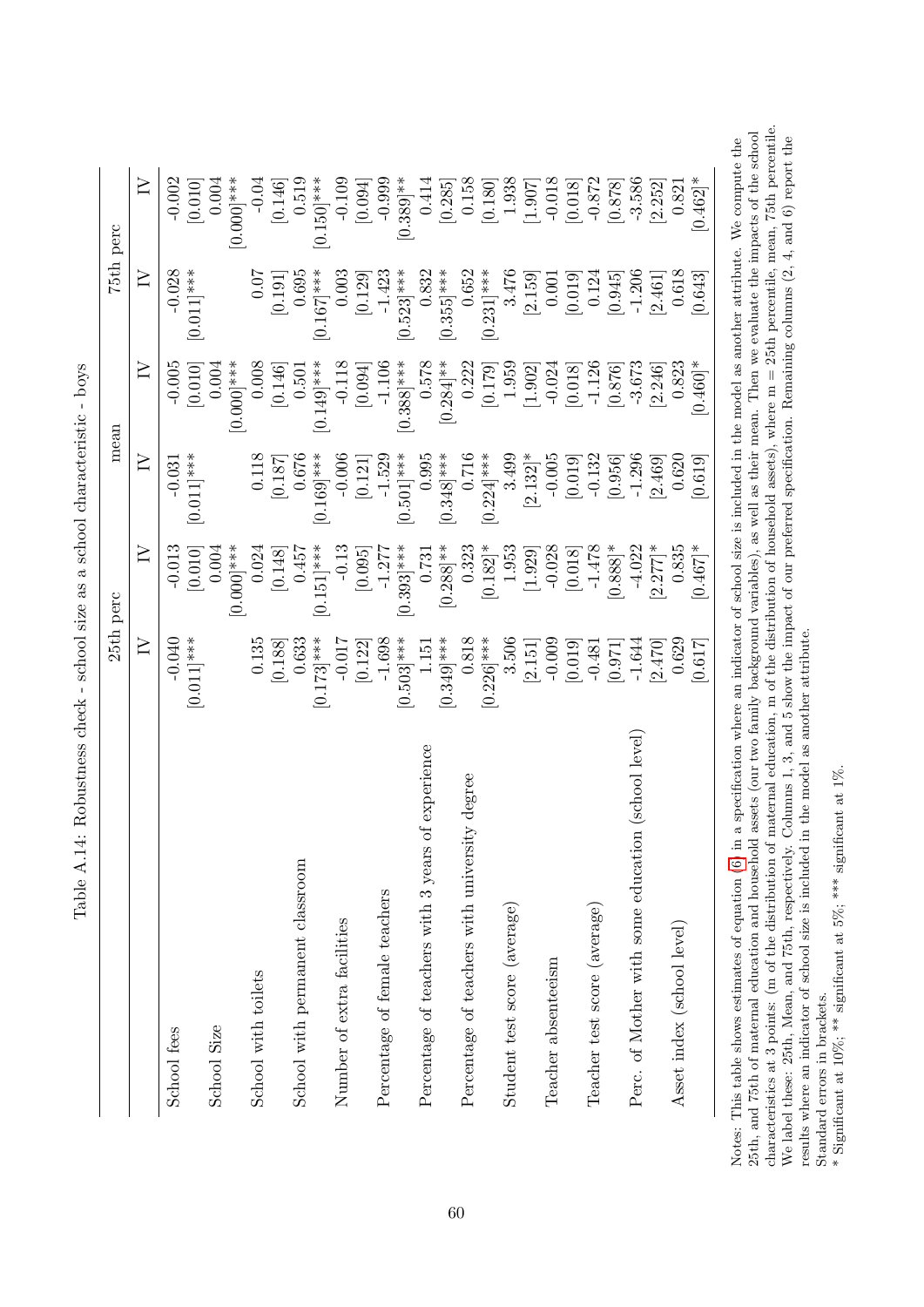|                                                      | 25th perc                       |                                 | mean                                            |                                                | 75th perc                                      |                                                |
|------------------------------------------------------|---------------------------------|---------------------------------|-------------------------------------------------|------------------------------------------------|------------------------------------------------|------------------------------------------------|
|                                                      | $\geq$                          | $\geq$                          | ≧                                               | $\geq$                                         | $\geq$                                         | $\geq$                                         |
| School fees                                          | $[0.011]$ ***<br>$-0.040$       | $-0.013$<br>[0.010]             | $0.011$ <sup>***</sup><br>$-0.031$              | $-0.005$<br>[0.010]                            | $-0.028$<br>$0.011$ <sup>***</sup>             | $-0.002$<br>[0.010]                            |
| School Size                                          |                                 | 0.004                           |                                                 | 0.004                                          |                                                | 0.004                                          |
| School with toilets                                  | $0.135\,$                       | 0.000<br>0.024                  | 0.118                                           | 0.008<br>0.000                                 | 0.07                                           | 0.000<br>$-0.04$                               |
|                                                      | [0.188]                         | [0.148]                         | [0.187]                                         | [0.146]                                        | [0.191]                                        | [0.146]                                        |
| School with permanent classroom                      | 0.633<br>$0.173$ <sup>***</sup> | 0.457<br>$0.151$ <sup>***</sup> | 0.676<br>$0.169$ <sup>***</sup>                 | $0.149$ <sup>***</sup><br>0.501                | $0.167$ <sup>***</sup><br>0.695                | 0.519<br>$0.150$ <sup>***</sup>                |
| Number of extra facilities                           | $-0.017$                        | $-0.13$                         |                                                 | $-0.118$                                       | 0.003                                          | $-0.109$                                       |
|                                                      | [0.122]                         | [0.095]                         | $\begin{bmatrix} -0.006 \\ 0.121 \end{bmatrix}$ | [0.094]                                        | [0.129]                                        | $\left[ 0.094\right]$                          |
| Percentage of female teachers                        | $-1.698$                        | $-1.277$                        | $-1.529$                                        | $-1.106$                                       | $-1.423$                                       | $-0.999$                                       |
|                                                      | $0.503$ <sup>***</sup>          | $0.393]$ ***                    | $0.501$ <sup>***</sup>                          | $0.388$ <sup>***</sup>                         | $0.523$ <sup>***</sup>                         | $0.389$ <sup>**</sup>                          |
| of experience<br>Percentage of teachers with 3 years | 1.151                           | 0.731                           | 0.995                                           | 0.578                                          | 0.832                                          | 0.414                                          |
|                                                      | $0.349$ <sup>***</sup>          | $[0.288]$ **                    | $0.348$ <sup>***</sup>                          | $[0.284]$ **                                   | $[0.355]$ ***                                  |                                                |
| Percentage of teachers with university degree        | 0.818                           | 0.323                           | $0.716$<br>0.224 ***                            | 0.222                                          | 0.652                                          | $\begin{bmatrix} 0.285 \\ 0.158 \end{bmatrix}$ |
|                                                      | $0.226$ <sup>***</sup>          | $[0.182]^{*}$                   |                                                 | $\begin{bmatrix} 0.179 \\ 1.959 \end{bmatrix}$ | $0.231$ ***                                    | $\left[ 0.180\right]$                          |
| Student test score (average)                         | 3.506                           | 1.953                           | 3.499                                           |                                                | 3.476                                          | 1.938                                          |
|                                                      | $[2.151]$                       | [1.929]                         | $[2.132]$ *                                     | [1.902]                                        | $\begin{bmatrix} 2.159 \\ 0.001 \end{bmatrix}$ | $\begin{bmatrix} 1.907 \\ 700.1 \end{bmatrix}$ |
| Teacher absenteeism                                  | $-0.009$                        | $-0.028$                        | $-0.005$                                        | $-0.024$                                       |                                                |                                                |
|                                                      | [0.019]                         | [0.018]                         | [0.019]                                         | [0.018]                                        | [0.019]                                        | [0.018]                                        |
| Teacher test score (average)                         | $-0.481$                        | $-1.478$                        | $-0.132$                                        | $-1.126$                                       | 0.124                                          | $-0.872$                                       |
|                                                      | [0.971]                         | $[0.888]$ *                     | [0.956]                                         | [0.876]                                        | [0.945]                                        | [0.878]                                        |
| Perc. of Mother with some education (school level    | $-1.644$                        | $-4.022$                        | $-1.296$                                        | $-3.673$                                       | $-1.206$                                       | $-3.586$                                       |
|                                                      | [2.470]                         | $[2.277]$ *                     | [2.469]                                         | [2.246]                                        | [2.461]                                        | [2.252]                                        |
| Asset index (school level)                           | 0.629                           | 0.835                           | 0.620                                           | 0.823                                          | 0.618                                          | 0.821                                          |
|                                                      | [0.617]                         | $0.467$ <sup>*</sup>            | [0.619]                                         | $0.460$ <sup>*</sup>                           | [0.643]                                        | $0.462$ <sup>*</sup>                           |
|                                                      |                                 |                                 |                                                 |                                                |                                                |                                                |

<span id="page-61-0"></span>Table A.14: Robustness check - school size as a school characteristic - boys Table A.14: Robustness check - school size as a school characteristic - boys

characteristics at 3 points: (m of the distribution of maternal education, m of the distribution of household assets), where  $m = 25$ th percentile, mean, 75th percentile. Notes: This table shows estimates of equation (6) in a specification where an indicator of school size is included in the model as another attribute. We compute the 25th, and 75th of maternal education and household assets characteristics at 3 points: (m of the distribution of maternal education, m of the distribution of household assets), where  $m = 25th$  percentile, mean, 75th percentile. 25th, and 75th of maternal education and household assets (our two family background variables), as well as their mean. Then we evaluate the impacts of the school We label these: 25th, Mean, and 75th, respectively. Columns 1, 3, and 5 show the impact of our preferred specification. Remaining columns  $(2, 4, \text{and } 6)$  report the results where an indicator of school size is included i We label these: 25th, Mean, and 75th, respectively. Columns 1, 3, and 5 show the impact of our preferred specification. Remaining columns  $(2, 4, \text{and } 6)$  report the Notes: This table shows estimates of equation [\(6\)](#page-15-4) in a specification where an indicator of school size is included in the model as another attribute. We compute the results where an indicator of school size is included in the model as another attribute. Standard errors in brackets.

Standard errors in brackets.  $\ast$  Significant at 10%;  $^{**}$  significant at 5%;  $^{***}$  significant at 1%. \* Significant at 10%; \*\* significant at 5%; \*\*\* significant at 1%.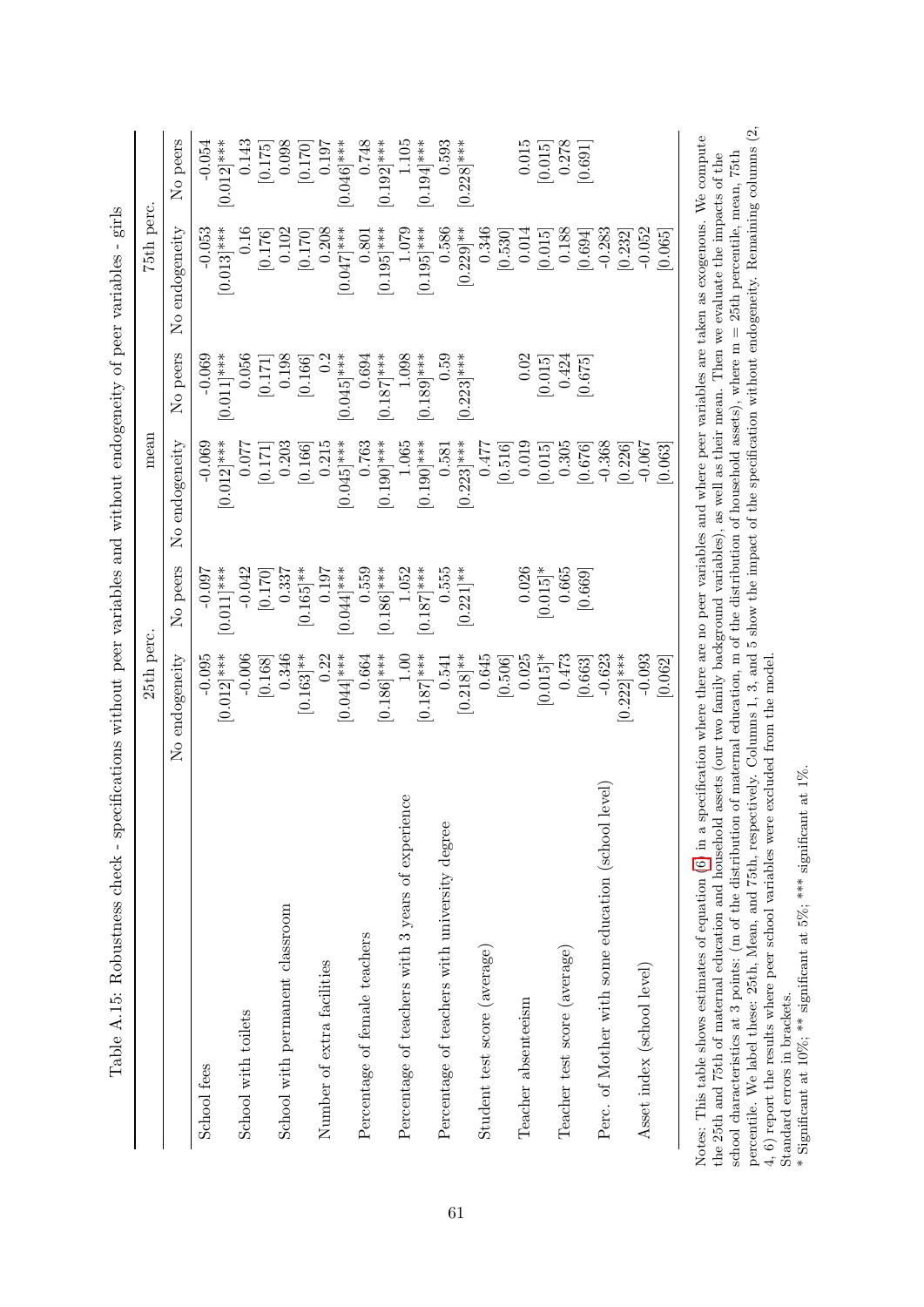| School with toilets<br>School fees                 |                |                        | mean           |                        | 75th perc.     |                        |
|----------------------------------------------------|----------------|------------------------|----------------|------------------------|----------------|------------------------|
|                                                    | No endogeneity | No peers               | No endogeneity | No peers               | No endogeneity | No peers               |
|                                                    | $-0.095$       | $-0.097$               | $-0.069$       | $-0.069$               | $-0.053$       | $-0.054$               |
|                                                    | $[0.012]$ ***  | $[0.011]$ ***          | $[0.012]$ ***  | $[0.011]$ ***          | $[0.013]$ ***  | $[0.012]$ ***          |
|                                                    | $-0.006$       | $-0.042$               | 0.077          | 0.056                  | 0.16           | 0.143                  |
|                                                    | [0.168]        | [0.170]                | [0.171]        | [0.171]                | [0.176]        | [0.175]                |
| School with permanent classroom                    | 0.346          | 0.337                  | 0.203          | 0.198                  | 0.102          | 0.098                  |
|                                                    | $[0.163]^{**}$ | $[0.165]$ **           | [0.166]        | [0.166]                | [0.170]        | [0.170]                |
| Number of extra facilities                         | 0.22           | 0.197                  | 0.215          | 0.2                    | 0.208          | 0.197                  |
|                                                    | $[0.044]$ ***  | $0.044]***$            | $[0.045]$ ***  | $[0.045]$ ***          | $[0.047]$ ***  | $[0.046]$ ***          |
| Percentage of female teachers                      | 0.664          | 0.559                  | 0.763          | 0.694                  | $0.801\,$      | 0.748                  |
|                                                    | $[0.186]$ ***  | $0.186$ <sup>***</sup> | $[0.190]$ ***  | $0.187$ <sup>***</sup> | $[0.195]$ ***  | $(0.192]$ ***          |
| Percentage of teachers with 3 years of experience  | $1.00\,$       | 1.052                  | $1.065\,$      | 1.098                  | 1.079          | $1.105$                |
|                                                    | $[0.187]$ ***  | $0.187$ <sup>***</sup> | $[0.190]$ ***  | $[0.189]$ ***          | $[0.195]$ ***  | $0.194$ <sup>***</sup> |
| Percentage of teachers with university degree      | 0.541          | 0.555                  | 0.581          | 0.59                   | 0.586          | 0.593                  |
|                                                    | $[0.218]$ **   | $[0.221]$ **           | $[0.223]$ ***  | $0.223$ <sup>***</sup> | $[0.229]$ **   | $0.228$  ***           |
| Student test score (average)                       | 0.645          |                        | 0.477          |                        | 0.346          |                        |
|                                                    | [0.506]        |                        | [0.516]        |                        | [0.530]        |                        |
| Teacher absenteeism                                | 0.025          | 0.026                  | 0.019          | 0.02                   | 0.014          | 0.015                  |
|                                                    | $[0.015]$ *    | $[0.015]$ *            | [0.015]        | [0.015]                | [0.015]        | [0.015]                |
| Teacher test score (average)                       | 0.473          | 0.665                  | 0.305          | 0.424                  | 0.188          | 0.278                  |
|                                                    | [0.663]        | [0.669]                | [0.676]        | [0.675]                | [0.694]        | [0.691]                |
| Perc. of Mother with some education (school level) | $-0.623$       |                        | $-0.368$       |                        | $-0.283$       |                        |
|                                                    | $[0.222]$ ***  |                        | [0.226]        |                        | [0.232]        |                        |
| Asset index (school level)                         | $-0.093$       |                        | $-0.067$       |                        | $-0.052$       |                        |
|                                                    | [0.062]        |                        | [0.063]        |                        | [0.065]        |                        |

Table A.15: Robustness check - specifications without peer variables and without endogeneity of peer variables - girls Table A.15: Robustness check - specifications without peer variables and without endogeneity of peer variables - girls

percentile. We label these: 25th, Mean, and 75th, respectively. Columns 1, 3, and 5 show the impact of the specification without endogeneity. Remaining columns (2, 4, 6) report the results where peer school variables were percentile. We label these: 25th, Mean, and 75th, respectively. Columns 1, 3, and 5 show the impact of the specification without endogeneity. Remaining columns (2, Notes: This table shows estimates of equation [\(6\)](#page-15-4) in a specification where there are no peer variables and where peer variables are taken as exogenous. We compute  $\mu$  and the same surface of the distribution of maternal education, m of the distribution of household assets), where  $m = 25$ th percentile, mean, 75th of maternal education and household assets (our two family background school characteristics at 3 points: (m of the distribution of maternal education, m of the distribution of household assets), where m = 25th percentile, mean, 75th the 25th and 75th of maternal education and household assets (our two family background variables), as well as their mean. Then we evaluate the impacts of the 4, 6) report the results where peer school variables were excluded from the model. Note

<span id="page-62-0"></span>Standard errors in brackets.  $\hat{}^*$  significant at 5%; \*\*\* significant at 1%. Significant at 10%; \*\* significant at 5%; \*\*\* significant at 1%. Standard errors in brackets.

\* Significant at 10%; \*\* significant at 5%; \*\*\* significant at 1%.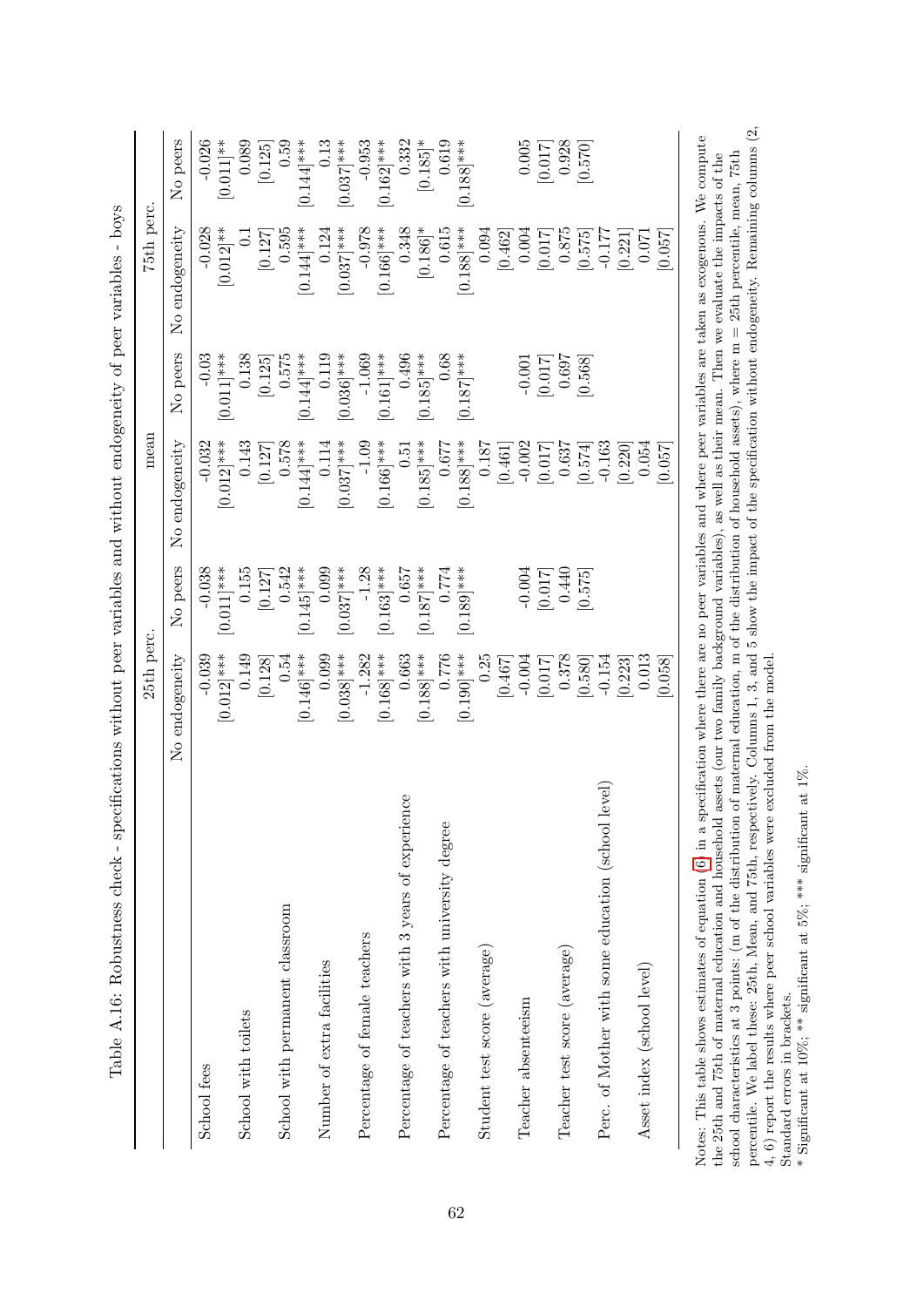|                                                       | 25th perc.     |                        | mean           |                        | 75th perc.            |                        |
|-------------------------------------------------------|----------------|------------------------|----------------|------------------------|-----------------------|------------------------|
|                                                       | No endogeneity | No peers               | No endogeneity | No peers               | No endogeneity        | No peers               |
| School fees                                           | $-0.039$       | $-0.038$               | $-0.032$       | $-0.03$                | $-0.028$              | $-0.026$               |
|                                                       | $[0.012]$ ***  | $[0.011]$ ***          | $[0.012]$ ***  | $[0.011]$ ***          | $0.012$ <sup>**</sup> | $[0.011]$ **           |
| School with toilets                                   | 0.149          | 0.155                  | 0.143          | 0.138                  | $\overline{C}$        | 0.089                  |
|                                                       | [0.128]        | [0.127]                | [0.127]        | [0.125]                | [0.127]               | [0.125]                |
| School with permanent classroom                       | 0.54           | 0.542                  | 0.578          | 0.575                  | 0.595                 | 0.59                   |
|                                                       | $[0.146]$ ***  | $0.145$ <sup>***</sup> | $0.144$ ***    | $0.144$ <sup>***</sup> | $[0.144]$ ***         | $0.144$ <sup>***</sup> |
| Number of extra facilities                            | 0.099          | 0.099                  | 0.114          | 0.119                  | 0.124                 | 0.13                   |
|                                                       | $[0.038]$ ***  | $[0.037]$ ***          | $[0.037]$ ***  | $[0.036]$ ***          | $[0.037]$ ***         | $0.037$ <sup>***</sup> |
| Percentage of female teachers                         | $-1.282$       | $-1.28$                | $-1.09$        | $-1.069$               | $-0.978$              | $-0.953$               |
|                                                       | $[0.168]$ ***  | $0.163$ <sup>***</sup> | $[0.166]$ ***  | $0.161]$ ***           | $[0.166]$ ***         | $(0.162]$ ***          |
| Percentage of teachers with 3 years of experience     | 0.663          | 0.657                  | 0.51           | 0.496                  | 0.348                 | 0.332                  |
|                                                       | $[0.188]$ ***  | $[0.187]$ ***          | $[0.185]$ ***  | $0.185$ <sup>***</sup> | $[0.186]$ *           | $[0.185]^\ast$         |
| Percentage of teachers with university degree         | 0.776          | $0.774\,$              | 0.677          | 0.68                   | 0.615                 | 0.619                  |
|                                                       | $[0.190]$ ***  | $[0.189]$ ***          | $[0.188]$ ***  | $0.187$ <sup>***</sup> | $[0.188]$ ***         | $[0.188]$ ***          |
| Student test score (average)                          | 0.25           |                        | 0.187          |                        | 0.094                 |                        |
|                                                       | [0.467]        |                        | [0.461]        |                        | [0.462]               |                        |
| Teacher absenteeism                                   | $-0.004$       | $-0.004$               | $-0.002$       | $-0.001$               | 0.004                 | $0.005\,$              |
|                                                       | [0.017]        | [0.017]                | [0.017]        | [710.0]                | [0.017]               | [0.017]                |
| Teacher test score (average)                          | 0.378          | 0.440                  | 0.637          | 0.697                  | $0.875\,$             | 0.928                  |
|                                                       | [0.580]        | [0.575]                | [0.574]        | [0.568]                | [0.575]               | [0.570]                |
| level)<br>Perc. of Mother with some education (school | $-0.154$       |                        | $-0.163$       |                        | $-0.177$              |                        |
|                                                       | [0.223]        |                        | [0.220]        |                        | [0.221]               |                        |
| Asset index (school level)                            | 0.013          |                        | 0.054          |                        | 0.071                 |                        |
|                                                       | 0.058          |                        | [730.0]        |                        | [250.0]               |                        |

<span id="page-63-0"></span>Table A.16: Robustness check - specifications without peer variables and without endogeneity of peer variables - boys Table A.16: Robustness check - specifications without peer variables and without endogeneity of peer variables - boys

percentile. We label these: 25th, Mean, and 75th, respectively. Columns 1, 3, and 5 show the impact of the specification without endogeneity. Remaining columns (2, 4, 6) report the results where peer school variables were percentile. We label these: 25th, Mean, and 75th, respectively. Columns 1, 3, and 5 show the impact of the specification without endogeneity. Remaining columns (2, Notes: This table shows estimates of equation [\(6\)](#page-15-4) in a specification where there are no peer variables and where peer variables are taken as exogenous. We compute  $\mu$  and  $\mu$  and  $\sigma$  and  $\sigma$  and  $\sigma$  and  $\sigma$  are defined as a controller to the set of the distribution of maternal education and maternal education of the function, m of the distribution of household assets), where school characteristics at 3 points: (m of the distribution of maternal education, m of the distribution of household assets), where m = 25th percentile, mean, 75th the 25th and 75th of maternal education and household assets (our two family background variables), as well as their mean. Then we evaluate the impacts of the 4, 6) report the results where peer school variables were excluded from the model. Note

Standard errors in brackets.  $\hat{}^*$  significant at 5%; \*\*\* significant at 1%. Significant at 10%; \*\* significant at 5%; \*\*\* significant at 1%. Standard errors in brackets.

\* Significant at 10%; \*\* significant at 5%; \*\*\* significant at 1%.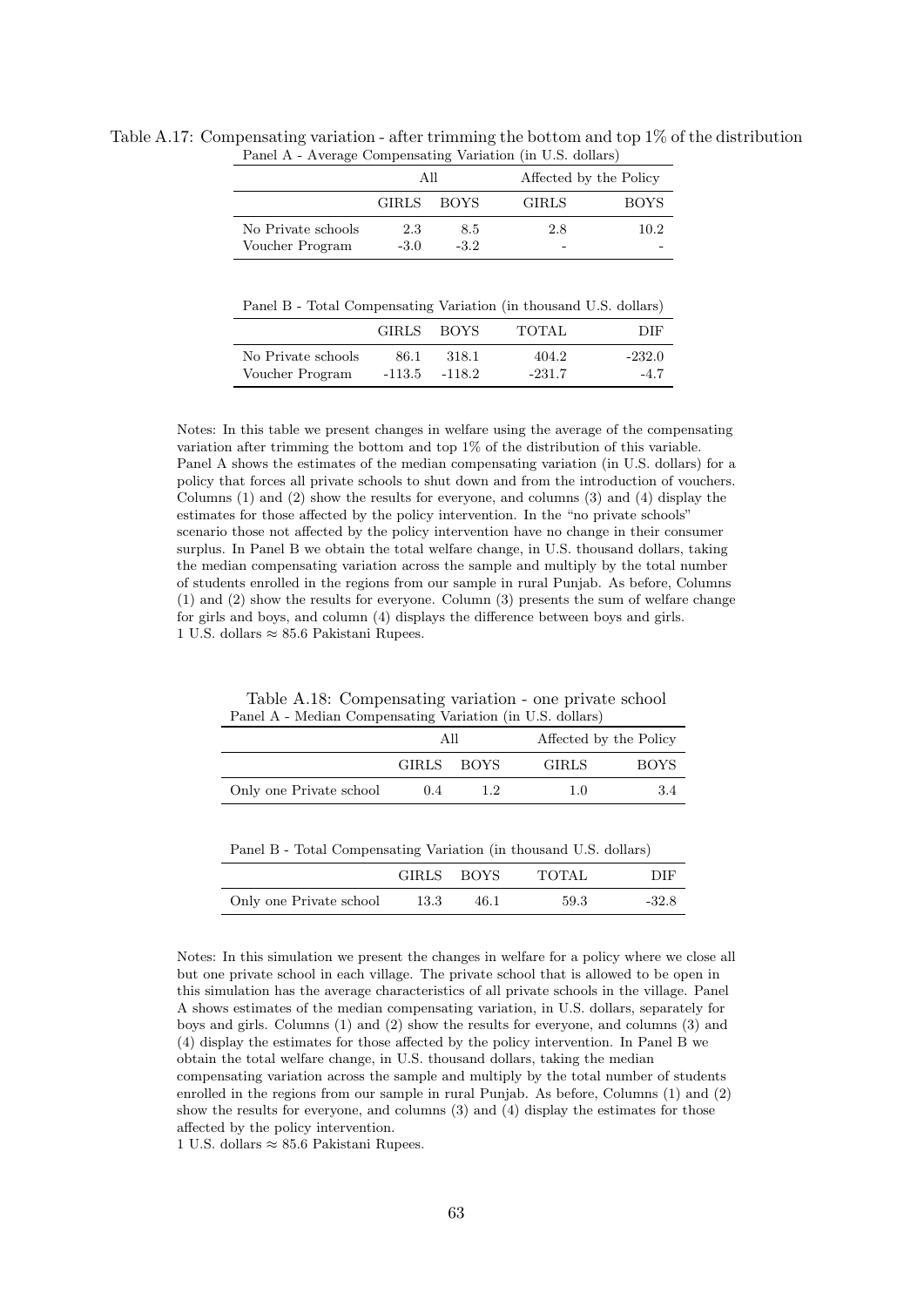|                    | All          |             |              | Affected by the Policy |
|--------------------|--------------|-------------|--------------|------------------------|
|                    | <b>GIRLS</b> | <b>BOYS</b> | <b>GIRLS</b> | <b>BOYS</b>            |
| No Private schools | 2.3          | 8.5         | 2.8          | 10.2                   |
| Voucher Program    | $-3.0$       | $-3.2$      | -            |                        |

<span id="page-64-0"></span>Table A.17: Compensating variation - after trimming the bottom and top 1% of the distribution Panel A - Average Compensating Variation (in U.S. dollars)

Panel B - Total Compensating Variation (in thousand U.S. dollars)

|                    | <b>GIRLS</b> | <b>BOYS</b> | TOTAL    | DIE      |
|--------------------|--------------|-------------|----------|----------|
| No Private schools | 86.1         | 318.1       | 404.2    | $-232.0$ |
| Voucher Program    | -113.5       | $-118.2$    | $-231.7$ | $-4.7$   |

Notes: In this table we present changes in welfare using the average of the compensating variation after trimming the bottom and top 1% of the distribution of this variable. Panel A shows the estimates of the median compensating variation (in U.S. dollars) for a policy that forces all private schools to shut down and from the introduction of vouchers. Columns (1) and (2) show the results for everyone, and columns (3) and (4) display the estimates for those affected by the policy intervention. In the "no private schools" scenario those not affected by the policy intervention have no change in their consumer surplus. In Panel B we obtain the total welfare change, in U.S. thousand dollars, taking the median compensating variation across the sample and multiply by the total number of students enrolled in the regions from our sample in rural Punjab. As before, Columns (1) and (2) show the results for everyone. Column (3) presents the sum of welfare change for girls and boys, and column (4) displays the difference between boys and girls. 1 U.S. dollars ≈ 85.6 Pakistani Rupees.

Table A.18: Compensating variation - one private school Panel A - Median Compensating Variation (in U.S. dollars)

<span id="page-64-1"></span>

|                         | Αll          |        |              | Affected by the Policy |
|-------------------------|--------------|--------|--------------|------------------------|
|                         | <b>GIRLS</b> | – BOYS | <b>GIRLS</b> | <b>BOYS</b>            |
| Only one Private school | (1.4)        |        | 1.0          | 3.4                    |

| Panel B - Total Compensating Variation (in thousand U.S. dollars) |            |       |     |
|-------------------------------------------------------------------|------------|-------|-----|
|                                                                   | GIRLS BOYS | TOTAL | DIF |

|                         | GIRLS BOYS |      | TOTAL | DIE     |
|-------------------------|------------|------|-------|---------|
| Only one Private school | 13.3       | 46.1 | 59.3  | $-32.8$ |

Notes: In this simulation we present the changes in welfare for a policy where we close all but one private school in each village. The private school that is allowed to be open in this simulation has the average characteristics of all private schools in the village. Panel A shows estimates of the median compensating variation, in U.S. dollars, separately for boys and girls. Columns (1) and (2) show the results for everyone, and columns (3) and (4) display the estimates for those affected by the policy intervention. In Panel B we obtain the total welfare change, in U.S. thousand dollars, taking the median compensating variation across the sample and multiply by the total number of students

enrolled in the regions from our sample in rural Punjab. As before, Columns (1) and (2) show the results for everyone, and columns (3) and (4) display the estimates for those affected by the policy intervention.

1 U.S. dollars ≈ 85.6 Pakistani Rupees.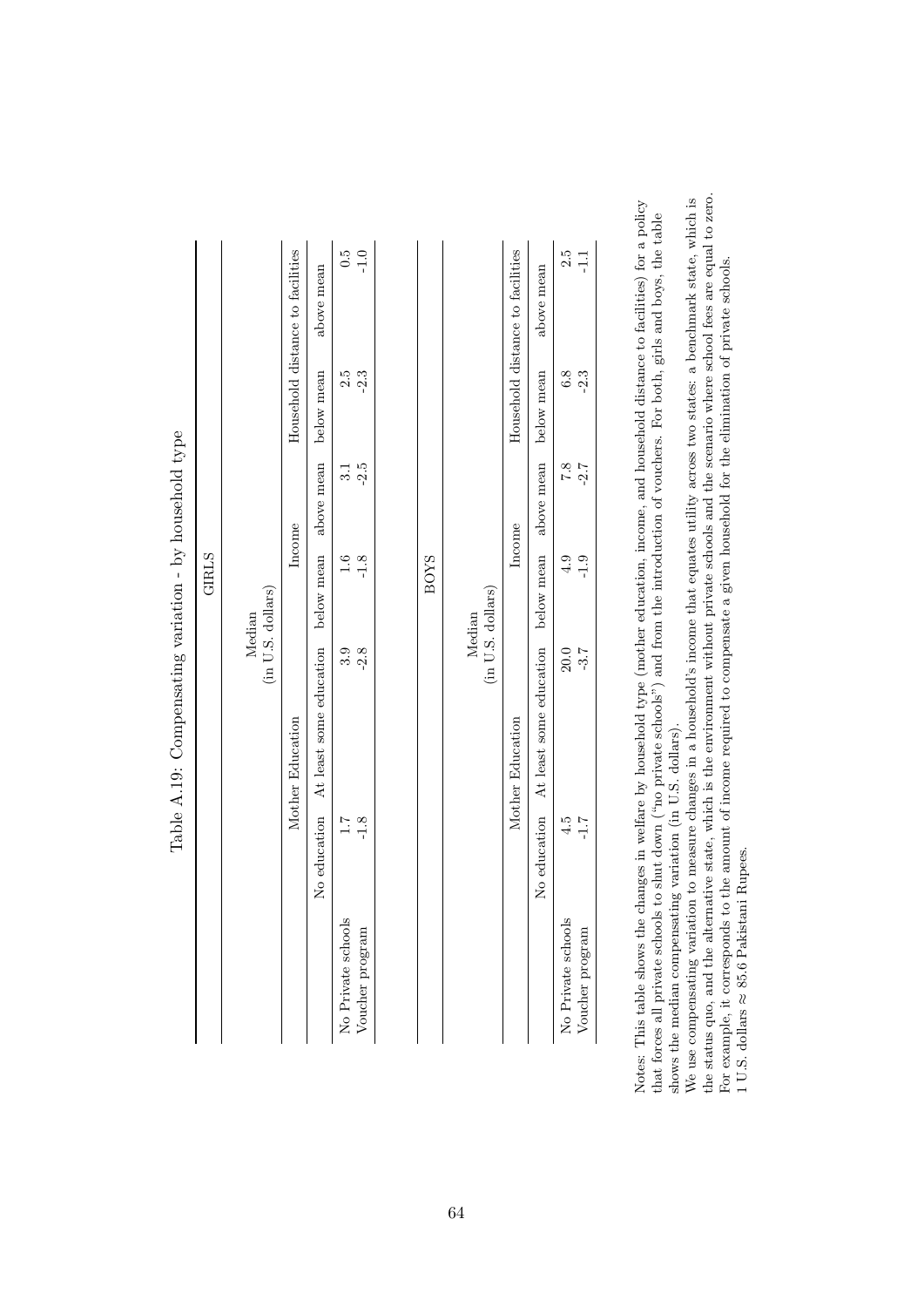| $\ddot{c}$ .0<br>Household distance to facilities<br>$-1.0$<br>Household distance to facilities<br>2.5<br>$\frac{1}{1}$<br>above mean<br>above mean<br>below mean<br>2.5<br>$-2.3$<br>6.8<br>$-2.3$<br>below mean<br>above mean<br>$-2.5$<br>above mean<br>$\overline{7.8}$<br>$-2.7$<br>$\frac{31}{5}$<br>Income<br>Income<br>below mean<br>below mean<br>$-1.8$<br><b>BOYS</b><br>$-1.9$<br>1.6<br>4.9<br>(in U.S. dollars)<br>(in U.S. dollars)<br>Median<br>Median<br>At least some education<br>$-2.8$<br>At least some education<br>3.9<br>$-3.7$<br>20.0<br>Mother Education<br>Mother Education<br>No education<br>No education<br>$-1.8$<br>1.7<br>4.5<br>$7.1-$<br>No Private schools<br>No Private schools<br>Voucher program<br>Voucher program |  | <b>GIRLS</b> |  |  |
|-------------------------------------------------------------------------------------------------------------------------------------------------------------------------------------------------------------------------------------------------------------------------------------------------------------------------------------------------------------------------------------------------------------------------------------------------------------------------------------------------------------------------------------------------------------------------------------------------------------------------------------------------------------------------------------------------------------------------------------------------------------|--|--------------|--|--|
|                                                                                                                                                                                                                                                                                                                                                                                                                                                                                                                                                                                                                                                                                                                                                             |  |              |  |  |
|                                                                                                                                                                                                                                                                                                                                                                                                                                                                                                                                                                                                                                                                                                                                                             |  |              |  |  |
|                                                                                                                                                                                                                                                                                                                                                                                                                                                                                                                                                                                                                                                                                                                                                             |  |              |  |  |
|                                                                                                                                                                                                                                                                                                                                                                                                                                                                                                                                                                                                                                                                                                                                                             |  |              |  |  |
|                                                                                                                                                                                                                                                                                                                                                                                                                                                                                                                                                                                                                                                                                                                                                             |  |              |  |  |
|                                                                                                                                                                                                                                                                                                                                                                                                                                                                                                                                                                                                                                                                                                                                                             |  |              |  |  |
|                                                                                                                                                                                                                                                                                                                                                                                                                                                                                                                                                                                                                                                                                                                                                             |  |              |  |  |
|                                                                                                                                                                                                                                                                                                                                                                                                                                                                                                                                                                                                                                                                                                                                                             |  |              |  |  |
|                                                                                                                                                                                                                                                                                                                                                                                                                                                                                                                                                                                                                                                                                                                                                             |  |              |  |  |
|                                                                                                                                                                                                                                                                                                                                                                                                                                                                                                                                                                                                                                                                                                                                                             |  |              |  |  |
|                                                                                                                                                                                                                                                                                                                                                                                                                                                                                                                                                                                                                                                                                                                                                             |  |              |  |  |
|                                                                                                                                                                                                                                                                                                                                                                                                                                                                                                                                                                                                                                                                                                                                                             |  |              |  |  |

| i<br>Sidnama<br>Sidnama<br>I                                        |
|---------------------------------------------------------------------|
| l<br>l<br>ׇ֒<br>֕<br>l                                              |
| ١<br>1<br>Ï                                                         |
| contract contract contract contract contract<br>I<br>)<br>i<br>ׇ֚֘֡ |
| í<br>י<br>$\frac{1}{4}$<br>Ì                                        |
| )<br>I                                                              |
| I<br>$\overline{a}$<br>I                                            |

<span id="page-65-0"></span>Notes: This table shows the changes in welfare by household type (mother education, income, and household distance to facilities) for a policy Notes: This table shows the changes in welfare by household type (mother education, income, and household distance to facilities) for a policy that forces all private schools to shut down ("no private schools") and from the introduction of vouchers. For both, girls and boys, the table shows the median compensating variation (in U.S. dollars). that forces all private schools to shut down ("no private schools") and from the introduction of vouchers. For both, girls and boys, the table shows the median compensating variation (in U.S. dollars).

the status quo, and the alternative state, which is the environment without private schools and the scenario where school fees are equal to zero. We use compensating variation to measure changes in a household's income that equates utility across two states: a benchmark state, which is the status quo, and the alternative state, which is the environment without private schools and the scenario where school fees are equal to zero. We use compensating variation to measure changes in a household's income that equates utility across two states: a benchmark state, which is For example, it corresponds to the amount of income required to compensate a given household for the elimination of private schools. For example, it corresponds to the amount of income required to compensate a given household for the elimination of private schools.  $1$  U.S. dollars  $\approx$  85.6 Pakistani Rupees. 1 U.S. dollars ≈ 85.6 Pakistani Rupees.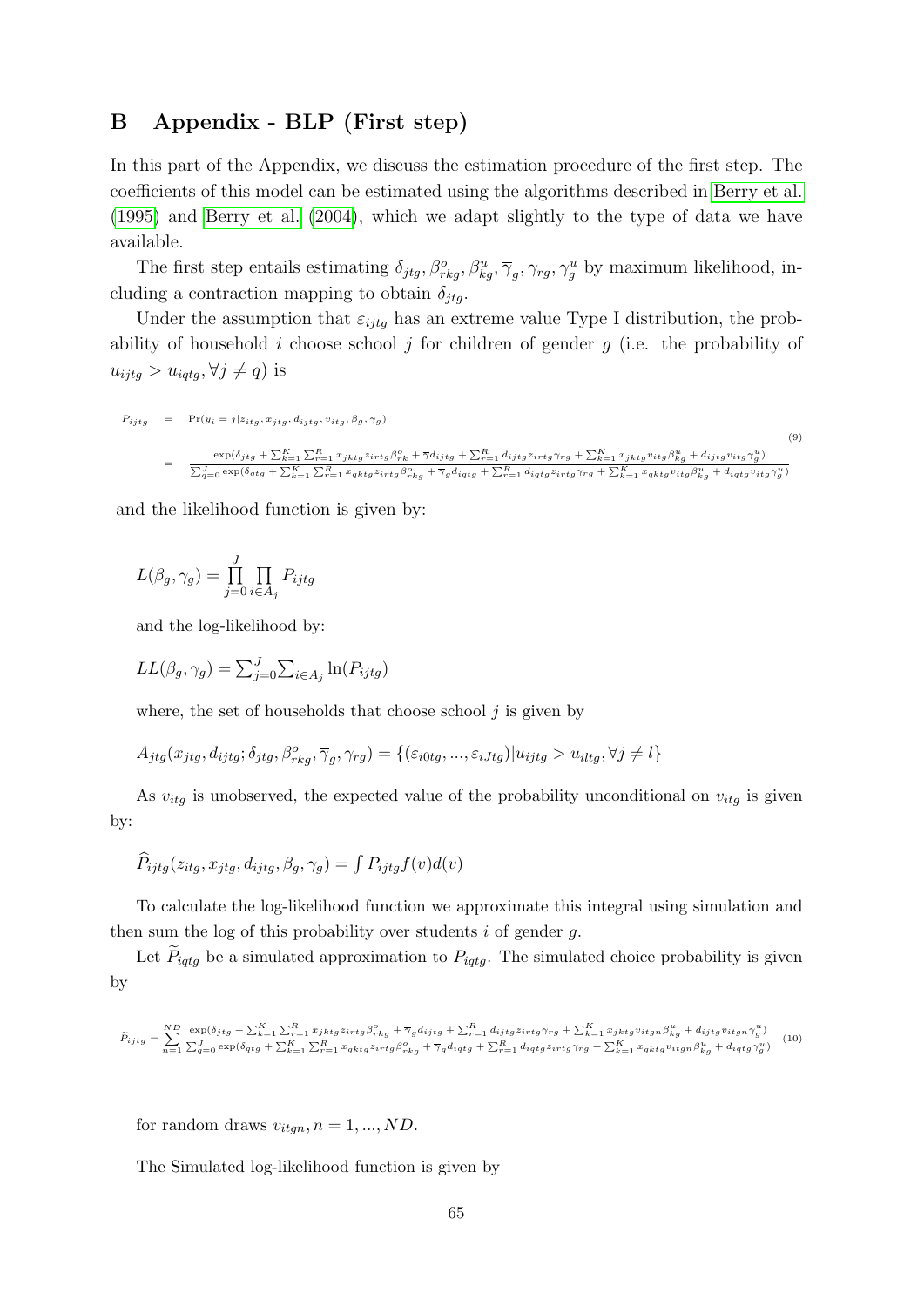### <span id="page-66-0"></span>B Appendix - BLP (First step)

In this part of the Appendix, we discuss the estimation procedure of the first step. The coefficients of this model can be estimated using the algorithms described in [Berry et al.](#page-44-3) [\(1995\)](#page-44-3) and [Berry et al.](#page-45-2) [\(2004\)](#page-45-2), which we adapt slightly to the type of data we have available.

The first step entails estimating  $\delta_{jtg}, \beta_{rkg}^o, \beta_{kg}^u, \overline{\gamma}_g, \gamma_{rg}, \gamma_g^u$  by maximum likelihood, including a contraction mapping to obtain  $\delta_{jtq}$ .

Under the assumption that  $\varepsilon_{ijtg}$  has an extreme value Type I distribution, the probability of household i choose school j for children of gender  $g$  (i.e. the probability of  $u_{ijtg} > u_{iqtg}, \forall j \neq q$  is

$$
P_{ijtg} = \Pr(y_i = j | z_{itg}, x_{jtg}, d_{ijtg}, v_{itg}, \beta_g, \gamma_g)
$$
\n
$$
= \frac{\exp(\delta_{jtg} + \sum_{k=1}^K \sum_{r=1}^R x_{jktg} z_{irtg} \beta_{rk}^o + \overline{\gamma} d_{ijtg} + \sum_{r=1}^R d_{ijtg} z_{irtg} \gamma_{rg} + \sum_{k=1}^K x_{jktg} v_{itg} \beta_{kg}^u + d_{ijtg} v_{itg} \gamma_g^u)}{\sum_{q=0}^J \exp(\delta_{qtg} + \sum_{k=1}^K \sum_{r=1}^R x_{qktg} z_{irtg} \beta_{rkg}^o + \overline{\gamma}_g d_{iqtg} + \sum_{r=1}^R d_{iqtg} z_{irtg} \gamma_{rg} + \sum_{k=1}^K x_{qktg} v_{itg} \beta_{kg}^u + d_{iqtg} v_{itg} \gamma_g^u)}
$$
\n(9)

and the likelihood function is given by:

$$
L(\beta_g, \gamma_g) = \prod_{j=0}^J \prod_{i \in A_j} P_{ijtg}
$$

and the log-likelihood by:

$$
LL(\beta_g, \gamma_g) = \sum_{j=0}^{J} \sum_{i \in A_j} \ln(P_{ijtg})
$$

where, the set of households that choose school  $j$  is given by

$$
A_{jtg}(x_{jtg}, d_{ijtg}; \delta_{jtg}, \beta_{rkg}^o, \overline{\gamma}_g, \gamma_{rg}) = \{(\varepsilon_{i0tg}, ..., \varepsilon_{iJtg}) | u_{ijtg} > u_{iltg}, \forall j \neq l\}
$$

As  $v_{itg}$  is unobserved, the expected value of the probability unconditional on  $v_{itg}$  is given by:

$$
\widehat{P}_{ijtg}(z_{itg}, x_{jtg}, d_{ijtg}, \beta_g, \gamma_g) = \int P_{ijtg} f(v) d(v)
$$

To calculate the log-likelihood function we approximate this integral using simulation and then sum the log of this probability over students  $i$  of gender  $g$ .

Let  $P_{iqtq}$  be a simulated approximation to  $P_{iqtq}$ . The simulated choice probability is given by

<span id="page-66-1"></span>
$$
\tilde{P}_{ijtg}=\sum_{n=1}^{ND}\frac{\exp(\delta_{jtg}+\sum_{k=1}^{K}\sum_{r=1}^{R}x_{jktg}z_{irtg}\beta_{rkg}^{o}+\overline{\gamma}_{g}d_{ijtg}+\sum_{r=1}^{R}d_{ijtg}z_{irtg}\gamma_{rg}+\sum_{k=1}^{K}x_{jktg}v_{itgn}\beta_{kg}^{u}+d_{ijtg}v_{itgn}\gamma_{g}^{u})}{\sum_{q=0}^{J}\exp(\delta_{qtg}+\sum_{k=1}^{K}\sum_{r=1}^{R}x_{qktg}z_{irtg}\beta_{rkg}^{o}+\overline{\gamma}_{g}d_{iqtg}+\sum_{r=1}^{R}d_{iqtg}z_{irtg}\gamma_{rg}+\sum_{k=1}^{K}x_{qktg}v_{itgn}\beta_{kg}^{u}+d_{iqtg}\gamma_{g}^{u})} \tag{10}
$$

for random draws  $v_{itqn}, n = 1, ..., ND$ .

The Simulated log-likelihood function is given by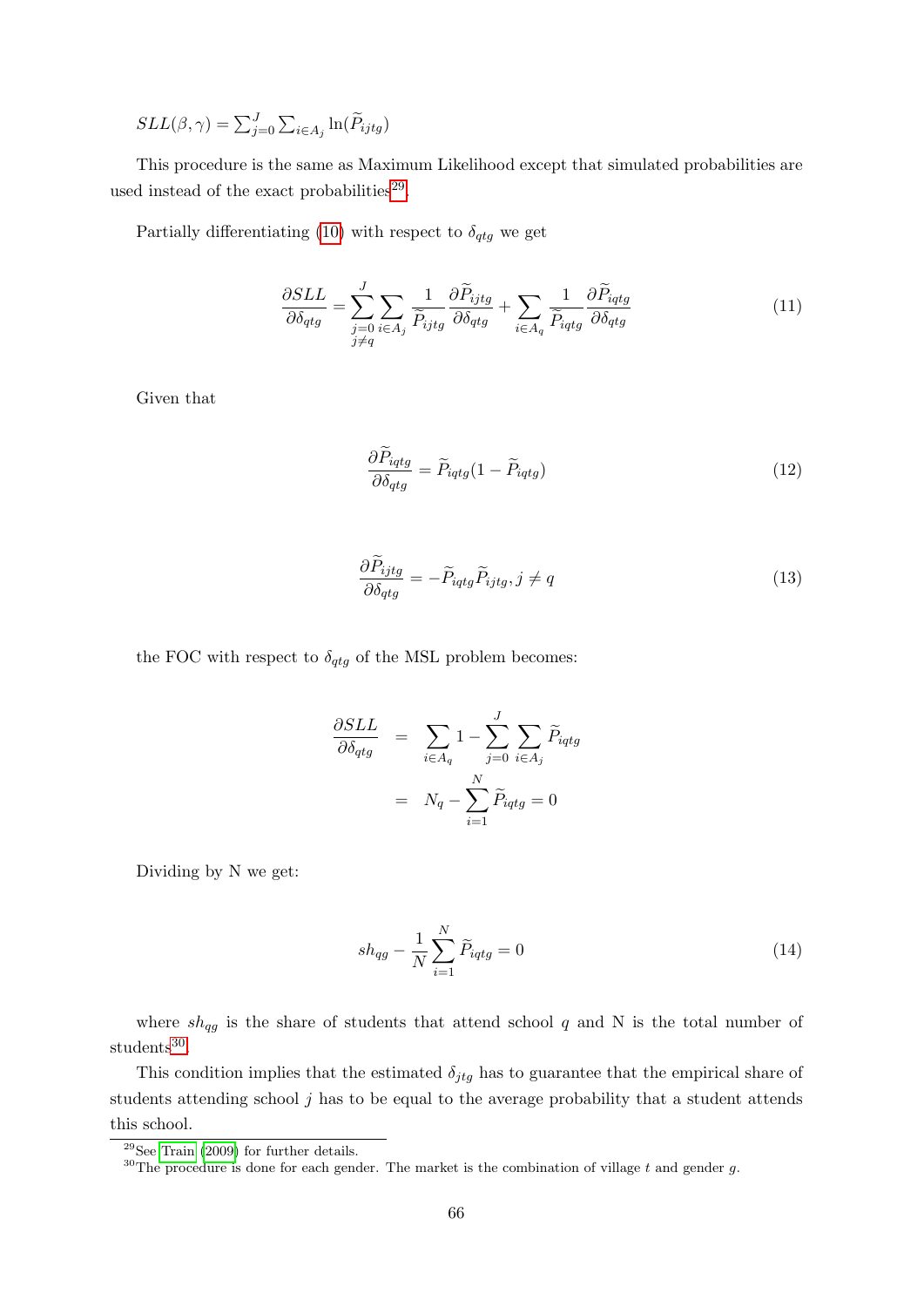$SLL(\beta, \gamma) = \sum_{j=0}^{J} \sum_{i \in A_j} \ln(\widetilde{P}_{ijtg})$ 

This procedure is the same as Maximum Likelihood except that simulated probabilities are used instead of the exact probabilities<sup>[29](#page-67-0)</sup>.

Partially differentiating [\(10\)](#page-66-1) with respect to  $\delta_{qtg}$  we get

$$
\frac{\partial SLL}{\partial \delta_{qtg}} = \sum_{\substack{j=0 \ i \in A_j}}^J \sum_{\substack{\widetilde{P}_{ijtg} \\ j \neq q}} \frac{\partial \widetilde{P}_{ijtg}}{\partial \delta_{qtg}} + \sum_{i \in A_q} \frac{1}{\widetilde{P}_{iqtg}} \frac{\partial \widetilde{P}_{iqtg}}{\partial \delta_{qtg}}
$$
(11)

Given that

$$
\frac{\partial \widetilde{P}_{iqtg}}{\partial \delta_{qtg}} = \widetilde{P}_{iqtg} (1 - \widetilde{P}_{iqtg}) \tag{12}
$$

$$
\frac{\partial P_{ijtg}}{\partial \delta_{qtg}} = -\widetilde{P}_{iqtg}\widetilde{P}_{ijtg}, j \neq q \tag{13}
$$

the FOC with respect to  $\delta_{qtg}$  of the MSL problem becomes:

$$
\frac{\partial SLL}{\partial \delta_{qtg}} = \sum_{i \in A_q} 1 - \sum_{j=0}^{J} \sum_{i \in A_j} \widetilde{P}_{iqtg}
$$

$$
= N_q - \sum_{i=1}^{N} \widetilde{P}_{iqtg} = 0
$$

Dividing by N we get:

$$
sh_{qg} - \frac{1}{N} \sum_{i=1}^{N} \widetilde{P}_{iqtg} = 0
$$
\n(14)

where  $sh_{qg}$  is the share of students that attend school  $q$  and N is the total number of students<sup>[30](#page-67-1)</sup>.

This condition implies that the estimated  $\delta_{jtg}$  has to guarantee that the empirical share of students attending school  $j$  has to be equal to the average probability that a student attends this school.

<span id="page-67-0"></span> $29$ See [Train](#page-46-10) [\(2009\)](#page-46-10) for further details.

<span id="page-67-1"></span><sup>&</sup>lt;sup>30</sup>The procedure is done for each gender. The market is the combination of village t and gender g.